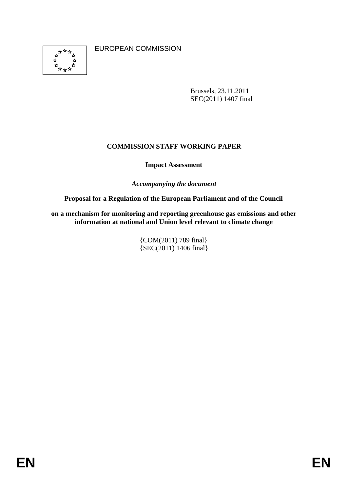

EUROPEAN COMMISSION

Brussels, 23.11.2011 SEC(2011) 1407 final

# **COMMISSION STAFF WORKING PAPER**

# **Impact Assessment**

*Accompanying the document*

**Proposal for a Regulation of the European Parliament and of the Council**

**on a mechanism for monitoring and reporting greenhouse gas emissions and other information at national and Union level relevant to climate change**

> {COM(2011) 789 final} {SEC(2011) 1406 final}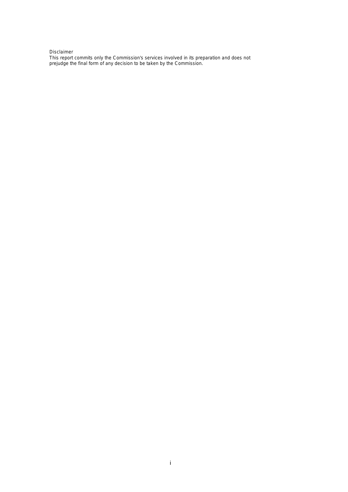#### Disclaimer

This report commits only the Commission's services involved in its preparation and does not prejudge the final form of any decision to be taken by the Commission.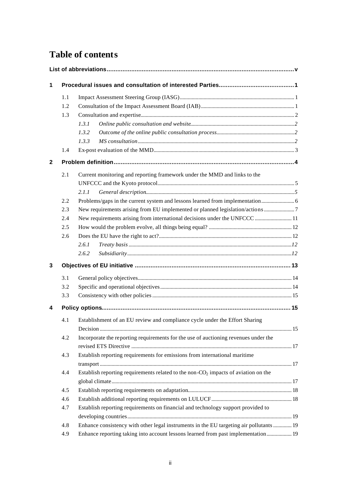# **Table of contents**

| 1 |     |                                                                                         |     |
|---|-----|-----------------------------------------------------------------------------------------|-----|
|   | 1.1 |                                                                                         |     |
|   | 1.2 |                                                                                         |     |
|   | 1.3 |                                                                                         |     |
|   |     | 1.3.1                                                                                   |     |
|   |     | 1.3.2                                                                                   |     |
|   |     | 1.3.3                                                                                   |     |
|   | 1.4 |                                                                                         |     |
| 2 |     |                                                                                         |     |
|   | 2.1 | Current monitoring and reporting framework under the MMD and links to the               |     |
|   |     |                                                                                         |     |
|   |     | 2.1.1                                                                                   |     |
|   | 2.2 |                                                                                         |     |
|   | 2.3 | New requirements arising from EU implemented or planned legislation/actions             |     |
|   | 2.4 | New requirements arising from international decisions under the UNFCCC  11              |     |
|   | 2.5 |                                                                                         |     |
|   | 2.6 |                                                                                         |     |
|   |     | 2.6.1                                                                                   |     |
|   |     | 2.6.2                                                                                   |     |
| 3 |     |                                                                                         |     |
|   | 3.1 |                                                                                         |     |
|   | 3.2 |                                                                                         |     |
|   | 3.3 |                                                                                         |     |
| 4 |     |                                                                                         |     |
|   | 4.1 | Establishment of an EU review and compliance cycle under the Effort Sharing             |     |
|   |     |                                                                                         | .15 |
|   | 4.2 | Incorporate the reporting requirements for the use of auctioning revenues under the     |     |
|   | 4.3 | Establish reporting requirements for emissions from international maritime              |     |
|   |     |                                                                                         |     |
|   | 4.4 | Establish reporting requirements related to the non- $CO2$ impacts of aviation on the   |     |
|   |     |                                                                                         |     |
|   | 4.5 |                                                                                         |     |
|   | 4.6 |                                                                                         |     |
|   | 4.7 | Establish reporting requirements on financial and technology support provided to        |     |
|   |     |                                                                                         |     |
|   | 4.8 | Enhance consistency with other legal instruments in the EU targeting air pollutants  19 |     |
|   | 4.9 | Enhance reporting taking into account lessons learned from past implementation 19       |     |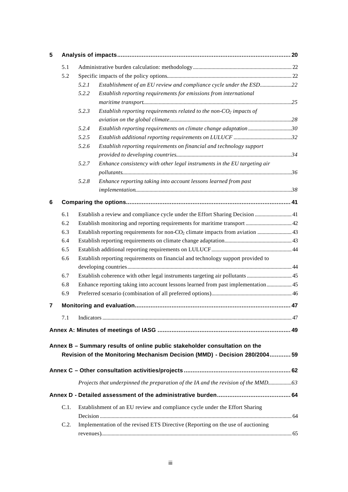| 5 |      |       |                                                                                            |  |
|---|------|-------|--------------------------------------------------------------------------------------------|--|
|   | 5.1  |       |                                                                                            |  |
|   | 5.2  |       |                                                                                            |  |
|   |      | 5.2.1 | Establishment of an EU review and compliance cycle under the ESD22                         |  |
|   |      | 5.2.2 | Establish reporting requirements for emissions from international                          |  |
|   |      |       |                                                                                            |  |
|   |      | 5.2.3 | Establish reporting requirements related to the non- $CO2$ impacts of                      |  |
|   |      |       |                                                                                            |  |
|   |      | 5.2.4 | Establish reporting requirements on climate change adaptation30                            |  |
|   |      | 5.2.5 |                                                                                            |  |
|   |      | 5.2.6 | Establish reporting requirements on financial and technology support                       |  |
|   |      |       |                                                                                            |  |
|   |      | 5.2.7 | Enhance consistency with other legal instruments in the EU targeting air                   |  |
|   |      |       |                                                                                            |  |
|   |      | 5.2.8 | Enhance reporting taking into account lessons learned from past                            |  |
|   |      |       |                                                                                            |  |
| 6 |      |       |                                                                                            |  |
|   |      |       |                                                                                            |  |
|   | 6.1  |       | Establish a review and compliance cycle under the Effort Sharing Decision  41              |  |
|   | 6.2  |       |                                                                                            |  |
|   | 6.3  |       | Establish reporting requirements for non-CO <sub>2</sub> climate impacts from aviation  43 |  |
|   | 6.4  |       |                                                                                            |  |
|   | 6.5  |       |                                                                                            |  |
|   | 6.6  |       | Establish reporting requirements on financial and technology support provided to           |  |
|   |      |       |                                                                                            |  |
|   | 6.7  |       |                                                                                            |  |
|   | 6.8  |       | Enhance reporting taking into account lessons learned from past implementation 45          |  |
|   | 6.9  |       |                                                                                            |  |
| 7 |      |       |                                                                                            |  |
|   |      |       |                                                                                            |  |
|   | 7.1  |       |                                                                                            |  |
|   |      |       |                                                                                            |  |
|   |      |       |                                                                                            |  |
|   |      |       | Annex B - Summary results of online public stakeholder consultation on the                 |  |
|   |      |       | Revision of the Monitoring Mechanism Decision (MMD) - Decision 280/2004 59                 |  |
|   |      |       |                                                                                            |  |
|   |      |       |                                                                                            |  |
|   |      |       |                                                                                            |  |
|   |      |       |                                                                                            |  |
|   | C.1. |       | Establishment of an EU review and compliance cycle under the Effort Sharing                |  |
|   |      |       |                                                                                            |  |
|   | C.2. |       | Implementation of the revised ETS Directive (Reporting on the use of auctioning            |  |
|   |      |       |                                                                                            |  |
|   |      |       |                                                                                            |  |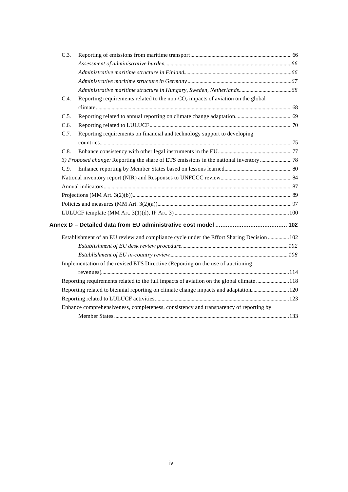| C.3. |                                                                                    |                                                                                                                                                                                                                                                                                                                                                                                                                                                          |
|------|------------------------------------------------------------------------------------|----------------------------------------------------------------------------------------------------------------------------------------------------------------------------------------------------------------------------------------------------------------------------------------------------------------------------------------------------------------------------------------------------------------------------------------------------------|
|      |                                                                                    |                                                                                                                                                                                                                                                                                                                                                                                                                                                          |
|      |                                                                                    |                                                                                                                                                                                                                                                                                                                                                                                                                                                          |
|      |                                                                                    |                                                                                                                                                                                                                                                                                                                                                                                                                                                          |
|      |                                                                                    |                                                                                                                                                                                                                                                                                                                                                                                                                                                          |
| C.4. | Reporting requirements related to the non- $CO2$ impacts of aviation on the global |                                                                                                                                                                                                                                                                                                                                                                                                                                                          |
|      |                                                                                    |                                                                                                                                                                                                                                                                                                                                                                                                                                                          |
| C.5. |                                                                                    |                                                                                                                                                                                                                                                                                                                                                                                                                                                          |
| C.6. |                                                                                    |                                                                                                                                                                                                                                                                                                                                                                                                                                                          |
| C.7. | Reporting requirements on financial and technology support to developing           |                                                                                                                                                                                                                                                                                                                                                                                                                                                          |
|      |                                                                                    |                                                                                                                                                                                                                                                                                                                                                                                                                                                          |
| C.8. |                                                                                    |                                                                                                                                                                                                                                                                                                                                                                                                                                                          |
|      |                                                                                    |                                                                                                                                                                                                                                                                                                                                                                                                                                                          |
| C.9. |                                                                                    |                                                                                                                                                                                                                                                                                                                                                                                                                                                          |
|      |                                                                                    |                                                                                                                                                                                                                                                                                                                                                                                                                                                          |
|      |                                                                                    |                                                                                                                                                                                                                                                                                                                                                                                                                                                          |
|      |                                                                                    |                                                                                                                                                                                                                                                                                                                                                                                                                                                          |
|      |                                                                                    |                                                                                                                                                                                                                                                                                                                                                                                                                                                          |
|      |                                                                                    |                                                                                                                                                                                                                                                                                                                                                                                                                                                          |
|      |                                                                                    |                                                                                                                                                                                                                                                                                                                                                                                                                                                          |
|      |                                                                                    |                                                                                                                                                                                                                                                                                                                                                                                                                                                          |
|      |                                                                                    |                                                                                                                                                                                                                                                                                                                                                                                                                                                          |
|      |                                                                                    |                                                                                                                                                                                                                                                                                                                                                                                                                                                          |
|      |                                                                                    |                                                                                                                                                                                                                                                                                                                                                                                                                                                          |
|      |                                                                                    |                                                                                                                                                                                                                                                                                                                                                                                                                                                          |
|      |                                                                                    |                                                                                                                                                                                                                                                                                                                                                                                                                                                          |
|      |                                                                                    |                                                                                                                                                                                                                                                                                                                                                                                                                                                          |
|      |                                                                                    |                                                                                                                                                                                                                                                                                                                                                                                                                                                          |
|      |                                                                                    |                                                                                                                                                                                                                                                                                                                                                                                                                                                          |
|      |                                                                                    |                                                                                                                                                                                                                                                                                                                                                                                                                                                          |
|      |                                                                                    | Establishment of an EU review and compliance cycle under the Effort Sharing Decision  102<br>Implementation of the revised ETS Directive (Reporting on the use of auctioning<br>Reporting requirements related to the full impacts of aviation on the global climate 118<br>Reporting related to biennial reporting on climate change impacts and adaptation120<br>Enhance comprehensiveness, completeness, consistency and transparency of reporting by |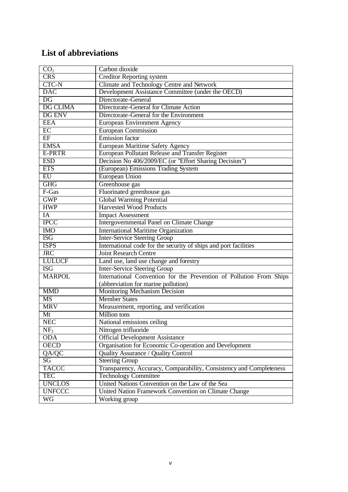# **List of abbreviations**

| CO <sub>2</sub>         | Carbon dioxide                                                      |
|-------------------------|---------------------------------------------------------------------|
| <b>CRS</b>              | <b>Creditor Reporting system</b>                                    |
| CTC-N                   | Climate and Technology Centre and Network                           |
| <b>DAC</b>              | Development Assistance Committee (under the OECD)                   |
| DG                      | Directorate-General                                                 |
| <b>DG CLIMA</b>         | Directorate-General for Climate Action                              |
| DG ENV                  | Directorate-General for the Environment                             |
| <b>EEA</b>              | <b>European Environment Agency</b>                                  |
| EC                      | <b>European Commission</b>                                          |
| EF                      | <b>Emission</b> factor                                              |
| <b>EMSA</b>             | European Maritime Safety Agency                                     |
| E-PRTR                  | European Pollutant Release and Transfer Register                    |
| <b>ESD</b>              | Decision No 406/2009/EC (or "Effort Sharing Decision")              |
| <b>ETS</b>              | (European) Emissions Trading System                                 |
| EU                      | <b>European Union</b>                                               |
| <b>GHG</b>              | Greenhouse gas                                                      |
| F-Gas                   | Fluorinated greenhouse gas                                          |
| <b>GWP</b>              | <b>Global Warming Potential</b>                                     |
| <b>HWP</b>              | <b>Harvested Wood Products</b>                                      |
| IA                      | <b>Impact Assessment</b>                                            |
| <b>IPCC</b>             | <b>Intergovernmental Panel on Climate Change</b>                    |
| <b>IMO</b>              | <b>International Maritime Organization</b>                          |
| $\overline{\text{ISG}}$ | <b>Inter-Service Steering Group</b>                                 |
| <b>ISPS</b>             | International code for the security of ships and port facilities    |
| <b>JRC</b>              | <b>Joint Research Centre</b>                                        |
| <b>LULUCF</b>           | Land use, land use change and forestry                              |
| <b>ISG</b>              | <b>Inter-Service Steering Group</b>                                 |
| <b>MARPOL</b>           | International Convention for the Prevention of Pollution From Ships |
|                         | (abbreviation for marine pollution)                                 |
| <b>MMD</b>              | Monitoring Mechanism Decision                                       |
| <b>MS</b>               | <b>Member States</b>                                                |
| <b>MRV</b>              | Measurement, reporting, and verification                            |
| Mt                      | Million tons                                                        |
| <b>NEC</b>              | National emissions ceiling                                          |
| NF <sub>3</sub>         | Nitrogen trifluoride                                                |
| <b>ODA</b>              | <b>Official Development Assistance</b>                              |
| <b>OECD</b>             | Organisation for Economic Co-operation and Development              |
| QA/QC                   | Quality Assurance / Quality Control                                 |
| SG                      | <b>Steering Group</b>                                               |
| <b>TACCC</b>            | Transparency, Accuracy, Comparability, Consistency and Completeness |
| <b>TEC</b>              | <b>Technology Committee</b>                                         |
| <b>UNCLOS</b>           | United Nations Convention on the Law of the Sea                     |
| <b>UNFCCC</b>           | United Nation Framework Convention on Climate Change                |
| $\overline{\text{WG}}$  | Working group                                                       |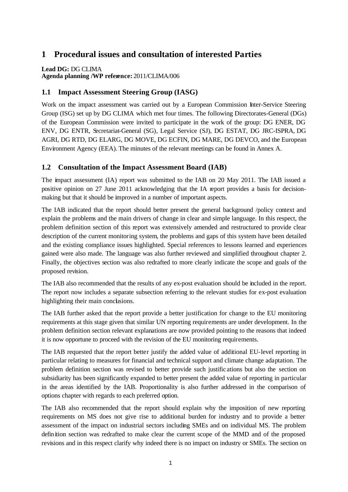# **1 Procedural issues and consultation of interested Parties**

**Lead DG:** DG CLIMA **Agenda planning /WP reference:** 2011/CLIMA/006

### **1.1 Impact Assessment Steering Group (IASG)**

Work on the impact assessment was carried out by a European Commission Inter-Service Steering Group (ISG) set up by DG CLIMA which met four times. The following Directorates-General (DGs) of the European Commission were invited to participate in the work of the group: DG ENER, DG ENV, DG ENTR, Secretariat-General (SG), Legal Service (SJ), DG ESTAT, DG JRC-ISPRA, DG AGRI, DG RTD, DG ELARG, DG MOVE, DG ECFIN, DG MARE, DG DEVCO, and the European Environment Agency (EEA). The minutes of the relevant meetings can be found in Annex A.

### **1.2 Consultation of the Impact Assessment Board (IAB)**

The impact assessment (IA) report was submitted to the IAB on 20 May 2011. The IAB issued a positive opinion on 27 June 2011 acknowledging that the IA report provides a basis for decisionmaking but that it should be improved in a number of important aspects.

The IAB indicated that the report should better present the general background /policy context and explain the problems and the main drivers of change in clear and simple language. In this respect, the problem definition section of this report was extensively amended and restructured to provide clear description of the current monitoring system, the problems and gaps of this system have been detailed and the existing compliance issues highlighted. Special references to lessons learned and experiences gained were also made. The language was also further reviewed and simplified throughout chapter 2. Finally, the objectives section was also redrafted to more clearly indicate the scope and goals of the proposed revision.

The IAB also recommended that the results of any ex-post evaluation should be included in the report. The report now includes a separate subsection referring to the relevant studies for ex-post evaluation highlighting their main conclusions.

The IAB further asked that the report provide a better justification for change to the EU monitoring requirements at this stage given that similar UN reporting requirements are under development. In the problem definition section relevant explanations are now provided pointing to the reasons that indeed it is now opportune to proceed with the revision of the EU monitoring requirements.

The IAB requested that the report better justify the added value of additional EU-level reporting in particular relating to measures for financial and technical support and climate change adaptation. The problem definition section was revised to better provide such justific ations but also the section on subsidiarity has been significantly expanded to better present the added value of reporting in particular in the areas identified by the IAB. Proportionality is also further addressed in the comparison of options chapter with regards to each preferred option.

The IAB also recommended that the report should explain why the imposition of new reporting requirements on MS does not give rise to additional burden for industry and to provide a better assessment of the impact on industrial sectors including SMEs and on individual MS. The problem definition section was redrafted to make clear the current scope of the MMD and of the proposed revisions and in this respect clarify why indeed there is no impact on industry or SMEs. The section on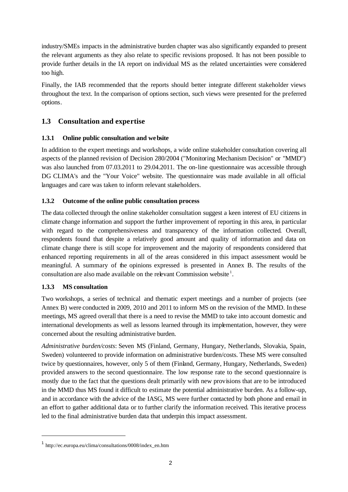industry/SMEs impacts in the administrative burden chapter was also significantly expanded to present the relevant arguments as they also relate to specific revisions proposed. It has not been possible to provide further details in the IA report on individual MS as the related uncertainties were considered too high.

Finally, the IAB recommended that the reports should better integrate different stakeholder views throughout the text. In the comparison of options section, such views were presented for the preferred options.

# **1.3 Consultation and expertise**

### **1.3.1 Online public consultation and website**

In addition to the expert meetings and workshops, a wide online stakeholder consultation covering all aspects of the planned revision of Decision 280/2004 ("Monitoring Mechanism Decision" or "MMD") was also launched from 07.03.2011 to 29.04.2011. The on-line questionnaire was accessible through DG CLIMA's and the "Your Voice" website. The questionnaire was made available in all official languages and care was taken to inform relevant stakeholders.

### **1.3.2 Outcome of the online public consultation process**

The data collected through the online stakeholder consultation suggest a keen interest of EU citizens in climate change information and support the further improvement of reporting in this area, in particular with regard to the comprehensiveness and transparency of the information collected. Overall, respondents found that despite a relatively good amount and quality of information and data on climate change there is still scope for improvement and the majority of respondents considered that enhanced reporting requirements in all of the areas considered in this impact assessment would be meaningful. A summary of the opinions expressed is presented in Annex B. The results of the consultation are also made available on the relevant Commission website  $^1$ .

### **1.3.3 MS consultation**

l

Two workshops, a series of technical and thematic expert meetings and a number of projects (see Annex B) were conducted in 2009, 2010 and 2011 to inform MS on the revision of the MMD. In these meetings, MS agreed overall that there is a need to revise the MMD to take into account domestic and international developments as well as lessons learned through its implementation, however, they were concerned about the resulting administrative burden.

*Administrative burden/costs*: Seven MS (Finland, Germany, Hungary, Netherlands, Slovakia, Spain, Sweden) volunteered to provide information on administrative burden/costs. These MS were consulted twice by questionnaires, however, only 5 of them (Finland, Germany, Hungary, Netherlands, Sweden) provided answers to the second questionnaire. The low response rate to the second questionnaire is mostly due to the fact that the questions dealt primarily with new provisions that are to be introduced in the MMD thus MS found it difficult to estimate the potential administrative burden. As a follow-up, and in accordance with the advice of the IASG, MS were further contacted by both phone and email in an effort to gather additional data or to further clarify the information received. This iterative process led to the final administrative burden data that underpin this impact assessment.

<sup>1</sup> http://ec.europa.eu/clima/consultations/0008/index\_en.htm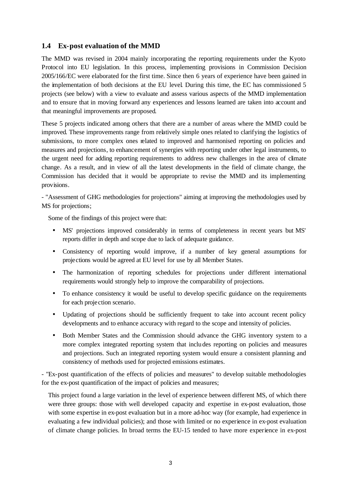### **1.4 Ex-post evaluation of the MMD**

The MMD was revised in 2004 mainly incorporating the reporting requirements under the Kyoto Protocol into EU legislation. In this process, implementing provisions in Commission Decision 2005/166/EC were elaborated for the first time. Since then 6 years of experience have been gained in the implementation of both decisions at the EU level. During this time, the EC has commissioned 5 projects (see below) with a view to evaluate and assess various aspects of the MMD implementation and to ensure that in moving forward any experiences and lessons learned are taken into account and that meaningful improvements are proposed.

These 5 projects indicated among others that there are a number of areas where the MMD could be improved. These improvements range from relatively simple ones related to clarifying the logistics of submissions, to more complex ones related to improved and harmonised reporting on policies and measures and projections, to enhancement of synergies with reporting under other legal instruments, to the urgent need for adding reporting requirements to address new challenges in the area of climate change. As a result, and in view of all the latest developments in the field of climate change, the Commission has decided that it would be appropriate to revise the MMD and its implementing provisions.

- "Assessment of GHG methodologies for projections" aiming at improving the methodologies used by MS for projections;

Some of the findings of this project were that:

- MS' projections improved considerably in terms of completeness in recent years but MS' reports differ in depth and scope due to lack of adequate guidance.
- Consistency of reporting would improve, if a number of key general assumptions for projections would be agreed at EU level for use by all Member States.
- The harmonization of reporting schedules for projections under different international requirements would strongly help to improve the comparability of projections.
- To enhance consistency it would be useful to develop specific guidance on the requirements for each projection scenario.
- Updating of projections should be sufficiently frequent to take into account recent policy developments and to enhance accuracy with regard to the scope and intensity of policies.
- Both Member States and the Commission should advance the GHG inventory system to a more complex integrated reporting system that includes reporting on policies and measures and projections. Such an integrated reporting system would ensure a consistent planning and consistency of methods used for projected emissions estimates.

- "Ex-post quantification of the effects of policies and measures" to develop suitable methodologies for the ex-post quantification of the impact of policies and measures;

This project found a large variation in the level of experience between different MS, of which there were three groups: those with well developed capacity and expertise in ex-post evaluation, those with some expertise in ex-post evaluation but in a more ad-hoc way (for example, had experience in evaluating a few individual policies); and those with limited or no experience in ex-post evaluation of climate change policies. In broad terms the EU-15 tended to have more experience in ex-post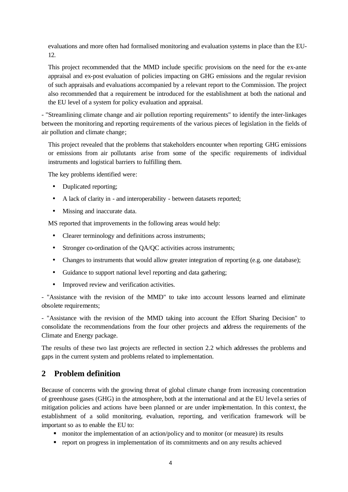evaluations and more often had formalised monitoring and evaluation systems in place than the EU-12.

This project recommended that the MMD include specific provisions on the need for the ex-ante appraisal and ex-post evaluation of policies impacting on GHG emissions and the regular revision of such appraisals and evaluations accompanied by a relevant report to the Commission. The project also recommended that a requirement be introduced for the establishment at both the national and the EU level of a system for policy evaluation and appraisal.

- "Streamlining climate change and air pollution reporting requirements" to identify the inter-linkages between the monitoring and reporting requirements of the various pieces of legislation in the fields of air pollution and climate change;

This project revealed that the problems that stakeholders encounter when reporting GHG emissions or emissions from air pollutants arise from some of the specific requirements of individual instruments and logistical barriers to fulfilling them.

The key problems identified were:

- Duplicated reporting;
- A lack of clarity in and interoperability between datasets reported;
- Missing and inaccurate data.

MS reported that improvements in the following areas would help:

- Clearer terminology and definitions across instruments;
- Stronger co-ordination of the QA/QC activities across instruments;
- Changes to instruments that would allow greater integration of reporting (e.g. one database);
- Guidance to support national level reporting and data gathering;
- Improved review and verification activities.

- "Assistance with the revision of the MMD" to take into account lessons learned and eliminate obsolete requirements;

- "Assistance with the revision of the MMD taking into account the Effort Sharing Decision" to consolidate the recommendations from the four other projects and address the requirements of the Climate and Energy package.

The results of these two last projects are reflected in section 2.2 which addresses the problems and gaps in the current system and problems related to implementation.

# **2 Problem definition**

Because of concerns with the growing threat of global climate change from increasing concentration of greenhouse gases (GHG) in the atmosphere, both at the international and at the EU level a series of mitigation policies and actions have been planned or are under implementation. In this context, the establishment of a solid monitoring, evaluation, reporting, and verification framework will be important so as to enable the EU to:

- monitor the implementation of an action/policy and to monitor (or measure) its results
- report on progress in implementation of its commitments and on any results achieved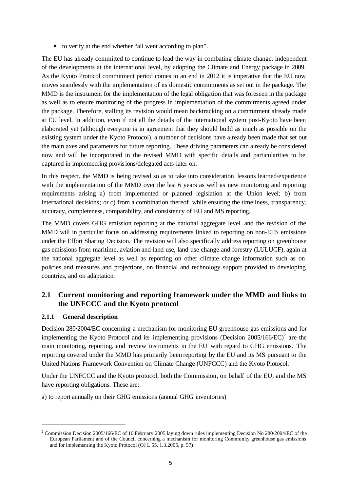■ to verify at the end whether "all went according to plan".

The EU has already committed to continue to lead the way in combating climate change, independent of the developments at the international level, by adopting the Climate and Energy package in 2009. As the Kyoto Protocol commitment period comes to an end in 2012 it is imperative that the EU now moves seamlessly with the implementation of its domestic commitments as set out in the package. The MMD is the instrument for the implementation of the legal obligation that was foreseen in the package as well as to ensure monitoring of the progress in implementation of the commitments agreed under the package. Therefore, stalling its revision would mean backtracking on a commitment already made at EU level. In addition, even if not all the details of the international system post-Kyoto have been elaborated yet (although everyone is in agreement that they should build as much as possible on the existing system under the Kyoto Protocol), a number of decisions have already been made that set out the main axes and parameters for future reporting. These driving parameters can already be considered now and will be incorporated in the revised MMD with specific details and particularities to be captured in implementing provisions/delegated acts later on.

In this respect, the MMD is being revised so as to take into consideration lessons learned/experience with the implementation of the MMD over the last 6 years as well as new monitoring and reporting requirements arising a) from implemented or planned legislation at the Union level; b) from international decisions; or c) from a combination thereof, while ensuring the timeliness, transparency, accuracy, completeness, comparability, and consistency of EU and MS reporting.

The MMD covers GHG emission reporting at the national aggregate level and the revision of the MMD will in particular focus on addressing requirements linked to reporting on non-ETS emissions under the Effort Sharing Decision. The revision will also specifically address reporting on greenhouse gas emissions from maritime, aviation and land use, land-use change and forestry (LULUCF), again at the national aggregate level as well as reporting on other climate change information such as on policies and measures and projections, on financial and technology support provided to developing countries, and on adaptation.

# **2.1 Current monitoring and reporting framework under the MMD and links to the UNFCCC and the Kyoto protocol**

### **2.1.1 General description**

l

Decision 280/2004/EC concerning a mechanism for monitoring EU greenhouse gas emissions and for implementing the Kyoto Protocol and its implementing provisions (Decision  $2005/166/EC$ )<sup>2</sup> are the main monitoring, reporting, and review instruments in the EU with regard to GHG emissions. The reporting covered under the MMD has primarily been reporting by the EU and its MS pursuant to the United Nations Framework Convention on Climate Change (UNFCCC) and the Kyoto Protocol.

Under the UNFCCC and the Kyoto protocol, both the Commission, on behalf of the EU, and the MS have reporting obligations. These are:

a) to report annually on their GHG emissions (annual GHG inventories)

<sup>&</sup>lt;sup>2</sup> Commission Decision 2005/166/EC of 10 February 2005 laying down rules implementing Decision No 280/2004/EC of the European Parliament and of the Council concerning a mechanism for monitoring Community greenhouse gas emissions and for implementing the Kyoto Protocol (OJ L 55, 1.3.2005, p. 57)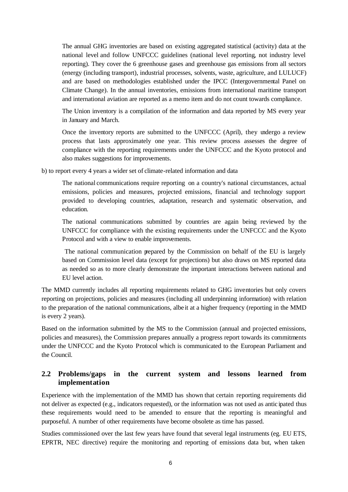The annual GHG inventories are based on existing aggregated statistical (activity) data at the national level and follow UNFCCC guidelines (national level reporting, not industry level reporting). They cover the 6 greenhouse gases and greenhouse gas emissions from all sectors (energy (including transport), industrial processes, solvents, waste, agriculture, and LULUCF) and are based on methodologies established under the IPCC (Intergovernmental Panel on Climate Change). In the annual inventories, emissions from international maritime transport and international aviation are reported as a memo item and do not count towards compliance.

The Union inventory is a compilation of the information and data reported by MS every year in January and March.

Once the inventory reports are submitted to the UNFCCC (April), they undergo a review process that lasts approximately one year. This review process assesses the degree of compliance with the reporting requirements under the UNFCCC and the Kyoto protocol and also makes suggestions for improvements.

b) to report every 4 years a wider set of climate-related information and data

The national communications require reporting on a country's national circumstances, actual emissions, policies and measures, projected emissions, financial and technology support provided to developing countries, adaptation, research and systematic observation, and education.

The national communications submitted by countries are again being reviewed by the UNFCCC for compliance with the existing requirements under the UNFCCC and the Kyoto Protocol and with a view to enable improvements.

 The national communication prepared by the Commission on behalf of the EU is largely based on Commission level data (except for projections) but also draws on MS reported data as needed so as to more clearly demonstrate the important interactions between national and EU level action.

The MMD currently includes all reporting requirements related to GHG inventories but only covers reporting on projections, policies and measures (including all underpinning information) with relation to the preparation of the national communications, albe it at a higher frequency (reporting in the MMD is every 2 years).

Based on the information submitted by the MS to the Commission (annual and projected emissions, policies and measures), the Commission prepares annually a progress report towards its commitments under the UNFCCC and the Kyoto Protocol which is communicated to the European Parliament and the Council.

# **2.2 Problems/gaps in the current system and lessons learned from implementation**

Experience with the implementation of the MMD has shown that certain reporting requirements did not deliver as expected (e.g., indicators requested), or the information was not used as antic ipated thus these requirements would need to be amended to ensure that the reporting is meaningful and purposeful. A number of other requirements have become obsolete as time has passed.

Studies commissioned over the last few years have found that several legal instruments (eg. EU ETS, EPRTR, NEC directive) require the monitoring and reporting of emissions data but, when taken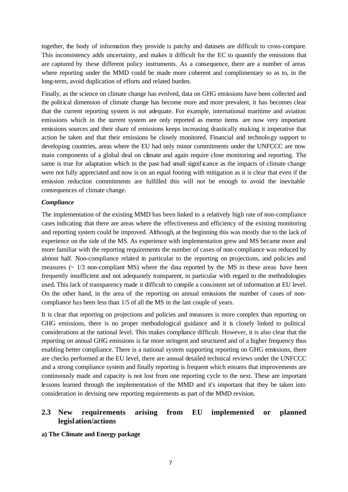together, the body of information they provide is patchy and datasets are difficult to cross-compare. This inconsistency adds uncertainty, and makes it difficult for the EC to quantify the emissions that are captured by these different policy instruments. As a consequence, there are a number of areas where reporting under the MMD could be made more coherent and complimentary so as to, in the long-term, avoid duplication of efforts and related burden.

Finally, as the science on climate change has evolved, data on GHG emissions have been collected and the political dimension of climate change has become more and more prevalent, it has becomes clear that the current reporting system is not adequate. For example, international maritime and aviation emissions which in the current system are only reported as memo items are now very important emissions sources and their share of emissions keeps increasing drastically making it imperative that action be taken and that their emissions be closely monitored. Financial and technology support to developing countries, areas where the EU had only minor commitments under the UNFCCC are now main components of a global deal on climate and again require close monitoring and reporting. The same is true for adaptation which in the past had small significance as the impacts of climate change were not fully appreciated and now is on an equal footing with mitigation as it is clear that even if the emission reduction commitments are fulfilled this will not be enough to avoid the inevitable consequences of climate change.

#### *Compliance*

The implementation of the existing MMD has been linked to a relatively high rate of non-compliance cases indicating that there are areas where the effectiveness and efficiency of the existing monitoring and reporting system could be improved. Although, at the beginning this was mostly due to the lack of experience on the side of the MS. As experience with implementation grew and MS became more and more familiar with the reporting requirements the number of cases of non-compliance was reduced by almost half. Non-compliance related in particular to the reporting on projections, and policies and measures  $\sim$  1/3 non-compliant MS) where the data reported by the MS in these areas have been frequently insufficient and not adequately transparent, in particular with regard to the methodologies used. This lack of transparency made it difficult to compile a consistent set of information at EU level. On the other hand, in the area of the reporting on annual emissions the number of cases of noncompliance has been less than 1/5 of all the MS in the last couple of years.

It is clear that reporting on projections and policies and measures is more complex than reporting on GHG emissions, there is no proper methodological guidance and it is closely linked to political considerations at the national level. This makes compliance difficult. However, it is also clear that the reporting on annual GHG emissions is far more stringent and structured and of a higher frequency thus enabling better compliance. There is a national system supporting reporting on GHG emissions, there are checks performed at the EU level, there are annual detailed technical reviews under the UNFCCC and a strong compliance system and finally reporting is frequent which ensures that improvements are continuously made and capacity is not lost from one reporting cycle to the next. These are important lessons learned through the implementation of the MMD and it's important that they be taken into consideration in devising new reporting requirements as part of the MMD revision.

### **2.3 New requirements arising from EU implemented or planned legislation/actions**

**a) The Climate and Energy package**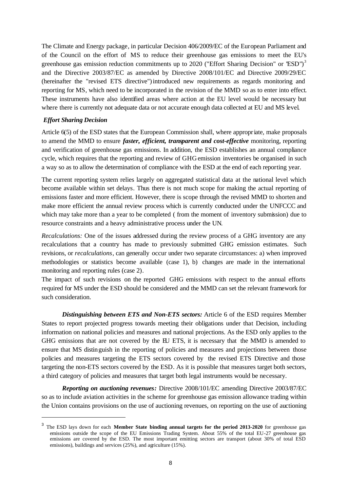The Climate and Energy package, in particular Decision 406/2009/EC of the European Parliament and of the Council on the effort of MS to reduce their greenhouse gas emissions to meet the EU's greenhouse gas emission reduction commitments up to 2020 ("Effort Sharing Decision" or 'ESD")<sup>3</sup> and the Directive 2003/87/EC as amended by Directive 2008/101/EC and Directive 2009/29/EC (hereinafter the "revised ETS directive")introduced new requirements as regards monitoring and reporting for MS, which need to be incorporated in the revision of the MMD so as to enter into effect. These instruments have also identified areas where action at the EU level would be necessary but where there is currently not adequate data or not accurate enough data collected at EU and MS level.

#### *Effort Sharing Decision*

l

Article 6(5) of the ESD states that the European Commission shall, where appropriate, make proposals to amend the MMD to ensure *faster, efficient, transparent and cost-effective* monitoring, reporting and verification of greenhouse gas emissions. In addition, the ESD establishes an annual compliance cycle, which requires that the reporting and review of GHG emission inventories be organised in such a way so as to allow the determination of compliance with the ESD at the end of each reporting year.

The current reporting system relies largely on aggregated statistical data at the national level which become available within set delays. Thus there is not much scope for making the actual reporting of emissions faster and more efficient. However, there is scope through the revised MMD to shorten and make more efficient the annual review process which is currently conducted under the UNFCCC and which may take more than a year to be completed (from the moment of inventory submission) due to resource constraints and a heavy administrative process under the UN.

*Recalculations:* One of the issues addressed during the review process of a GHG inventory are any recalculations that a country has made to previously submitted GHG emission estimates. Such revisions, or *recalculations*, can generally occur under two separate circumstances: a) when improved methodologies or statistics become available (case 1), b) changes are made in the international monitoring and reporting rules (case 2).

The impact of such revisions on the reported GHG emissions with respect to the annual efforts required for MS under the ESD should be considered and the MMD can set the relevant framework for such consideration.

*Distinguishing between ETS and Non-ETS sectors:* Article 6 of the ESD requires Member States to report projected progress towards meeting their obligations under that Decision, including information on national policies and measures and national projections. As the ESD only applies to the GHG emissions that are not covered by the EU ETS, it is necessary that the MMD is amended to ensure that MS distinguish in the reporting of policies and measures and projections between those policies and measures targeting the ETS sectors covered by the revised ETS Directive and those targeting the non-ETS sectors covered by the ESD. As it is possible that measures target both sectors, a third category of policies and measures that target both legal instruments would be necessary.

*Reporting on auctioning revenues:* Directive 2008/101/EC amending Directive 2003/87/EC so as to include aviation activities in the scheme for greenhouse gas emission allowance trading within the Union contains provisions on the use of auctioning revenues, on reporting on the use of auctioning

<sup>3</sup> The ESD lays down for each **Member State binding annual targets for the period 2013-2020** for greenhouse gas emissions outside the scope of the EU Emissions Trading System. About 55% of the total EU-27 greenhouse gas emissions are covered by the ESD. The most important emitting sectors are transport (about 30% of total ESD emissions), buildings and services (25%), and agriculture (15%).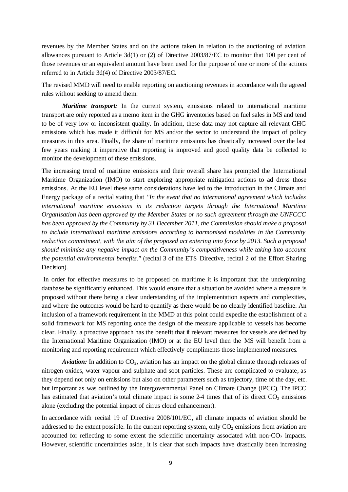revenues by the Member States and on the actions taken in relation to the auctioning of aviation allowances pursuant to Article 3d(1) or (2) of Directive 2003/87/EC to monitor that 100 per cent of those revenues or an equivalent amount have been used for the purpose of one or more of the actions referred to in Article 3d(4) of Directive 2003/87/EC.

The revised MMD will need to enable reporting on auctioning revenues in accordance with the agreed rules without seeking to amend them.

*Maritime transport:* In the current system, emissions related to international maritime transport are only reported as a memo item in the GHG inventories based on fuel sales in MS and tend to be of very low or inconsistent quality. In addition, these data may not capture all relevant GHG emissions which has made it difficult for MS and/or the sector to understand the impact of policy measures in this area. Finally, the share of maritime emissions has drastically increased over the last few years making it imperative that reporting is improved and good quality data be collected to monitor the development of these emissions.

The increasing trend of maritime emissions and their overall share has prompted the International Maritime Organization (IMO) to start exploring appropriate mitigation actions to ad dress those emissions. At the EU level these same considerations have led to the introduction in the Climate and Energy package of a recital stating that *"In the event that no international agreement which includes international maritime emissions in its reduction targets through the International Maritime Organisation has been approved by the Member States or no such agreement through the UNFCCC has been approved by the Community by 31 December 2011, the Commission should make a proposal to include international maritime emissions according to harmonised modalities in the Community reduction commitment, with the aim of the proposed act entering into force by 2013. Such a proposal should minimise any negative impact on the Community's competitiveness while taking into account the potential environmental benefits."* (recital 3 of the ETS Directive, recital 2 of the Effort Sharing Decision).

In order for effective measures to be proposed on maritime it is important that the underpinning database be significantly enhanced. This would ensure that a situation be avoided where a measure is proposed without there being a clear understanding of the implementation aspects and complexities, and where the outcomes would be hard to quantify as there would be no clearly identified baseline. An inclusion of a framework requirement in the MMD at this point could expedite the establishment of a solid framework for MS reporting once the design of the measure applicable to vessels has become clear. Finally, a proactive approach has the benefit that if relevant measures for vessels are defined by the International Maritime Organization (IMO) or at the EU level then the MS will benefit from a monitoring and reporting requirement which effectively compliments those implemented measures.

*Aviation:* In addition to  $CO<sub>2</sub>$ , aviation has an impact on the global climate through releases of nitrogen oxides, water vapour and sulphate and soot particles. These are complicated to evaluate, as they depend not only on emissions but also on other parameters such as trajectory, time of the day, etc. but important as was outlined by the Intergovernmental Panel on Climate Change (IPCC). The IPCC has estimated that aviation's total climate impact is some 2-4 times that of its direct  $CO<sub>2</sub>$  emissions alone (excluding the potential impact of cirrus cloud enhancement).

In accordance with recital 19 of Directive 2008/101/EC, all climate impacts of aviation should be addressed to the extent possible. In the current reporting system, only  $CO<sub>2</sub>$  emissions from aviation are accounted for reflecting to some extent the scientific uncertainty associated with non- $CO<sub>2</sub>$  impacts. However, scientific uncertainties aside, it is clear that such impacts have drastically been increasing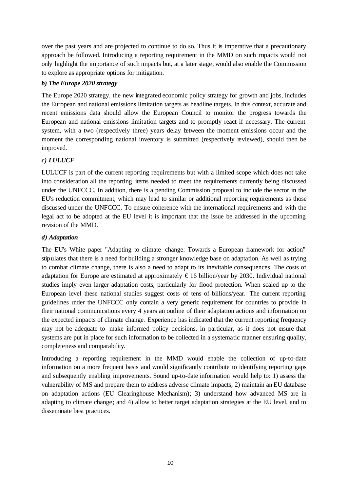over the past years and are projected to continue to do so. Thus it is imperative that a precautionary approach be followed. Introducing a reporting requirement in the MMD on such impacts would not only highlight the importance of such impacts but, at a later stage, would also enable the Commission to explore as appropriate options for mitigation.

### *b) The Europe 2020 strategy*

The Europe 2020 strategy, the new integrated economic policy strategy for growth and jobs, includes the European and national emissions limitation targets as headline targets. In this context, accurate and recent emissions data should allow the European Council to monitor the progress towards the European and national emissions limitation targets and to promptly react if necessary. The current system, with a two (respectively three) years delay between the moment emissions occur and the moment the corresponding national inventory is submitted (respectively reviewed), should then be improved.

### *c) LULUCF*

LULUCF is part of the current reporting requirements but with a limited scope which does not take into consideration all the reporting items needed to meet the requirements currently being discussed under the UNFCCC. In addition, there is a pending Commission proposal to include the sector in the EU's reduction commitment, which may lead to similar or additional reporting requirements as those discussed under the UNFCCC. To ensure coherence with the international requirements and with the legal act to be adopted at the EU level it is important that the issue be addressed in the upcoming revision of the MMD.

### *d) Adaptation*

The EU's White paper "Adapting to climate change: Towards a European framework for action" stipulates that there is a need for building a stronger knowledge base on adaptation. As well as trying to combat climate change, there is also a need to adapt to its inevitable consequences. The costs of adaptation for Europe are estimated at approximately  $\epsilon$ 16 billion/year by 2030. Individual national studies imply even larger adaptation costs, particularly for flood protection. When scaled up to the European level these national studies suggest costs of tens of billions/year. The current reporting guidelines under the UNFCCC only contain a very generic requirement for countries to provide in their national communications every 4 years an outline of their adaptation actions and information on the expected impacts of climate change. Experience has indicated that the current reporting frequency may not be adequate to make informed policy decisions, in particular, as it does not ensure that systems are put in place for such information to be collected in a systematic manner ensuring quality, completeness and comparability.

Introducing a reporting requirement in the MMD would enable the collection of up-to-date information on a more frequent basis and would significantly contribute to identifying reporting gaps and subsequently enabling improvements. Sound up-to-date information would help to: 1) assess the vulnerability of MS and prepare them to address adverse climate impacts; 2) maintain an EU database on adaptation actions (EU Clearinghouse Mechanism); 3) understand how advanced MS are in adapting to climate change; and 4) allow to better target adaptation strategies at the EU level, and to disseminate best practices.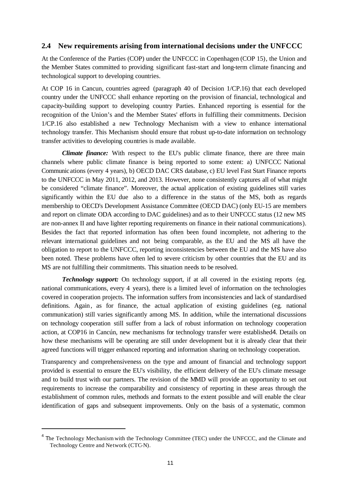#### **2.4 New requirements arising from international decisions under the UNFCCC**

At the Conference of the Parties (COP) under the UNFCCC in Copenhagen (COP 15), the Union and the Member States committed to providing significant fast-start and long-term climate financing and technological support to developing countries.

At COP 16 in Cancun, countries agreed (paragraph 40 of Decision 1/CP.16) that each developed country under the UNFCCC shall enhance reporting on the provision of financial, technological and capacity-building support to developing country Parties. Enhanced reporting is essential for the recognition of the Union's and the Member States' efforts in fulfilling their commitments. Decision 1/CP.16 also established a new Technology Mechanism with a view to enhance international technology transfer. This Mechanism should ensure that robust up-to-date information on technology transfer activities to developing countries is made available.

*Climate finance:* With respect to the EU's public climate finance, there are three main channels where public climate finance is being reported to some extent: a) UNFCCC National Communications (every 4 years), b) OECD DAC CRS database, c) EU level Fast Start Finance reports to the UNFCCC in May 2011, 2012, and 2013. However, none consistently captures all of what might be considered "climate finance". Moreover, the actual application of existing guidelines still varies significantly within the EU due also to a difference in the status of the MS, both as regards membership to OECD's Development Assistance Committee (OECD DAC) (only EU-15 are members and report on climate ODA according to DAC guidelines) and as to their UNFCCC status (12 new MS are non-annex II and have lighter reporting requirements on finance in their national communications). Besides the fact that reported information has often been found incomplete, not adhering to the relevant international guidelines and not being comparable, as the EU and the MS all have the obligation to report to the UNFCCC, reporting inconsistencies between the EU and the MS have also been noted. These problems have often led to severe criticism by other countries that the EU and its MS are not fulfilling their commitments. This situation needs to be resolved.

*Technology support:* On technology support, if at all covered in the existing reports (eg. national communications, every 4 years), there is a limited level of information on the technologies covered in cooperation projects. The information suffers from inconsistencies and lack of standardised definitions. Again, as for finance, the actual application of existing guidelines (eg. national communication) still varies significantly among MS. In addition, while the international discussions on technology cooperation still suffer from a lack of robust information on technology cooperation action, at COP16 in Cancún, new mechanisms for technology transfer were established4. Details on how these mechanisms will be operating are still under development but it is already clear that their agreed functions will trigger enhanced reporting and information sharing on technology cooperation.

Transparency and comprehensiveness on the type and amount of financial and technology support provided is essential to ensure the EU's visibility, the efficient delivery of the EU's climate message and to build trust with our partners. The revision of the MMD will provide an opportunity to set out requirements to increase the comparability and consistency of reporting in these areas through the establishment of common rules, methods and formats to the extent possible and will enable the clear identification of gaps and subsequent improvements. Only on the basis of a systematic, common

l

<sup>&</sup>lt;sup>4</sup> The Technology Mechanism with the Technology Committee (TEC) under the UNFCCC, and the Climate and Technology Centre and Network (CTC-N).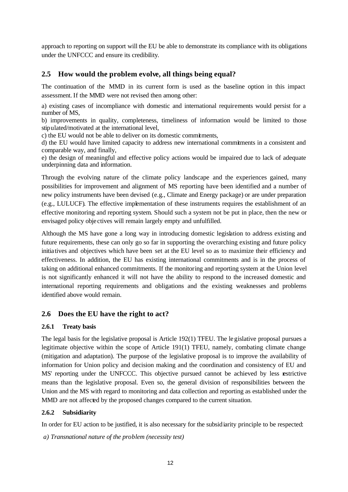approach to reporting on support will the EU be able to demonstrate its compliance with its obligations under the UNFCCC and ensure its credibility.

### **2.5 How would the problem evolve, all things being equal?**

The continuation of the MMD in its current form is used as the baseline option in this impact assessment. If the MMD were not revised then among other:

a) existing cases of incompliance with domestic and international requirements would persist for a number of MS,

b) improvements in quality, completeness, timeliness of information would be limited to those stipulated/motivated at the international level,

c) the EU would not be able to deliver on its domestic commitments,

d) the EU would have limited capacity to address new international commitments in a consistent and comparable way, and finally,

e) the design of meaningful and effective policy actions would be impaired due to lack of adequate underpinning data and information.

Through the evolving nature of the climate policy landscape and the experiences gained, many possibilities for improvement and alignment of MS reporting have been identified and a number of new policy instruments have been devised (e.g., Climate and Energy package) or are under preparation (e.g., LULUCF). The effective implementation of these instruments requires the establishment of an effective monitoring and reporting system. Should such a system not be put in place, then the new or envisaged policy obje ctives will remain largely empty and unfulfilled.

Although the MS have gone a long way in introducing domestic legislation to address existing and future requirements, these can only go so far in supporting the overarching existing and future policy initiatives and objectives which have been set at the EU level so as to maximize their efficiency and effectiveness. In addition, the EU has existing international commitments and is in the process of taking on additional enhanced commitments. If the monitoring and reporting system at the Union level is not significantly enhanced it will not have the ability to respond to the increased domestic and international reporting requirements and obligations and the existing weaknesses and problems identified above would remain.

### **2.6 Does the EU have the right to act?**

### **2.6.1 Treaty basis**

The legal basis for the legislative proposal is Article 192(1) TFEU. The legislative proposal pursues a legitimate objective within the scope of Article 191(1) TFEU, namely, combating climate change (mitigation and adaptation). The purpose of the legislative proposal is to improve the availability of information for Union policy and decision making and the coordination and consistency of EU and MS' reporting under the UNFCCC. This objective pursued cannot be achieved by less restrictive means than the legislative proposal. Even so, the general division of responsibilities between the Union and the MS with regard to monitoring and data collection and reporting as established under the MMD are not affected by the proposed changes compared to the current situation.

### **2.6.2 Subsidiarity**

In order for EU action to be justified, it is also necessary for the subsidiarity principle to be respected:

 *a) Transnational nature of the problem (necessity test)*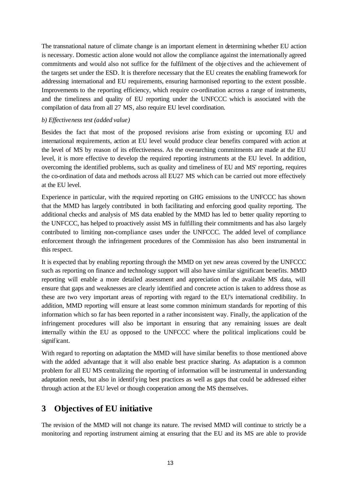The transnational nature of climate change is an important element in determining whether EU action is necessary. Domestic action alone would not allow the compliance against the internationally agreed commitments and would also not suffice for the fulfilment of the obje ctives and the achievement of the targets set under the ESD. It is therefore necessary that the EU creates the enabling framework for addressing international and EU requirements, ensuring harmonised reporting to the extent possible. Improvements to the reporting efficiency, which require co-ordination across a range of instruments, and the timeliness and quality of EU reporting under the UNFCCC which is associated with the compilation of data from all 27 MS, also require EU level coordination.

#### *b) Effectiveness test (added value)*

Besides the fact that most of the proposed revisions arise from existing or upcoming EU and international requirements, action at EU level would produce clear benefits compared with action at the level of MS by reason of its effectiveness. As the overarching commitments are made at the EU level, it is more effective to develop the required reporting instruments at the EU level. In addition, overcoming the identified problems, such as quality and timeliness of EU and MS' reporting, requires the co-ordination of data and methods across all EU27 MS which can be carried out more effectively at the EU level.

Experience in particular, with the required reporting on GHG emissions to the UNFCCC has shown that the MMD has largely contributed in both facilitating and enforcing good quality reporting. The additional checks and analysis of MS data enabled by the MMD has led to better quality reporting to the UNFCCC, has helped to proactively assist MS in fulfilling their commitments and has also largely contributed to limiting non-compliance cases under the UNFCCC. The added level of compliance enforcement through the infringement procedures of the Commission has also been instrumental in this respect.

It is expected that by enabling reporting through the MMD on yet new areas covered by the UNFCCC such as reporting on finance and technology support will also have similar significant benefits. MMD reporting will enable a more detailed assessment and appreciation of the available MS data, will ensure that gaps and weaknesses are clearly identified and concrete action is taken to address those as these are two very important areas of reporting with regard to the EU's international credibility. In addition, MMD reporting will ensure at least some common minimum standards for reporting of this information which so far has been reported in a rather inconsistent way. Finally, the application of the infringement procedures will also be important in ensuring that any remaining issues are dealt internally within the EU as opposed to the UNFCCC where the political implications could be significant.

With regard to reporting on adaptation the MMD will have similar benefits to those mentioned above with the added advantage that it will also enable best practice sharing. As adaptation is a common problem for all EU MS centralizing the reporting of information will be instrumental in understanding adaptation needs, but also in identifying best practices as well as gaps that could be addressed either through action at the EU level or though cooperation among the MS themselves.

# **3 Objectives of EU initiative**

The revision of the MMD will not change its nature. The revised MMD will continue to strictly be a monitoring and reporting instrument aiming at ensuring that the EU and its MS are able to provide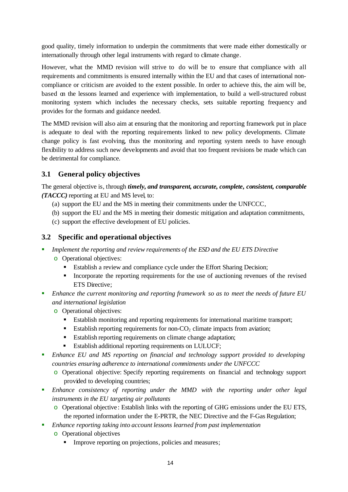good quality, timely information to underpin the commitments that were made either domestically or internationally through other legal instruments with regard to climate change.

However, what the MMD revision will strive to do will be to ensure that compliance with all requirements and commitments is ensured internally within the EU and that cases of international noncompliance or criticism are avoided to the extent possible. In order to achieve this, the aim will be, based on the lessons learned and experience with implementation, to build a well-structured robust monitoring system which includes the necessary checks, sets suitable reporting frequency and provides for the formats and guidance needed.

The MMD revision will also aim at ensuring that the monitoring and reporting framework put in place is adequate to deal with the reporting requirements linked to new policy developments. Climate change policy is fast evolving, thus the monitoring and reporting system needs to have enough flexibility to address such new developments and avoid that too frequent revisions be made which can be detrimental for compliance.

# **3.1 General policy objectives**

The general objective is, through *timely, and transparent, accurate, complete, consistent, comparable (TACCC)* reporting at EU and MS level, to:

- (a) support the EU and the MS in meeting their commitments under the UNFCCC,
- (b) support the EU and the MS in meeting their domestic mitigation and adaptation commitments,
- (c) support the effective development of EU policies.

### **3.2 Specific and operational objectives**

- ß *Implement the reporting and review requirements of the ESD and the EU ETS Directive*
	- o Operational objectives:
		- ß Establish a review and compliance cycle under the Effort Sharing Decision;
		- ß Incorporate the reporting requirements for the use of auctioning revenues of the revised ETS Directive;
- ß *Enhance the current monitoring and reporting framework so as to meet the needs of future EU and international legislation*
	- o Operational objectives:
		- **Establish monitoring and reporting requirements for international maritime transport;**
		- Establish reporting requirements for non- $CO<sub>2</sub>$  climate impacts from aviation;
		- Establish reporting requirements on climate change adaptation;
		- **Establish additional reporting requirements on LULUCF;**
- **E**nhance EU and MS reporting on financial and technology support provided to developing *countries ensuring adherence to international commitments under the UNFCCC*
	- o Operational objective: Specify reporting requirements on financial and technology support provided to developing countries;
- **Enhance** *consistency of reporting under the MMD with the reporting under other legal instruments in the EU targeting air pollutants*
	- o Operational objective : Establish links with the reporting of GHG emissions under the EU ETS, the reported information under the E-PRTR, the NEC Directive and the F-Gas Regulation;
- ß *Enhance reporting taking into account lessons learned from past implementation*
	- o Operational objectives
		- Improve reporting on projections, policies and measures;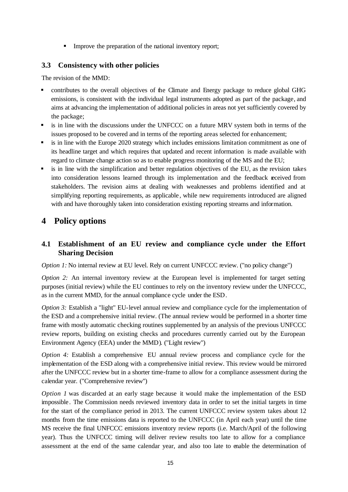**IMPROVE the preparation of the national inventory report;** 

### **3.3 Consistency with other policies**

The revision of the MMD:

- ß contributes to the overall objectives of the Climate and Energy package to reduce global GHG emissions, is consistent with the individual legal instruments adopted as part of the package, and aims at advancing the implementation of additional policies in areas not yet sufficiently covered by the package;
- **Example 1** is in line with the discussions under the UNFCCC on a future MRV system both in terms of the issues proposed to be covered and in terms of the reporting areas selected for enhancement;
- ß is in line with the Europe 2020 strategy which includes emissions limitation commitment as one of its headline target and which requires that updated and recent information is made available with regard to climate change action so as to enable progress monitoring of the MS and the EU;
- ß is in line with the simplification and better regulation objectives of the EU, as the revision takes into consideration lessons learned through its implementation and the feedback received from stakeholders. The revision aims at dealing with weaknesses and problems identified and at simplifying reporting requirements, as applicable , while new requirements introduced are aligned with and have thoroughly taken into consideration existing reporting streams and information.

# **4 Policy options**

# **4.1 Establishment of an EU review and compliance cycle under the Effort Sharing Decision**

*Option 1:* No internal review at EU level. Rely on current UNFCCC review. ("no policy change")

*Option 2:* An internal inventory review at the European level is implemented for target setting purposes (initial review) while the EU continues to rely on the inventory review under the UNFCCC, as in the current MMD, for the annual compliance cycle under the ESD.

*Option 3:* Establish a "light" EU-level annual review and compliance cycle for the implementation of the ESD and a comprehensive initial review. (The annual review would be performed in a shorter time frame with mostly automatic checking routines supplemented by an analysis of the previous UNFCCC review reports, building on existing checks and procedures currently carried out by the European Environment Agency (EEA) under the MMD). ("Light review")

*Option 4:* Establish a comprehensive EU annual review process and compliance cycle for the implementation of the ESD along with a comprehensive initial review. This review would be mirrored after the UNFCCC review but in a shorter time-frame to allow for a compliance assessment during the calendar year. ("Comprehensive review")

*Option 1* was discarded at an early stage because it would make the implementation of the ESD impossible. The Commission needs reviewed inventory data in order to set the initial targets in time for the start of the compliance period in 2013. The current UNFCCC review system takes about 12 months from the time emissions data is reported to the UNFCCC (in April each year) until the time MS receive the final UNFCCC emissions inventory review reports (i.e. March/April of the following year). Thus the UNFCCC timing will deliver review results too late to allow for a compliance assessment at the end of the same calendar year, and also too late to enable the determination of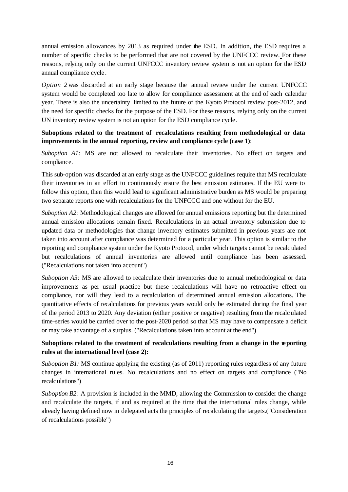annual emission allowances by 2013 as required under the ESD. In addition, the ESD requires a number of specific checks to be performed that are not covered by the UNFCCC review. For these reasons, relying only on the current UNFCCC inventory review system is not an option for the ESD annual compliance cycle .

*Option 2* was discarded at an early stage because the annual review under the current UNFCCC system would be completed too late to allow for compliance assessment at the end of each calendar year. There is also the uncertainty limited to the future of the Kyoto Protocol review post-2012, and the need for specific checks for the purpose of the ESD. For these reasons, relying only on the current UN inventory review system is not an option for the ESD compliance cycle .

### **Suboptions related to the treatment of recalculations resulting from methodological or data improvements in the annual reporting, review and compliance cycle (case 1)**:

*Suboption A1:* MS are not allowed to recalculate their inventories. No effect on targets and compliance.

This sub-option was discarded at an early stage as the UNFCCC guidelines require that MS recalculate their inventories in an effort to continuously ensure the best emission estimates. If the EU were to follow this option, then this would lead to significant administrative burden as MS would be preparing two separate reports one with recalculations for the UNFCCC and one without for the EU.

*Suboption A2*: Methodological changes are allowed for annual emissions reporting but the determined annual emission allocations remain fixed. Recalculations in an actual inventory submission due to updated data or methodologies that change inventory estimates submitted in previous years are not taken into account after compliance was determined for a particular year. This option is similar to the reporting and compliance system under the Kyoto Protocol, under which targets cannot be recalculated but recalculations of annual inventories are allowed until compliance has been assessed. ("Recalculations not taken into account")

*Suboption A3:* MS are allowed to recalculate their inventories due to annual methodological or data improvements as per usual practice but these recalculations will have no retroactive effect on compliance, nor will they lead to a recalculation of determined annual emission allocations. The quantitative effects of recalculations for previous years would only be estimated during the final year of the period 2013 to 2020. Any deviation (either positive or negative) resulting from the recalculated time-series would be carried over to the post-2020 period so that MS may have to compensate a deficit or may take advantage of a surplus. ("Recalculations taken into account at the end")

### Suboptions related to the treatment of recalculations resulting from a change in the reporting **rules at the international level (case 2):**

*Suboption B1:* MS continue applying the existing (as of 2011) reporting rules regardless of any future changes in international rules. No recalculations and no effect on targets and compliance ("No recalculations")

*Suboption B2*: A provision is included in the MMD, allowing the Commission to consider the change and recalculate the targets, if and as required at the time that the international rules change, while already having defined now in delegated acts the principles of recalculating the targets.("Consideration of recalculations possible")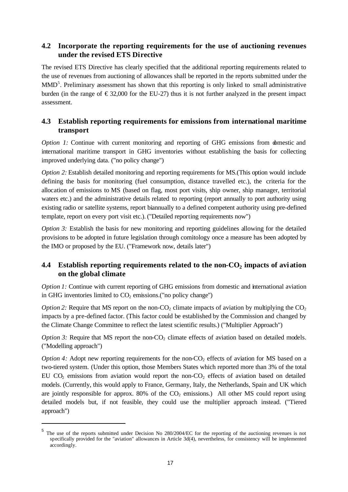# **4.2 Incorporate the reporting requirements for the use of auctioning revenues under the revised ETS Directive**

The revised ETS Directive has clearly specified that the additional reporting requirements related to the use of revenues from auctioning of allowances shall be reported in the reports submitted under the MMD<sup>5</sup>. Preliminary assessment has shown that this reporting is only linked to small administrative burden (in the range of  $\epsilon$ 32,000 for the EU-27) thus it is not further analyzed in the present impact assessment.

# **4.3 Establish reporting requirements for emissions from international maritime transport**

*Option 1:* Continue with current monitoring and reporting of GHG emissions from domestic and international maritime transport in GHG inventories without establishing the basis for collecting improved underlying data. ("no policy change")

*Option 2:* Establish detailed monitoring and reporting requirements for MS.(This option would include defining the basis for monitoring (fuel consumption, distance travelled etc.), the criteria for the allocation of emissions to MS (based on flag, most port visits, ship owner, ship manager, territorial waters etc.) and the administrative details related to reporting (report annually to port authority using existing radio or satellite systems, report biannually to a defined competent authority using pre-defined template, report on every port visit etc.). ("Detailed reporting requirements now")

*Option 3:* Establish the basis for new monitoring and reporting guidelines allowing for the detailed provisions to be adopted in future legislation through comitology once a measure has been adopted by the IMO or proposed by the EU. ("Framework now, details later")

# **4.4 Establish reporting requirements related to the non-CO<sup>2</sup> impacts of aviation on the global climate**

*Option 1:* Continue with current reporting of GHG emissions from domestic and international aviation in GHG inventories limited to  $CO<sub>2</sub>$  emissions.("no policy change")

*Option 2:* Require that MS report on the non-CO<sub>2</sub> climate impacts of aviation by multiplying the  $CO<sub>2</sub>$ impacts by a pre-defined factor. (This factor could be established by the Commission and changed by the Climate Change Committee to reflect the latest scientific results.) ("Multiplier Approach")

*Option 3:* Require that MS report the non- $CO<sub>2</sub>$  climate effects of aviation based on detailed models. ("Modelling approach")

*Option 4:* Adopt new reporting requirements for the non- $CO<sub>2</sub>$  effects of aviation for MS based on a two-tiered system. (Under this option, those Members States which reported more than 3% of the total EU  $CO<sub>2</sub>$  emissions from aviation would report the non- $CO<sub>2</sub>$  effects of aviation based on detailed models. (Currently, this would apply to France, Germany, Italy, the Netherlands, Spain and UK which are jointly responsible for approx. 80% of the  $CO<sub>2</sub>$  emissions.) All other MS could report using detailed models but, if not feasible, they could use the multiplier approach instead. ("Tiered approach")

l

<sup>&</sup>lt;sup>5</sup> The use of the reports submitted under Decision No 280/2004/EC for the reporting of the auctioning revenues is not specifically provided for the "aviation" allowances in Article 3d(4), nevertheless, for consistency will be implemented accordingly.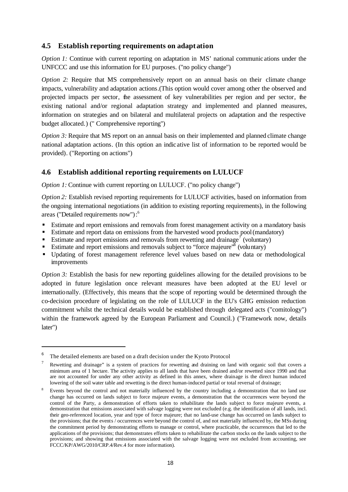### **4.5 Establish reporting requirements on adaptation**

*Option 1:* Continue with current reporting on adaptation in MS' national communic ations under the UNFCCC and use this information for EU purposes. ("no policy change")

*Option 2:* Require that MS comprehensively report on an annual basis on their climate change impacts, vulnerability and adaptation actions.(This option would cover among other the observed and projected impacts per sector, the assessment of key vulnerabilities per region and per sector, the existing national and/or regional adaptation strategy and implemented and planned measures, information on strategies and on bilateral and multilateral projects on adaptation and the respective budget allocated.) (" Comprehensive reporting")

*Option 3:* Require that MS report on an annual basis on their implemented and planned climate change national adaptation actions. (In this option an indicative list of information to be reported would be provided). ("Reporting on actions")

### **4.6 Establish additional reporting requirements on LULUCF**

*Option 1:* Continue with current reporting on LULUCF. ("no policy change")

*Option 2:* Establish revised reporting requirements for LULUCF activities, based on information from the ongoing international negotiations (in addition to existing reporting requirements), in the following areas ("Detailed requirements now"):<sup>6</sup>

- **Estimate and report emissions and removals from forest management activity on a mandatory basis**
- **Extimate and report data on emissions from the harvested wood products pool (mandatory)**
- Estimate and report emissions and removals from rewetting and drainage<sup> $\tau$ </sup> (voluntary)
- Estimate and report emissions and removals subject to "force majeure"<sup>8</sup> (voluntary)
- ß Updating of forest management reference level values based on new data or methodological improvements

*Option 3:* Establish the basis for new reporting guidelines allowing for the detailed provisions to be adopted in future legislation once relevant measures have been adopted at the EU level or internationally. (Effectively, this means that the scope of reporting would be determined through the co-decision procedure of legislating on the role of LULUCF in the EU's GHG emission reduction commitment whilst the technical details would be established through delegated acts ("comitology") within the framework agreed by the European Parliament and Council.) ("Framework now, details later")

l

<sup>6</sup> The detailed elements are based on a draft decision under the Kyoto Protocol

Rewetting and drainage" is a system of practices for rewetting and draining on land with organic soil that covers a minimum area of 1 hectare. The activity applies to all lands that have been drained and/or rewetted since 1990 and that are not accounted for under any other activity as defined in this annex, where drainage is the direct human induced lowering of the soil water table and rewetting is the direct human-induced partial or total reversal of drainage;

<sup>8</sup> Events beyond the control and not materially influenced by the country including a demonstration that no land use change has occurred on lands subject to force majeure events, a demonstration that the occurrences were beyond the control of the Party, a demonstration of efforts taken to rehabilitate the lands subject to force majeure events, a demonstration that emissions associated with salvage logging were not excluded (e.g. the identification of all lands, incl. their geo-referenced location, year and type of force majeure; that no land-use change has occurred on lands subject to the provisions; that the events / occurrences were beyond the control of, and not materially influenced by, the MSs during the commitment period by demonstrating efforts to manage or control, where practicable, the occurrences that led to the applications of the provisions; that demonstrates efforts taken to rehabilitate the carbon stocks on the lands subject to the provisions; and showing that emissions associated with the salvage logging were not excluded from accounting, see FCCC/KP/AWG/2010/CRP.4/Rev.4 for more information).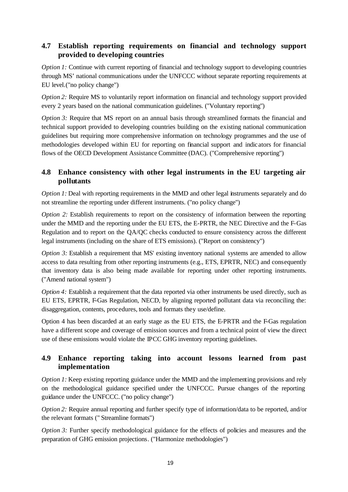# **4.7 Establish reporting requirements on financial and technology support provided to developing countries**

*Option 1:* Continue with current reporting of financial and technology support to developing countries through MS' national communications under the UNFCCC without separate reporting requirements at EU level.("no policy change")

*Option 2:* Require MS to voluntarily report information on financial and technology support provided every 2 years based on the national communication guidelines. ("Voluntary reporting")

*Option 3:* Require that MS report on an annual basis through streamlined formats the financial and technical support provided to developing countries building on the existing national communication guidelines but requiring more comprehensive information on technology programmes and the use of methodologies developed within EU for reporting on financial support and indicators for financial flows of the OECD Development Assistance Committee (DAC). ("Comprehensive reporting")

# **4.8 Enhance consistency with other legal instruments in the EU targeting air pollutants**

*Option 1:* Deal with reporting requirements in the MMD and other legal instruments separately and do not streamline the reporting under different instruments. ("no policy change")

*Option 2:* Establish requirements to report on the consistency of information between the reporting under the MMD and the reporting under the EU ETS, the E-PRTR, the NEC Directive and the F-Gas Regulation and to report on the QA/QC checks conducted to ensure consistency across the different legal instruments (including on the share of ETS emissions). ("Report on consistency")

*Option 3:* Establish a requirement that MS' existing inventory national systems are amended to allow access to data resulting from other reporting instruments (e.g., ETS, EPRTR, NEC) and consequently that inventory data is also being made available for reporting under other reporting instruments. ("Amend national system")

*Option 4:* Establish a requirement that the data reported via other instruments be used directly, such as EU ETS, EPRTR, F-Gas Regulation, NECD, by aligning reported pollutant data via reconciling the: disaggregation, contents, procedures, tools and formats they use/define.

Option 4 has been discarded at an early stage as the EU ETS, the E-PRTR and the F-Gas regulation have a different scope and coverage of emission sources and from a technical point of view the direct use of these emissions would violate the IPCC GHG inventory reporting guidelines.

# **4.9 Enhance reporting taking into account lessons learned from past implementation**

*Option 1:* Keep existing reporting guidance under the MMD and the implementing provisions and rely on the methodological guidance specified under the UNFCCC. Pursue changes of the reporting guidance under the UNFCCC. ("no policy change")

*Option 2:* Require annual reporting and further specify type of information/data to be reported, and/or the relevant formats (" Streamline formats")

*Option 3:* Further specify methodological guidance for the effects of policies and measures and the preparation of GHG emission projections. ("Harmonize methodologies")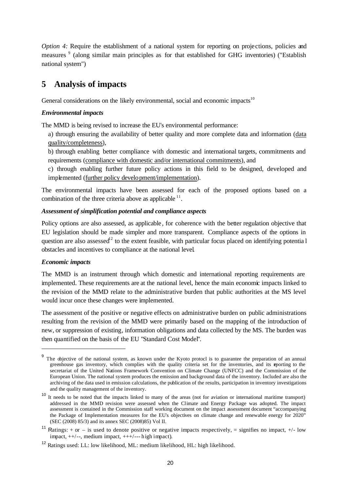*Option 4:* Require the establishment of a national system for reporting on projections, policies and measures<sup>9</sup> (along similar main principles as for that established for GHG inventories) ("Establish national system")

# **5 Analysis of impacts**

General considerations on the likely environmental, social and economic impacts<sup>10</sup>

#### *Environmental impacts*

The MMD is being revised to increase the EU's environmental performance:

- a) through ensuring the availability of better quality and more complete data and information (data quality/completeness),
- b) through enabling better compliance with domestic and international targets, commitments and requirements (compliance with domestic and/or international commitments), and
- c) through enabling further future policy actions in this field to be designed, developed and implemented (further policy development/implementation).

The environmental impacts have been assessed for each of the proposed options based on a combination of the three criteria above as applicable  $11$ .

#### *Assessment of simplification potential and compliance aspects*

Policy options are also assessed, as applicable , for coherence with the better regulation objective that EU legislation should be made simpler and more transparent. Compliance aspects of the options in question are also assessed<sup>12</sup> to the extent feasible, with particular focus placed on identifying potentia l obstacles and incentives to compliance at the national level.

### *Economic impacts*

l

The MMD is an instrument through which domestic and international reporting requirements are implemented. These requirements are at the national level, hence the main economic impacts linked to the revision of the MMD relate to the administrative burden that public authorities at the MS level would incur once these changes were implemented.

The assessment of the positive or negative effects on administrative burden on public administrations resulting from the revision of the MMD were primarily based on the mapping of the introduction of new, or suppression of existing, information obligations and data collected by the MS. The burden was then quantified on the basis of the EU "Standard Cost Model".

<sup>&</sup>lt;sup>9</sup> The objective of the national system, as known under the Kyoto protocl is to guarantee the preparation of an annual greenhouse gas inventory, which complies with the quality criteria set for the inventories, and its reporting to the secretariat of the United Nations Framework Convention on Climate Change (UNFCC) and the Commission of the European Union. The national system produces the emission and background data of the inventory. Included are also the archiving of the data used in emission calculations, the publication of the results, participation in inventory investigations and the quality management of the inventory.

<sup>&</sup>lt;sup>10</sup> It needs to be noted that the impacts linked to many of the areas (not for aviation or international maritime transport) addressed in the MMD revision were assessed when the Climate and Energy Package was adopted. The impact assessment is contained in the Commission staff working document on the impact assessment document "accompanying the Package of Implementation measures for the EU's objectives on climate change and renewable energy for 2020" (SEC (2008) 85/3) and its annex SEC (2008)85) Vol II.

<sup>&</sup>lt;sup>11</sup> Ratings: + or – is used to denote positive or negative impacts respectively, = signifies no impact, +/- low impact,  $++/--$ , medium impact,  $++/--$  high impact).

<sup>12</sup> Ratings used: LL: low likelihood, ML: medium likelihood, HL: high likelihood.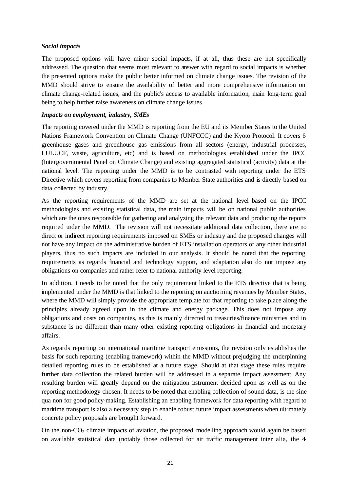#### *Social impacts*

The proposed options will have minor social impacts, if at all, thus these are not specifically addressed. The question that seems most relevant to answer with regard to social impacts is whether the presented options make the public better informed on climate change issues. The revision of the MMD should strive to ensure the availability of better and more comprehensive information on climate change-related issues, and the public's access to available information, main long-term goal being to help further raise awareness on climate change issues.

#### *Impacts on employment, industry, SMEs*

The reporting covered under the MMD is reporting from the EU and its Member States to the United Nations Framework Convention on Climate Change (UNFCCC) and the Kyoto Protocol. It covers 6 greenhouse gases and greenhouse gas emissions from all sectors (energy, industrial processes, LULUCF, waste, agriculture, etc) and is based on methodologies established under the IPCC (Intergovernmental Panel on Climate Change) and existing aggregated statistical (activity) data at the national level. The reporting under the MMD is to be contrasted with reporting under the ETS Directive which covers reporting from companies to Member State authorities and is directly based on data collected by industry.

As the reporting requirements of the MMD are set at the national level based on the IPCC methodologies and existing statistical data, the main impacts will be on national public authorities which are the ones responsible for gathering and analyzing the relevant data and producing the reports required under the MMD. The revision will not necessitate additional data collection, there are no direct or indirect reporting requirements imposed on SMEs or industry and the proposed changes will not have any impact on the administrative burden of ETS installation operators or any other industrial players, thus no such impacts are included in our analysis. It should be noted that the reporting requirements as regards financial and technology support, and adaptation also do not impose any obligations on companies and rather refer to national authority level reporting.

In addition, it needs to be noted that the only requirement linked to the ETS directive that is being implemented under the MMD is that linked to the reporting on auctioning revenues by Member States, where the MMD will simply provide the appropriate template for that reporting to take place along the principles already agreed upon in the climate and energy package. This does not impose any obligations and costs on companies, as this is mainly directed to treasuries/finance ministries and in substance is no different than many other existing reporting obligations in financial and monetary affairs.

As regards reporting on international maritime transport emissions, the revision only establishes the basis for such reporting (enabling framework) within the MMD without prejudging the underpinning detailed reporting rules to be established at a future stage. Should at that stage these rules require further data collection the related burden will be addressed in a separate impact assessment. Any resulting burden will greatly depend on the mitigation instrument decided upon as well as on the reporting methodology chosen. It needs to be noted that enabling colle ction of sound data, is the sine qua non for good policy-making. Establishing an enabling framework for data reporting with regard to maritime transport is also a necessary step to enable robust future impact assessments when ultimately concrete policy proposals are brought forward.

On the non- $CO<sub>2</sub>$  climate impacts of aviation, the proposed modelling approach would again be based on available statistical data (notably those collected for air traffic management inter alia, the 4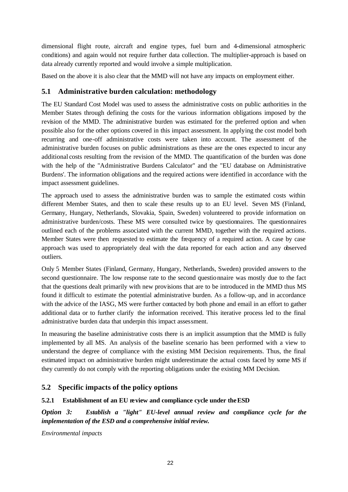dimensional flight route, aircraft and engine types, fuel burn and 4-dimensional atmospheric conditions) and again would not require further data collection. The multiplier-approach is based on data already currently reported and would involve a simple multiplication.

Based on the above it is also clear that the MMD will not have any impacts on employment either.

### **5.1 Administrative burden calculation: methodology**

The EU Standard Cost Model was used to assess the administrative costs on public authorities in the Member States through defining the costs for the various information obligations imposed by the revision of the MMD. The administrative burden was estimated for the preferred option and when possible also for the other options covered in this impact assessment. In applying the cost model both recurring and one-off administrative costs were taken into account. The assessment of the administrative burden focuses on public administrations as these are the ones expected to incur any additional costs resulting from the revision of the MMD. The quantification of the burden was done with the help of the "Administrative Burdens Calculator" and the "EU database on Administrative Burdens'. The information obligations and the required actions were identified in accordance with the impact assessment guidelines.

The approach used to assess the administrative burden was to sample the estimated costs within different Member States, and then to scale these results up to an EU level. Seven MS (Finland, Germany, Hungary, Netherlands, Slovakia, Spain, Sweden) volunteered to provide information on administrative burden/costs. These MS were consulted twice by questionnaires. The questionnaires outlined each of the problems associated with the current MMD, together with the required actions. Member States were then requested to estimate the frequency of a required action. A case by case approach was used to appropriately deal with the data reported for each action and any observed outliers.

Only 5 Member States (Finland, Germany, Hungary, Netherlands, Sweden) provided answers to the second questionnaire. The low response rate to the second questionnaire was mostly due to the fact that the questions dealt primarily with new provisions that are to be introduced in the MMD thus MS found it difficult to estimate the potential administrative burden. As a follow-up, and in accordance with the advice of the IASG, MS were further contacted by both phone and email in an effort to gather additional data or to further clarify the information received. This iterative process led to the final administrative burden data that underpin this impact assessment.

In measuring the baseline administrative costs there is an implicit assumption that the MMD is fully implemented by all MS. An analysis of the baseline scenario has been performed with a view to understand the degree of compliance with the existing MM Decision requirements. Thus, the final estimated impact on administrative burden might underestimate the actual costs faced by some MS if they currently do not comply with the reporting obligations under the existing MM Decision.

# **5.2 Specific impacts of the policy options**

### **5.2.1 Establishment of an EU review and compliance cycle under the ESD**

*Option 3: Establish a "light" EU-level annual review and compliance cycle for the implementation of the ESD and a comprehensive initial review.* 

*Environmental impacts*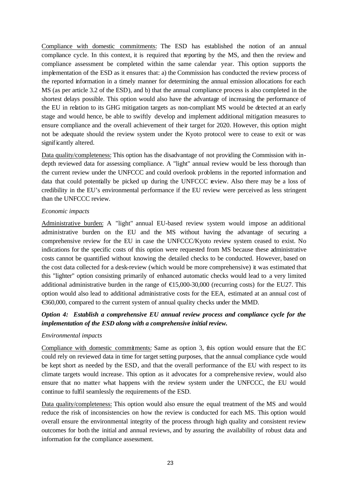Compliance with domestic commitments: The ESD has established the notion of an annual compliance cycle. In this context, it is required that reporting by the MS, and then the review and compliance assessment be completed within the same calendar year. This option supports the implementation of the ESD as it ensures that: a) the Commission has conducted the review process of the reported information in a timely manner for determining the annual emission allocations for each MS (as per article 3.2 of the ESD), and b) that the annual compliance process is also completed in the shortest delays possible. This option would also have the advantage of increasing the performance of the EU in relation to its GHG mitigation targets as non-compliant MS would be detected at an early stage and would hence, be able to swiftly develop and implement additional mitigation measures to ensure compliance and the overall achievement of their target for 2020. However, this option might not be adequate should the review system under the Kyoto protocol were to cease to exit or was significantly altered.

Data quality/completeness: This option has the disadvantage of not providing the Commission with indepth reviewed data for assessing compliance. A "light" annual review would be less thorough than the current review under the UNFCCC and could overlook problems in the reported information and data that could potentially be picked up during the UNFCCC review. Also there may be a loss of credibility in the EU's environmental performance if the EU review were perceived as less stringent than the UNFCCC review.

### *Economic impacts*

Administrative burden: A "light" annual EU-based review system would impose an additional administrative burden on the EU and the MS without having the advantage of securing a comprehensive review for the EU in case the UNFCCC/Kyoto review system ceased to exist. No indications for the specific costs of this option were requested from MS because these administrative costs cannot be quantified without knowing the detailed checks to be conducted. However, based on the cost data collected for a desk-review (which would be more comprehensive) it was estimated that this "lighter" option consisting primarily of enhanced automatic checks would lead to a very limited additional administrative burden in the range of  $\bigoplus 5,000-30,000$  (recurring costs) for the EU27. This option would also lead to additional administrative costs for the EEA, estimated at an annual cost of €360,000, compared to the current system of annual quality checks under the MMD.

### *Option 4: Establish a comprehensive EU annual review process and compliance cycle for the implementation of the ESD along with a comprehensive initial review.*

### *Environmental impacts*

Compliance with domestic commitments: Same as option 3, this option would ensure that the EC could rely on reviewed data in time for target setting purposes, that the annual compliance cycle would be kept short as needed by the ESD, and that the overall performance of the EU with respect to its climate targets would increase. This option as it advocates for a comprehensive review, would also ensure that no matter what happens with the review system under the UNFCCC, the EU would continue to fulfil seamlessly the requirements of the ESD.

Data quality/completeness: This option would also ensure the equal treatment of the MS and would reduce the risk of inconsistencies on how the review is conducted for each MS. This option would overall ensure the environmental integrity of the process through high quality and consistent review outcomes for both the initial and annual reviews, and by assuring the availability of robust data and information for the compliance assessment.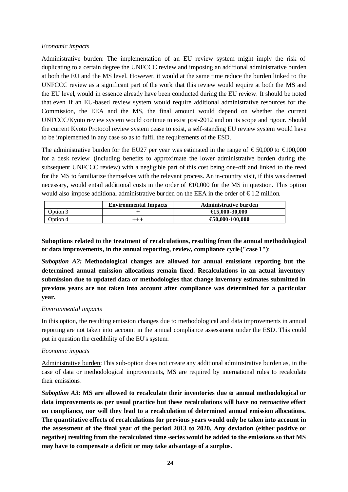#### *Economic impacts*

Administrative burden: The implementation of an EU review system might imply the risk of duplicating to a certain degree the UNFCCC review and imposing an additional administrative burden at both the EU and the MS level. However, it would at the same time reduce the burden linked to the UNFCCC review as a significant part of the work that this review would require at both the MS and the EU level, would in essence already have been conducted during the EU review. It should be noted that even if an EU-based review system would require additional administrative resources for the Commission, the EEA and the MS, the final amount would depend on whether the current UNFCCC/Kyoto review system would continue to exist post-2012 and on its scope and rigour. Should the current Kyoto Protocol review system cease to exist, a self-standing EU review system would have to be implemented in any case so as to fulfil the requirements of the ESD.

The administrative burden for the EU27 per year was estimated in the range of  $\epsilon$ 50,000 to  $\epsilon$ 100,000 for a desk review (including benefits to approximate the lower administrative burden during the subsequent UNFCCC review) with a negligible part of this cost being one-off and linked to the need for the MS to familiarize themselves with the relevant process. An in-country visit, if this was deemed necessary, would entail additional costs in the order of  $\bigoplus$ 0,000 for the MS in question. This option would also impose additional administrative burden on the EEA in the order of  $\epsilon$ 1.2 million.

|          | <b>Environmental Impacts</b> | Administrative burden     |
|----------|------------------------------|---------------------------|
| Option 3 |                              | $\bigoplus$ 5.000 -30.000 |
| Option 4 | $+ + +$                      | $\bigoplus$ 0.000-100.000 |

**Suboptions related to the treatment of recalculations, resulting from the annual methodological or data improvements, in the annual reporting, review, compliance cycle("case 1")**:

*Suboption A2:* **Methodological changes are allowed for annual emissions reporting but the determined annual emission allocations remain fixed. Recalculations in an actual inventory submission due to updated data or methodologies that change inventory estimates submitted in previous years are not taken into account after compliance was determined for a particular year.** 

#### *Environmental impacts*

In this option, the resulting emission changes due to methodological and data improvements in annual reporting are not taken into account in the annual compliance assessment under the ESD. This could put in question the credibility of the EU's system.

#### *Economic impacts*

Administrative burden:This sub-option does not create any additional administrative burden as, in the case of data or methodological improvements, MS are required by international rules to recalculate their emissions.

*Suboption A3:* **MS are allowed to recalculate their inventories due to annual methodological or data improvements as per usual practice but these recalculations will have no retroactive effect on compliance, nor will they lead to a recalculation of determined annual emission allocations. The quantitative effects of recalculations for previous years would only be taken into account in the assessment of the final year of the period 2013 to 2020. Any deviation (either positive or negative) resulting from the recalculated time -series would be added to the emissions so that MS may have to compensate a deficit or may take advantage of a surplus.**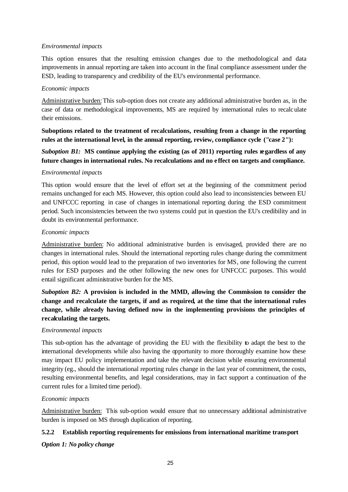### *Environmental impacts*

This option ensures that the resulting emission changes due to the methodological and data improvements in annual reporting are taken into account in the final compliance assessment under the ESD, leading to transparency and credibility of the EU's environmental performance.

### *Economic impacts*

Administrative burden:This sub-option does not create any additional administrative burden as, in the case of data or methodological improvements, MS are required by international rules to recalculate their emissions.

**Suboptions related to the treatment of recalculations, resulting from a change in the reporting rules at the international level, in the annual reporting, review, compliance cycle ("case 2"):** 

*Suboption B1:* **MS** continue applying the existing (as of 2011) reporting rules regardless of any **future changes in international rules. No recalculations and no e ffect on targets and compliance.**

### *Environmental impacts*

This option would ensure that the level of effort set at the beginning of the commitment period remains unchanged for each MS. However, this option could also lead to inconsistencies between EU and UNFCCC reporting in case of changes in international reporting during the ESD commitment period. Such inconsistencies between the two systems could put in question the EU's credibility and in doubt its environmental performance.

### *Economic impacts*

Administrative burden: No additional administrative burden is envisaged, provided there are no changes in international rules. Should the international reporting rules change during the commitment period, this option would lead to the preparation of two inventories for MS, one following the current rules for ESD purposes and the other following the new ones for UNFCCC purposes. This would entail significant administrative burden for the MS.

*Suboption B2:* **A provision is included in the MMD, allowing the Commission to consider the change and recalculate the targets, if and as required, at the time that the international rules change, while already having defined now in the implementing provisions the principles of recalculating the targets.**

### *Environmental impacts*

This sub-option has the advantage of providing the EU with the flexibility to adapt the best to the international developments while also having the opportunity to more thoroughly examine how these may impact EU policy implementation and take the relevant decision while ensuring environmental integrity (eg., should the international reporting rules change in the last year of commitment, the costs, resulting environmental benefits, and legal considerations, may in fact support a continuation of the current rules for a limited time period).

### *Economic impacts*

Administrative burden: This sub-option would ensure that no unnecessary additional administrative burden is imposed on MS through duplication of reporting.

### **5.2.2 Establish reporting requirements for emissions from international maritime transport**

*Option 1: No policy change*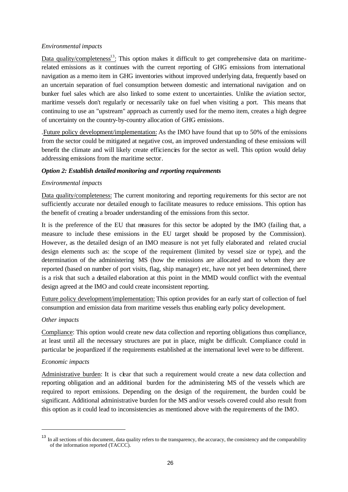### *Environmental impacts*

Data quality/completeness<sup>13</sup>: This option makes it difficult to get comprehensive data on maritimerelated emissions as it continues with the current reporting of GHG emissions from international navigation as a memo item in GHG inventories without improved underlying data, frequently based on an uncertain separation of fuel consumption between domestic and international navigation and on bunker fuel sales which are also linked to some extent to uncertainties. Unlike the aviation sector, maritime vessels don't regularly or necessarily take on fuel when visiting a port. This means that continuing to use an "upstream" approach as currently used for the memo item, creates a high degree of uncertainty on the country-by-country allocation of GHG emissions.

.Future policy development/implementation: As the IMO have found that up to 50% of the emissions from the sector could be mitigated at negative cost, an improved understanding of these emissions will benefit the climate and will likely create efficiencies for the sector as well. This option would delay addressing emissions from the maritime sector.

#### *Option 2: Establish detailed monitoring and reporting requirements*

#### *Environmental impacts*

Data quality/completeness: The current monitoring and reporting requirements for this sector are not sufficiently accurate nor detailed enough to facilitate measures to reduce emissions. This option has the benefit of creating a broader understanding of the emissions from this sector.

It is the preference of the EU that measures for this sector be adopted by the IMO (failing that, a measure to include these emissions in the EU target should be proposed by the Commission). However, as the detailed design of an IMO measure is not yet fully elaborated and related crucial design elements such as: the scope of the requirement (limited by vessel size or type), and the determination of the administering MS (how the emissions are allocated and to whom they are reported (based on number of port visits, flag, ship manager) etc, have not yet been determined, there is a risk that such a detailed elaboration at this point in the MMD would conflict with the eventual design agreed at the IMO and could create inconsistent reporting.

Future policy development/implementation: This option provides for an early start of collection of fuel consumption and emission data from maritime vessels thus enabling early policy development.

#### *Other impacts*

Compliance: This option would create new data collection and reporting obligations thus compliance, at least until all the necessary structures are put in place, might be difficult. Compliance could in particular be jeopardized if the requirements established at the international level were to be different.

#### *Economic impacts*

l

Administrative burden: It is clear that such a requirement would create a new data collection and reporting obligation and an additional burden for the administering MS of the vessels which are required to report emissions. Depending on the design of the requirement, the burden could be significant. Additional administrative burden for the MS and/or vessels covered could also result from this option as it could lead to inconsistencies as mentioned above with the requirements of the IMO.

<sup>&</sup>lt;sup>13</sup> In all sections of this document, data quality refers to the transparency, the accuracy, the consistency and the comparability of the information reported (TACCC).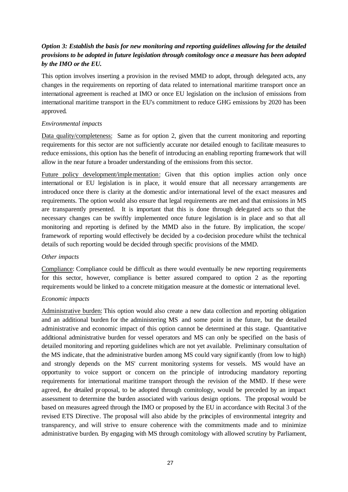### *Option 3: Establish the basis for new monitoring and reporting guidelines allowing for the detailed provisions to be adopted in future legislation through comitology once a measure has been adopted by the IMO or the EU.*

This option involves inserting a provision in the revised MMD to adopt, through delegated acts, any changes in the requirements on reporting of data related to international maritime transport once an international agreement is reached at IMO or once EU legislation on the inclusion of emissions from international maritime transport in the EU's commitment to reduce GHG emissions by 2020 has been approved.

### *Environmental impacts*

Data quality/completeness: Same as for option 2, given that the current monitoring and reporting requirements for this sector are not sufficiently accurate nor detailed enough to facilitate measures to reduce emissions, this option has the benefit of introducing an enabling reporting framework that will allow in the near future a broader understanding of the emissions from this sector.

Future policy development/implementation: Given that this option implies action only once international or EU legislation is in place, it would ensure that all necessary arrangements are introduced once there is clarity at the domestic and/or international level of the exact measures and requirements. The option would also ensure that legal requirements are met and that emissions in MS are transparently presented. It is important that this is done through delegated acts so that the necessary changes can be swiftly implemented once future legislation is in place and so that all monitoring and reporting is defined by the MMD also in the future. By implication, the scope/ framework of reporting would effectively be decided by a co-decision procedure whilst the technical details of such reporting would be decided through specific provisions of the MMD.

### *Other impacts*

Compliance: Compliance could be difficult as there would eventually be new reporting requirements for this sector, however, compliance is better assured compared to option 2 as the reporting requirements would be linked to a concrete mitigation measure at the domestic or international level.

### *Economic impacts*

Administrative burden: This option would also create a new data collection and reporting obligation and an additional burden for the administering MS and some point in the future, but the detailed administrative and economic impact of this option cannot be determined at this stage. Quantitative additional administrative burden for vessel operators and MS can only be specified on the basis of detailed monitoring and reporting guidelines which are not yet available. Preliminary consultation of the MS indicate, that the administrative burden among MS could vary significantly (from low to high) and strongly depends on the MS' current monitoring systems for vessels. MS would have an opportunity to voice support or concern on the principle of introducing mandatory reporting requirements for international maritime transport through the revision of the MMD. If these were agreed, the detailed proposal, to be adopted through comitology, would be preceded by an impact assessment to determine the burden associated with various design options. The proposal would be based on measures agreed through the IMO or proposed by the EU in accordance with Recital 3 of the revised ETS Directive. The proposal will also abide by the principles of environmental integrity and transparency, and will strive to ensure coherence with the commitments made and to minimize administrative burden. By engaging with MS through comitology with allowed scrutiny by Parliament,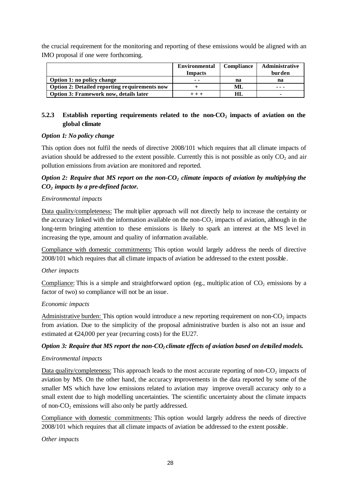the crucial requirement for the monitoring and reporting of these emissions would be aligned with an IMO proposal if one were forthcoming.

|                                               | <b>Environmental</b><br><b>Impacts</b> | Compliance | <b>Administrative</b><br>burden |
|-----------------------------------------------|----------------------------------------|------------|---------------------------------|
|                                               |                                        |            |                                 |
| Option 1: no policy change                    | $ -$                                   | na         | na                              |
| Option 2: Detailed reporting requirements now |                                        | ML         | ---                             |
| Option 3: Framework now, details later        |                                        | HL         | -                               |

### **5.2.3 Establish reporting requirements related to the non-CO2 impacts of aviation on the global climate**

#### *Option 1: No policy change*

This option does not fulfil the needs of directive 2008/101 which requires that all climate impacts of aviation should be addressed to the extent possible. Currently this is not possible as only  $CO<sub>2</sub>$  and air pollution emissions from aviation are monitored and reported.

### *Option 2: Require that MS report on the non-CO2 climate impacts of aviation by multiplying the CO2 impacts by a pre-defined factor.*

#### *Environmental impacts*

Data quality/completeness: The multiplier approach will not directly help to increase the certainty or the accuracy linked with the information available on the non- $CO<sub>2</sub>$  impacts of aviation, although in the long-term bringing attention to these emissions is likely to spark an interest at the MS level in increasing the type, amount and quality of information available.

Compliance with domestic commitments: This option would largely address the needs of directive 2008/101 which requires that all climate impacts of aviation be addressed to the extent possible.

#### *Other impacts*

Compliance: This is a simple and straightforward option (eg., multiplic ation of  $CO<sub>2</sub>$  emissions by a factor of two) so compliance will not be an issue.

#### *Economic impacts*

Administrative burden: This option would introduce a new reporting requirement on non- $CO<sub>2</sub>$  impacts from aviation. Due to the simplicity of the proposal administrative burden is also not an issue and estimated at  $\epsilon$ 24,000 per year (recurring costs) for the EU27.

### *Option 3: Require that MS report the non-CO2 climate effects of aviation based on detailed models.*

#### *Environmental impacts*

Data quality/completeness: This approach leads to the most accurate reporting of non- $CO<sub>2</sub>$  impacts of aviation by MS. On the other hand, the accuracy improvements in the data reported by some of the smaller MS which have low emissions related to aviation may improve overall accuracy only to a small extent due to high modelling uncertainties. The scientific uncertainty about the climate impacts of non- $CO<sub>2</sub>$  emissions will also only be partly addressed.

Compliance with domestic commitments: This option would largely address the needs of directive 2008/101 which requires that all climate impacts of aviation be addressed to the extent possible.

#### *Other impacts*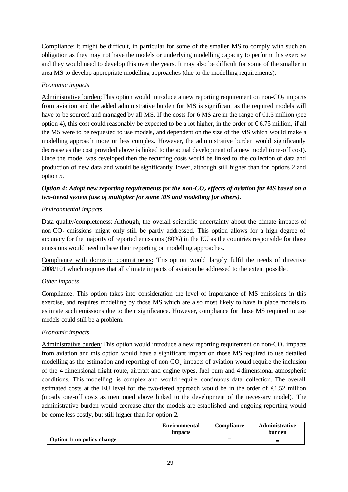Compliance: It might be difficult, in particular for some of the smaller MS to comply with such an obligation as they may not have the models or underlying modelling capacity to perform this exercise and they would need to develop this over the years. It may also be difficult for some of the smaller in area MS to develop appropriate modelling approaches (due to the modelling requirements).

### *Economic impacts*

Administrative burden: This option would introduce a new reporting requirement on non- $CO<sub>2</sub>$  impacts from aviation and the added administrative burden for MS is significant as the required models will have to be sourced and managed by all MS. If the costs for 6 MS are in the range of  $\bigoplus$ .5 million (see option 4), this cost could reasonably be expected to be a lot higher, in the order of  $\epsilon$ 6.75 million, if all the MS were to be requested to use models, and dependent on the size of the MS which would make a modelling approach more or less complex. However, the administrative burden would significantly decrease as the cost provided above is linked to the actual development of a new model (one-off cost). Once the model was developed then the recurring costs would be linked to the collection of data and production of new data and would be significantly lower, although still higher than for options 2 and option 5.

### *Option 4: Adopt new reporting requirements for the non-CO2 effects of aviation for MS based on a two-tiered system (use of multiplier for some MS and modelling for others).*

### *Environmental impacts*

Data quality/completeness: Although, the overall scientific uncertainty about the climate impacts of non- $CO<sub>2</sub>$  emissions might only still be partly addressed. This option allows for a high degree of accuracy for the majority of reported emissions (80%) in the EU as the countries responsible for those emissions would need to base their reporting on modelling approaches.

Compliance with domestic commitments: This option would largely fulfil the needs of directive 2008/101 which requires that all climate impacts of aviation be addressed to the extent possible.

### *Other impacts*

Compliance: This option takes into consideration the level of importance of MS emissions in this exercise, and requires modelling by those MS which are also most likely to have in place models to estimate such emissions due to their significance. However, compliance for those MS required to use models could still be a problem.

### *Economic impacts*

Administrative burden: This option would introduce a new reporting requirement on non- $CO<sub>2</sub>$  impacts from aviation and this option would have a significant impact on those MS required to use detailed modelling as the estimation and reporting of non- $CO<sub>2</sub>$  impacts of aviation would require the inclusion of the 4-dimensional flight route, aircraft and engine types, fuel burn and 4-dimensional atmospheric conditions. This modelling is complex and would require continuous data collection. The overall estimated costs at the EU level for the two-tiered approach would be in the order of  $\epsilon$ 1.52 million (mostly one-off costs as mentioned above linked to the development of the necessary model). The administrative burden would decrease after the models are established and ongoing reporting would be-come less costly, but still higher than for option 2.

|                            | <b>Environmental</b><br>impacts | Compliance | <b>Administrative</b><br>burden |
|----------------------------|---------------------------------|------------|---------------------------------|
| Option 1: no policy change |                                 | –<br>-     |                                 |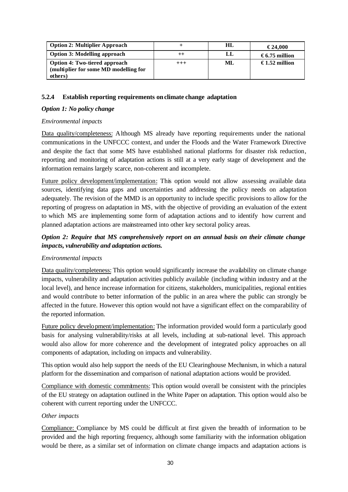| <b>Option 2: Multiplier Approach</b>                                          |             | HL | €24.000       |
|-------------------------------------------------------------------------------|-------------|----|---------------|
| <b>Option 3: Modelling approach</b>                                           |             | LL | €6.75 million |
| <b>Option 4: Two-tiered approach</b><br>(multiplier for some MD modelling for | $^{\rm ++}$ | ML | €1.52 million |
| others)                                                                       |             |    |               |

#### **5.2.4 Establish reporting requirements on climate change adaptation**

#### *Option 1: No policy change*

#### *Environmental impacts*

Data quality/completeness: Although MS already have reporting requirements under the national communications in the UNFCCC context, and under the Floods and the Water Framework Directive and despite the fact that some MS have established national platforms for disaster risk reduction, reporting and monitoring of adaptation actions is still at a very early stage of development and the information remains largely scarce, non-coherent and incomplete.

Future policy development/implementation: This option would not allow assessing available data sources, identifying data gaps and uncertainties and addressing the policy needs on adaptation adequately. The revision of the MMD is an opportunity to include specific provisions to allow for the reporting of progress on adaptation in MS, with the objective of providing an evaluation of the extent to which MS are implementing some form of adaptation actions and to identify how current and planned adaptation actions are mainstreamed into other key sectoral policy areas.

### *Option 2: Require that MS comprehensively report on an annual basis on their climate change impacts, vulnerability and adaptation actions.*

### *Environmental impacts*

Data quality/completeness: This option would significantly increase the availability on climate change impacts, vulnerability and adaptation activities publicly available (including within industry and at the local level), and hence increase information for citizens, stakeholders, municipalities, regional entities and would contribute to better information of the public in an area where the public can strongly be affected in the future. However this option would not have a significant effect on the comparability of the reported information.

Future policy development/implementation: The information provided would form a particularly good basis for analysing vulnerability/risks at all levels, including at sub-national level. This approach would also allow for more coherence and the development of integrated policy approaches on all components of adaptation, including on impacts and vulnerability.

This option would also help support the needs of the EU Clearinghouse Mechanism, in which a natural platform for the dissemination and comparison of national adaptation actions would be provided.

Compliance with domestic commitments: This option would overall be consistent with the principles of the EU strategy on adaptation outlined in the White Paper on adaptation. This option would also be coherent with current reporting under the UNFCCC.

### *Other impacts*

Compliance: Compliance by MS could be difficult at first given the breadth of information to be provided and the high reporting frequency, although some familiarity with the information obligation would be there, as a similar set of information on climate change impacts and adaptation actions is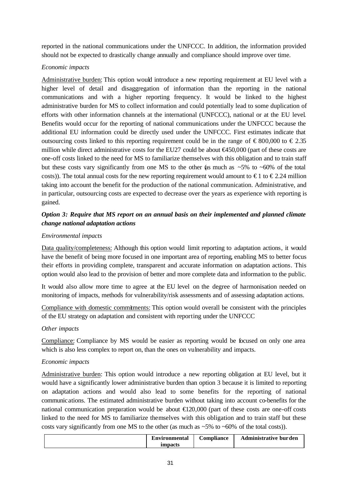reported in the national communications under the UNFCCC. In addition, the information provided should not be expected to drastically change annually and compliance should improve over time.

### *Economic impacts*

Administrative burden: This option would introduce a new reporting requirement at EU level with a higher level of detail and disaggregation of information than the reporting in the national communications and with a higher reporting frequency. It would be linked to the highest administrative burden for MS to collect information and could potentially lead to some duplication of efforts with other information channels at the international (UNFCCC), national or at the EU level. Benefits would occur for the reporting of national communications under the UNFCCC because the additional EU information could be directly used under the UNFCCC. First estimates indicate that outsourcing costs linked to this reporting requirement could be in the range of  $\epsilon$  800,000 to  $\epsilon$  2.35 million while direct administrative costs for the EU27 could be about €450,000 (part of these costs are one-off costs linked to the need for MS to familiarize themselves with this obligation and to train staff but these costs vary significantly from one MS to the other (as much as  $~5\%$  to  $~60\%$  of the total costs)). The total annual costs for the new reporting requirement would amount to  $\epsilon$  1 to  $\epsilon$  2.24 million taking into account the benefit for the production of the national communication. Administrative, and in particular, outsourcing costs are expected to decrease over the years as experience with reporting is gained.

# *Option 3: Require that MS report on an annual basis on their implemented and planned climate change national adaptation actions*

### *Environmental impacts*

Data quality/completeness: Although this option would limit reporting to adaptation actions, it would have the benefit of being more focused in one important area of reporting, enabling MS to better focus their efforts in providing complete, transparent and accurate information on adaptation actions. This option would also lead to the provision of better and more complete data and information to the public.

It would also allow more time to agree at the EU level on the degree of harmonisation needed on monitoring of impacts, methods for vulnerability/risk assessments and of assessing adaptation actions.

Compliance with domestic commitments: This option would overall be consistent with the principles of the EU strategy on adaptation and consistent with reporting under the UNFCCC

### *Other impacts*

Compliance: Compliance by MS would be easier as reporting would be focused on only one area which is also less complex to report on, than the ones on vulnerability and impacts.

### *Economic impacts*

Administrative burden: This option would introduce a new reporting obligation at EU level, but it would have a significantly lower administrative burden than option 3 because it is limited to reporting on adaptation actions and would also lead to some benefits for the reporting of national communications. The estimated administrative burden without taking into account co-benefits for the national communication preparation would be about  $\text{E}20,000$  (part of these costs are one-off costs linked to the need for MS to familiarize themselves with this obligation and to train staff but these costs vary significantly from one MS to the other (as much as  $~5\%$  to  $~60\%$  of the total costs)).

|  | <b>Environmental</b><br>impacts | <b>Compliance</b> | <b>Administrative burden</b> |
|--|---------------------------------|-------------------|------------------------------|
|--|---------------------------------|-------------------|------------------------------|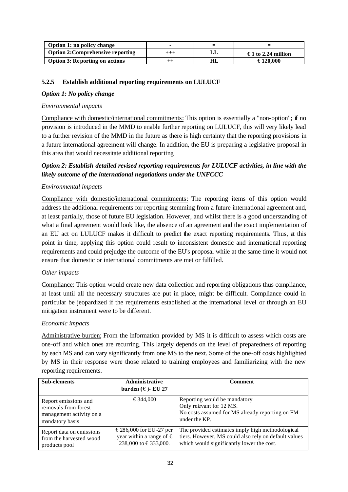| Option 1: no policy change               |            |     | -                  |
|------------------------------------------|------------|-----|--------------------|
| <b>Option 2: Comprehensive reporting</b> | $^{+ + +}$ |     | €1 to 2.24 million |
| <b>Option 3: Reporting on actions</b>    | $^{++}$    | HI. | €120.000           |

### **5.2.5 Establish additional reporting requirements on LULUCF**

### *Option 1: No policy change*

### *Environmental impacts*

Compliance with domestic/international commitments: This option is essentially a "non-option"; if no provision is introduced in the MMD to enable further reporting on LULUCF, this will very likely lead to a further revision of the MMD in the future as there is high certainty that the reporting provisions in a future international agreement will change. In addition, the EU is preparing a legislative proposal in this area that would necessitate additional reporting

# *Option 2: Establish detailed revised reporting requirements for LULUCF activities, in line with the likely outcome of the international negotiations under the UNFCCC*

### *Environmental impacts*

Compliance with domestic/international commitments: The reporting items of this option would address the additional requirements for reporting stemming from a future international agreement and, at least partially, those of future EU legislation. However, and whilst there is a good understanding of what a final agreement would look like, the absence of an agreement and the exact implementation of an EU act on LULUCF makes it difficult to predict the exact reporting requirements. Thus, at this point in time, applying this option could result to inconsistent domestic and international reporting requirements and could prejudge the outcome of the EU's proposal while at the same time it would not ensure that domestic or international commitments are met or fulfilled.

### *Other impacts*

Compliance: This option would create new data collection and reporting obligations thus compliance, at least until all the necessary structures are put in place, might be difficult. Compliance could in particular be jeopardized if the requirements established at the international level or through an EU mitigation instrument were to be different.

### *Economic impacts*

Administrative burden: From the information provided by MS it is difficult to assess which costs are one-off and which ones are recurring. This largely depends on the level of preparedness of reporting by each MS and can vary significantly from one MS to the next. Some of the one-off costs highlighted by MS in their response were those related to training employees and familiarizing with the new reporting requirements.

| <b>Sub-elements</b>                                                                         | <b>Administrative</b><br>burden $(\in)$ - EU 27                                | Comment                                                                                                                                               |
|---------------------------------------------------------------------------------------------|--------------------------------------------------------------------------------|-------------------------------------------------------------------------------------------------------------------------------------------------------|
| Report emissions and<br>removals from forest<br>management activity on a<br>mandatory basis | €344,000                                                                       | Reporting would be mandatory<br>Only relevant for 12 MS.<br>No costs assumed for MS already reporting on FM<br>under the KP.                          |
| Report data on emissions<br>from the harvested wood<br>products pool                        | €286,000 for EU-27 per<br>year within a range of $\in$<br>238,000 to €333,000. | The provided estimates imply high methodological<br>tiers. However, MS could also rely on default values<br>which would significantly lower the cost. |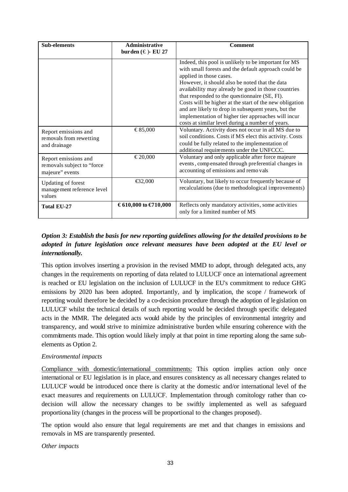| Sub-elements                                                          | <b>Administrative</b><br>burden $(\in)$ - EU 27 | <b>Comment</b>                                                                                                                                                                                                                                                                                                                                                                                                                                                                                                                 |
|-----------------------------------------------------------------------|-------------------------------------------------|--------------------------------------------------------------------------------------------------------------------------------------------------------------------------------------------------------------------------------------------------------------------------------------------------------------------------------------------------------------------------------------------------------------------------------------------------------------------------------------------------------------------------------|
|                                                                       |                                                 | Indeed, this pool is unlikely to be important for MS<br>with small forests and the default approach could be<br>applied in those cases.<br>However, it should also be noted that the data<br>availability may already be good in those countries<br>that responded to the questionnaire (SE, FI).<br>Costs will be higher at the start of the new obligation<br>and are likely to drop in subsequent years, but the<br>implementation of higher tier approaches will incur<br>costs at similar level during a number of years. |
| Report emissions and<br>removals from rewetting<br>and drainage       | €85,000                                         | Voluntary. Activity does not occur in all MS due to<br>soil conditions. Costs if MS elect this activity. Costs<br>could be fully related to the implementation of<br>additional requirements under the UNFCCC.                                                                                                                                                                                                                                                                                                                 |
| Report emissions and<br>removals subject to "force<br>majeure" events | €20,000                                         | Voluntary and only applicable after force majeure<br>events, compensated through preferential changes in<br>accounting of emissions and remo vals                                                                                                                                                                                                                                                                                                                                                                              |
| <b>Updating of forest</b><br>management reference level<br>values     | € $2,000$                                       | Voluntary, but likely to occur frequently because of<br>recalculations (due to methodological improvements)                                                                                                                                                                                                                                                                                                                                                                                                                    |
| <b>Total EU-27</b>                                                    | €610,000 to €710,000                            | Reflects only mandatory activities, some activities<br>only for a limited number of MS                                                                                                                                                                                                                                                                                                                                                                                                                                         |

# *Option 3: Establish the basis for new reporting guidelines allowing for the detailed provisions to be adopted in future legislation once relevant measures have been adopted at the EU level or internationally.*

This option involves inserting a provision in the revised MMD to adopt, through delegated acts, any changes in the requirements on reporting of data related to LULUCF once an international agreement is reached or EU legislation on the inclusion of LULUCF in the EU's commitment to reduce GHG emissions by 2020 has been adopted. Importantly, and by implication, the scope / framework of reporting would therefore be decided by a co-decision procedure through the adoption of legislation on LULUCF whilst the technical details of such reporting would be decided through specific delegated acts in the MMR. The delegated acts would abide by the principles of environmental integrity and transparency, and would strive to minimize administrative burden while ensuring coherence with the commitments made. This option would likely imply at that point in time reporting along the same subelements as Option 2.

# *Environmental impacts*

Compliance with domestic/international commitments: This option implies action only once international or EU legislation is in place, and ensures consistency as all necessary changes related to LULUCF would be introduced once there is clarity at the domestic and/or international level of the exact measures and requirements on LULUCF. Implementation through comitology rather than codecision will allow the necessary changes to be swiftly implemented as well as safeguard proportiona lity (changes in the process will be proportional to the changes proposed).

The option would also ensure that legal requirements are met and that changes in emissions and removals in MS are transparently presented.

*Other impacts*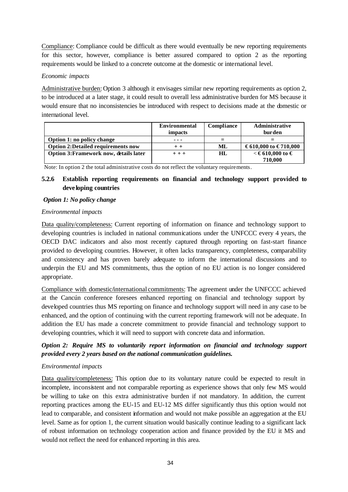Compliance: Compliance could be difficult as there would eventually be new reporting requirements for this sector, however, compliance is better assured compared to option 2 as the reporting requirements would be linked to a concrete outcome at the domestic or international level.

### *Economic impacts*

Administrative burden: Option 3 although it envisages similar new reporting requirements as option 2, to be introduced at a later stage, it could result to overall less administrative burden for MS because it would ensure that no inconsistencies be introduced with respect to decisions made at the domestic or international level.

|                                           | <b>Environmental</b><br>impacts | Compliance | <b>Administrative</b><br>burden |
|-------------------------------------------|---------------------------------|------------|---------------------------------|
| Option 1: no policy change                | ---                             |            |                                 |
| <b>Option 2:Detailed requirements now</b> | $+ +$                           | ML         | €610,000 to €710,000            |
| Option 3: Framework now, details later    | $+ + +$                         | HL         | $\lt$ €610,000 to €             |
|                                           |                                 |            | 710.000                         |

Note: In option 2 the total administrative costs do not reflect the voluntary requirements.

# **5.2.6 Establish reporting requirements on financial and technology support provided to deve loping countries**

### *Option 1: No policy change*

### *Environmental impacts*

Data quality/completeness: Current reporting of information on finance and technology support to developing countries is included in national communications under the UNFCCC every 4 years, the OECD DAC indicators and also most recently captured through reporting on fast-start finance provided to developing countries. However, it often lacks transparency, completeness, comparability and consistency and has proven barely adequate to inform the international discussions and to underpin the EU and MS commitments, thus the option of no EU action is no longer considered appropriate.

Compliance with domestic/international commitments: The agreement under the UNFCCC achieved at the Cancún conference foresees enhanced reporting on financial and technology support by developed countries thus MS reporting on finance and technology support will need in any case to be enhanced, and the option of continuing with the current reporting framework will not be adequate. In addition the EU has made a concrete commitment to provide financial and technology support to developing countries, which it will need to support with concrete data and information.

# *Option 2: Require MS to voluntarily report information on financial and technology support provided every 2 years based on the national communication guidelines.*

### *Environmental impacts*

Data quality/completeness: This option due to its voluntary nature could be expected to result in incomplete, inconsistent and not comparable reporting as experience shows that only few MS would be willing to take on this extra administrative burden if not mandatory. In addition, the current reporting practices among the EU-15 and EU-12 MS differ significantly thus this option would not lead to comparable, and consistent information and would not make possible an aggregation at the EU level. Same as for option 1, the current situation would basically continue leading to a significant lack of robust information on technology cooperation action and finance provided by the EU it MS and would not reflect the need for enhanced reporting in this area.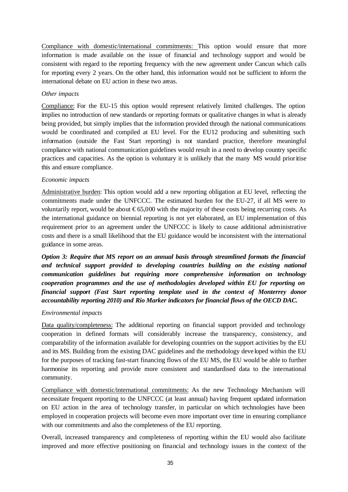Compliance with domestic/international commitments: This option would ensure that more information is made available on the issue of financial and technology support and would be consistent with regard to the reporting frequency with the new agreement under Cancun which calls for reporting every 2 years. On the other hand, this information would not be sufficient to inform the international debate on EU action in these two areas.

### *Other impacts*

Compliance: For the EU-15 this option would represent relatively limited challenges. The option implies no introduction of new standards or reporting formats or qualitative changes in what is already being provided, but simply implies that the information provided through the national communications would be coordinated and compiled at EU level. For the EU12 producing and submitting such information (outside the Fast Start reporting) is not standard practice, therefore meaningful compliance with national communication guidelines would result in a need to develop country specific practices and capacities. As the option is voluntary it is unlikely that the many MS would prioritise this and ensure compliance.

### *Economic impacts*

Administrative burden: This option would add a new reporting obligation at EU level, reflecting the commitments made under the UNFCCC. The estimated burden for the EU-27, if all MS were to voluntarily report, would be about  $\epsilon$ 65,000 with the majority of these costs being recurring costs. As the international guidance on biennial reporting is not yet elaborated, an EU implementation of this requirement prior to an agreement under the UNFCCC is likely to cause additional administrative costs and there is a small likelihood that the EU guidance would be inconsistent with the international guidance in some areas.

*Option 3: Require that MS report on an annual basis through streamlined formats the financial and technical support provided to developing countries building on the existing national communication guidelines but requiring more comprehensive information on technology cooperation programmes and the use of methodologies developed within EU for reporting on financial support (Fast Start reporting template used in the context of Monterrey donor accountability reporting 2010) and Rio Marker indicators for financial flows of the OECD DAC.*

### *Environmental impacts*

Data quality/completeness: The additional reporting on financial support provided and technology cooperation in defined formats will considerably increase the transparency, consistency, and comparability of the information available for developing countries on the support activities by the EU and its MS. Building from the existing DAC guidelines and the methodology deve loped within the EU for the purposes of tracking fast-start financing flows of the EU MS, the EU would be able to further harmonise its reporting and provide more consistent and standardised data to the international community.

Compliance with domestic/international commitments: As the new Technology Mechanism will necessitate frequent reporting to the UNFCCC (at least annual) having frequent updated information on EU action in the area of technology transfer, in particular on which technologies have been employed in cooperation projects will become even more important over time in ensuring compliance with our commitments and also the completeness of the EU reporting.

Overall, increased transparency and completeness of reporting within the EU would also facilitate improved and more effective positioning on financial and technology issues in the context of the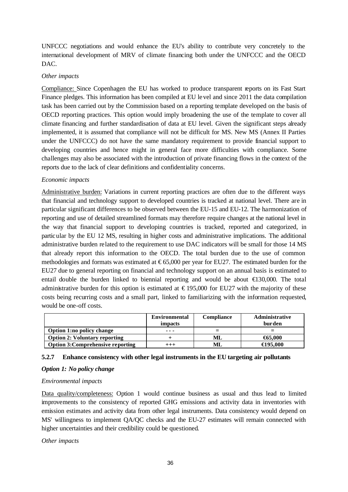UNFCCC negotiations and would enhance the EU's ability to contribute very concretely to the international development of MRV of climate financing both under the UNFCCC and the OECD DAC.

### *Other impacts*

Compliance: Since Copenhagen the EU has worked to produce transparent reports on its Fast Start Finance pledges. This information has been compiled at EU level and since 2011 the data compilation task has been carried out by the Commission based on a reporting template developed on the basis of OECD reporting practices. This option would imply broadening the use of the template to cover all climate financing and further standardisation of data at EU level. Given the significant steps already implemented, it is assumed that compliance will not be difficult for MS. New MS (Annex II Parties under the UNFCCC) do not have the same mandatory requirement to provide financial support to developing countries and hence might in general face more difficulties with compliance. Some challenges may also be associated with the introduction of private financing flows in the context of the reports due to the lack of clear definitions and confidentiality concerns.

### *Economic impacts*

Administrative burden: Variations in current reporting practices are often due to the different ways that financial and technology support to developed countries is tracked at national level. There are in particular significant differences to be observed between the EU-15 and EU-12. The harmonization of reporting and use of detailed streamlined formats may therefore require changes at the national level in the way that financial support to developing countries is tracked, reported and categorized, in particular by the EU 12 MS, resulting in higher costs and administrative implications. The additional administrative burden related to the requirement to use DAC indicators will be small for those 14 MS that already report this information to the OECD. The total burden due to the use of common methodologies and formats was estimated at  $\epsilon$ 65,000 per year for EU27. The estimated burden for the EU27 due to general reporting on financial and technology support on an annual basis is estimated to entail double the burden linked to biennial reporting and would be about  $\bigoplus$  30,000. The total administrative burden for this option is estimated at  $\epsilon$ 195,000 for EU27 with the majority of these costs being recurring costs and a small part, linked to familiarizing with the information requested, would be one-off costs.

|                                          | <b>Environmental</b><br>impacts | <b>Compliance</b> | <b>Administrative</b><br>burden |
|------------------------------------------|---------------------------------|-------------------|---------------------------------|
| <b>Option 1:no policy change</b>         | ---                             |                   |                                 |
| <b>Option 2: Voluntary reporting</b>     |                                 | МL                | $\bigoplus$ 5.000               |
| <b>Option 3: Comprehensive reporting</b> | $^{+++}$                        | МL                | <del>€</del> 195,000            |

### **5.2.7 Enhance consistency with other legal instruments in the EU targeting air pollutants**

### *Option 1: No policy change*

### *Environmental impacts*

Data quality/completeness: Option 1 would continue business as usual and thus lead to limited improvements to the consistency of reported GHG emissions and activity data in inventories with emission estimates and activity data from other legal instruments. Data consistency would depend on MS' willingness to implement QA/QC checks and the EU-27 estimates will remain connected with higher uncertainties and their credibility could be questioned.

### *Other impacts*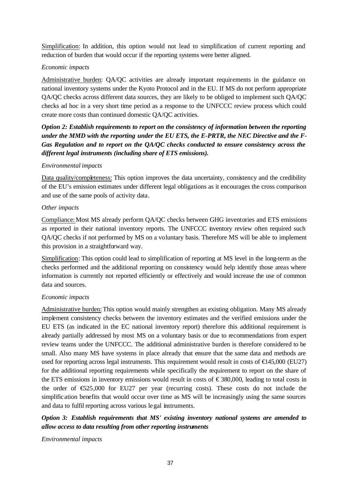Simplification: In addition, this option would not lead to simplification of current reporting and reduction of burden that would occur if the reporting systems were better aligned.

### *Economic impacts*

Administrative burden: QA/QC activities are already important requirements in the guidance on national inventory systems under the Kyoto Protocol and in the EU. If MS do not perform appropriate QA/QC checks across different data sources, they are likely to be obliged to implement such QA/QC checks ad hoc in a very short time period as a response to the UNFCCC review process which could create more costs than continued domestic QA/QC activities.

*Option 2: Establish requirements to report on the consistency of information between the reporting under the MMD with the reporting under the EU ETS, the E-PRTR, the NEC Directive and the F-Gas Regulation and to report on the QA/QC checks conducted to ensure consistency across the different legal instruments (including share of ETS emissions).* 

### *Environmental impacts*

Data quality/completeness: This option improves the data uncertainty, consistency and the credibility of the EU's emission estimates under different legal obligations as it encourages the cross comparison and use of the same pools of activity data.

### *Other impacts*

Compliance: Most MS already perform QA/QC checks between GHG inventories and ETS emissions as reported in their national inventory reports. The UNFCCC inventory review often required such QA/QC checks if not performed by MS on a voluntary basis. Therefore MS will be able to implement this provision in a straightforward way.

Simplification: This option could lead to simplification of reporting at MS level in the long-term as the checks performed and the additional reporting on consistency would help identify those areas where information is currently not reported efficiently or effectively and would increase the use of common data and sources.

### *Economic impacts*

Administrative burden: This option would mainly strengthen an existing obligation. Many MS already implement consistency checks between the inventory estimates and the verified emissions under the EU ETS (as indicated in the EC national inventory report) therefore this additional requirement is already partially addressed by most MS on a voluntary basis or due to recommendations from expert review teams under the UNFCCC. The additional administrative burden is therefore considered to be small. Also many MS have systems in place already that ensure that the same data and methods are used for reporting across legal instruments. This requirement would result in costs of  $\bigoplus$ 45,000 (EU27) for the additional reporting requirements while specifically the requirement to report on the share of the ETS emissions in inventory emissions would result in costs of  $\epsilon$ 380,000, leading to total costs in the order of  $\epsilon$ 525,000 for EU27 per year (recurring costs). These costs do not include the simplification benefits that would occur over time as MS will be increasingly using the same sources and data to fulfil reporting across various legal instruments.

# *Option 3: Establish requirements that MS' existing inventory national systems are amended to allow access to data resulting from other reporting instruments*

*Environmental impacts*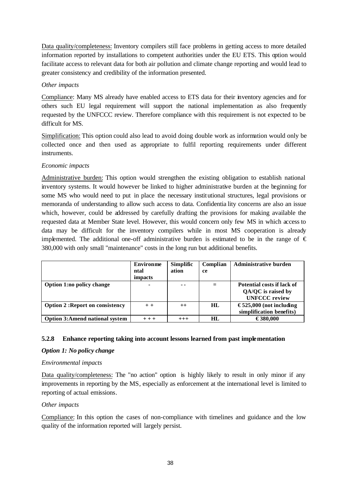Data quality/completeness: Inventory compilers still face problems in getting access to more detailed information reported by installations to competent authorities under the EU ETS. This option would facilitate access to relevant data for both air pollution and climate change reporting and would lead to greater consistency and credibility of the information presented.

### *Other impacts*

Compliance: Many MS already have enabled access to ETS data for their inventory agencies and for others such EU legal requirement will support the national implementation as also frequently requested by the UNFCCC review. Therefore compliance with this requirement is not expected to be difficult for MS.

Simplification: This option could also lead to avoid doing double work as information would only be collected once and then used as appropriate to fulfil reporting requirements under different instruments.

### *Economic impacts*

Administrative burden: This option would strengthen the existing obligation to establish national inventory systems. It would however be linked to higher administrative burden at the beginning for some MS who would need to put in place the necessary institutional structures, legal provisions or memoranda of understanding to allow such access to data. Confidentia lity concerns are also an issue which, however, could be addressed by carefully drafting the provisions for making available the requested data at Member State level. However, this would concern only few MS in which access to data may be difficult for the inventory compilers while in most MS cooperation is already implemented. The additional one-off administrative burden is estimated to be in the range of  $\epsilon$ 380,000 with only small "maintenance" costs in the long run but additional benefits.

|                                        | <b>Environme</b> | Simplific | Complian | <b>Administrative burden</b> |
|----------------------------------------|------------------|-----------|----------|------------------------------|
|                                        | ntal             | ation     | ce       |                              |
|                                        | impacts          |           |          |                              |
| Option 1:no policy change              |                  | - -       |          | Potential costs if lack of   |
|                                        |                  |           |          | QA/QC is raised by           |
|                                        |                  |           |          | <b>UNFCCC</b> review         |
| <b>Option 2: Report on consistency</b> | $+ +$            | $^{++}$   | HL       | €525,000 (not including      |
|                                        |                  |           |          | simplification benefits)     |
| <b>Option 3:Amend national system</b>  | $+ + +$          | $^{+++}$  | HL       | €380,000                     |

# **5.2.8 Enhance reporting taking into account lessons learned from past implementation**

### *Option 1: No policy change*

### *Environmental impacts*

Data quality/completeness: The "no action" option is highly likely to result in only minor if any improvements in reporting by the MS, especially as enforcement at the international level is limited to reporting of actual emissions.

### *Other impacts*

Compliance: In this option the cases of non-compliance with timelines and guidance and the low quality of the information reported will largely persist.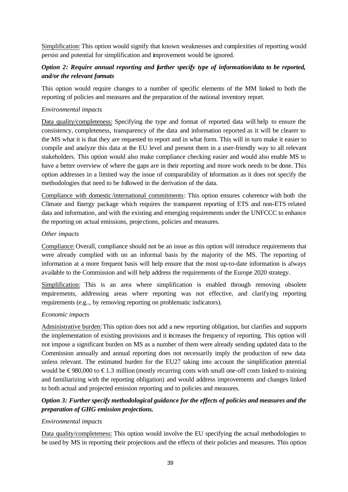Simplification: This option would signify that known weaknesses and complexities of reporting would persist and potential for simplification and improvement would be ignored.

# *Option 2: Require annual reporting and further specify type of information/data to be reported, and/or the relevant formats*

This option would require changes to a number of specific elements of the MM linked to both the reporting of policies and measures and the preparation of the national inventory report.

### *Environmental impacts*

Data quality/completeness: Specifying the type and format of reported data will help to ensure the consistency, completeness, transparency of the data and information reported as it will be clearer to the MS what it is that they are requested to report and in what form. This will in turn make it easier to compile and analyze this data at the EU level and present them in a user-friendly way to all relevant stakeholders. This option would also make compliance checking easier and would also enable MS to have a better overview of where the gaps are in their reporting and more work needs to be done. This option addresses in a limited way the issue of comparability of information as it does not specify the methodologies that need to be followed in the derivation of the data.

Compliance with domestic/international commitments: This option ensures coherence with both the Climate and Energy package which requires the transparent reporting of ETS and non-ETS related data and information, and with the existing and emerging requirements under the UNFCCC to enhance the reporting on actual emissions, projections, policies and measures.

### *Other impacts*

Compliance:Overall, compliance should not be an issue as this option will introduce requirements that were already complied with on an informal basis by the majority of the MS. The reporting of information at a more frequent basis will help ensure that the most up-to-date information is always available to the Commission and will help address the requirements of the Europe 2020 strategy.

Simplification: This is an area where simplification is enabled through removing obsolete requirements, addressing areas where reporting was not effective, and clarifying reporting requirements (e.g.., by removing reporting on problematic indicators).

### *Economic impacts*

Administrative burden:This option does not add a new reporting obligation, but clarifies and supports the implementation of existing provisions and it increases the frequency of reporting. This option will not impose a significant burden on MS as a number of them were already sending updated data to the Commission annually and annual reporting does not necessarily imply the production of new data unless relevant. The estimated burden for the EU27 taking into account the simplification potential would be  $\epsilon$ 980,000 to  $\epsilon$ 1.3 million (mostly recurring costs with small one-off costs linked to training and familiarizing with the reporting obligation) and would address improvements and changes linked to both actual and projected emission reporting and to policies and measures.

# *Option 3: Further specify methodological guidance for the effects of policies and measures and the preparation of GHG emission projections.*

### *Environmental impacts*

Data quality/completeness: This option would involve the EU specifying the actual methodologies to be used by MS in reporting their projections and the effects of their policies and measures. This option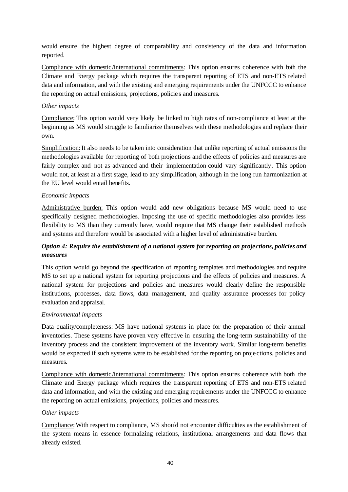would ensure the highest degree of comparability and consistency of the data and information reported.

Compliance with domestic/international commitments: This option ensures coherence with both the Climate and Energy package which requires the transparent reporting of ETS and non-ETS related data and information, and with the existing and emerging requirements under the UNFCCC to enhance the reporting on actual emissions, projections, policie s and measures.

### *Other impacts*

Compliance: This option would very likely be linked to high rates of non-compliance at least at the beginning as MS would struggle to familiarize themselves with these methodologies and replace their own.

Simplification: It also needs to be taken into consideration that unlike reporting of actual emissions the methodologies available for reporting of both projections and the effects of policies and measures are fairly complex and not as advanced and their implementation could vary significantly. This option would not, at least at a first stage, lead to any simplification, although in the long run harmonization at the EU level would entail benefits.

### *Economic impacts*

Administrative burden: This option would add new obligations because MS would need to use specifically designed methodologies. Imposing the use of specific methodologies also provides less flexibility to MS than they currently have, would require that MS change their established methods and systems and therefore would be associated with a higher level of administrative burden.

# *Option 4: Require the establishment of a national system for reporting on projections, policies and measures*

This option would go beyond the specification of reporting templates and methodologies and require MS to set up a national system for reporting projections and the effects of policies and measures. A national system for projections and policies and measures would clearly define the responsible institutions, processes, data flows, data management, and quality assurance processes for policy evaluation and appraisal.

### *Environmental impacts*

Data quality/completeness: MS have national systems in place for the preparation of their annual inventories. These systems have proven very effective in ensuring the long-term sustainability of the inventory process and the consistent improvement of the inventory work. Similar long-term benefits would be expected if such systems were to be established for the reporting on proje ctions, policies and measures.

Compliance with domestic/international commitments: This option ensures coherence with both the Climate and Energy package which requires the transparent reporting of ETS and non-ETS related data and information, and with the existing and emerging requirements under the UNFCCC to enhance the reporting on actual emissions, projections, policies and measures.

### *Other impacts*

Compliance:With respect to compliance, MS should not encounter difficulties as the establishment of the system means in essence formalizing relations, institutional arrangements and data flows that already existed.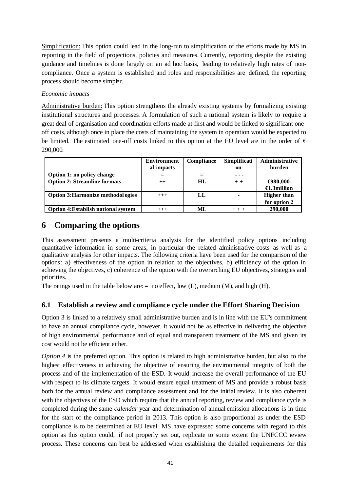Simplification: This option could lead in the long-run to simplification of the efforts made by MS in reporting in the field of projections, policies and measures. Currently, reporting despite the existing guidance and timelines is done largely on an ad hoc basis, leading to relatively high rates of noncompliance. Once a system is established and roles and responsibilities are defined, the reporting process should become simpler.

### *Economic impacts*

Administrative burden: This option strengthens the already existing systems by formalizing existing institutional structures and processes. A formulation of such a national system is likely to require a great deal of organisation and coordination efforts made at first and would be linked to significant oneoff costs, although once in place the costs of maintaining the system in operation would be expected to be limited. The estimated one-off costs linked to this option at the EU level are in the order of  $\epsilon$ 290,000.

|                                            | <b>Environment</b><br>al impacts | Compliance | Simplificati<br>on | Administrative<br>burden |
|--------------------------------------------|----------------------------------|------------|--------------------|--------------------------|
| Option 1: no policy change                 |                                  |            |                    |                          |
| <b>Option 2: Streamline formats</b>        | $^{++}$                          | HL         | $+ +$              | $\bigoplus 80,000$ -     |
|                                            |                                  |            |                    | $\bigoplus$ .3million    |
| <b>Option 3: Harmonize methodol ogies</b>  | $+++$                            | LL         | ۰                  | <b>Higher than</b>       |
|                                            |                                  |            |                    | for option 2             |
| <b>Option 4: Establish national system</b> | $^{+++}$                         | МL         |                    | 290,000                  |

# **6 Comparing the options**

This assessment presents a multi-criteria analysis for the identified policy options including quantitative information in some areas, in particular the related administrative costs as well as a qualitative analysis for other impacts. The following criteria have been used for the comparison of the options: a) effectiveness of the option in relation to the objectives, b) efficiency of the option in achieving the objectives, c) coherence of the option with the overarching EU objectives, strategies and priorities.

The ratings used in the table below are:  $=$  no effect, low (L), medium (M), and high (H).

# **6.1 Establish a review and compliance cycle under the Effort Sharing Decision**

Option 3 is linked to a relatively small administrative burden and is in line with the EU's commitment to have an annual compliance cycle, however, it would not be as effective in delivering the objective of high environmental performance and of equal and transparent treatment of the MS and given its cost would not be efficient either.

*Option 4* is the preferred option. This option is related to high administrative burden, but also to the highest effectiveness in achieving the objective of ensuring the environmental integrity of both the process and of the implementation of the ESD. It would increase the overall performance of the EU with respect to its climate targets. It would ensure equal treatment of MS and provide a robust basis both for the annual review and compliance assessment and for the initial review. It is also coherent with the objectives of the ESD which require that the annual reporting, review and compliance cycle is completed during the same *calendar* year and determination of annual emission allocations is in time for the start of the compliance period in 2013. This option is also proportional as under the ESD compliance is to be determined at EU level. MS have expressed some concerns with regard to this option as this option could, if not properly set out, replicate to some extent the UNFCCC review process. These concerns can best be addressed when establishing the detailed requirements for this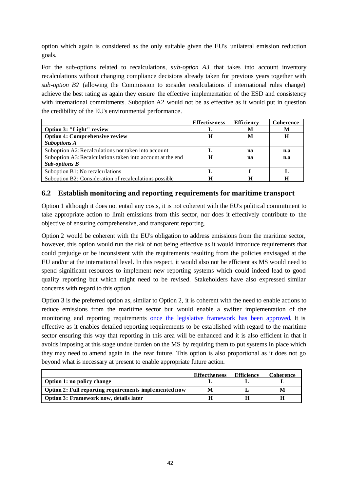option which again is considered as the only suitable given the EU's unilateral emission reduction goals.

For the sub-options related to recalculations, *sub-option A3* that takes into account inventory recalculations without changing compliance decisions already taken for previous years together with sub-option B2 (allowing the Commission to consider recalculations if international rules change) achieve the best rating as again they ensure the effective implementation of the ESD and consistency with international commitments. Suboption A2 would not be as effective as it would put in question the credibility of the EU's environmental performance.

|                                                            | <b>Effectiveness</b> | <b>Efficiency</b> | Coherence |
|------------------------------------------------------------|----------------------|-------------------|-----------|
| Option 3: "Light" review                                   |                      |                   | м         |
| <b>Option 4: Comprehensive review</b>                      | н                    | M                 |           |
| <b>Suboptions A</b>                                        |                      |                   |           |
| Suboption A2: Recalculations not taken into account        |                      | na                | n.a       |
| Suboption A3: Recalculations taken into account at the end | H                    | na                | n.a       |
| <b>Sub-options B</b>                                       |                      |                   |           |
| Suboption B1: No recalculations                            |                      |                   |           |
| Suboption B2: Consideration of recalculations possible     | Н                    |                   |           |

# **6.2 Establish monitoring and reporting requirements for maritime transport**

Option 1 although it does not entail any costs, it is not coherent with the EU's political commitment to take appropriate action to limit emissions from this sector, nor does it effectively contribute to the objective of ensuring comprehensive, and transparent reporting.

Option 2 would be coherent with the EU's obligation to address emissions from the maritime sector, however, this option would run the risk of not being effective as it would introduce requirements that could prejudge or be inconsistent with the requirements resulting from the policies envisaged at the EU and/or at the international level. In this respect, it would also not be efficient as MS would need to spend significant resources to implement new reporting systems which could indeed lead to good quality reporting but which might need to be revised. Stakeholders have also expressed similar concerns with regard to this option.

Option 3 is the preferred option as, similar to Option 2, it is coherent with the need to enable actions to reduce emissions from the maritime sector but would enable a swifter implementation of the monitoring and reporting requirements once the legislative framework has been approved. It is effective as it enables detailed reporting requirements to be established with regard to the maritime sector ensuring this way that reporting in this area will be enhanced and it is also efficient in that it avoids imposing at this stage undue burden on the MS by requiring them to put systems in place which they may need to amend again in the near future. This option is also proportional as it does not go beyond what is necessary at present to enable appropriate future action.

|                                                       | <b>Effectiveness</b> | Efficiency | Coherence |
|-------------------------------------------------------|----------------------|------------|-----------|
| Option 1: no policy change                            |                      |            |           |
| Option 2: Full reporting requirements implemented now |                      |            | M         |
| Option 3: Framework now, details later                |                      |            |           |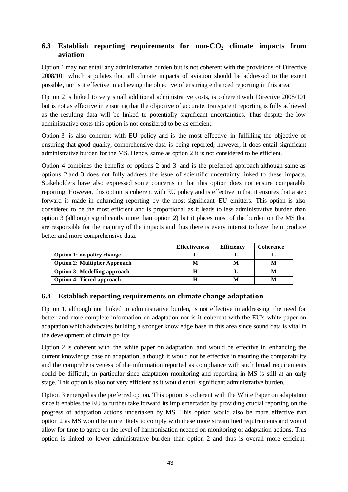# **6.3 Establish reporting requirements for non-CO<sup>2</sup> climate impacts from aviation**

Option 1 may not entail any administrative burden but is not coherent with the provisions of Directive 2008/101 which stipulates that all climate impacts of aviation should be addressed to the extent possible, nor is it effective in achieving the objective of ensuring enhanced reporting in this area.

Option 2 is linked to very small additional administrative costs, is coherent with Directive 2008/101 but is not as effective in ensuring that the objective of accurate, transparent reporting is fully achieved as the resulting data will be linked to potentially significant uncertainties. Thus despite the low administrative costs this option is not considered to be as efficient.

Option 3 is also coherent with EU policy and is the most effective in fulfilling the objective of ensuring that good quality, comprehensive data is being reported, however, it does entail significant administrative burden for the MS. Hence, same as option 2 it is not considered to be efficient.

Option 4 combines the benefits of options 2 and 3 and is the preferred approach although same as options 2 and 3 does not fully address the issue of scientific uncertainty linked to these impacts. Stakeholders have also expressed some concerns in that this option does not ensure comparable reporting. However, this option is coherent with EU policy and is effective in that it ensures that a step forward is made in enhancing reporting by the most significant EU emitters. This option is also considered to be the most efficient and is proportional as it leads to less administrative burden than option 3 (although significantly more than option 2) but it places most of the burden on the MS that are responsible for the majority of the impacts and thus there is every interest to have them produce better and more comprehensive data.

|                                      | <b>Effectiveness</b> | <b>Efficiency</b> | Coherence |
|--------------------------------------|----------------------|-------------------|-----------|
| Option 1: no policy change           |                      |                   |           |
| <b>Option 2: Multiplier Approach</b> | N                    |                   |           |
| <b>Option 3: Modelling approach</b>  |                      |                   |           |
| <b>Option 4: Tiered approach</b>     |                      |                   |           |

# **6.4 Establish reporting requirements on climate change adaptation**

Option 1, although not linked to administrative burden, is not effective in addressing the need for better and more complete information on adaptation nor is it coherent with the EU's white paper on adaptation which advocates building a stronger knowledge base in this area since sound data is vital in the development of climate policy.

Option 2 is coherent with the white paper on adaptation and would be effective in enhancing the current knowledge base on adaptation, although it would not be effective in ensuring the comparability and the comprehensiveness of the information reported as compliance with such broad requirements could be difficult, in particular since adaptation monitoring and reporting in MS is still at an early stage. This option is also not very efficient as it would entail significant administrative burden.

Option 3 emerged as the preferred option. This option is coherent with the White Paper on adaptation since it enables the EU to further take forward its implementation by providing crucial reporting on the progress of adaptation actions undertaken by MS. This option would also be more effective than option 2 as MS would be more likely to comply with these more streamlined requirements and would allow for time to agree on the level of harmonisation needed on monitoring of adaptation actions. This option is linked to lower administrative burden than option 2 and thus is overall more efficient.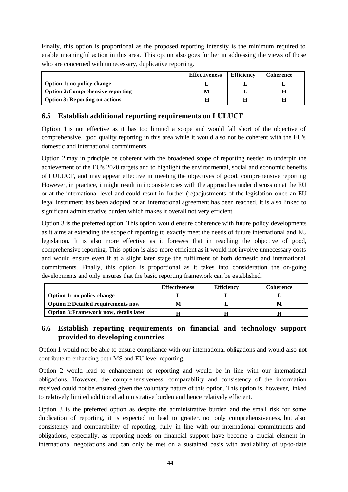Finally, this option is proportional as the proposed reporting intensity is the minimum required to enable meaningful action in this area. This option also goes further in addressing the views of those who are concerned with unnecessary, duplicative reporting.

|                                          | <b>Effectiveness</b> | <b>Efficiency</b> | Coherence |
|------------------------------------------|----------------------|-------------------|-----------|
| Option 1: no policy change               |                      |                   |           |
| <b>Option 2: Comprehensive reporting</b> | M                    |                   |           |
| <b>Option 3: Reporting on actions</b>    |                      |                   |           |

# **6.5 Establish additional reporting requirements on LULUCF**

Option 1 is not effective as it has too limited a scope and would fall short of the objective of comprehensive, good quality reporting in this area while it would also not be coherent with the EU's domestic and international commitments.

Option 2 may in principle be coherent with the broadened scope of reporting needed to underpin the achievement of the EU's 2020 targets and to highlight the environmental, social and economic benefits of LULUCF, and may appear effective in meeting the objectives of good, comprehensive reporting However, in practice, it might result in inconsistencies with the approaches under discussion at the EU or at the international level and could result in further (re)adjustments of the legislation once an EU legal instrument has been adopted or an international agreement has been reached. It is also linked to significant administrative burden which makes it overall not very efficient.

Option 3 is the preferred option. This option would ensure coherence with future policy developments as it aims at extending the scope of reporting to exactly meet the needs of future international and EU legislation. It is also more effective as it foresees that in reaching the objective of good, comprehensive reporting. This option is also more efficient as it would not involve unnecessary costs and would ensure even if at a slight later stage the fulfilment of both domestic and international commitments. Finally, this option is proportional as it takes into consideration the on-going developments and only ensures that the basic reporting framework can be established.

|                                           | <b>Effectiveness</b> | <b>Efficiency</b> | Coherence |
|-------------------------------------------|----------------------|-------------------|-----------|
| Option 1: no policy change                |                      |                   |           |
| <b>Option 2:Detailed requirements now</b> | М                    |                   |           |
| Option 3: Framework now, details later    |                      |                   |           |

# **6.6 Establish reporting requirements on financial and technology support provided to developing countries**

Option 1 would not be able to ensure compliance with our international obligations and would also not contribute to enhancing both MS and EU level reporting.

Option 2 would lead to enhancement of reporting and would be in line with our international obligations. However, the comprehensiveness, comparability and consistency of the information received could not be ensured given the voluntary nature of this option. This option is, however, linked to relatively limited additional administrative burden and hence relatively efficient.

Option 3 is the preferred option as despite the administrative burden and the small risk for some duplication of reporting, it is expected to lead to greater, not only comprehensiveness, but also consistency and comparability of reporting, fully in line with our international commitments and obligations, especially, as reporting needs on financial support have become a crucial element in international negotiations and can only be met on a sustained basis with availability of up-to-date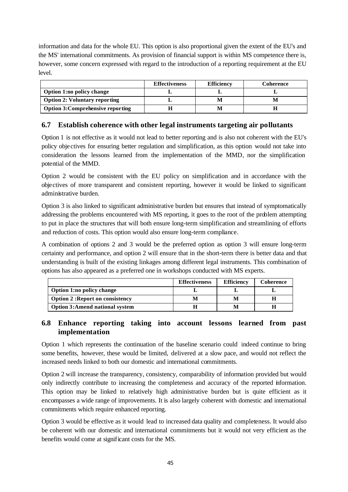information and data for the whole EU. This option is also proportional given the extent of the EU's and the MS' international commitments. As provision of financial support is within MS competence there is, however, some concern expressed with regard to the introduction of a reporting requirement at the EU level.

|                                          | <b>Effectiveness</b> | <b>Efficiency</b> | Coherence |
|------------------------------------------|----------------------|-------------------|-----------|
| <b>Option 1:no policy change</b>         |                      |                   |           |
| <b>Option 2: Voluntary reporting</b>     |                      |                   |           |
| <b>Option 3: Comprehensive reporting</b> |                      | M                 |           |

# **6.7 Establish coherence with other legal instruments targeting air pollutants**

Option 1 is not effective as it would not lead to better reporting and is also not coherent with the EU's policy objectives for ensuring better regulation and simplification, as this option would not take into consideration the lessons learned from the implementation of the MMD, nor the simplification potential of the MMD.

Option 2 would be consistent with the EU policy on simplification and in accordance with the objectives of more transparent and consistent reporting, however it would be linked to significant administrative burden.

Option 3 is also linked to significant administrative burden but ensures that instead of symptomatically addressing the problems encountered with MS reporting, it goes to the root of the problem attempting to put in place the structures that will both ensure long-term simplification and streamlining of efforts and reduction of costs. This option would also ensure long-term compliance.

A combination of options 2 and 3 would be the preferred option as option 3 will ensure long-term certainty and performance, and option 2 will ensure that in the short-term there is better data and that understanding is built of the existing linkages among different legal instruments. This combination of options has also appeared as a preferred one in workshops conducted with MS experts.

|                                        | <b>Effectiveness</b> | <b>Efficiency</b> | Coherence |
|----------------------------------------|----------------------|-------------------|-----------|
| <b>Option 1:no policy change</b>       |                      |                   |           |
| <b>Option 2: Report on consistency</b> |                      | M                 |           |
| <b>Option 3:Amend national system</b>  |                      | M                 |           |

# **6.8 Enhance reporting taking into account lessons learned from past implementation**

Option 1 which represents the continuation of the baseline scenario could indeed continue to bring some benefits, however, these would be limited, delivered at a slow pace, and would not reflect the increased needs linked to both our domestic and international commitments.

Option 2 will increase the transparency, consistency, comparability of information provided but would only indirectly contribute to increasing the completeness and accuracy of the reported information. This option may be linked to relatively high administrative burden but is quite efficient as it encompasses a wide range of improvements. It is also largely coherent with domestic and international commitments which require enhanced reporting.

Option 3 would be effective as it would lead to increased data quality and completeness. It would also be coherent with our domestic and international commitments but it would not very efficient as the benefits would come at significant costs for the MS.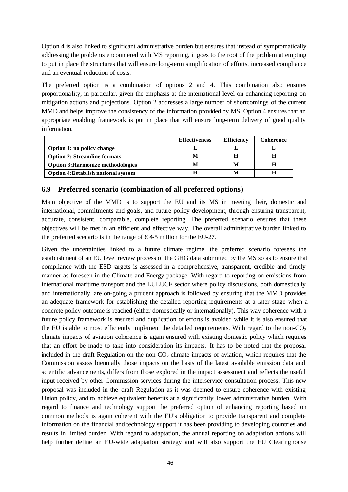Option 4 is also linked to significant administrative burden but ensures that instead of symptomatically addressing the problems encountered with MS reporting, it goes to the root of the problem attempting to put in place the structures that will ensure long-term simplification of efforts, increased compliance and an eventual reduction of costs.

The preferred option is a combination of options 2 and 4. This combination also ensures proportiona lity, in particular, given the emphasis at the international level on enhancing reporting on mitigation actions and projections. Option 2 addresses a large number of shortcomings of the current MMD and helps improve the consistency of the information provided by MS. Option 4 ensures that an appropriate enabling framework is put in place that will ensure long-term delivery of good quality information.

|                                            | <b>Effectiveness</b> | <b>Efficiency</b> | Coherence |
|--------------------------------------------|----------------------|-------------------|-----------|
| Option 1: no policy change                 |                      |                   |           |
| <b>Option 2: Streamline formats</b>        | м                    |                   |           |
| <b>Option 3: Harmonize methodologies</b>   |                      |                   |           |
| <b>Option 4: Establish national system</b> |                      |                   |           |

# **6.9 Preferred scenario (combination of all preferred options)**

Main objective of the MMD is to support the EU and its MS in meeting their, domestic and international, commitments and goals, and future policy development, through ensuring transparent, accurate, consistent, comparable, complete reporting. The preferred scenario ensures that these objectives will be met in an efficient and effective way. The overall administrative burden linked to the preferred scenario is in the range of  $\epsilon$ 4-5 million for the EU-27.

Given the uncertainties linked to a future climate regime, the preferred scenario foresees the establishment of an EU level review process of the GHG data submitted by the MS so as to ensure that compliance with the ESD targets is assessed in a comprehensive, transparent, credible and timely manner as foreseen in the Climate and Energy package. With regard to reporting on emissions from international maritime transport and the LULUCF sector where policy discussions, both domestically and internationally, are on-going a prudent approach is followed by ensuring that the MMD provides an adequate framework for establishing the detailed reporting requirements at a later stage when a concrete policy outcome is reached (either domestically or internationally). This way coherence with a future policy framework is ensured and duplication of efforts is avoided while it is also ensured that the EU is able to most efficiently implement the detailed requirements. With regard to the non- $CO<sub>2</sub>$ climate impacts of aviation coherence is again ensured with existing domestic policy which requires that an effort be made to take into consideration its impacts. It has to be noted that the proposal included in the draft Regulation on the non- $CO<sub>2</sub>$  climate impacts of aviation, which requires that the Commission assess biennially those impacts on the basis of the latest available emission data and scientific advancements, differs from those explored in the impact assessment and reflects the useful input received by other Commission services during the interservice consultation process. This new proposal was included in the draft Regulation as it was deemed to ensure coherence with existing Union policy, and to achieve equivalent benefits at a significantly lower administrative burden. With regard to finance and technology support the preferred option of enhancing reporting based on common methods is again coherent with the EU's obligation to provide transparent and complete information on the financial and technology support it has been providing to developing countries and results in limited burden. With regard to adaptation, the annual reporting on adaptation actions will help further define an EU-wide adaptation strategy and will also support the EU Clearinghouse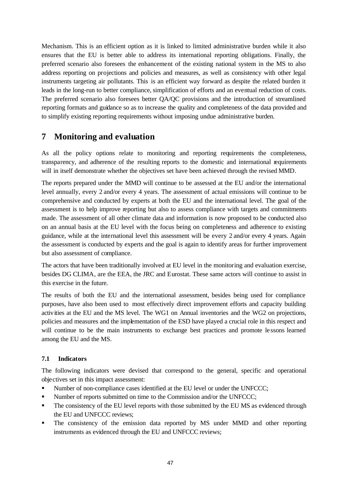Mechanism. This is an efficient option as it is linked to limited administrative burden while it also ensures that the EU is better able to address its international reporting obligations. Finally, the preferred scenario also foresees the enhancement of the existing national system in the MS to also address reporting on projections and policies and measures, as well as consistency with other legal instruments targeting air pollutants. This is an efficient way forward as despite the related burden it leads in the long-run to better compliance, simplification of efforts and an eventual reduction of costs. The preferred scenario also foresees better QA/QC provisions and the introduction of streamlined reporting formats and guidance so as to increase the quality and completeness of the data provided and to simplify existing reporting requirements without imposing undue administrative burden.

# **7 Monitoring and evaluation**

As all the policy options relate to monitoring and reporting requirements the completeness, transparency, and adherence of the resulting reports to the domestic and international requirements will in itself demonstrate whether the objectives set have been achieved through the revised MMD.

The reports prepared under the MMD will continue to be assessed at the EU and/or the international level annually, every 2 and/or every 4 years. The assessment of actual emissions will continue to be comprehensive and conducted by experts at both the EU and the international level. The goal of the assessment is to help improve reporting but also to assess compliance with targets and commitments made. The assessment of all other climate data and information is now proposed to be conducted also on an annual basis at the EU level with the focus being on completeness and adherence to existing guidance, while at the international level this assessment will be every 2 and/or every 4 years. Again the assessment is conducted by experts and the goal is again to identify areas for further improvement but also assessment of compliance.

The actors that have been traditionally involved at EU level in the monitoring and evaluation exercise, besides DG CLIMA, are the EEA, the JRC and Eurostat. These same actors will continue to assist in this exercise in the future.

The results of both the EU and the international assessment, besides being used for compliance purposes, have also been used to most effectively direct improvement efforts and capacity building activities at the EU and the MS level. The WG1 on Annual inventories and the WG2 on projections, policies and measures and the implementation of the ESD have played a crucial role in this respect and will continue to be the main instruments to exchange best practices and promote le ssons learned among the EU and the MS.

# **7.1 Indicators**

The following indicators were devised that correspond to the general, specific and operational objectives set in this impact assessment:

- If Number of non-compliance cases identified at the EU level or under the UNFCCC;
- Number of reports submitted on time to the Commission and/or the UNFCCC;
- The consistency of the EU level reports with those submitted by the EU MS as evidenced through the EU and UNFCCC reviews;
- ß The consistency of the emission data reported by MS under MMD and other reporting instruments as evidenced through the EU and UNFCCC reviews;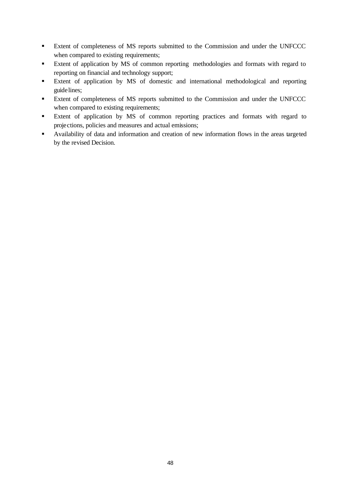- **Extent of completeness of MS reports submitted to the Commission and under the UNFCCC** when compared to existing requirements;
- **Extent of application by MS of common reporting methodologies and formats with regard to** reporting on financial and technology support;
- ß Extent of application by MS of domestic and international methodological and reporting guidelines;
- **Extent of completeness of MS reports submitted to the Commission and under the UNFCCC** when compared to existing requirements;
- **Extent of application by MS of common reporting practices and formats with regard to** projections, policies and measures and actual emissions;
- Availability of data and information and creation of new information flows in the areas targeted by the revised Decision.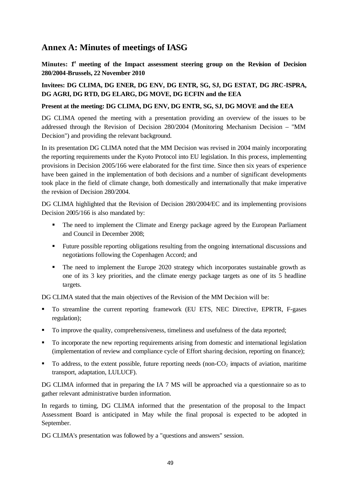# **Annex A: Minutes of meetings of IASG**

Minutes:  $f^t$  meeting of the Impact assessment steering group on the Revision of Decision **280/2004-Brussels, 22 November 2010**

### **Invitees: DG CLIMA, DG ENER, DG ENV, DG ENTR, SG, SJ, DG ESTAT, DG JRC-ISPRA, DG AGRI, DG RTD, DG ELARG, DG MOVE, DG ECFIN and the EEA**

### **Present at the meeting: DG CLIMA, DG ENV, DG ENTR, SG, SJ, DG MOVE and the EEA**

DG CLIMA opened the meeting with a presentation providing an overview of the issues to be addressed through the Revision of Decision 280/2004 (Monitoring Mechanism Decision – "MM Decision") and providing the relevant background.

In its presentation DG CLIMA noted that the MM Decision was revised in 2004 mainly incorporating the reporting requirements under the Kyoto Protocol into EU legislation. In this process, implementing provisions in Decision 2005/166 were elaborated for the first time. Since then six years of experience have been gained in the implementation of both decisions and a number of significant developments took place in the field of climate change, both domestically and internationally that make imperative the revision of Decision 280/2004.

DG CLIMA highlighted that the Revision of Decision 280/2004/EC and its implementing provisions Decision 2005/166 is also mandated by:

- The need to implement the Climate and Energy package agreed by the European Parliament and Council in December 2008;
- Future possible reporting obligations resulting from the ongoing international discussions and negotiations following the Copenhagen Accord; and
- The need to implement the Europe 2020 strategy which incorporates sustainable growth as one of its 3 key priorities, and the climate energy package targets as one of its 5 headline targets.

DG CLIMA stated that the main objectives of the Revision of the MM Decision will be:

- ß To streamline the current reporting framework (EU ETS, NEC Directive, EPRTR, F-gases regulation);
- To improve the quality, comprehensiveness, timeliness and usefulness of the data reported;
- To incorporate the new reporting requirements arising from domestic and international legislation (implementation of review and compliance cycle of Effort sharing decision, reporting on finance);
- $\blacksquare$  To address, to the extent possible, future reporting needs (non-CO<sub>2</sub> impacts of aviation, maritime transport, adaptation, LULUCF).

DG CLIMA informed that in preparing the IA 7 MS will be approached via a questionnaire so as to gather relevant administrative burden information.

In regards to timing, DG CLIMA informed that the presentation of the proposal to the Impact Assessment Board is anticipated in May while the final proposal is expected to be adopted in September.

DG CLIMA's presentation was followed by a "questions and answers" session.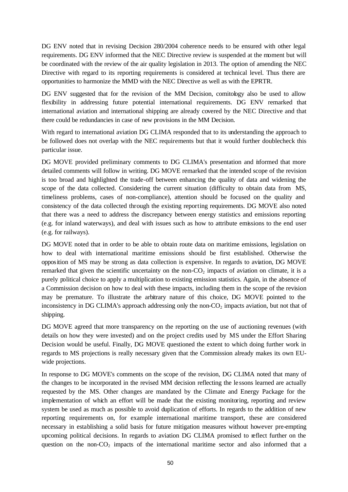DG ENV noted that in revising Decision 280/2004 coherence needs to be ensured with other legal requirements. DG ENV informed that the NEC Directive review is suspended at the moment but will be coordinated with the review of the air quality legislation in 2013. The option of amending the NEC Directive with regard to its reporting requirements is considered at technical level. Thus there are opportunities to harmonize the MMD with the NEC Directive as well as with the EPRTR.

DG ENV suggested that for the revision of the MM Decision, comitology also be used to allow flexibility in addressing future potential international requirements. DG ENV remarked that international aviation and international shipping are already covered by the NEC Directive and that there could be redundancies in case of new provisions in the MM Decision.

With regard to international aviation DG CLIMA responded that to its understanding the approach to be followed does not overlap with the NEC requirements but that it would further doublecheck this particular issue.

DG MOVE provided preliminary comments to DG CLIMA's presentation and informed that more detailed comments will follow in writing. DG MOVE remarked that the intended scope of the revision is too broad and highlighted the trade-off between enhancing the quality of data and widening the scope of the data collected. Considering the current situation (difficulty to obtain data from MS, timeliness problems, cases of non-compliance), attention should be focused on the quality and consistency of the data collected through the existing reporting requirements. DG MOVE also noted that there was a need to address the discrepancy between energy statistics and emissions reporting (e.g. for inland waterways), and deal with issues such as how to attribute emissions to the end user (e.g. for railways).

DG MOVE noted that in order to be able to obtain route data on maritime emissions, legislation on how to deal with international maritime emissions should be first established. Otherwise the opposition of MS may be strong as data collection is expensive. In regards to aviation, DG MOVE remarked that given the scientific uncertainty on the non- $CO<sub>2</sub>$  impacts of aviation on climate, it is a purely political choice to apply a multiplication to existing emission statistics. Again, in the absence of a Commission decision on how to deal with these impacts, including them in the scope of the revision may be premature. To illustrate the arbitrary nature of this choice, DG MOVE pointed to the inconsistency in DG CLIMA's approach addressing only the non- $CO<sub>2</sub>$  impacts aviation, but not that of shipping.

DG MOVE agreed that more transparency on the reporting on the use of auctioning revenues (with details on how they were invested) and on the project credits used by MS under the Effort Sharing Decision would be useful. Finally, DG MOVE questioned the extent to which doing further work in regards to MS projections is really necessary given that the Commission already makes its own EUwide projections.

In response to DG MOVE's comments on the scope of the revision, DG CLIMA noted that many of the changes to be incorporated in the revised MM decision reflecting the le ssons learned are actually requested by the MS. Other changes are mandated by the Climate and Energy Package for the implementation of which an effort will be made that the existing monitoring, reporting and review system be used as much as possible to avoid duplication of efforts. In regards to the addition of new reporting requirements on, for example international maritime transport, these are considered necessary in establishing a solid basis for future mitigation measures without however pre-empting upcoming political decisions. In regards to aviation DG CLIMA promised to reflect further on the question on the non- $CO<sub>2</sub>$  impacts of the international maritime sector and also informed that a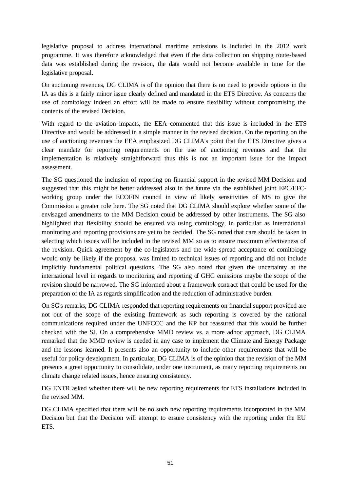legislative proposal to address international maritime emissions is included in the 2012 work programme. It was therefore acknowledged that even if the data collection on shipping route-based data was established during the revision, the data would not become available in time for the legislative proposal.

On auctioning revenues, DG CLIMA is of the opinion that there is no need to provide options in the IA as this is a fairly minor issue clearly defined and mandated in the ETS Directive. As concerns the use of comitology indeed an effort will be made to ensure flexibility without compromising the contents of the revised Decision.

With regard to the aviation impacts, the EEA commented that this issue is inc luded in the ETS Directive and would be addressed in a simple manner in the revised decision. On the reporting on the use of auctioning revenues the EEA emphasized DG CLIMA's point that the ETS Directive gives a clear mandate for reporting requirements on the use of auctioning revenues and that the implementation is relatively straightforward thus this is not an important issue for the impact assessment.

The SG questioned the inclusion of reporting on financial support in the revised MM Decision and suggested that this might be better addressed also in the future via the established joint EPC/EFCworking group under the ECOFIN council in view of likely sensitivities of MS to give the Commission a greater role here. The SG noted that DG CLIMA should explore whether some of the envisaged amendments to the MM Decision could be addressed by other instruments. The SG also highlighted that flexibility should be ensured via using comitology, in particular as international monitoring and reporting provisions are yet to be decided. The SG noted that care should be taken in selecting which issues will be included in the revised MM so as to ensure maximum effectiveness of the revision. Quick agreement by the co-legislators and the wide-spread acceptance of comitology would only be likely if the proposal was limited to technical issues of reporting and did not include implicitly fundamental political questions. The SG also noted that given the uncertainty at the international level in regards to monitoring and reporting of GHG emissions maybe the scope of the revision should be narrowed. The SG informed about a framework contract that could be used for the preparation of the IA as regards simplific ation and the reduction of administrative burden.

On SG's remarks, DG CLIMA responded that reporting requirements on financial support provided are not out of the scope of the existing framework as such reporting is covered by the national communications required under the UNFCCC and the KP but reassured that this would be further checked with the SJ. On a comprehensive MMD review vs. a more adhoc approach, DG CLIMA remarked that the MMD review is needed in any case to implement the Climate and Energy Package and the lessons learned. It presents also an opportunity to include other requirements that will be useful for policy development. In particular, DG CLIMA is of the opinion that the revision of the MM presents a great opportunity to consolidate, under one instrument, as many reporting requirements on climate change related issues, hence ensuring consistency.

DG ENTR asked whether there will be new reporting requirements for ETS installations included in the revised MM.

DG CLIMA specified that there will be no such new reporting requirements incorporated in the MM Decision but that the Decision will attempt to ensure consistency with the reporting under the EU ETS.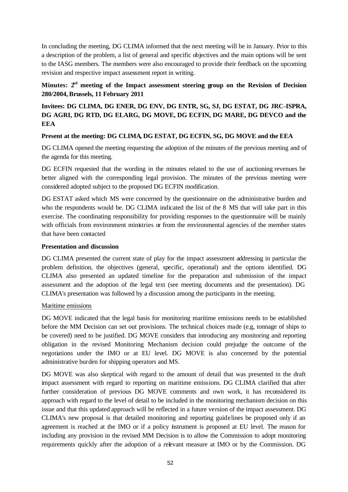In concluding the meeting, DG CLIMA informed that the next meeting will be in January. Prior to this a description of the problem, a list of general and specific objectives and the main options will be sent to the IASG members. The members were also encouraged to provide their feedback on the upcoming revision and respective impact assessment report in writing.

# **Minutes: 2nd meeting of the Impact assessment steering group on the Revision of Decision 280/2004, Brussels, 11 February 2011**

**Invitees: DG CLIMA, DG ENER, DG ENV, DG ENTR, SG, SJ, DG ESTAT, DG JRC-ISPRA, DG AGRI, DG RTD, DG ELARG, DG MOVE, DG ECFIN, DG MARE, DG DEVCO and the EEA**

### **Present at the meeting: DG CLIMA, DG ESTAT, DG ECFIN, SG, DG MOVE and the EEA**

DG CLIMA opened the meeting requesting the adoption of the minutes of the previous meeting and of the agenda for this meeting.

DG ECFIN requested that the wording in the minutes related to the use of auctioning revenues be better aligned with the corresponding legal provision. The minutes of the previous meeting were considered adopted subject to the proposed DG ECFIN modification.

DG ESTAT asked which MS were concerned by the questionnaire on the administrative burden and who the respondents would be. DG CLIMA indicated the list of the 8 MS that will take part in this exercise. The coordinating responsibility for providing responses to the questionnaire will be mainly with officials from environment ministries  $\alpha$  from the environmental agencies of the member states that have been contacted

### **Presentation and discussion**

DG CLIMA presented the current state of play for the impact assessment addressing in particular the problem definition, the objectives (general, specific, operational) and the options identified. DG CLIMA also presented an updated timeline for the preparation and submission of the impact assessment and the adoption of the legal text (see meeting documents and the presentation). DG CLIMA's presentation was followed by a discussion among the participants in the meeting.

### Maritime emissions

DG MOVE indicated that the legal basis for monitoring maritime emissions needs to be established before the MM Decision can set out provisions. The technical choices made (e.g, tonnage of ships to be covered) need to be justified. DG MOVE considers that introducing any monitoring and reporting obligation in the revised Monitoring Mechanism decision could prejudge the outcome of the negotiations under the IMO or at EU level. DG MOVE is also concerned by the potential administrative burden for shipping operators and MS.

DG MOVE was also skeptical with regard to the amount of detail that was presented in the draft impact assessment with regard to reporting on maritime emissions. DG CLIMA clarified that after further consideration of previous DG MOVE comments and own work, it has reconsidered its approach with regard to the level of detail to be included in the monitoring mechanism decision on this issue and that this updated approach will be reflected in a future version of the impact assessment. DG CLIMA's new proposal is that detailed monitoring and reporting guidelines be proposed only if an agreement is reached at the IMO or if a policy instrument is proposed at EU level. The reason for including any provision in the revised MM Decision is to allow the Commission to adopt monitoring requirements quickly after the adoption of a relevant measure at IMO or by the Commission. DG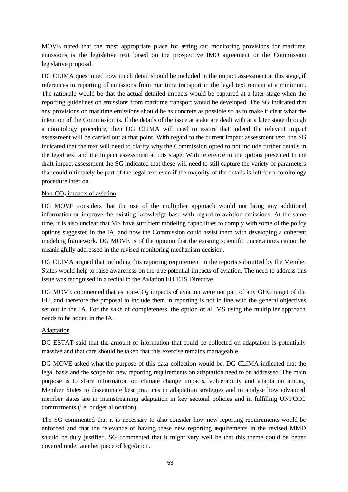MOVE noted that the most appropriate place for setting out monitoring provisions for maritime emissions is the legislative text based on the prospective IMO agreement or the Commission legislative proposal.

DG CLIMA questioned how much detail should be included in the impact assessment at this stage, if references to reporting of emissions from maritime transport in the legal text remain at a minimum. The rationale would be that the actual detailed impacts would be captured at a later stage when the reporting guidelines on emissions from maritime transport would be developed. The SG indicated that any provisions on maritime emissions should be as concrete as possible so as to make it clear what the intention of the Commission is. If the details of the issue at stake are dealt with at a later stage through a comitology procedure, then DG CLIMA will need to assure that indeed the relevant impact assessment will be carried out at that point. With regard to the current impact assessment text, the SG indicated that the text will need to clarify why the Commission opted to not include further details in the legal text and the impact assessment at this stage. With reference to the options presented in the draft impact assessment the SG indicated that these will need to still capture the variety of parameters that could ultimately be part of the legal text even if the majority of the details is left for a comitology procedure later on.

### Non- $CO<sub>2</sub>$  impacts of aviation

DG MOVE considers that the use of the multiplier approach would not bring any additional information or improve the existing knowledge base with regard to aviation emissions. At the same time, it is also unclear that MS have sufficient modeling capabilities to comply with some of the policy options suggested in the IA, and how the Commission could assist them with developing a coherent modeling framework. DG MOVE is of the opinion that the existing scientific uncertainties cannot be meaningfully addressed in the revised monitoring mechanism decision.

DG CLIMA argued that including this reporting requirement in the reports submitted by the Member States would help to raise awareness on the true potential impacts of aviation. The need to address this issue was recognised in a recital in the Aviation EU ETS Directive.

DG MOVE commented that as non- $CO<sub>2</sub>$  impacts of aviation were not part of any GHG target of the EU, and therefore the proposal to include them in reporting is not in line with the general objectives set out in the IA. For the sake of completeness, the option of all MS using the multiplier approach needs to be added in the IA.

### Adaptation

DG ESTAT said that the amount of information that could be collected on adaptation is potentially massive and that care should be taken that this exercise remains manageable.

DG MOVE asked what the purpose of this data collection would be. DG CLIMA indicated that the legal basis and the scope for new reporting requirements on adaptation need to be addressed. The main purpose is to share information on climate change impacts, vulnerability and adaptation among Member States to disseminate best practices in adaptation strategies and to analyse how advanced member states are in mainstreaming adaptation in key sectoral policies and in fulfilling UNFCCC commitments (i.e. budget allocation).

The SG commented that it is necessary to also consider how new reporting requirements would be enforced and that the relevance of having these new reporting requirements in the revised MMD should be duly justified. SG commented that it might very well be that this theme could be better covered under another piece of legislation.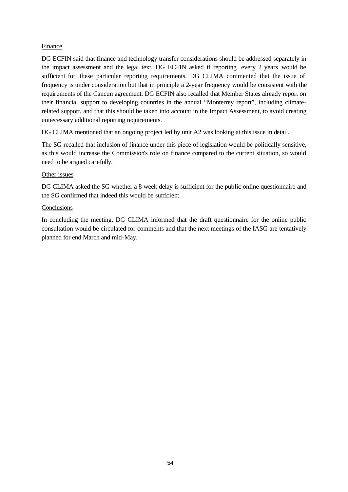### Finance

DG ECFIN said that finance and technology transfer considerations should be addressed separately in the impact assessment and the legal text. DG ECFIN asked if reporting every 2 years would be sufficient for these particular reporting requirements. DG CLIMA commented that the issue of frequency is under consideration but that in principle a 2-year frequency would be consistent with the requirements of the Cancun agreement. DG ECFIN also recalled that Member States already report on their financial support to developing countries in the annual "Monterrey report", including climaterelated support, and that this should be taken into account in the Impact Assessment, to avoid creating unnecessary additional reporting requirements.

DG CLIMA mentioned that an ongoing project led by unit A2 was looking at this issue in detail.

The SG recalled that inclusion of finance under this piece of legislation would be politically sensitive, as this would increase the Commission's role on finance compared to the current situation, so would need to be argued carefully.

### Other issues

DG CLIMA asked the SG whether a 8-week delay is sufficient for the public online questionnaire and the SG confirmed that indeed this would be sufficient.

### **Conclusions**

In concluding the meeting, DG CLIMA informed that the draft questionnaire for the online public consultation would be circulated for comments and that the next meetings of the IASG are tentatively planned for end March and mid-May.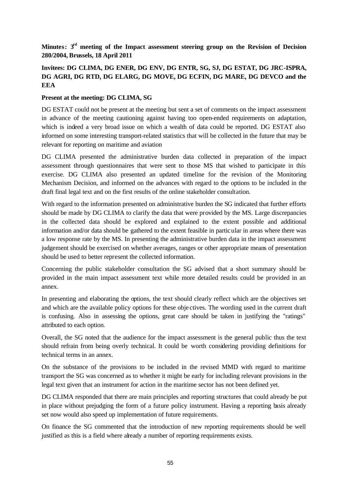# **Minutes: 3rd meeting of the Impact assessment steering group on the Revision of Decision 280/2004, Brussels, 18 April 2011**

# **Invitees: DG CLIMA, DG ENER, DG ENV, DG ENTR, SG, SJ, DG ESTAT, DG JRC-ISPRA, DG AGRI, DG RTD, DG ELARG, DG MOVE, DG ECFIN, DG MARE, DG DEVCO and the EEA**

### **Present at the meeting: DG CLIMA, SG**

DG ESTAT could not be present at the meeting but sent a set of comments on the impact assessment in advance of the meeting cautioning against having too open-ended requirements on adaptation, which is indeed a very broad issue on which a wealth of data could be reported. DG ESTAT also informed on some interesting transport-related statistics that will be collected in the future that may be relevant for reporting on maritime and aviation

DG CLIMA presented the administrative burden data collected in preparation of the impact assessment through questionnaires that were sent to those MS that wished to participate in this exercise. DG CLIMA also presented an updated timeline for the revision of the Monitoring Mechanism Decision, and informed on the advances with regard to the options to be included in the draft final legal text and on the first results of the online stakeholder consultation.

With regard to the information presented on administrative burden the SG indicated that further efforts should be made by DG CLIMA to clarify the data that were provided by the MS. Large discrepancies in the collected data should be explored and explained to the extent possible and additional information and/or data should be gathered to the extent feasible in particular in areas where there was a low response rate by the MS. In presenting the administrative burden data in the impact assessment judgement should be exercised on whether averages, ranges or other appropriate means of presentation should be used to better represent the collected information.

Concerning the public stakeholder consultation the SG advised that a short summary should be provided in the main impact assessment text while more detailed results could be provided in an annex.

In presenting and elaborating the options, the text should clearly reflect which are the objectives set and which are the available policy options for these obje ctives. The wording used in the current draft is confusing. Also in assessing the options, great care should be taken in justifying the "ratings" attributed to each option.

Overall, the SG noted that the audience for the impact assessment is the general public thus the text should refrain from being overly technical. It could be worth considering providing definitions for technical terms in an annex.

On the substance of the provisions to be included in the revised MMD with regard to maritime transport the SG was concerned as to whether it might be early for including relevant provisions in the legal text given that an instrument for action in the maritime sector has not been defined yet.

DG CLIMA responded that there are main principles and reporting structures that could already be put in place without prejudging the form of a future policy instrument. Having a reporting basis already set now would also speed up implementation of future requirements.

On finance the SG commented that the introduction of new reporting requirements should be well justified as this is a field where already a number of reporting requirements exists.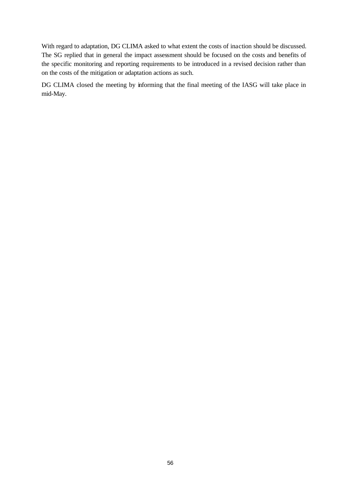With regard to adaptation, DG CLIMA asked to what extent the costs of inaction should be discussed. The SG replied that in general the impact assessment should be focused on the costs and benefits of the specific monitoring and reporting requirements to be introduced in a revised decision rather than on the costs of the mitigation or adaptation actions as such.

DG CLIMA closed the meeting by informing that the final meeting of the IASG will take place in mid-May.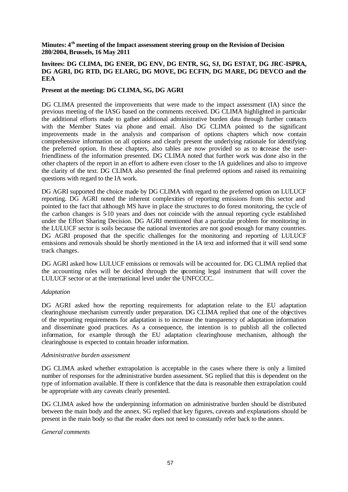#### **Minutes: 4th meeting of the Impact assessment steering group on the Revision of Decision 280/2004, Brussels, 16 May 2011**

### **Invitees: DG CLIMA, DG ENER, DG ENV, DG ENTR, SG, SJ, DG ESTAT, DG JRC-ISPRA, DG AGRI, DG RTD, DG ELARG, DG MOVE, DG ECFIN, DG MARE, DG DEVCO and the EEA**

### **Present at the meeting: DG CLIMA, SG, DG AGRI**

DG CLIMA presented the improvements that were made to the impact assessment (IA) since the previous meeting of the IASG based on the comments received. DG CLIMA highlighted in particular the additional efforts made to gather additional administrative burden data through further contacts with the Member States via phone and email. Also DG CLIMA pointed to the significant improvements made in the analysis and comparison of options chapters which now contain comprehensive information on all options and clearly present the underlying rationale for identifying the preferred option. In these chapters, also tables are now provided so as to increase the userfriendliness of the information presented. DG CLIMA noted that further work was done also in the other chapters of the report in an effort to adhere even closer to the IA guidelines and also to improve the clarity of the text. DG CLIMA also presented the final preferred options and raised its remaining questions with regard to the IA work.

DG AGRI supported the choice made by DG CLIMA with regard to the preferred option on LULUCF reporting. DG AGRI noted the inherent complexities of reporting emissions from this sector and pointed to the fact that although MS have in place the structures to do forest monitoring, the cycle of the carbon changes is 5-10 years and does not coincide with the annual reporting cycle established under the Effort Sharing Decision. DG AGRI mentioned that a particular problem for monitoring in the LULUCF sector is soils because the national inventories are not good enough for many countries. DG AGRI proposed that the specific challenges for the monitoring and reporting of LULUCF emissions and removals should be shortly mentioned in the IA text and informed that it will send some track changes.

DG AGRI asked how LULUCF emissions or removals will be accounted for. DG CLIMA replied that the accounting rules will be decided through the upcoming legal instrument that will cover the LULUCF sector or at the international level under the UNFCCCC.

### *Adaptation*

DG AGRI asked how the reporting requirements for adaptation relate to the EU adaptation clearinghouse mechanism currently under preparation. DG CLIMA replied that one of the objectives of the reporting requirements for adaptation is to increase the transparency of adaptation information and disseminate good practices. As a consequence, the intention is to publish all the collected information, for example through the EU adaptation clearinghouse mechanism, although the clearinghouse is expected to contain broader information.

### *Administrative burden assessment*

DG CLIMA asked whether extrapolation is acceptable in the cases where there is only a limited number of responses for the administrative burden assessment. SG replied that this is dependent on the type of information available. If there is confidence that the data is reasonable then extrapolation could be appropriate with any caveats clearly presented.

DG CLIMA asked how the underpinning information on administrative burden should be distributed between the main body and the annex. SG replied that key figures, caveats and explanations should be present in the main body so that the reader does not need to constantly refer back to the annex.

### *General comments*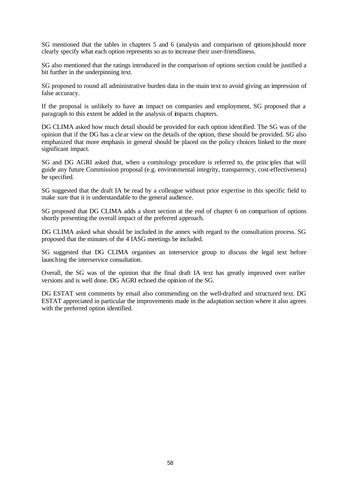SG mentioned that the tables in chapters 5 and 6 (analysis and comparison of options)should more clearly specify what each option represents so as to increase their user-friendliness.

SG also mentioned that the ratings introduced in the comparison of options section could be justified a bit further in the underpinning text.

SG proposed to round all administrative burden data in the main text to avoid giving an impression of false accuracy.

If the proposal is unlikely to have an impact on companies and employment, SG proposed that a paragraph to this extent be added in the analysis of impacts chapters.

DG CLIMA asked how much detail should be provided for each option identified. The SG was of the opinion that if the DG has a cle ar view on the details of the option, these should be provided. SG also emphasized that more emphasis in general should be placed on the policy choices linked to the more significant impact.

SG and DG AGRI asked that, when a comitology procedure is referred to, the principles that will guide any future Commission proposal (e.g. environmental integrity, transparency, cost-effectiveness) be specified.

SG suggested that the draft IA be read by a colleague without prior expertise in this specific field to make sure that it is understandable to the general audience.

SG proposed that DG CLIMA adds a short section at the end of chapter 6 on comparison of options shortly presenting the overall impact of the preferred approach.

DG CLIMA asked what should be included in the annex with regard to the consultation process. SG proposed that the minutes of the 4 IASG meetings be included.

SG suggested that DG CLIMA organises an interservice group to discuss the legal text before launching the interservice consultation.

Overall, the SG was of the opinion that the final draft IA text has greatly improved over earlier versions and is well done. DG AGRI echoed the opinion of the SG.

DG ESTAT sent comments by email also commending on the well-drafted and structured text. DG ESTAT appreciated in particular the improvements made in the adaptation section where it also agrees with the preferred option identified.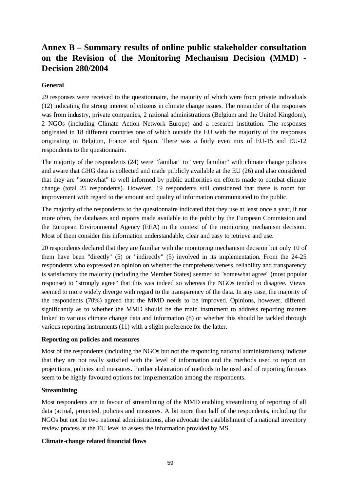# **Annex B – Summary results of online public stakeholder consultation on the Revision of the Monitoring Mechanism Decision (MMD) - Decision 280/2004**

### **General**

29 responses were received to the questionnaire, the majority of which were from private individuals (12) indicating the strong interest of citizens in climate change issues. The remainder of the responses was from industry, private companies, 2 national administrations (Belgium and the United Kingdom), 2 NGOs (including Climate Action Network Europe) and a research institution. The responses originated in 18 different countries one of which outside the EU with the majority of the responses originating in Belgium, France and Spain. There was a fairly even mix of EU-15 and EU-12 respondents to the questionnaire.

The majority of the respondents (24) were "familiar" to "very familiar" with climate change policies and aware that GHG data is collected and made publicly available at the EU (26) and also considered that they are "somewhat" to well informed by public authorities on efforts made to combat climate change (total 25 respondents). However, 19 respondents still considered that there is room for improvement with regard to the amount and quality of information communicated to the public.

The majority of the respondents to the questionnaire indicated that they use at least once a year, if not more often, the databases and reports made available to the public by the European Commission and the European Environmental Agency (EEA) in the context of the monitoring mechanism decision. Most of them consider this information understandable, clear and easy to retrieve and use.

20 respondents declared that they are familiar with the monitoring mechanism decision but only 10 of them have been "directly" (5) or "indirectly" (5) involved in its implementation. From the 24-25 respondents who expressed an opinion on whether the comprehensiveness, reliability and transparency is satisfactory the majority (including the Member States) seemed to "somewhat agree" (most popular response) to "strongly agree" that this was indeed so whereas the NGOs tended to disagree. Views seemed to more widely diverge with regard to the transparency of the data. In any case, the majority of the respondents (70%) agreed that the MMD needs to be improved. Opinions, however, differed significantly as to whether the MMD should be the main instrument to address reporting matters linked to various climate change data and information (8) or whether this should be tackled through various reporting instruments (11) with a slight preference for the latter.

### **Reporting on policies and measures**

Most of the respondents (including the NGOs but not the responding national administrations) indicate that they are not really satisfied with the level of information and the methods used to report on projections, policies and measures. Further elaboration of methods to be used and of reporting formats seem to be highly favoured options for implementation among the respondents.

### **Streamlining**

Most respondents are in favour of streamlining of the MMD enabling streamlining of reporting of all data (actual, projected, policies and measures. A bit more than half of the respondents, including the NGOs but not the two national administrations, also advocate the establishment of a national inventory review process at the EU level to assess the information provided by MS.

### **Climate-change related financial flows**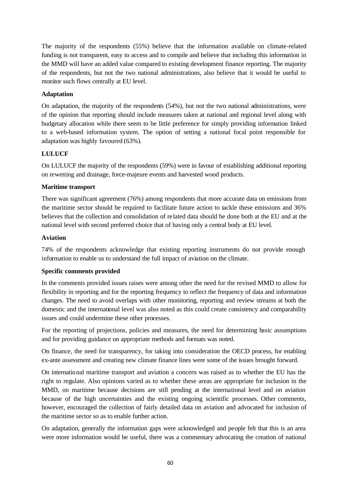The majority of the respondents (55%) believe that the information available on climate-related funding is not transparent, easy to access and to compile and believe that including this information in the MMD will have an added value compared to existing development finance reporting. The majority of the respondents, but not the two national administrations, also believe that it would be useful to monitor such flows centrally at EU level.

### **Adaptation**

On adaptation, the majority of the respondents (54%), but not the two national administrations, were of the opinion that reporting should include measures taken at national and regional level along with budgetary allocation while there seem to be little preference for simply providing information linked to a web-based information system. The option of setting a national focal point responsible for adaptation was highly favoured (63%).

### **LULUCF**

On LULUCF the majority of the respondents (59%) were in favour of establishing additional reporting on rewetting and drainage, force-majeure events and harvested wood products.

### **Maritime transport**

There was significant agreement (76%) among respondents that more accurate data on emissions from the maritime sector should be required to facilitate future action to tackle these emissions and 36% believes that the collection and consolidation of related data should be done both at the EU and at the national level with second preferred choice that of having only a central body at EU level.

### **Aviation**

74% of the respondents acknowledge that existing reporting instruments do not provide enough information to enable us to understand the full impact of aviation on the climate.

### **Specific comments provided**

In the comments provided issues raises were among other the need for the revised MMD to allow for flexibility in reporting and for the reporting frequency to reflect the frequency of data and information changes. The need to avoid overlaps with other monitoring, reporting and review streams at both the domestic and the international level was also noted as this could create consistency and comparability issues and could undermine these other processes.

For the reporting of projections, policies and measures, the need for determining basic assumptions and for providing guidance on appropriate methods and formats was noted.

On finance, the need for transparency, for taking into consideration the OECD process, for enabling ex-ante assessment and creating new climate finance lines were some of the issues brought forward.

On international maritime transport and aviation a concern was raised as to whether the EU has the right to regulate. Also opinions varied as to whether these areas are appropriate for inclusion in the MMD, on maritime because decisions are still pending at the international level and on aviation because of the high uncertainties and the existing ongoing scientific processes. Other comments, however, encouraged the collection of fairly detailed data on aviation and advocated for inclusion of the maritime sector so as to enable further action.

On adaptation, generally the information gaps were acknowledged and people felt that this is an area were more information would be useful, there was a commentary advocating the creation of national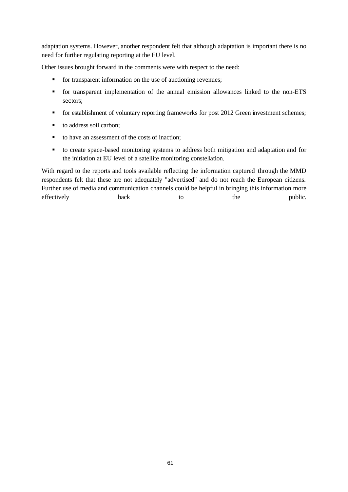adaptation systems. However, another respondent felt that although adaptation is important there is no need for further regulating reporting at the EU level.

Other issues brought forward in the comments were with respect to the need:

- **for transparent information on the use of auctioning revenues;**
- for transparent implementation of the annual emission allowances linked to the non-ETS sectors;
- **for establishment of voluntary reporting frameworks for post 2012 Green investment schemes;**
- to address soil carbon;
- $\blacksquare$  to have an assessment of the costs of inaction;
- ß to create space-based monitoring systems to address both mitigation and adaptation and for the initiation at EU level of a satellite monitoring constellation.

With regard to the reports and tools available reflecting the information captured through the MMD respondents felt that these are not adequately "advertised" and do not reach the European citizens. Further use of media and communication channels could be helpful in bringing this information more effectively back back to the public.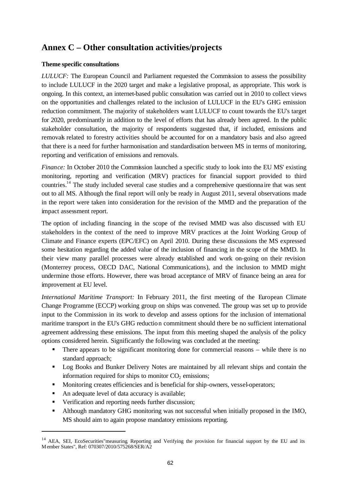# **Annex C – Other consultation activities/projects**

### **Theme specific consultations**

*LULUCF:* The European Council and Parliament requested the Commission to assess the possibility to include LULUCF in the 2020 target and make a legislative proposal, as appropriate. This work is ongoing. In this context, an internet-based public consultation was carried out in 2010 to collect views on the opportunities and challenges related to the inclusion of LULUCF in the EU's GHG emission reduction commitment. The majority of stakeholders want LULUCF to count towards the EU's target for 2020, predominantly in addition to the level of efforts that has already been agreed. In the public stakeholder consultation, the majority of respondents suggested that, if included, emissions and removals related to forestry activities should be accounted for on a mandatory basis and also agreed that there is a need for further harmonisation and standardisation between MS in terms of monitoring, reporting and verification of emissions and removals.

*Finance:* In October 2010 the Commission launched a specific study to look into the EU MS' existing monitoring, reporting and verification (MRV) practices for financial support provided to third countries.<sup>14</sup> The study included several case studies and a comprehensive questionna ire that was sent out to all MS. Although the final report will only be ready in August 2011, several observations made in the report were taken into consideration for the revision of the MMD and the preparation of the impact assessment report.

The option of including financing in the scope of the revised MMD was also discussed with EU stakeholders in the context of the need to improve MRV practices at the Joint Working Group of Climate and Finance experts (EPC/EFC) on April 2010. During these discussions the MS expressed some hesitation regarding the added value of the inclusion of financing in the scope of the MMD. In their view many parallel processes were already established and work on-going on their revision (Monterrey process, OECD DAC, National Communications), and the inclusion to MMD might undermine those efforts. However, there was broad acceptance of MRV of finance being an area for improvement at EU level.

*International Maritime Transport:* In February 2011, the first meeting of the European Climate Change Programme (ECCP) working group on ships was convened. The group was set up to provide input to the Commission in its work to develop and assess options for the inclusion of international maritime transport in the EU's GHG reduction commitment should there be no sufficient international agreement addressing these emissions. The input from this meeting shaped the analysis of the policy options considered herein. Significantly the following was concluded at the meeting:

- There appears to be significant monitoring done for commercial reasons while there is no standard approach;
- Log Books and Bunker Delivery Notes are maintained by all relevant ships and contain the information required for ships to monitor  $CO<sub>2</sub>$  emissions;
- **Monitoring creates efficiencies and is beneficial for ship-owners, vessel-operators;**
- An adequate level of data accuracy is available;

l

- **•** Verification and reporting needs further discussion;
- **•** Although mandatory GHG monitoring was not successful when initially proposed in the IMO, MS should aim to again propose mandatory emissions reporting.

<sup>&</sup>lt;sup>14</sup> AEA, SEI, EcoSecurities" measuring, Reporting and Verifying the provision for financial support by the EU and its M ember States", Ref: 070307/2010/575268/SER/A2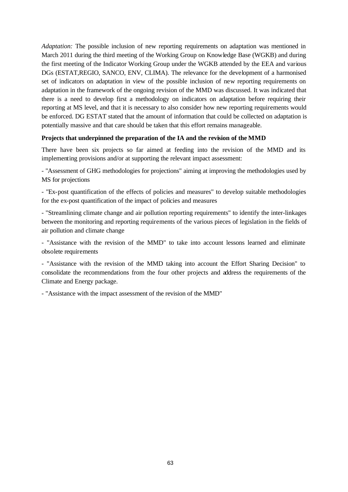*Adaptation:* The possible inclusion of new reporting requirements on adaptation was mentioned in March 2011 during the third meeting of the Working Group on Knowledge Base (WGKB) and during the first meeting of the Indicator Working Group under the WGKB attended by the EEA and various DGs (ESTAT,REGIO, SANCO, ENV, CLIMA). The relevance for the development of a harmonised set of indicators on adaptation in view of the possible inclusion of new reporting requirements on adaptation in the framework of the ongoing revision of the MMD was discussed. It was indicated that there is a need to develop first a methodology on indicators on adaptation before requiring their reporting at MS level, and that it is necessary to also consider how new reporting requirements would be enforced. DG ESTAT stated that the amount of information that could be collected on adaptation is potentially massive and that care should be taken that this effort remains manageable.

### **Projects that underpinned the preparation of the IA and the revision of the MMD**

There have been six projects so far aimed at feeding into the revision of the MMD and its implementing provisions and/or at supporting the relevant impact assessment:

- "Assessment of GHG methodologies for projections" aiming at improving the methodologies used by MS for projections

- "Ex-post quantification of the effects of policies and measures" to develop suitable methodologies for the ex-post quantification of the impact of policies and measures

- "Streamlining climate change and air pollution reporting requirements" to identify the inter-linkages between the monitoring and reporting requirements of the various pieces of legislation in the fields of air pollution and climate change

- "Assistance with the revision of the MMD" to take into account lessons learned and eliminate obsolete requirements

- "Assistance with the revision of the MMD taking into account the Effort Sharing Decision" to consolidate the recommendations from the four other projects and address the requirements of the Climate and Energy package.

- "Assistance with the impact assessment of the revision of the MMD"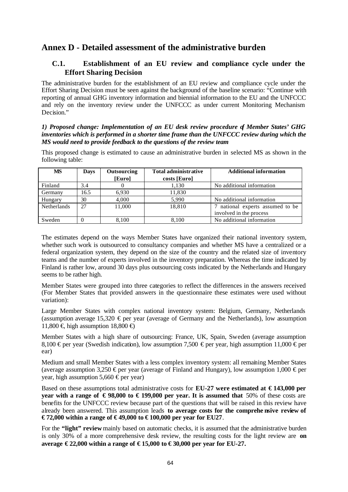# **Annex D - Detailed assessment of the administrative burden**

# **C.1. Establishment of an EU review and compliance cycle under the Effort Sharing Decision**

The administrative burden for the establishment of an EU review and compliance cycle under the Effort Sharing Decision must be seen against the background of the baseline scenario: "Continue with reporting of annual GHG inventory information and biennial information to the EU and the UNFCCC and rely on the inventory review under the UNFCCC as under current Monitoring Mechanism Decision."

### *1) Proposed change: Implementation of an EU desk review procedure of Member States' GHG inventories which is performed in a shorter time frame than the UNFCCC review during which the MS would need to provide feedback to the questions of the review team*

This proposed change is estimated to cause an administrative burden in selected MS as shown in the following table:

| <b>MS</b>          | Days | <b>Outsourcing</b><br>[Euro] | <b>Total administrative</b><br>costs [Euro] | <b>Additional information</b>                               |
|--------------------|------|------------------------------|---------------------------------------------|-------------------------------------------------------------|
| Finland            | 3.4  |                              | 1,130                                       | No additional information                                   |
| Germany            | 16.5 | 6,930                        | 11,830                                      |                                                             |
| Hungary            | 30   | 4,000                        | 5.990                                       | No additional information                                   |
| <b>Netherlands</b> | 27   | 11,000                       | 18,810                                      | 7 national experts assumed to be<br>involved in the process |
| Sweden             |      | 8.100                        | 8.100                                       | No additional information                                   |

The estimates depend on the ways Member States have organized their national inventory system, whether such work is outsourced to consultancy companies and whether MS have a centralized or a federal organization system, they depend on the size of the country and the related size of inventory teams and the number of experts involved in the inventory preparation. Whereas the time indicated by Finland is rather low, around 30 days plus outsourcing costs indicated by the Netherlands and Hungary seems to be rather high.

Member States were grouped into three categories to reflect the differences in the answers received (For Member States that provided answers in the questionnaire these estimates were used without variation):

Large Member States with complex national inventory system: Belgium, Germany, Netherlands (assumption average 15,320  $\epsilon$  per year (average of Germany and the Netherlands), low assumption 11,800 € high assumption 18,800 €

Member States with a high share of outsourcing: France, UK, Spain, Sweden (average assumption 8,100  $\epsilon$  per year (Swedish indication), low assumption 7,500  $\epsilon$  per year, high assumption 11,000  $\epsilon$  per ear)

Medium and small Member States with a less complex inventory system: all remaining Member States (average assumption 3,250 € per year (average of Finland and Hungary), low assumption 1,000 € per year, high assumption 5,660  $\epsilon$  per year)

Based on these assumptions total administrative costs for **EU-27 were estimated at € 143,000 per year with a range of**  $\epsilon$ **98,000 to**  $\epsilon$ **199,000 per year. It is assumed that** 50% of these costs are benefits for the UNFCCC review because part of the questions that will be raised in this review have already been answered. This assumption leads **to average costs for the comprehe nsive review of € 72,000 within a range of € 49,000 to € 100,000 per year for EU27**.

For the "light" review mainly based on automatic checks, it is assumed that the administrative burden is only 30% of a more comprehensive desk review, the resulting costs for the light review are **on average € 22,000 within a range of € 15,000 to € 30,000 per year for EU-27.**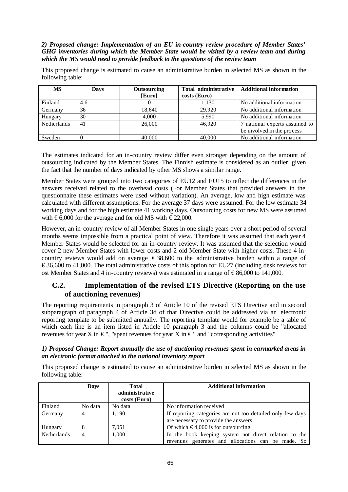### *2) Proposed change: Implementation of an EU in-country review procedure of Member States' GHG inventories during which the Member State would be visited by a review team and during which the MS would need to provide feedback to the questions of the review team*

This proposed change is estimated to cause an administrative burden in selected MS as shown in the following table:

| <b>MS</b>          | <b>Days</b> | Outsourcing<br>[Euro] | Total administrative<br>costs (Euro) | <b>Additional information</b> |
|--------------------|-------------|-----------------------|--------------------------------------|-------------------------------|
| Finland            | 4.6         |                       | 1,130                                | No additional information     |
| Germany            | 36          | 18,640                | 29.920                               | No additional information     |
| Hungary            | 30          | 4.000                 | 5.990                                | No additional information     |
| <b>Netherlands</b> | 41          | 26,000                | 46.920                               | 7 national experts assumed to |
|                    |             |                       |                                      | be involved in the process    |
| Sweden             |             | 40,000                | 40,000                               | No additional information     |

The estimates indicated for an in-country review differ even stronger depending on the amount of outsourcing indicated by the Member States. The Finnish estimate is considered as an outlier, given the fact that the number of days indicated by other MS shows a similar range.

Member States were grouped into two categories of EU12 and EU15 to reflect the differences in the answers received related to the overhead costs (For Member States that provided answers in the questionnaire these estimates were used without variation). An average, low and high estimate was calculated with different assumptions. For the average 37 days were assumed. For the low estimate 34 working days and for the high estimate 41 working days. Outsourcing costs for new MS were assumed with  $\epsilon$ 6,000 for the average and for old MS with  $\epsilon$ 22,000.

However, an in-country review of all Member States in one single years over a short period of several months seems impossible from a practical point of view. Therefore it was assumed that each year 4 Member States would be selected for an in-country review. It was assumed that the selection would cover 2 new Member States with lower costs and 2 old Member State with higher costs. These 4 incountry reviews would add on average  $\epsilon$  38,600 to the administrative burden within a range of  $\epsilon$ 36,600 to 41,000. The total administrative costs of this option for EU27 (including desk reviews for ost Member States and 4 in-country reviews) was estimated in a range of  $\epsilon$ 86,000 to 141,000.

# **C.2. Implementation of the revised ETS Directive (Reporting on the use of auctioning revenues)**

The reporting requirements in paragraph 3 of Article 10 of the revised ETS Directive and in second subparagraph of paragraph 4 of Article 3d of that Directive could be addressed via an electronic reporting template to be submitted annually. The reporting template would for example be a table of which each line is an item listed in Article 10 paragraph 3 and the columns could be "allocated revenues for year X in  $\epsilon$ ", "spent revenues for year X in  $\epsilon$ " and "corresponding activities"

### *1) Proposed Change: Report annually the use of auctioning revenues spent in earmarked areas in an electronic format attached to the national inventory report*

This proposed change is estimated to cause an administrative burden in selected MS as shown in the following table:

|             | Days    | <b>Total</b><br>administrative<br>costs (Euro) | <b>Additional information</b>                                                                               |
|-------------|---------|------------------------------------------------|-------------------------------------------------------------------------------------------------------------|
| Finland     | No data | No data                                        | No information received                                                                                     |
| Germany     | 4       | 1,190                                          | If reporting categories are not too detailed only few days<br>are necessary to provide the answers          |
| Hungary     |         | 7.051                                          | Of which $\epsilon$ 4,000 is for outsourcing                                                                |
| Netherlands | 4       | 1,000                                          | In the book keeping system not direct relation to the<br>revenues generates and allocations can be made. So |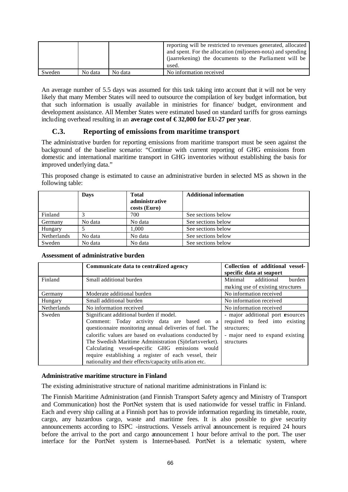|        |         |         | reporting will be restricted to revenues generated, allocated<br>and spent. For the allocation (miljoenen-nota) and spending<br>(jaarrekening) the documents to the Parliament will be<br>used. |
|--------|---------|---------|-------------------------------------------------------------------------------------------------------------------------------------------------------------------------------------------------|
| Sweden | No data | No data | No information received                                                                                                                                                                         |

An average number of 5.5 days was assumed for this task taking into account that it will not be very likely that many Member States will need to outsource the compilation of key budget information, but that such information is usually available in ministries for finance/ budget, environment and development assistance. All Member States were estimated based on standard tariffs for gross earnings including overhead resulting in an **average cost of € 32,000 for EU-27 per year**.

# **C.3. Reporting of emissions from maritime transport**

The administrative burden for reporting emissions from maritime transport must be seen against the background of the baseline scenario: "Continue with current reporting of GHG emissions from domestic and international maritime transport in GHG inventories without establishing the basis for improved underlying data."

This proposed change is estimated to cause an administrative burden in selected MS as shown in the following table:

|             | <b>Days</b> | <b>Total</b><br>administrative<br>costs (Euro) | <b>Additional information</b> |
|-------------|-------------|------------------------------------------------|-------------------------------|
| Finland     |             | 700                                            | See sections below            |
| Germany     | No data     | No data                                        | See sections below            |
| Hungary     |             | 1.000                                          | See sections below            |
| Netherlands | No data     | No data                                        | See sections below            |
| Sweden      | No data     | No data                                        | See sections below            |

**Assessment of administrative burden**

|             | Communicate data to centralized agency                   | Collection of additional vessel-<br>specific data at seaport         |
|-------------|----------------------------------------------------------|----------------------------------------------------------------------|
| Finland     | Small additional burden                                  | Minimal<br>additional<br>burden<br>making use of existing structures |
|             |                                                          |                                                                      |
| Germany     | Moderate additional burden                               | No information received                                              |
| Hungary     | Small additional burden                                  | No information received                                              |
| Netherlands | No information received                                  | No information received                                              |
| Sweden      | Significant additional burden if model.                  | - major additional port resources                                    |
|             | Comment: Today activity data are based on a              | required to feed into existing                                       |
|             | questionnaire monitoring annual deliveries of fuel. The  | structures;                                                          |
|             | calorific values are based on evaluations conducted by   | - major need to expand existing                                      |
|             | The Swedish Maritime Administration (Sjörfartsverket).   | structures                                                           |
|             | Calculating vessel-specific GHG emissions would          |                                                                      |
|             | require establishing a register of each vessel, their    |                                                                      |
|             | nationality and their effects/capacity utilis ation etc. |                                                                      |

### **Administrative maritime structure in Finland**

The existing administrative structure of national maritime administrations in Finland is:

The Finnish Maritime Administration (and Finnish Transport Safety agency and Ministry of Transport and Communication) host the PortNet system that is used nationwide for vessel traffic in Finland. Each and every ship calling at a Finnish port has to provide information regarding its timetable, route, cargo, any hazardous cargo, waste and maritime fees. It is also possible to give security announcements according to ISPC -instructions. Vessels arrival announcement is required 24 hours before the arrival to the port and cargo announcement 1 hour before arrival to the port. The user interface for the PortNet system is Internet-based. PortNet is a telematic system, where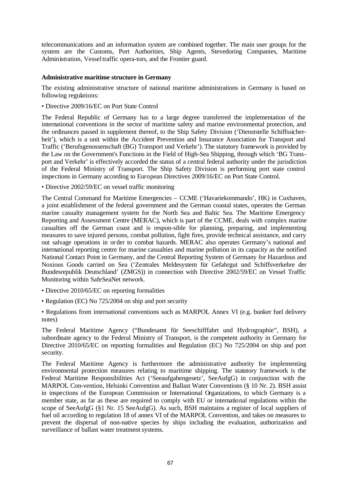telecommunications and an information system are combined together. The main user groups for the system are the Customs, Port Authorities, Ship Agents, Stevedoring Companies, Maritime Administration, Vessel traffic opera-tors, and the Frontier guard.

#### **Administrative maritime structure in Germany**

The existing administrative structure of national maritime administrations in Germany is based on following regulations:

• Directive 2009/16/EC on Port State Control

The Federal Republic of Germany has to a large degree transferred the implementation of the international conventions in the sector of maritime safety and marine environmental protection, and the ordinances passed in supplement thereof, to the Ship Safety Division ('Dienststelle Schiffssicherheit'), which is a unit within the Accident Prevention and Insurance Association for Transport and Traffic ('Berufsgenossenschaft (BG) Transport und Verkehr'). The statutory framework is provided by the Law on the Government's Functions in the Field of High-Sea Shipping, through which 'BG Transport and Verkehr' is effectively accorded the status of a central federal authority under the jurisdiction of the Federal Ministry of Transport. The Ship Safety Division is performing port state control inspections in Germany according to European Directives 2009/16/EC on Port State Control.

• Directive 2002/59/EC on vessel traffic monitoring

The Central Command for Maritime Emergencies – CCME ('Havariekommando', HK) in Cuxhaven, a joint establishment of the federal government and the German coastal states, operates the German marine casualty management system for the North Sea and Baltic Sea. The Maritime Emergency Reporting and Assessment Centre (MERAC), which is part of the CCME, deals with complex marine casualties off the German coast and is respon-sible for planning, preparing, and implementing measures to save injured persons, combat pollution, fight fires, provide technical assistance, and carry out salvage operations in order to combat hazards. MERAC also operates Germany's national and international reporting centre for marine casualties and marine pollution in its capacity as the notified National Contact Point in Germany, and the Central Reporting System of Germany for Hazardous and Noxious Goods carried on Sea ('Zentrales Meldesystem für Gefahrgut und Schiffsverkehre der Bundesrepublik Deutschland' (ZMGS)) in connection with Directive 2002/59/EC on Vessel Traffic Monitoring within SafeSeaNet network.

- Directive 2010/65/EC on reporting formalities
- Regulation (EC) No 725/2004 on ship and port security

• Regulations from international conventions such as MARPOL Annex VI (e.g. bunker fuel delivery notes)

The Federal Maritime Agency ("Bundesamt für Seeschifffahrt und Hydrographie", BSH), a subordinate agency to the Federal Ministry of Transport, is the competent authority in Germany for Directive 2010/65/EC on reporting formalities and Regulation (EC) No 725/2004 on ship and port security.

The Federal Maritime Agency is furthermore the administrative authority for implementing environmental protection measures relating to maritime shipping. The statutory framework is the Federal Maritime Responsibilities Act ('Seeaufgabengesetz', SeeAufgG) in conjunction with the MARPOL Con-vention, Helsinki Convention and Ballast Water Conventions (§ 10 Nr. 2). BSH assist in inspections of the European Commission or International Organizations, to which Germany is a member state, as far as these are required to comply with EU or international regulations within the scope of SeeAufgG (§1 Nr. 15 SeeAufgG). As such, BSH maintains a register of local suppliers of fuel oil according to regulation 18 of annex VI of the MARPOL Convention, and takes on measures to prevent the dispersal of non-native species by ships including the evaluation, authorization and surveillance of ballast water treatment systems.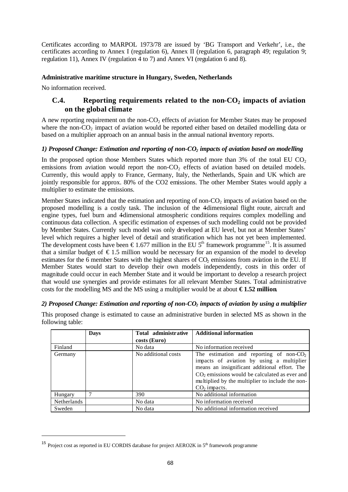Certificates according to MARPOL 1973/78 are issued by 'BG Transport and Verkehr', i.e., the certificates according to Annex I (regulation 6), Annex II (regulation 6, paragraph 49; regulation 9; regulation 11), Annex IV (regulation 4 to 7) and Annex VI (regulation 6 and 8).

### **Administrative maritime structure in Hungary, Sweden, Netherlands**

No information received.

l

## **C.4. Reporting requirements related to the non-CO<sup>2</sup> impacts of aviation on the global climate**

A new reporting requirement on the non- $CO<sub>2</sub>$  effects of aviation for Member States may be proposed where the non- $CO<sub>2</sub>$  impact of aviation would be reported either based on detailed modelling data or based on a multiplier approach on an annual basis in the annual national inventory reports.

#### *1) Proposed Change: Estimation and reporting of non-CO2 impacts of aviation based on modelling*

In the proposed option those Members States which reported more than  $3\%$  of the total EU CO<sub>2</sub> emissions from aviation would report the non-CO<sub>2</sub> effects of aviation based on detailed models. Currently, this would apply to France, Germany, Italy, the Netherlands, Spain and UK which are jointly responsible for approx. 80% of the CO2 emissions. The other Member States would apply a multiplier to estimate the emissions.

Member States indicated that the estimation and reporting of non- $CO<sub>2</sub>$  impacts of aviation based on the proposed modelling is a costly task. The inclusion of the 4-dimensional flight route, aircraft and engine types, fuel burn and 4-dimensional atmospheric conditions requires complex modelling and continuous data collection. A specific estimation of expenses of such modelling could not be provided by Member States. Currently such model was only developed at EU level, but not at Member States' level which requires a higher level of detail and stratification which has not yet been implemented. The development costs have been  $\epsilon$ 1.677 million in the EU 5<sup>th</sup> framework programme<sup>15</sup>. It is assumed that a similar budget of  $\epsilon$ 1.5 million would be necessary for an expansion of the model to develop estimates for the  $6$  member States with the highest shares of  $CO<sub>2</sub>$  emissions from aviation in the EU. If Member States would start to develop their own models independently, costs in this order of magnitude could occur in each Member State and it would be important to develop a research project that would use synergies and provide estimates for all relevant Member States. Total administrative costs for the modelling MS and the MS using a multiplier would be at about **€ 1.52 million**.

### *2) Proposed Change: Estimation and reporting of non-CO2 impacts of aviation by using a multiplier*

This proposed change is estimated to cause an administrative burden in selected MS as shown in the following table:

|             | <b>Days</b> | Total administrative<br>costs (Euro) | <b>Additional information</b>                                                                                                                                                                                                                                     |
|-------------|-------------|--------------------------------------|-------------------------------------------------------------------------------------------------------------------------------------------------------------------------------------------------------------------------------------------------------------------|
| Finland     |             | No data                              | No information received                                                                                                                                                                                                                                           |
| Germany     |             | No additional costs                  | The estimation and reporting of non- $CO2$<br>impacts of aviation by using a multiplier<br>means an insignificant additional effort. The<br>$CO2$ emissions would be calculated as ever and<br>multiplied by the multiplier to include the non-<br>$CO2$ impacts. |
| Hungary     |             | 390                                  | No additional information                                                                                                                                                                                                                                         |
| Netherlands |             | No data                              | No information received                                                                                                                                                                                                                                           |
| Sweden      |             | No data                              | No additional information received                                                                                                                                                                                                                                |

<sup>&</sup>lt;sup>15</sup> Project cost as reported in EU CORDIS database for project AERO2K in  $5<sup>th</sup>$  framework programme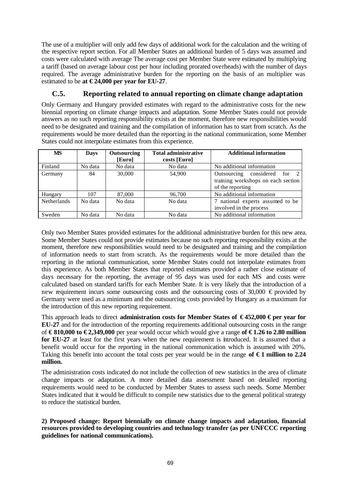The use of a multiplier will only add few days of additional work for the calculation and the writing of the respective report section. For all Member States an additional burden of 5 days was assumed and costs were calculated with average The average cost per Member State were estimated by multiplying a tariff (based on average labour cost per hour including prorated overheads) with the number of days required. The average administrative burden for the reporting on the basis of an multiplier was estimated to be at  $\epsilon$ 24,000 per year for EU-27.

# **C.5. Reporting related to annual reporting on climate change adaptation**

Only Germany and Hungary provided estimates with regard to the administrative costs for the new biennial reporting on climate change impacts and adaptation. Some Member States could not provide answers as no such reporting responsibility exists at the moment, therefore new responsibilities would need to be designated and training and the compilation of information has to start from scratch. As the requirements would be more detailed than the reporting in the national communication, some Member States could not interpolate estimates from this experience.

| <b>MS</b>          | <b>Days</b> | Outsourcing<br>[Euro] | <b>Total administrative</b><br><b>Additional information</b><br>costs [Euro] |                                                                                        |  |  |
|--------------------|-------------|-----------------------|------------------------------------------------------------------------------|----------------------------------------------------------------------------------------|--|--|
| Finland            | No data     | No data               | No data                                                                      | No additional information                                                              |  |  |
| Germany            | 84          | 30,000                | 54,900                                                                       | Outsourcing considered for 2<br>training workshops on each section<br>of the reporting |  |  |
| Hungary            | 107         | 87,000                | 96,700                                                                       | No additional information                                                              |  |  |
| <b>Netherlands</b> | No data     | No data               | No data                                                                      | 7 national experts assumed to be<br>involved in the process                            |  |  |
| Sweden             | No data     | No data               | No data                                                                      | No additional information                                                              |  |  |

Only two Member States provided estimates for the additional administrative burden for this new area. Some Member States could not provide estimates because no such reporting responsibility exists at the moment, therefore new responsibilities would need to be designated and training and the compilation of information needs to start from scratch. As the requirements would be more detailed than the reporting in the national communication, some Member States could not interpolate estimates from this experience. As both Member States that reported estimates provided a rather close estimate of days necessary for the reporting, the average of 95 days was used for each MS and costs were calculated based on standard tariffs for each Member State. It is very likely that the introduction of a new requirement incurs some outsourcing costs and the outsourcing costs of 30,000  $\epsilon$  provided by Germany were used as a minimum and the outsourcing costs provided by Hungary as a maximum for the introduction of this new reporting requirement.

This approach leads to direct **administration costs for Member States of € 452,000 € per year for EU-27** and for the introduction of the reporting requirements additional outsourcing costs in the range of **€ 810,000 to € 2,349,000** per year would occur which would give a range **of € 1.26 to 2.80 million for EU-27** at least for the first years when the new requirement is introduced. It is assumed that a benefit would occur for the reporting in the national communication which is assumed with 20%. Taking this benefit into account the total costs per year would be in the range of  $\epsilon$  1 million to 2.24 **million.**

The administration costs indicated do not include the collection of new statistics in the area of climate change impacts or adaptation. A more detailed data assessment based on detailed reporting requirements would need to be conducted by Member States to assess such needs. Some Member States indicated that it would be difficult to compile new statistics due to the general political strategy to reduce the statistical burden.

**2) Proposed change: Report biennially on climate change impacts and adaptation, financial resources provided to developing countries and technology transfer (as per UNFCCC reporting guidelines for national communications).**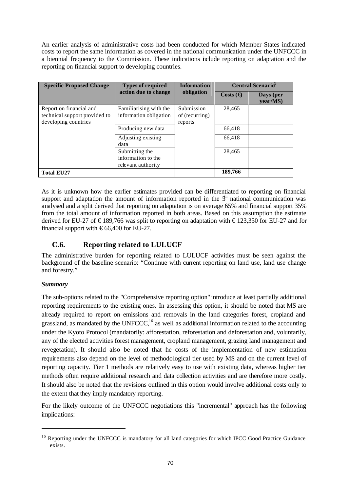An earlier analysis of administrative costs had been conducted for which Member States indicated costs to report the same information as covered in the national communication under the UNFCCC in a biennial frequency to the Commission. These indications include reporting on adaptation and the reporting on financial support to developing countries.

| <b>Specific Proposed Change</b> | <b>Types of required</b>   | <b>Information</b> | <b>Central Scenario</b> |                      |  |
|---------------------------------|----------------------------|--------------------|-------------------------|----------------------|--|
|                                 | action due to change       | obligation         | Costs $(\bigoplus$      | Days (per<br>vear/MS |  |
| Report on financial and         | Familiarising with the     | Submission         | 28,465                  |                      |  |
| technical support provided to   | information obligation     | of (recurring)     |                         |                      |  |
| developing countries            |                            | reports            |                         |                      |  |
|                                 | Producing new data         |                    | 66,418                  |                      |  |
|                                 | Adjusting existing<br>data |                    | 66,418                  |                      |  |
|                                 | Submitting the             |                    | 28,465                  |                      |  |
|                                 | information to the         |                    |                         |                      |  |
|                                 | relevant authority         |                    |                         |                      |  |
| <b>Total EU27</b>               |                            |                    | 189,766                 |                      |  |

As it is unknown how the earlier estimates provided can be differentiated to reporting on financial support and adaptation the amount of information reported in the  $5<sup>h</sup>$  national communication was analysed and a split derived that reporting on adaptation is on average 65% and financial support 35% from the total amount of information reported in both areas. Based on this assumption the estimate derived for EU-27 of €189,766 was split to reporting on adaptation with €123,350 for EU-27 and for financial support with  $\epsilon$ 66,400 for EU-27.

# **C.6. Reporting related to LULUCF**

The administrative burden for reporting related to LULUCF activities must be seen against the background of the baseline scenario: "Continue with current reporting on land use, land use change and forestry."

### *Summary*

l

The sub-options related to the "Comprehensive reporting option" introduce at least partially additional reporting requirements to the existing ones. In assessing this option, it should be noted that MS are already required to report on emissions and removals in the land categories forest, cropland and grassland, as mandated by the UNFCCC,<sup>16</sup> as well as additional information related to the accounting under the Kyoto Protocol (mandatorily: afforestation, reforestation and deforestation and, voluntarily, any of the elected activities forest management, cropland management, grazing land management and revegetation). It should also be noted that the costs of the implementation of new estimation requirements also depend on the level of methodological tier used by MS and on the current level of reporting capacity. Tier 1 methods are relatively easy to use with existing data, whereas higher tier methods often require additional research and data collection activities and are therefore more costly. It should also be noted that the revisions outlined in this option would involve additional costs only to the extent that they imply mandatory reporting.

For the likely outcome of the UNFCCC negotiations this "incremental" approach has the following implications:

<sup>&</sup>lt;sup>16</sup> Reporting under the UNFCCC is mandatory for all land categories for which IPCC Good Practice Guidance exists.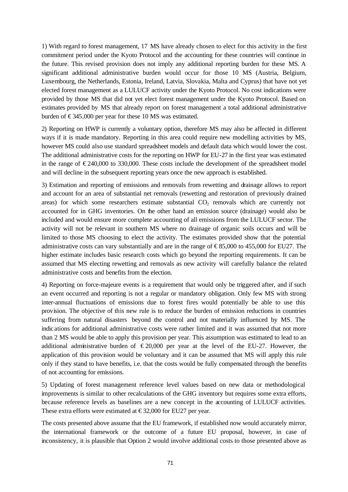1) With regard to forest management, 17 MS have already chosen to elect for this activity in the first commitment period under the Kyoto Protocol and the accounting for these countries will continue in the future. This revised provision does not imply any additional reporting burden for these MS. A significant additional administrative burden would occur for those 10 MS (Austria, Belgium, Luxembourg, the Netherlands, Estonia, Ireland, Latvia, Slovakia, Malta and Cyprus) that have not yet elected forest management as a LULUCF activity under the Kyoto Protocol. No cost indications were provided by those MS that did not yet elect forest management under the Kyoto Protocol. Based on estimates provided by MS that already report on forest management a total additional administrative burden of  $\epsilon$ 345,000 per year for these 10 MS was estimated.

2) Reporting on HWP is currently a voluntary option, therefore MS may also be affected in different ways if it is made mandatory. Reporting in this area could require new modelling activities by MS, however MS could also use standard spreadsheet models and default data which would lower the cost. The additional administrative costs for the reporting on HWP for EU-27 in the first year was estimated in the range of  $\epsilon$ 240,000 to 330,000. These costs include the development of the spreadsheet model and will decline in the subsequent reporting years once the new approach is established.

3) Estimation and reporting of emissions and removals from rewetting and drainage allows to report and account for an area of substantial net removals (rewetting and restoration of previously drained areas) for which some researchers estimate substantial  $CO<sub>2</sub>$  removals which are currently not accounted for in GHG inventories. On the other hand an emission source (drainage) would also be included and would ensure more complete accounting of all emissions from the LULUCF sector. The activity will not be relevant in southern MS where no drainage of organic soils occurs and will be limited to those MS choosing to elect the activity. The estimates provided show that the potential administrative costs can vary substantially and are in the range of  $\text{\textsterling}85,000$  to 455,000 for EU27. The higher estimate includes basic research costs which go beyond the reporting requirements. It can be assumed that MS electing rewetting and removals as new activity will carefully balance the related administrative costs and benefits from the election.

4) Reporting on force-majeure events is a requirement that would only be triggered after, and if such an event occurred and reporting is not a regular or mandatory obligation. Only few MS with strong inter-annual fluctuations of emissions due to forest fires would potentially be able to use this provision. The objective of this new rule is to reduce the burden of emission reductions in countries suffering from natural disasters beyond the control and not materially influenced by MS. The indications for additional administrative costs were rather limited and it was assumed that not more than 2 MS would be able to apply this provision per year. This assumption was estimated to lead to an additional administrative burden of  $\epsilon$ 20,000 per year at the level of the EU-27. However, the application of this provision would be voluntary and it can be assumed that MS will apply this rule only if they stand to have benefits, i.e. that the costs would be fully compensated through the benefits of not accounting for emissions.

5) Updating of forest management reference level values based on new data or methodological improvements is similar to other recalculations of the GHG inventory but requires some extra efforts, because reference levels as baselines are a new concept in the accounting of LULUCF activities. These extra efforts were estimated at  $\text{\textsterling}32,000$  for EU27 per year.

The costs presented above assume that the EU framework, if established now would accurately mirror, the international framework or the outcome of a future EU proposal, however, in case of inconsistency, it is plausible that Option 2 would involve additional costs to those presented above as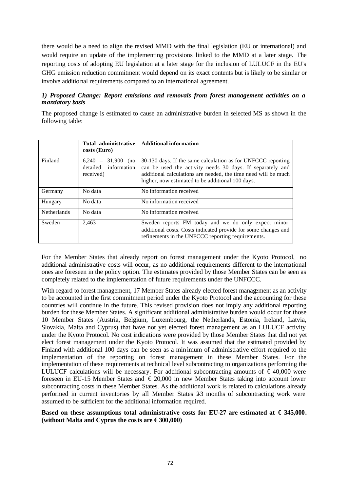there would be a need to align the revised MMD with the final legislation (EU or international) and would require an update of the implementing provisions linked to the MMD at a later stage. The reporting costs of adopting EU legislation at a later stage for the inclusion of LULUCF in the EU's GHG emission reduction commitment would depend on its exact contents but is likely to be similar or involve additional requirements compared to an international agreement.

### *1) Proposed Change: Report emissions and removals from forest management activities on a mandatory basis*

The proposed change is estimated to cause an administrative burden in selected MS as shown in the following table:

|                    | Total administrative<br>costs (Euro)                         | <b>Additional information</b>                                                                                                                                                                                                                   |
|--------------------|--------------------------------------------------------------|-------------------------------------------------------------------------------------------------------------------------------------------------------------------------------------------------------------------------------------------------|
| Finland            | $6,240 -$<br>31,900 (no<br>detailed information<br>received) | 30-130 days. If the same calculation as for UNFCCC reporting<br>can be used the activity needs 30 days. If separately and<br>additional calculations are needed, the time need will be much<br>higher, now estimated to be additional 100 days. |
| Germany            | No data                                                      | No information received                                                                                                                                                                                                                         |
| Hungary            | No data                                                      | No information received                                                                                                                                                                                                                         |
| <b>Netherlands</b> | No data                                                      | No information received                                                                                                                                                                                                                         |
| Sweden             | 2,463                                                        | Sweden reports FM today and we do only expect minor<br>additional costs. Costs indicated provide for some changes and<br>refinements in the UNFCCC reporting requirements.                                                                      |

For the Member States that already report on forest management under the Kyoto Protocol, no additional administrative costs will occur, as no additional requirements different to the international ones are foreseen in the policy option. The estimates provided by those Member States can be seen as completely related to the implementation of future requirements under the UNFCCC.

With regard to forest management, 17 Member States already elected forest management as an activity to be accounted in the first commitment period under the Kyoto Protocol and the accounting for these countries will continue in the future. This revised provision does not imply any additional reporting burden for these Member States. A significant additional administrative burden would occur for those 10 Member States (Austria, Belgium, Luxembourg, the Netherlands, Estonia, Ireland, Latvia, Slovakia, Malta and Cyprus) that have not yet elected forest management as an LULUCF activity under the Kyoto Protocol. No cost indications were provided by those Member States that did not yet elect forest management under the Kyoto Protocol. It was assumed that the estimated provided by Finland with additional 100 days can be seen as a minimum of administrative effort required to the implementation of the reporting on forest management in these Member States. For the implementation of these requirements at technical level subcontracting to organizations performing the LULUCF calculations will be necessary. For additional subcontracting amounts of  $\epsilon$ 40,000 were foreseen in EU-15 Member States and € 20,000 in new Member States taking into account lower subcontracting costs in these Member States. As the additional work is related to calculations already performed in current inventories by all Member States 23 months of subcontracting work were assumed to be sufficient for the additional information required.

#### **Based on these assumptions total administrative costs for EU-27 are estimated at € 345,000.**  (without Malta and Cyprus the costs are  $\epsilon$  300,000)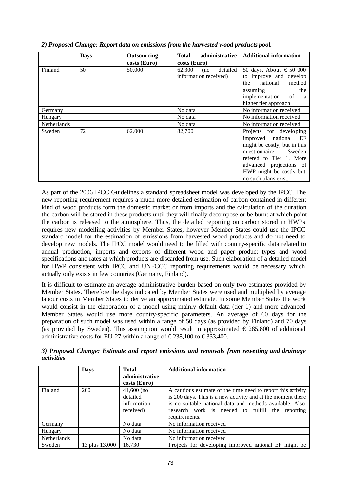|             | <b>Days</b> | Outsourcing  | administrative<br>Total                            | <b>Additional information</b>                                                                                                                                                                                    |  |  |
|-------------|-------------|--------------|----------------------------------------------------|------------------------------------------------------------------------------------------------------------------------------------------------------------------------------------------------------------------|--|--|
|             |             | costs (Euro) | costs (Euro)                                       |                                                                                                                                                                                                                  |  |  |
| Finland     | 50          | 50,000       | 62,300<br>detailed<br>(no<br>information received) | 50 days. About $\text{\textsterling}50\ 000$<br>to improve and develop<br>the national<br>method<br>assuming<br>the<br>implementation of a<br>higher tier approach                                               |  |  |
| Germany     |             |              | No data                                            | No information received                                                                                                                                                                                          |  |  |
| Hungary     |             |              | No data                                            | No information received                                                                                                                                                                                          |  |  |
| Netherlands |             |              | No data                                            | No information received                                                                                                                                                                                          |  |  |
| Sweden      | 72          | 62,000       | 82,700                                             | Projects for developing<br>improved national EF<br>might be costly, but in this<br>questionnaire Sweden<br>refered to Tier 1. More<br>advanced projections of<br>HWP might be costly but<br>no such plans exist. |  |  |

*2) Proposed Change: Report data on emissions from the harvested wood products pool.*

As part of the 2006 IPCC Guidelines a standard spreadsheet model was developed by the IPCC. The new reporting requirement requires a much more detailed estimation of carbon contained in different kind of wood products form the domestic market or from imports and the calculation of the duration the carbon will be stored in these products until they will finally decompose or be burnt at which point the carbon is released to the atmosphere. Thus, the detailed reporting on carbon stored in HWPs requires new modelling activities by Member States, however Member States could use the IPCC standard model for the estimation of emissions from harvested wood products and do not need to develop new models. The IPCC model would need to be filled with country-specific data related to annual production, imports and exports of different wood and paper product types and wood specifications and rates at which products are discarded from use. Such elaboration of a detailed model for HWP consistent with IPCC and UNFCCC reporting requirements would be necessary which actually only exists in few countries (Germany, Finland).

It is difficult to estimate an average administrative burden based on only two estimates provided by Member States. Therefore the days indicated by Member States were used and multiplied by average labour costs in Member States to derive an approximated estimate. In some Member States the work would consist in the elaboration of a model using mainly default data (tier 1) and more advanced Member States would use more country-specific parameters. An average of 60 days for the preparation of such model was used within a range of 50 days (as provided by Finland) and 70 days (as provided by Sweden). This assumption would result in approximated  $\epsilon$  285,800 of additional administrative costs for EU-27 within a range of  $\epsilon$ 238,100 to  $\epsilon$ 333,400.

| 3) Proposed Change: Estimate and report emissions and removals from rewetting and drainage |  |  |  |  |  |  |
|--------------------------------------------------------------------------------------------|--|--|--|--|--|--|
| activities                                                                                 |  |  |  |  |  |  |

|             | <b>Days</b>    | <b>Total</b>                                         | <b>Additional information</b>                                                                                                                                                                                                                                |
|-------------|----------------|------------------------------------------------------|--------------------------------------------------------------------------------------------------------------------------------------------------------------------------------------------------------------------------------------------------------------|
|             |                | administrative                                       |                                                                                                                                                                                                                                                              |
|             |                | costs (Euro)                                         |                                                                                                                                                                                                                                                              |
| Finland     | 200            | $41,600$ (no<br>detailed<br>information<br>received) | A cautious estimate of the time need to report this activity<br>is 200 days. This is a new activity and at the moment there<br>is no suitable national data and methods available. Also<br>research work is needed to fulfill the reporting<br>requirements. |
| Germany     |                | No data                                              | No information received                                                                                                                                                                                                                                      |
| Hungary     |                | No data                                              | No information received                                                                                                                                                                                                                                      |
| Netherlands |                | No data                                              | No information received                                                                                                                                                                                                                                      |
| Sweden      | 13 plus 13,000 | 16.730                                               | Projects for developing improved national EF might be                                                                                                                                                                                                        |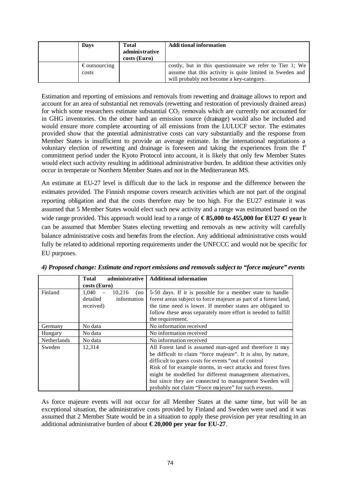| Davs                            | <b>Total</b><br>administrative<br>costs (Euro) | <b>Additional information</b>                                                                                                                                    |
|---------------------------------|------------------------------------------------|------------------------------------------------------------------------------------------------------------------------------------------------------------------|
| $\epsilon$ outsourcing<br>costs |                                                | costly, but in this questionnaire we refer to Tier 1; We<br>assume that this activity is quite limited in Sweden and<br>will probably not become a key-category. |

Estimation and reporting of emissions and removals from rewetting and drainage allows to report and account for an area of substantial net removals (rewetting and restoration of previously drained areas) for which some researchers estimate substantial  $CO<sub>2</sub>$  removals which are currently not accounted for in GHG inventories. On the other hand an emission source (drainage) would also be included and would ensure more complete accounting of all emissions from the LULUCF sector. The estimates provided show that the potential administrative costs can vary substantially and the response from Member States is insufficient to provide an average estimate. In the international negotiations a voluntary election of rewetting and drainage is foreseen and taking the experiences from the  $f<sup>t</sup>$ commitment period under the Kyoto Protocol into account, it is likely that only few Member States would elect such activity resulting in additional administrative burden. In addition these activities only occur in temperate or Northern Member States and not in the Mediterranean MS.

An estimate at EU-27 level is difficult due to the lack in response and the difference between the estimates provided. The Finnish response covers research activities which are not part of the original reporting obligation and that the costs therefore may be too high. For the EU27 estimate it was assumed that 5 Member States would elect such new activity and a range was estimated based on the wide range provided. This approach would lead to a range of €85,000 to 455,000 for EU27  $\triangleleft$  year It can be assumed that Member States electing rewetting and removals as new activity will carefully balance administrative costs and benefits from the election. Any additional administrative costs would fully be related to additional reporting requirements under the UNFCCC and would not be specific for EU purposes.

|             | <b>Total</b><br>administrative | <b>Additional information</b>                                   |
|-------------|--------------------------------|-----------------------------------------------------------------|
|             | costs (Euro)                   |                                                                 |
| Finland     | 1,040<br>10,216<br>(no         | 5-50 days. If it is possible for a member state to handle       |
|             | detailed<br>information        | forest areas subject to force majeure as part of a forest land, |
|             | received)                      | the time need is lower. If member states are obligated to       |
|             |                                | follow these areas separately more effort is needed to fulfill  |
|             |                                | the requirement.                                                |
| Germany     | No data                        | No information received                                         |
| Hungary     | No data                        | No information received                                         |
| Netherlands | No data                        | No information received                                         |
| Sweden      | 12,314                         | All Forest land is assumed man-aged and therefore it may        |
|             |                                | be difficult to claim "force majeure". It is also, by nature,   |
|             |                                | difficult to guess costs for events "out of control"            |
|             |                                | Risk of for example storms, in-sect attacks and forest fires    |
|             |                                | might be modelled for different management alternatives,        |
|             |                                | but since they are connected to management Sweden will          |
|             |                                | probably not claim "Force majeure" for such events.             |

As force majeure events will not occur for all Member States at the same time, but will be an exceptional situation, the administrative costs provided by Finland and Sweden were used and it was assumed that 2 Member State would be in a situation to apply these provision per year resulting in an additional administrative burden of about **€ 20,000 per year for EU-27**.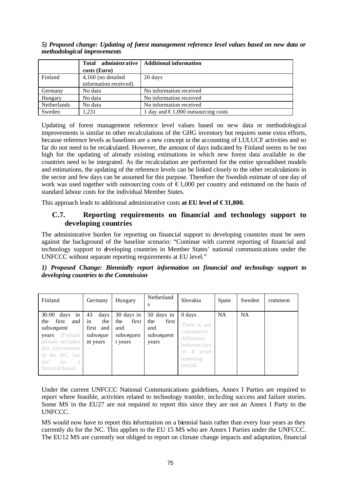*5) Proposed change: Updating of forest management reference level values based on new data or methodological improvements*

|             |                       | Total administrative   Additional information |
|-------------|-----------------------|-----------------------------------------------|
|             | costs (Euro)          |                                               |
| Finland     | 4,160 (no detailed    | 20 days                                       |
|             | information received) |                                               |
| Germany     | No data               | No information received                       |
| Hungary     | No data               | No information received                       |
| Netherlands | No data               | No information received                       |
| Sweden      | 1.231                 | 1 day and $\epsilon$ 1,000 outsourcing costs  |

Updating of forest management reference level values based on new data or methodological improvements is similar to other recalculations of the GHG inventory but requires some extra efforts, because reference levels as baselines are a new concept in the accounting of LULUCF activities and so far do not need to be recalculated. However, the amount of days indicated by Finland seems to be too high for the updating of already existing estimations in which new forest data available in the countries need to be integrated. As the recalculation are performed for the entire spreadsheet models and estimations, the updating of the reference levels can be linked closely to the other recalculations in the sector and few days can be assumed for this purpose. Therefore the Swedish estimate of one day of work was used together with outsourcing costs of  $\epsilon$ 1,000 per country and estimated on the basis of standard labour costs for the individual Member States.

This approach leads to additional administrative costs **at EU level of €31,800.** 

## **C.7. Reporting requirements on financial and technology support to developing countries**

The administrative burden for reporting on financial support to developing countries must be seen against the background of the baseline scenario: "Continue with current reporting of financial and technology support to developing countries in Member States' national communications under the UNFCCC without separate reporting requirements at EU level."

*1) Proposed Change: Biennially report information on financial and technology support to developing countries to the Commission*

| Finland                                                                                                                                                                          | Germany                                                      | Hungary                                                   | Netherland<br>s                                          | Slovakia                                                                                                    | Spain     | Sweden    | comment |
|----------------------------------------------------------------------------------------------------------------------------------------------------------------------------------|--------------------------------------------------------------|-----------------------------------------------------------|----------------------------------------------------------|-------------------------------------------------------------------------------------------------------------|-----------|-----------|---------|
| $30-90$ days in<br>first<br>and<br>the<br>subsequent<br>(Finland<br>years<br>already includes<br>this information<br>in the NC, but<br>not<br>a<br>$^{\circ}$<br>biennial basis) | 43<br>days<br>in<br>the<br>first and<br>subseque<br>nt years | 30 days in<br>the<br>first<br>and<br>subsequen<br>t years | 50 days in<br>the<br>first<br>and<br>subsequent<br>years | 0 days<br>There is not<br>substantive<br>difference<br>between two<br>4 years<br>Оľ<br>reporting<br>period. | <b>NA</b> | <b>NA</b> |         |

Under the current UNFCCC National Communications guidelines, Annex I Parties are required to report where feasible, activities related to technology transfer, including success and failure stories. Some MS in the EU27 are not required to report this since they are not an Annex I Party to the UNFCCC.

MS would now have to report this information on a biennial basis rather than every four years as they currently do for the NC. This applies to the EU 15 MS who are Annex I Parties under the UNFCCC. The EU12 MS are currently not obliged to report on climate change impacts and adaptation, financial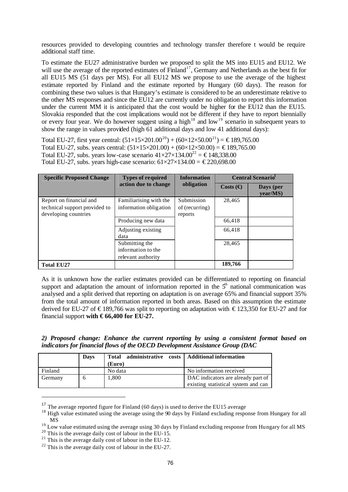resources provided to developing countries and technology transfer therefore t would be require additional staff time.

To estimate the EU27 administrative burden we proposed to split the MS into EU15 and EU12. We will use the average of the reported estimates of Finland<sup>17</sup>, Germany and Netherlands as the best fit for all EU15 MS (51 days per MS). For all EU12 MS we propose to use the average of the highest estimate reported by Finland and the estimate reported by Hungary (60 days). The reason for combining these two values is that Hungary's estimate is considered to be an underestimate relative to the other MS responses and since the EU12 are currently under no obligation to report this information under the current MM it is anticipated that the cost would be higher for the EU12 than the EU15. Slovakia responded that the cost implications would not be different if they have to report biennially or every four year. We do however suggest using a high<sup>18</sup> and low<sup>19</sup> scenario in subsequent years to show the range in values provided (high 61 additional days and low 41 additional days):

Total EU-27, first year central:  $(51\times15\times201.00^{20}) + (60\times12\times50.00^{21}) = \text{\textsterling}189,765.00$ Total EU-27, subs. years central:  $(51\times15\times201.00) + (60\times12\times50.00) = \text{\textsterling}189,765.00$ Total EU-27, subs. years low-case scenario  $41 \times 27 \times 134.00^{22} = \text{\textsterling}148,338.00$ Total EU-27, subs. years high-case scenario:  $61 \times 27 \times 134.00 = \text{\textsterling}220,698.00$ 

| <b>Specific Proposed Change</b>                                                  | <b>Types of required</b>                                               | <b>Information</b>                      | <b>Central Scenario</b> |                          |  |
|----------------------------------------------------------------------------------|------------------------------------------------------------------------|-----------------------------------------|-------------------------|--------------------------|--|
|                                                                                  | action due to change                                                   | obligation                              | Costs $\Theta$          | Days (per<br>$vear/MS$ ) |  |
| Report on financial and<br>technical support provided to<br>developing countries | Familiarising with the<br>information obligation<br>Producing new data | Submission<br>of (recurring)<br>reports | 28,465<br>66,418        |                          |  |
|                                                                                  | Adjusting existing<br>data                                             |                                         | 66,418                  |                          |  |
|                                                                                  | Submitting the<br>information to the<br>relevant authority             |                                         | 28,465                  |                          |  |
| <b>Total EU27</b>                                                                |                                                                        |                                         | 189,766                 |                          |  |

As it is unknown how the earlier estimates provided can be differentiated to reporting on financial support and adaptation the amount of information reported in the  $5<sup>h</sup>$  national communication was analysed and a split derived that reporting on adaptation is on average 65% and financial support 35% from the total amount of information reported in both areas. Based on this assumption the estimate derived for EU-27 of €189,766 was split to reporting on adaptation with €123,350 for EU-27 and for financial support **with € 66,400 for EU-27.**

| 2) Proposed change: Enhance the current reporting by using a consistent format based on |  |  |  |  |  |  |
|-----------------------------------------------------------------------------------------|--|--|--|--|--|--|
| indicators for financial flows of the OECD Development Assistance Group (DAC            |  |  |  |  |  |  |

|         | <b>Days</b> | Total administrative costs   Additional information<br>(Euro) |                                                                           |
|---------|-------------|---------------------------------------------------------------|---------------------------------------------------------------------------|
| Finland |             | No data                                                       | No information received                                                   |
| Germany |             | 1,800                                                         | DAC indicators are already part of<br>existing statistical system and can |

<sup>&</sup>lt;sup>17</sup> The average reported figure for Finland (60 days) is used to derive the EU15 average

<sup>&</sup>lt;sup>18</sup> High value estimated using the average using the 90 days by Finland excluding response from Hungary for all MS

<sup>19</sup> Low value estimated using the average using 30 days by Finland excluding response from Hungary for all MS

 $20$  This is the average daily cost of labour in the EU-15.

<sup>&</sup>lt;sup>21</sup> This is the average daily cost of labour in the EU-12.

 $^{22}$  This is the average daily cost of labour in the EU-27.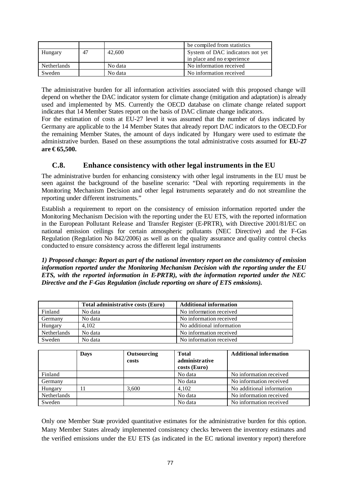|                    |    |         | be compiled from statistics      |
|--------------------|----|---------|----------------------------------|
| Hungary            | 47 | 42,600  | System of DAC indicators not yet |
|                    |    |         | in place and no experience       |
| <b>Netherlands</b> |    | No data | No information received          |
| Sweden             |    | No data | No information received          |

The administrative burden for all information activities associated with this proposed change will depend on whether the DAC indicator system for climate change (mitigation and adaptation) is already used and implemented by MS. Currently the OECD database on climate change related support indicates that 14 Member States report on the basis of DAC climate change indicators.

For the estimation of costs at EU-27 level it was assumed that the number of days indicated by Germany are applicable to the 14 Member States that already report DAC indicators to the OECD.For the remaining Member States, the amount of days indicated by Hungary were used to estimate the administrative burden. Based on these assumptions the total administrative costs assumed for **EU-27 are € 65,500.**

## **C.8. Enhance consistency with other legal instruments in the EU**

The administrative burden for enhancing consistency with other legal instruments in the EU must be seen against the background of the baseline scenario: "Deal with reporting requirements in the Monitoring Mechanism Decision and other legal instruments separately and do not streamline the reporting under different instruments."

Establish a requirement to report on the consistency of emission information reported under the Monitoring Mechanism Decision with the reporting under the EU ETS, with the reported information in the European Pollutant Release and Transfer Register (E-PRTR), with Directive 2001/81/EC on national emission ceilings for certain atmospheric pollutants (NEC Directive) and the F-Gas Regulation (Regulation No 842/2006) as well as on the quality assurance and quality control checks conducted to ensure consistency across the different legal instruments

#### *1) Proposed change: Report as part of the national inventory report on the consistency of emission information reported under the Monitoring Mechanism Decision with the reporting under the EU ETS, with the reported information in E-PRTR), with the information reported under the NEC Directive and the F-Gas Regulation (include reporting on share of ETS emissions).*

|             | Total administrative costs (Euro) | <b>Additional information</b> |
|-------------|-----------------------------------|-------------------------------|
| Finland     | No data                           | No information received       |
| Germany     | No data                           | No information received       |
| Hungary     | 4.102                             | No additional information     |
| Netherlands | No data                           | No information received       |
| Sweden      | No data                           | No information received       |

|             | Days | Outsourcing | <b>Total</b>   | <b>Additional information</b> |
|-------------|------|-------------|----------------|-------------------------------|
|             |      | costs       | administrative |                               |
|             |      |             | costs (Euro)   |                               |
| Finland     |      |             | No data        | No information received       |
| Germany     |      |             | No data        | No information received       |
| Hungary     |      | 3.600       | 4.102          | No additional information     |
| Netherlands |      |             | No data        | No information received       |
| Sweden      |      |             | No data        | No information received       |

Only one Member State provided quantitative estimates for the administrative burden for this option. Many Member States already implemented consistency checks between the inventory estimates and the verified emissions under the EU ETS (as indicated in the EC national inventory report) therefore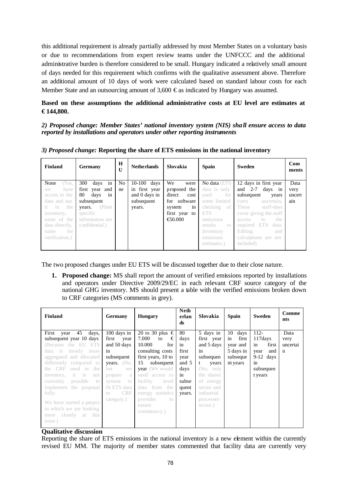this additional requirement is already partially addressed by most Member States on a voluntary basis or due to recommendations from expert review teams under the UNFCCC and the additional administrative burden is therefore considered to be small. Hungary indicated a relatively small amount of days needed for this requirement which confirms with the qualitative assessment above. Therefore an additional amount of 10 days of work were calculated based on standard labour costs for each Member State and an outsourcing amount of  $3,600 \in \text{as indicated by Hungary}$  was assumed.

### **Based on these assumptions the additional administrative costs at EU level are estimates at € 144,800.**

*2) Proposed change: Member States' national inventory system (NIS) shall ensure access to data reported by installations and operators under other reporting instruments*

| Finland        | <b>Germany</b>    | $\bf H$<br>$\mathbf{U}$ | <b>Netherlands</b> | Slovakia          | <b>Spain</b>     | <b>Sweden</b>                    | Com<br>ments |
|----------------|-------------------|-------------------------|--------------------|-------------------|------------------|----------------------------------|--------------|
| None<br>Yes.   | 300<br>days<br>in | No.                     | $10-100$ days      | We<br>were        | No data (ETS     | 12 days in first year            | Data         |
| have<br>we     | first year and    | ne                      | in first year      | proposed the      | data is only     | and $2-7$ days in                | very         |
| access to the  | 80<br>days<br>in  |                         | and 0 days in      | direct<br>cost    | for<br>used      | subsequent<br>years              | uncert       |
| data and use   | subsequent        |                         | subsequent         | for software      | some limited     | (very<br>uncertain,              | ain          |
| it in the      | (Plant)<br>years. |                         | years.             | system<br>in      | checking<br>- of | These<br>staff-days              |              |
| inventory,     | specific          |                         |                    | first year to     | ETS.             | cover giving the staff           |              |
| some of the    | information are   |                         |                    | $\epsilon$ 50.000 | emissions        | the<br>access<br>10 <sup>1</sup> |              |
| data directly, | confidential.)    |                         |                    |                   | results<br>VS.   | required ETS<br>data.            |              |
| – for<br>some  |                   |                         |                    |                   | Inventory        | Editing<br>and                   |              |
| verification.) |                   |                         |                    |                   | emissions        | calculations are not             |              |
|                |                   |                         |                    |                   | estimates.)      | included)                        |              |

*3) Proposed change:* **Reporting the share of ETS emissions in the national inventory**

The two proposed changes under EU ETS will be discussed together due to their close nature.

**1. Proposed change:** MS shall report the amount of verified emissions reported by installations and operators under Directive 2009/29/EC in each relevant CRF source category of the national GHG inventory. MS should present a table with the verified emissions broken down to CRF categories (MS comments in grey).

| Finland                                                                                                                                                                                                                                                                                                                                                                                            | Germany                                                                                                                                                                               | <b>Hungary</b>                                                                                                                                                                                                                                                                     | <b>Neth</b><br>erlan<br>ds                                                           | Slovakia                                                                                                                                                             | <b>Spain</b>                                                               | <b>Sweden</b>                                                                                  | Comme<br>nts                            |
|----------------------------------------------------------------------------------------------------------------------------------------------------------------------------------------------------------------------------------------------------------------------------------------------------------------------------------------------------------------------------------------------------|---------------------------------------------------------------------------------------------------------------------------------------------------------------------------------------|------------------------------------------------------------------------------------------------------------------------------------------------------------------------------------------------------------------------------------------------------------------------------------|--------------------------------------------------------------------------------------|----------------------------------------------------------------------------------------------------------------------------------------------------------------------|----------------------------------------------------------------------------|------------------------------------------------------------------------------------------------|-----------------------------------------|
| First<br>45<br>days,<br>year<br>subsequent year 10 days<br>(Because the EU ETS<br>data is<br>mostly<br>more<br>aggregated and allocated<br>differently compared to<br>the CRF<br>used in<br>the<br>it.<br>inventory,<br>is<br>not<br>currently<br>possible<br>to<br>implement the proposal<br>fully.<br>We have started a project<br>in which we are looking<br>closely at this<br>more<br>issue.) | $100$ days in<br>first year<br>and 50 days<br>in<br>subsequent<br><b>years.</b> $(No,$<br>but<br>we<br>prepare<br>a<br>system<br>to<br>fit ETS data<br><b>CRF</b><br>to<br>category.) | 20 to 30 plus $\in$<br>7.000<br>€<br>to<br>10.000<br>for<br>consulting costs<br>first years, 10 to<br>15<br>subsequent<br><b>year</b> (We would<br>need<br>access to<br>facility<br>level<br>from the<br>data<br>energy statistics<br>provider<br>to to<br>ensure<br>consistency.) | 80<br>days<br>in<br>first<br>year<br>and 5<br>days<br>in<br>subse<br>quent<br>years. | 5 days in<br>first year<br>and 5 days<br>in<br>subsequen<br>t<br>years<br>(No, only)<br>the shares<br>of energy<br>sector and<br>industrial<br>processes<br>sector.) | 10<br>days<br>in<br>first<br>year and<br>5 days in<br>subseque<br>nt years | $112 -$<br>117 days<br>in<br>first<br>and<br>year<br>$9-12$ days<br>in<br>subsequen<br>t years | Data<br>very<br>uncertai<br>$\mathbf n$ |

#### **Qualitative discussion**

Reporting the share of ETS emissions in the national inventory is a new element within the currently revised EU MM. The majority of member states commented that facility data are currently very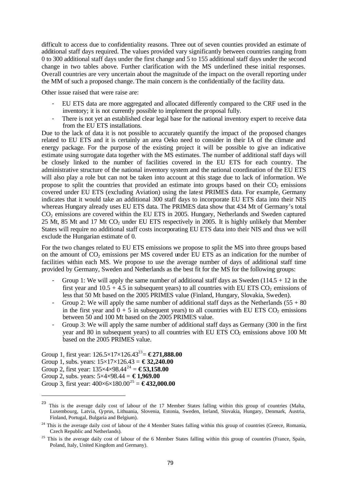difficult to access due to confidentiality reasons. Three out of seven counties provided an estimate of additional staff days required. The values provided vary significantly between countries ranging from 0 to 300 additional staff days under the first change and 5 to 155 additional staff days under the second change in two tables above. Further clarification with the MS underlined these initial responses. Overall countries are very uncertain about the magnitude of the impact on the overall reporting under the MM of such a proposed change. The main concern is the confidentially of the facility data.

Other issue raised that were raise are:

- EU ETS data are more aggregated and allocated differently compared to the CRF used in the inventory; it is not currently possible to implement the proposal fully.
- There is not yet an established clear legal base for the national inventory expert to receive data from the EU ETS installations.

Due to the lack of data it is not possible to accurately quantify the impact of the proposed changes related to EU ETS and it is certainly an area Oeko need to consider in their IA of the climate and energy package. For the purpose of the existing project it will be possible to give an indicative estimate using surrogate data together with the MS estimates. The number of additional staff days will be closely linked to the number of facilities covered in the EU ETS for each country. The administrative structure of the national inventory system and the national coordination of the EU ETS will also play a role but can not be taken into account at this stage due to lack of information. We propose to split the countries that provided an estimate into groups based on their  $CO<sub>2</sub>$  emissions covered under EU ETS (excluding Aviation) using the latest PRIMES data. For example, Germany indicates that it would take an additional 300 staff days to incorporate EU ETS data into their NIS whereas Hungary already uses EU ETS data. The PRIMES data show that 434 Mt of Germany's total CO2 emissions are covered within the EU ETS in 2005. Hungary, Netherlands and Sweden captured 25 Mt, 85 Mt and 17 Mt CO<sub>2</sub> under EU ETS respectively in 2005. It is highly unlikely that Member States will require no additional staff costs incorporating EU ETS data into their NIS and thus we will exclude the Hungarian estimate of 0.

For the two changes related to EU ETS emissions we propose to split the MS into three groups based on the amount of  $CO_2$  emissions per MS covered under EU ETS as an indication for the number of facilities within each MS. We propose to use the average number of days of additional staff time provided by Germany, Sweden and Netherlands as the best fit for the MS for the following groups:

- Group 1: We will apply the same number of additional staff days as Sweden  $(114.5 + 12 \text{ in the})$ first year and  $10.5 + 4.5$  in subsequent years) to all countries with EU ETS CO<sub>2</sub> emissions of less that 50 Mt based on the 2005 PRIMES value (Finland, Hungary, Slovakia, Sweden).
- Group 2: We will apply the same number of additional staff days as the Netherlands  $(55 + 80)$ in the first year and  $0 + 5$  in subsequent years) to all countries with EU ETS CO<sub>2</sub> emissions between 50 and 100 Mt based on the 2005 PRIMES value.
- Group 3: We will apply the same number of additional staff days as Germany (300 in the first year and 80 in subsequent years) to all countries with EU ETS  $CO<sub>2</sub>$  emissions above 100 Mt based on the 2005 PRIMES value.

Group 1, first year: 126.5×17×126.43<sup>23</sup> = **€ 271,888.00** Group 1, subs. years:  $15 \times 17 \times 126.43 = \text{\textsterling}32,240.00$ Group 2, first year:  $135 \times 4 \times 98.44^{24} = \text{\textsterling}53,158.00$ Group 2, subs. years: 5×4×98.44 = **€ 1,969.00** Group 3, first year:  $400 \times 6 \times 180.00^{25} = \text{\textsterling}432,000.00$ 

<sup>&</sup>lt;sup>23</sup> This is the average daily cost of labour of the 17 Member States falling within this group of countries (Malta, Luxembourg, Latvia, Cyprus, Lithuania, Slovenia, Estonia, Sweden, Ireland, Slovakia, Hungary, Denmark, Austria, Finland, Portugal, Bulgaria and Belgium).

 $24$  This is the average daily cost of labour of the 4 Member States falling within this group of countries (Greece, Romania, Czech Republic and Netherlands).

<sup>&</sup>lt;sup>25</sup> This is the average daily cost of labour of the 6 Member States falling within this group of countries (France, Spain, Poland, Italy, United Kingdom and Germany).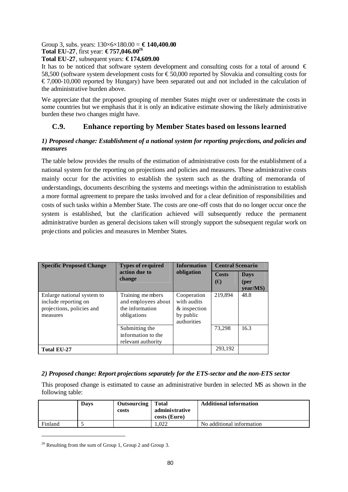#### Group 3, subs. years:  $130 \times 6 \times 180.00 = \text{\textsterling}140,400.00$ **Total EU-27**, first year: **€ 757,046.00<sup>26</sup>**

### **Total EU-27**, subsequent years: **€ 174,609.00**

It has to be noticed that software system development and consulting costs for a total of around  $\epsilon$ 58,500 (software system development costs for €50,000 reported by Slovakia and consulting costs for  $\epsilon$ 7,000-10,000 reported by Hungary) have been separated out and not included in the calculation of the administrative burden above.

We appreciate that the proposed grouping of member States might over or underestimate the costs in some countries but we emphasis that it is only an indicative estimate showing the likely administrative burden these two changes might have.

# **C.9. Enhance reporting by Member States based on lessons learned**

### *1) Proposed change: Establishment of a national system for reporting projections, and policies and measures*

The table below provides the results of the estimation of administrative costs for the establishment of a national system for the reporting on projections and policies and measures. These administrative costs mainly occur for the activities to establish the system such as the drafting of memoranda of understandings, documents describing the systems and meetings within the administration to establish a more formal agreement to prepare the tasks involved and for a clear definition of responsibilities and costs of such tasks within a Member State. The costs are one-off costs that do no longer occur once the system is established, but the clarification achieved will subsequently reduce the permanent administrative burden as general decisions taken will strongly support the subsequent regular work on projections and policies and measures in Member States.

| <b>Specific Proposed Change</b>                                                             | <b>Types of required</b>                                                  | <b>Information</b>                                                     | <b>Central Scenario</b> |                                 |  |
|---------------------------------------------------------------------------------------------|---------------------------------------------------------------------------|------------------------------------------------------------------------|-------------------------|---------------------------------|--|
|                                                                                             | action due to<br>change                                                   | obligation                                                             | <b>Costs</b><br>(€)     | <b>Days</b><br>(per<br>vear/MS) |  |
| Enlarge national system to<br>include reporting on<br>projections, policies and<br>measures | Training members<br>and employees about<br>the information<br>obligations | Cooperation<br>with audits<br>& inspection<br>by public<br>authorities | 219,894                 | 48.8                            |  |
|                                                                                             | Submitting the<br>information to the<br>relevant authority                |                                                                        | 73.298                  | 16.3                            |  |
| <b>Total EU-27</b>                                                                          |                                                                           |                                                                        | 293,192                 |                                 |  |

### *2) Proposed change: Report projections separately for the ETS-sector and the non-ETS sector*

This proposed change is estimated to cause an administrative burden in selected MS as shown in the following table:

|         | <b>Davs</b> | <b>Outsourcing</b><br>costs | <b>Total</b><br>administrative<br>costs (Euro) | <b>Additional information</b> |
|---------|-------------|-----------------------------|------------------------------------------------|-------------------------------|
| Finland |             |                             | .022                                           | No additional information     |

<sup>&</sup>lt;sup>26</sup> Resulting from the sum of Group 1, Group 2 and Group 3.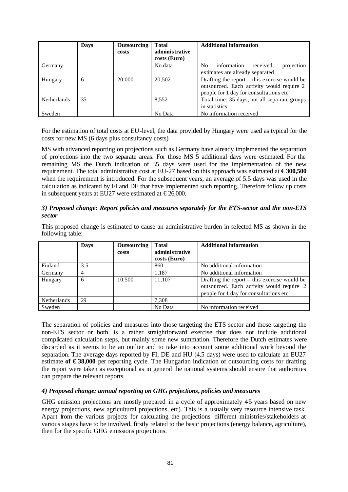|             | <b>Days</b> | <b>Outsourcing</b><br>costs | <b>Total</b><br>administrative<br>costs (Euro) | <b>Additional information</b>                                                                                                         |
|-------------|-------------|-----------------------------|------------------------------------------------|---------------------------------------------------------------------------------------------------------------------------------------|
| Germany     |             |                             | No data                                        | projection<br>received,<br>information<br>No.<br>estimates are already separated                                                      |
| Hungary     | 6           | 20,000                      | 20,502                                         | Drafting the report $-$ this exercise would be<br>outsourced. Each activity would require 2<br>people for 1 day for consultations etc |
| Netherlands | 35          |                             | 8,552                                          | Total time: 35 days, not all sepa-rate groups<br>in statistics                                                                        |
| Sweden      |             |                             | No Data                                        | No information received                                                                                                               |

For the estimation of total costs at EU-level, the data provided by Hungary were used as typical for the costs for new MS (6 days plus consultancy costs)

MS with advanced reporting on projections such as Germany have already implemented the separation of projections into the two separate areas. For those MS 5 additional days were estimated. For the remaining MS the Dutch indication of 35 days were used for the implementation of the new requirement. The total administrative cost at EU-27 based on this approach was estimated at **€ 300,500** when the requirement is introduced. For the subsequent years, an average of 5.5 days was used in the calculation as indicated by FI and DE that have implemented such reporting. Therefore follow up costs in subsequent years at EU27 were estimated at  $\epsilon$ 26,000.

#### *3) Proposed change: Report policies and measures separately for the ETS-sector and the non-ETS sector*

This proposed change is estimated to cause an administrative burden in selected MS as shown in the following table:

|             | <b>Days</b> | Outsourcing<br>costs | <b>Total</b><br>administrative<br>costs (Euro) | <b>Additional information</b>                                                                                                         |
|-------------|-------------|----------------------|------------------------------------------------|---------------------------------------------------------------------------------------------------------------------------------------|
| Finland     | 3.5         |                      | 860                                            | No additional information                                                                                                             |
| Germany     |             |                      | 1.187                                          | No additional information                                                                                                             |
| Hungary     | 6           | 10.500               | 11.107                                         | Drafting the report $-$ this exercise would be<br>outsourced. Each activity would require 2<br>people for 1 day for consultations etc |
| Netherlands | 29          |                      | 7,308                                          |                                                                                                                                       |
| Sweden      |             |                      | No Data                                        | No information received                                                                                                               |

The separation of policies and measures into those targeting the ETS sector and those targeting the non-ETS sector or both, is a rather straightforward exercise that does not include additional complicated calculation steps, but mainly some new summation. Therefore the Dutch estimates were discarded as it seems to be an outlier and to take into account some additional work beyond the separation. The average days reported by FI, DE and HU (4.5 days) were used to calculate an EU27 estimate **of € 38,000** per reporting cycle. The Hungarian indication of outsourcing costs for drafting the report were taken as exceptional as in general the national systems should ensure that authorities can prepare the relevant reports.

#### *4) Proposed change: annual reporting on GHG projections, policies and measures*

GHG emission projections are mostly prepared in a cycle of approximately 45 years based on new energy projections, new agricultural projections, etc). This is a usually very resource intensive task. Apart from the various projects for calculating the projections different ministries/stakeholders at various stages have to be involved, firstly related to the basic projections (energy balance, agriculture), then for the specific GHG emissions proje ctions.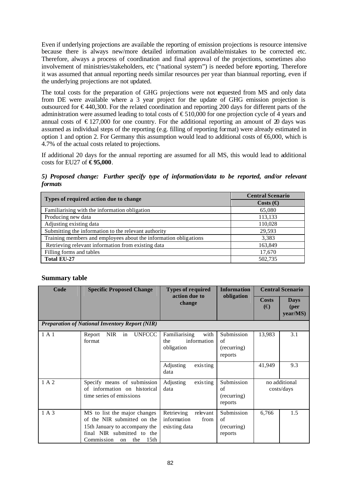Even if underlying projections are available the reporting of emission projections is resource intensive because there is always new/more detailed information available/mistakes to be corrected etc. Therefore, always a process of coordination and final approval of the projections, sometimes also involvement of ministries/stakeholders, etc ("national system") is needed before reporting. Therefore it was assumed that annual reporting needs similar resources per year than biannual reporting, even if the underlying projections are not updated.

The total costs for the preparation of GHG projections were not requested from MS and only data from DE were available where a 3 year project for the update of GHG emission projection is outsourced for € 440,300. For the related coordination and reporting 200 days for different parts of the administration were assumed leading to total costs of  $\epsilon$ 510,000 for one projection cycle of 4 years and annual costs of  $\epsilon$ 127,000 for one country. For the additional reporting an amount of 20 days was assumed as individual steps of the reporting (e.g. filling of reporting format) were already estimated in option 1 and option 2. For Germany this assumption would lead to additional costs of  $\epsilon$ 6,000, which is 4.7% of the actual costs related to projections.

If additional 20 days for the annual reporting are assumed for all MS, this would lead to additional costs for EU27 of **€ 95,000**.

*5) Proposed change: Further specify type of information/data to be reported, and/or relevant formats*

| Types of required action due to change                           | <b>Central Scenario</b>   |
|------------------------------------------------------------------|---------------------------|
|                                                                  | Costs $\left(\in \right)$ |
| Familiarising with the information obligation                    | 65,080                    |
| Producing new data                                               | 113,133                   |
| Adjusting existing data                                          | 110,028                   |
| Submitting the information to the relevant authority             | 29,593                    |
| Training members and employees about the information obligations | 3,383                     |
| Retrieving relevant information from existing data               | 163,849                   |
| Filling forms and tables                                         | 17,670                    |
| <b>Total EU-27</b>                                               | 502,735                   |

### **Summary table**

| Code  | <b>Specific Proposed Change</b>                                                                                                                                           | <b>Types of required</b><br>action due to                      | <b>Information</b>                         |                              | <b>Central Scenario</b>         |
|-------|---------------------------------------------------------------------------------------------------------------------------------------------------------------------------|----------------------------------------------------------------|--------------------------------------------|------------------------------|---------------------------------|
|       |                                                                                                                                                                           | change                                                         | obligation                                 | <b>Costs</b><br>$(\bigoplus$ | <b>Days</b><br>(per<br>year/MS) |
|       | <b>Preparation of National Inventory Report (NIR)</b>                                                                                                                     |                                                                |                                            |                              |                                 |
| 1A1   | <b>UNFCCC</b><br><b>NIR</b><br>Report<br>in<br>format                                                                                                                     | Familiarising<br>with<br>information<br>the<br>obligation      | Submission<br>of<br>(recurring)<br>reports | 13,983                       | 3.1                             |
|       |                                                                                                                                                                           | Adjusting<br>exis ting<br>data                                 |                                            | 41,949                       | 9.3                             |
| 1 A 2 | Specify means of submission<br>of information on historical<br>time series of emissions                                                                                   | Adjusting<br>exis ting<br>data                                 | Submission<br>of<br>(recurring)<br>reports | no additional<br>costs/days  |                                 |
| 1 A 3 | MS to list the major changes<br>of the NIR submitted on the<br>15th January to accompany the<br>final NIR submitted to the<br>15 <sub>th</sub><br>Commission<br>the<br>on | Retrieving<br>relevant<br>information<br>from<br>existing data | Submission<br>of<br>(recurring)<br>reports | 6,766                        | 1.5                             |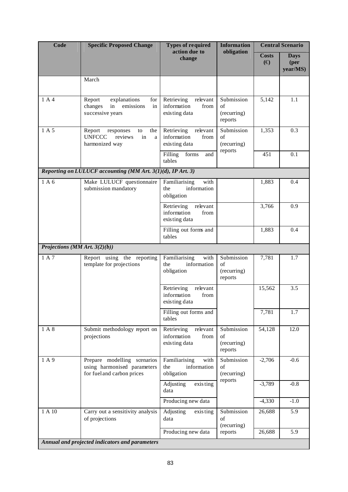| <b>Code</b>                   | <b>Specific Proposed Change</b>                                                           | <b>Types of required</b><br>action due to                      | <b>Information</b>                         |                              | <b>Central Scenario</b>                   |
|-------------------------------|-------------------------------------------------------------------------------------------|----------------------------------------------------------------|--------------------------------------------|------------------------------|-------------------------------------------|
|                               |                                                                                           | change                                                         | obligation                                 | <b>Costs</b><br>$(\bigoplus$ | <b>Days</b><br>( <b>per</b> )<br>year/MS) |
|                               | March                                                                                     |                                                                |                                            |                              |                                           |
| 1 A 4                         | Report<br>explanations<br>for<br>emissions<br>changes<br>in<br>in<br>successive years     | Retrieving<br>relevant<br>information<br>from<br>existing data | Submission<br>of<br>(recurring)<br>reports | 5,142                        | 1.1                                       |
| 1 A 5                         | Report<br>responses<br>the<br>to<br><b>UNFCCC</b><br>reviews<br>in<br>a<br>harmonized way | relevant<br>Retrieving<br>information<br>from<br>existing data | Submission<br>of<br>(recurring)<br>reports | 1,353                        | 0.3                                       |
|                               |                                                                                           | Filling<br>forms<br>and<br>tables                              |                                            | 451                          | 0.1                                       |
|                               | Reporting on LULUCF accounting (MM Art. 3(1)(d), IP Art. 3)                               |                                                                |                                            |                              |                                           |
| 1 A 6                         | Make LULUCF questionnaire<br>submission mandatory                                         | Familiarising<br>with<br>information<br>the<br>obligation      |                                            | 1,883                        | 0.4                                       |
|                               |                                                                                           | relevant<br>Retrieving<br>information<br>from<br>existing data |                                            | 3,766                        | 0.9                                       |
|                               |                                                                                           | Filling out forms and<br>tables                                |                                            | 1,883                        | 0.4                                       |
| Projections (MM Art. 3(2)(b)) |                                                                                           |                                                                |                                            |                              |                                           |
| 1 A 7                         | Report using the reporting<br>template for projections                                    | Familiarising<br>with<br>information<br>the<br>obligation      | Submission<br>of<br>(recurring)<br>reports | 7,781                        | 1.7                                       |
|                               |                                                                                           | Retrieving<br>relevant<br>information<br>from<br>existing data |                                            | 15,562                       | 3.5                                       |
|                               |                                                                                           | Filling out forms and<br>tables                                |                                            | 7,781                        | 1.7                                       |
| 1 A 8                         | Submit methodology report on<br>projections                                               | Retrieving<br>relevant<br>information<br>from<br>existing data | Submission<br>of<br>(recurring)<br>reports | 54,128                       | 12.0                                      |
| 1A9                           | Prepare modelling scenarios<br>using harmonised parameters<br>for fuel and carbon prices  | Familiarising<br>with<br>information<br>the<br>obligation      | Submission<br>of<br>(recurring)            | $-2,706$                     | $-0.6$                                    |
|                               |                                                                                           | Adjusting<br>exis ting<br>data                                 | reports                                    | $-3,789$                     | $-0.8$                                    |
|                               |                                                                                           | Producing new data                                             |                                            | $-4,330$                     | $-1.0$                                    |
| 1 A 10                        | Carry out a sensitivity analysis<br>of projections                                        | Adjusting<br>exis ting<br>data                                 | Submission<br>of<br>(recurring)            | 26,688                       | 5.9                                       |
|                               |                                                                                           | Producing new data                                             | reports                                    | 26,688                       | 5.9                                       |
|                               | Annual and projected indicators and parameters                                            |                                                                |                                            |                              |                                           |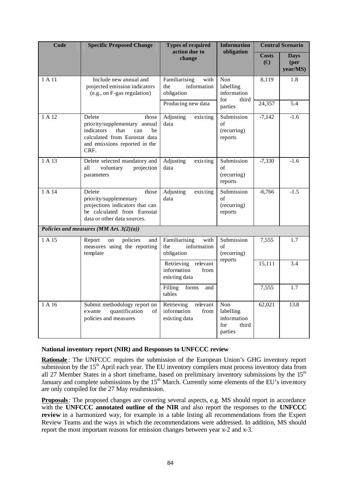| Code   | <b>Specific Proposed Change</b>                                                                                                                               | <b>Types of required</b><br>action due to                      | <b>Information</b>                                         |                              | <b>Central Scenario</b>                   |
|--------|---------------------------------------------------------------------------------------------------------------------------------------------------------------|----------------------------------------------------------------|------------------------------------------------------------|------------------------------|-------------------------------------------|
|        |                                                                                                                                                               | change                                                         | obligation                                                 | <b>Costs</b><br>$(\bigoplus$ | <b>Days</b><br>( <b>per</b> )<br>year/MS) |
| 1 A 11 | Include new annual and<br>projected emission indicators<br>(e.g., on F-gas regulation)                                                                        | Familiarising<br>with<br>information<br>the<br>obligation      | Non<br>labelling<br>information<br>for<br>third            | 8,119                        | 1.8                                       |
|        |                                                                                                                                                               | parties                                                        | 24,357                                                     | 5.4                          |                                           |
| 1 A 12 | Delete<br>those<br>priority/supplementary annual<br>indicators<br>that<br>can<br>be<br>calculated from Eurostat data<br>and emissions reported in the<br>CRF. | Adjusting<br>exis ting<br>data                                 | Submission<br>of<br>(recurring)<br>reports                 | $-7,142$                     | $-1.6$                                    |
| 1 A 13 | Delete selected mandatory and<br>all<br>voluntary<br>projection<br>parameters                                                                                 | Adjusting<br>exis ting<br>data                                 | Submission<br>of<br>(recurring)<br>reports                 | $-7,330$                     | $-1.6$                                    |
| 1 A 14 | Delete<br>those<br>priority/supplementary<br>projections indicators that can<br>be calculated from Eurostat<br>data or other data sources.                    | Adjusting<br>exis ting<br>data                                 | Submission<br>of<br>(recurring)<br>reports                 | $-6,766$                     | $-1.5$                                    |
|        | Policies and measures (MM Art. $3(2)(a)$ )                                                                                                                    |                                                                |                                                            |                              |                                           |
| 1 A 15 | Report<br>policies<br>on<br>and<br>measures using the reporting<br>template                                                                                   | Familiarising<br>with<br>information<br>the<br>obligation      | Submission<br>of<br>(recurring)<br>reports                 | 7,555                        | 1.7                                       |
|        |                                                                                                                                                               | Retrieving<br>relevant<br>information<br>from<br>existing data |                                                            | 15,111                       | 3.4                                       |
|        |                                                                                                                                                               | Filling<br>forms<br>and<br>tables                              |                                                            | 7,555                        | 1.7                                       |
| 1 A 16 | Submit methodology report on<br>quantification<br>e x-ante<br>of<br>policies and measures                                                                     | relevant<br>Retrieving<br>information<br>from<br>existing data | Non<br>labelling<br>information<br>for<br>third<br>parties | 62,021                       | 13.8                                      |

#### **National inventory report (NIR) and Responses to UNFCCC review**

**Rationale** : The UNFCCC requires the submission of the European Union's GHG inventory report submission by the  $15<sup>th</sup>$  April each year. The EU inventory compilers must process inventory data from all 27 Member States in a short timeframe, based on preliminary inventory submissions by the 15<sup>th</sup> January and complete submissions by the  $15<sup>th</sup>$  March. Currently some elements of the EU's inventory are only compiled for the 27 May resubmission.

**Proposals**: The proposed changes are covering several aspects, e.g. MS should report in accordance with the **UNFCCC annotated outline of the NIR** and also report the responses to the **UNFCCC review** in a harmonized way, for example in a table listing all recommendations from the Expert Review Teams and the ways in which the recommendations were addressed. In addition, MS should report the most important reasons for emission changes between year x-2 and x-3.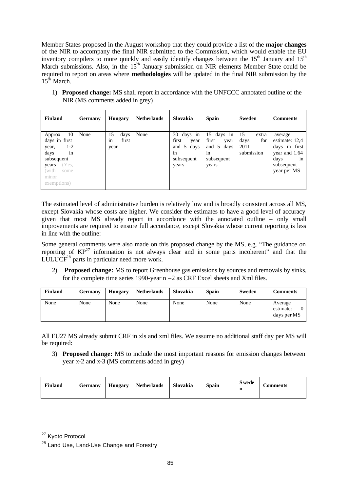Member States proposed in the August workshop that they could provide a list of the **major changes** of the NIR to accompany the final NIR submitted to the Commission, which would enable the EU inventory compilers to more quickly and easily identify changes between the  $15<sup>th</sup>$  January and  $15<sup>th</sup>$ March submissions. Also, in the  $15<sup>th</sup>$  January submission on NIR elements Member State could be required to report on areas where **methodologies** will be updated in the final NIR submission by the  $15<sup>th</sup>$  March.

1) **Proposed change:** MS shall report in accordance with the UNFCCC annotated outline of the NIR (MS comments added in grey)

| <b>Finland</b>                                                                                                                      | <b>Germany</b> | <b>Hungary</b>                    | <b>Netherlands</b> | Slovakia                                                                  | <b>Spain</b>                                                           | Sweden                                           | <b>Comments</b>                                                                                        |
|-------------------------------------------------------------------------------------------------------------------------------------|----------------|-----------------------------------|--------------------|---------------------------------------------------------------------------|------------------------------------------------------------------------|--------------------------------------------------|--------------------------------------------------------------------------------------------------------|
| 10<br>Approx<br>days in first<br>1-2<br>year,<br>days<br>in<br>subsequent<br>Yes,<br>years<br>(with<br>some<br>minor<br>exemptions) | None           | 15<br>days<br>first<br>1n<br>year | None               | days in<br>30<br>first<br>year<br>and 5 days<br>in<br>subsequent<br>years | 15 days in<br>first<br>year<br>and 5 days<br>1n<br>subsequent<br>years | 15<br>extra<br>for<br>days<br>2011<br>submission | average<br>estimate: 12,4<br>days in first<br>year and 1.64<br>davs<br>1n<br>subsequent<br>year per MS |

The estimated level of administrative burden is relatively low and is broadly consistent across all MS, except Slovakia whose costs are higher. We consider the estimates to have a good level of accuracy given that most MS already report in accordance with the annotated outline – only small improvements are required to ensure full accordance, except Slovakia whose current reporting is less in line with the outline:

Some general comments were also made on this proposed change by the MS, e.g. "The guidance on reporting of  $KP^{27}$  information is not always clear and in some parts incoherent" and that the LULUCF<sup>28</sup> parts in particular need more work.

2) **Proposed change:** MS to report Greenhouse gas emissions by sources and removals by sinks, for the complete time series 1990-year  $n - 2$  as CRF Excel sheets and Xml files.

| <b>Finland</b> | Germany | <b>Hungary</b> | <b>Netherlands</b> | Slovakia | <b>Spain</b> | Sweden | <b>Comments</b>                     |
|----------------|---------|----------------|--------------------|----------|--------------|--------|-------------------------------------|
| None           | None    | None           | None               | None     | None         | None   | Average<br>estimate:<br>days per MS |

All EU27 MS already submit CRF in xls and xml files. We assume no additional staff day per MS will be required:

3) **Proposed change:** MS to include the most important reasons for emission changes between year x-2 and x-3 (MS comments added in grey)

| Finland | Germany | <b>Hungary</b> | <b>Netherlands</b> | Slovakia | <b>Spain</b> | <b>S</b> wede<br>n | <b>Comments</b> |
|---------|---------|----------------|--------------------|----------|--------------|--------------------|-----------------|
|---------|---------|----------------|--------------------|----------|--------------|--------------------|-----------------|

<sup>&</sup>lt;sup>27</sup> Kyoto Protocol

<sup>&</sup>lt;sup>28</sup> Land Use, Land-Use Change and Forestry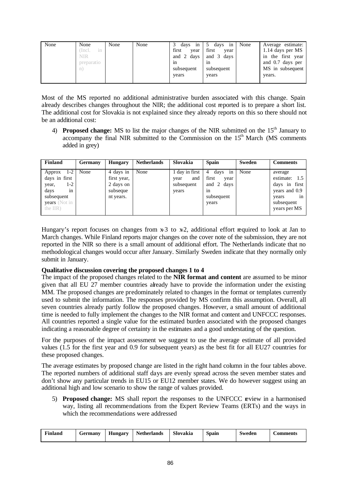| None | None<br>Incl.<br>1 <sub>n</sub><br>NIR<br>preparatio<br>n. | None | None | days<br>1n<br>first<br>year<br>and 2 days<br>1n<br>subsequent<br>years | days<br>1n<br>first<br>year<br>and 3 days<br>1n<br>subsequent<br>years | None | Average estimate:<br>1.14 days per MS<br>the first year<br>1n<br>and 0.7 days per<br>MS in subsequent<br>years. |
|------|------------------------------------------------------------|------|------|------------------------------------------------------------------------|------------------------------------------------------------------------|------|-----------------------------------------------------------------------------------------------------------------|
|      |                                                            |      |      |                                                                        |                                                                        |      |                                                                                                                 |

Most of the MS reported no additional administrative burden associated with this change. Spain already describes changes throughout the NIR; the additional cost reported is to prepare a short list. The additional cost for Slovakia is not explained since they already reports on this so there should not be an additional cost:

4) **Proposed change:** MS to list the major changes of the NIR submitted on the 15<sup>th</sup> January to accompany the final NIR submitted to the Commission on the  $15<sup>th</sup>$  March (MS comments added in grey)

| Finland                                                                                                                    | <b>Germany</b> | <b>Hungary</b>                                                 | <b>Netherlands</b> | Slovakia                                               | <b>Spain</b>                                                                | Sweden | <b>Comments</b>                                                                                            |
|----------------------------------------------------------------------------------------------------------------------------|----------------|----------------------------------------------------------------|--------------------|--------------------------------------------------------|-----------------------------------------------------------------------------|--------|------------------------------------------------------------------------------------------------------------|
| $1-2$<br>Approx<br>days in first<br>1-2<br>year,<br>days<br>1n<br>subsequent<br><b>years</b> (Not in<br>the $\text{IIR}$ ) | None           | 4 days in<br>first year,<br>2 days on<br>subseque<br>nt years. | None               | 1 day in first  <br>and<br>year<br>subsequent<br>years | days<br>in<br>4<br>first<br>year<br>and 2 days<br>1n<br>subsequent<br>years | None   | average<br>estimate:<br>1.5<br>days in first<br>years and 0.9<br>1n<br>years<br>subsequent<br>years per MS |

Hungary's report focuses on changes from  $x-3$  to  $x-2$ , additional effort required to look at Jan to March changes. While Finland reports major changes on the cover note of the submission, they are not reported in the NIR so there is a small amount of additional effort. The Netherlands indicate that no methodological changes would occur after January. Similarly Sweden indicate that they normally only submit in January.

### **Qualitative discussion covering the proposed changes 1 to 4**

The impact of the proposed changes related to the **NIR format and content** are assumed to be minor given that all EU  $27$  member countries already have to provide the information under the existing MM. The proposed changes are predominately related to changes in the format or templates currently used to submit the information. The responses provided by MS confirm this assumption. Overall, all seven countries already partly follow the proposed changes. However, a small amount of additional time is needed to fully implement the changes to the NIR format and content and UNFCCC responses. All countries reported a single value for the estimated burden associated with the proposed changes indicating a reasonable degree of certainty in the estimates and a good understating of the question.

For the purposes of the impact assessment we suggest to use the average estimate of all provided values (1.5 for the first year and 0.9 for subsequent years) as the best fit for all EU27 countries for these proposed changes.

The average estimates by proposed change are listed in the right hand column in the four tables above. The reported numbers of additional staff days are evenly spread across the seven member states and don't show any particular trends in EU15 or EU12 member states. We do however suggest using an additional high and low scenario to show the range of values provided.

5) **Proposed change:** MS shall report the responses to the UNFCCC review in a harmonised way, listing all recommendations from the Expert Review Teams (ERTs) and the ways in which the recommendations were addressed

| ≖<br>Finland | Germany | $\mathbf{r}$<br><b>Hungary</b> | <b>Netherlands</b> | Slovakia | Spain | $\sim$<br>Sweden | comments |
|--------------|---------|--------------------------------|--------------------|----------|-------|------------------|----------|
|--------------|---------|--------------------------------|--------------------|----------|-------|------------------|----------|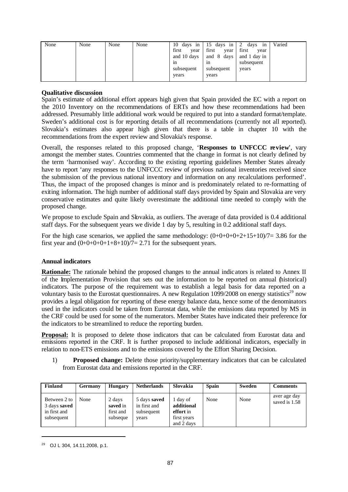| None | None | None | None | 10<br>days in | days<br>1n<br>15 | days<br>1n<br>$\mathcal{L}$ | Varied |
|------|------|------|------|---------------|------------------|-----------------------------|--------|
|      |      |      |      | first<br>vear | first<br>vear    | first<br>year               |        |
|      |      |      |      | and 10 days   | and 8<br>days    | and 1 day in                |        |
|      |      |      |      | 1n            | 1n               | subsequent                  |        |
|      |      |      |      | subsequent    | subsequent       | years                       |        |
|      |      |      |      | years         | years            |                             |        |
|      |      |      |      |               |                  |                             |        |

Spain's estimate of additional effort appears high given that Spain provided the EC with a report on the 2010 Inventory on the recommendations of ERTs and how these recommendations had been addressed. Presumably little additional work would be required to put into a standard format/template. Sweden's additional cost is for reporting details of all recommendations (currently not all reported). Slovakia's estimates also appear high given that there is a table in chapter 10 with the recommendations from the expert review and Slovakia's response.

Overall, the responses related to this proposed change, '**Responses to UNFCCC review**', vary amongst the member states. Countries commented that the change in format is not clearly defined by the term 'harmonised way'. According to the existing reporting guidelines Member States already have to report 'any responses to the UNFCCC review of previous national inventories received since the submission of the previous national inventory and information on any recalculations performed'. Thus, the impact of the proposed changes is minor and is predominately related to re-formatting of exiting information. The high number of additional staff days provided by Spain and Slovakia are very conservative estimates and quite likely overestimate the additional time needed to comply with the proposed change.

We propose to exclude Spain and Slovakia, as outliers. The average of data provided is 0.4 additional staff days. For the subsequent years we divide 1 day by 5, resulting in 0.2 additional staff days.

For the high case scenarios, we applied the same methodology:  $(0+0+0+0+2+15+10)/7=3.86$  for the first year and  $(0+0+0+0+1+8+10)/7=$  2.71 for the subsequent years.

#### **Annual indicators**

**Rationale:** The rationale behind the proposed changes to the annual indic ators is related to Annex II of the Implementation Provision that sets out the information to be reported on annual (historical) indicators. The purpose of the requirement was to establish a legal basis for data reported on a voluntary basis to the Eurostat questionnaires. A new Regulation  $1099/2008$  on energy statistics<sup>29</sup> now provides a legal obligation for reporting of these energy balance data, hence some of the denominators used in the indicators could be taken from Eurostat data, while the emissions data reported by MS in the CRF could be used for some of the numerators. Member States have indicated their preference for the indicators to be streamlined to reduce the reporting burden.

**Proposal:** It is proposed to delete those indicators that can be calculated from Eurostat data and emissions reported in the CRF. It is further proposed to include additional indicators, especially in relation to non-ETS emissions and to the emissions covered by the Effort Sharing Decision.

1) **Proposed change:** Delete those priority/supplementary indicators that can be calculated from Eurostat data and emissions reported in the CRF.

| Finland                                                           | <b>Germany</b> | <b>Hungary</b>                              | <b>Netherlands</b>                                  | Slovakia                                                         | <b>Spain</b> | <b>Sweden</b> | <b>Comments</b>               |
|-------------------------------------------------------------------|----------------|---------------------------------------------|-----------------------------------------------------|------------------------------------------------------------------|--------------|---------------|-------------------------------|
| Between 2 to<br>3 days <b>saved</b><br>in first and<br>subsequent | None           | 2 days<br>saved in<br>first and<br>subseque | 5 days saved<br>in first and<br>subsequent<br>years | 1 day of<br>additional<br>effort in<br>first years<br>and 2 days | None         | None          | aver age day<br>saved is 1.58 |

<sup>29</sup> OJ L 304, 14.11.2008, p.1.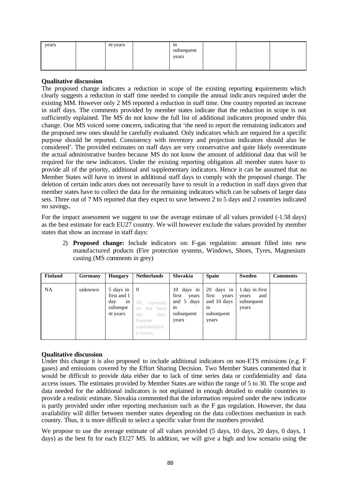| years | nt years | 1n<br>subsequent<br>years |  |  |
|-------|----------|---------------------------|--|--|
|       |          |                           |  |  |

The proposed change indicates a reduction in scope of the existing reporting requirements which clearly suggests a reduction in staff time needed to compile the annual indic ators required under the existing MM. However only 2 MS reported a reduction in staff time. One country reported an increase in staff days. The comments provided by member states indicate that the reduction in scope is not sufficiently explained. The MS do not know the full list of additional indicators proposed under this change. One MS voiced some concern, indicating that 'the need to report the remaining indicators and the proposed new ones should be carefully evaluated. Only indicators which are required for a specific purpose should be reported. Consistency with inventory and projection indicators should also be considered'. The provided estimates on staff days are very conservative and quite likely overestimate the actual administrative burden because MS do not know the amount of additional data that will be required for the new indicators. Under the existing reporting obligation all member states have to provide all of the priority, additional and supplementary indicators. Hence it can be assumed that no Member States will have to invest in additional staff days to comply with the proposed change. The deletion of certain indic ators does not necessarily have to result in a reduction in staff days given that member states have to collect the data for the remaining indicators which can be subsets of larger data sets. Three out of 7 MS reported that they expect to save between 2 to 5 days and 2 countries indicated no savings**.** 

For the impact assessment we suggest to use the average estimate of all values provided  $(-1.58 \text{ days})$ as the best estimate for each EU27 country. We will however exclude the values provided by member states that show an increase in staff days:

2) **Proposed change:** Include indicators on: F-gas regulation: amount filled into new manufactured products (Fire protection systems, Windows, Shoes, Tyres, Magnesium casting (MS comments in grey)

| <b>Finland</b> | <b>Germany</b> | <b>Hungary</b>                                                | <b>Netherlands</b>                                                                                              | Slovakia                                                                   | <b>Spain</b>                                                             | Sweden                                                | <b>Comments</b> |
|----------------|----------------|---------------------------------------------------------------|-----------------------------------------------------------------------------------------------------------------|----------------------------------------------------------------------------|--------------------------------------------------------------------------|-------------------------------------------------------|-----------------|
| <b>NA</b>      | unknown        | 5 days in<br>first and 1<br>day<br>in<br>subseque<br>nt years | $\overline{0}$<br>NL currently<br>not have<br>$d_{0}$<br>data.<br>the<br>Foresee<br>confidentialit<br>y issues. | 10<br>days in<br>first<br>years<br>and 5 days<br>1n<br>subsequent<br>years | 20 days in<br>first<br>years<br>and 10 days<br>1n<br>subsequent<br>years | 1 day in first<br>and<br>years<br>subsequent<br>years |                 |

### **Qualitative discussion**

Under this change it is also proposed to include additional indicators on non-ETS emissions (e.g. F gases) and emissions covered by the Effort Sharing Decision. Two Member States commented that it would be difficult to provide data either due to lack of time series data or confidentiality and data access issues. The estimates provided by Member States are within the range of 5 to 30. The scope and data needed for the additional indicators is not explained in enough detailed to enable countries to provide a realistic estimate. Slovakia commented that the information required under the new indicator is partly provided under other reporting mechanism such as the F gas regulation. However, the data availability will differ between member states depending on the data collections mechanism in each country. Thus, it is more difficult to select a specific value from the numbers provided.

We propose to use the average estimate of all values provided (5 days, 10 days, 20 days, 0 days, 1 days) as the best fit for each EU27 MS. In addition, we will give a high and low scenario using the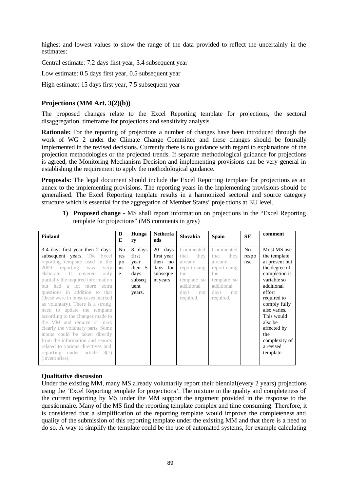highest and lowest values to show the range of the data provided to reflect the uncertainly in the estimates:

Central estimate: 7.2 days first year, 3.4 subsequent year

Low estimate: 0.5 days first year, 0.5 subsequent year

High estimate: 15 days first year, 7.5 subsequent year

## **Projections (MM Art. 3(2)(b))**

The proposed changes relate to the Excel Reporting template for projections, the sectoral disaggregation, timeframe for projections and sensitivity analysis.

**Rationale:** For the reporting of projections a number of changes have been introduced through the work of WG 2 under the Climate Change Committee and these changes should be formally implemented in the revised decisions. Currently there is no guidance with regard to explanations of the projection methodologies or the projected trends. If separate methodological guidance for projections is agreed, the Monitoring Mechanism Decision and implementing provisions can be very general in establishing the requirement to apply the methodological guidance.

**Proposals:** The legal document should include the Excel Reporting template for projections as an annex to the implementing provisions. The reporting years in the implementing provisions should be generalised. The Excel Reporting template results in a harmonized sectoral and source category structure which is essential for the aggregation of Member States' proje ctions at EU level.

**1) Proposed change -** MS shall report information on projections in the "Excel Reporting template for projections" (MS comments in grey)

| Finland                                                                                                                                                                                                                                                                                                                                                                                                                                                                                                                                                                                                                                                               | D<br>E                     | Hunga<br>ry                                                             | <b>Netherla</b><br>nds                                                  | Slovakia                                                                                                             | <b>Spain</b>                                                                                                         | <b>SE</b>                      | comment                                                                                                                                                                                                                                                         |
|-----------------------------------------------------------------------------------------------------------------------------------------------------------------------------------------------------------------------------------------------------------------------------------------------------------------------------------------------------------------------------------------------------------------------------------------------------------------------------------------------------------------------------------------------------------------------------------------------------------------------------------------------------------------------|----------------------------|-------------------------------------------------------------------------|-------------------------------------------------------------------------|----------------------------------------------------------------------------------------------------------------------|----------------------------------------------------------------------------------------------------------------------|--------------------------------|-----------------------------------------------------------------------------------------------------------------------------------------------------------------------------------------------------------------------------------------------------------------|
| 3-4 days first year then 2 days<br>subsequent years. The Excel<br>reporting template used in the<br>2009 reporting<br>was<br>very<br>elaborate. It covered<br>only<br>partially the required information<br>lot more<br>a<br><b>but</b><br>had<br>extra<br>questions in addition to that<br>(these were in most cases marked)<br>as voluntary). There is a strong<br>need to update the template<br>according to the changes made to<br>the MM and remove or mark<br>clearly the voluntary parts. Some<br>inputs could be taken directly<br>from the information and reports<br>related to various directives and<br>reporting under article $3(1)$<br>(inventories). | No<br>res<br>po<br>ns<br>e | 8 days<br>first<br>year<br>then $5$<br>days<br>subseq<br>uent<br>years. | 20<br>days<br>first year<br>then no<br>days for<br>subseque<br>nt years | Commented<br>they<br>that<br>already<br>report using<br>the<br>template so<br>additional<br>days<br>not<br>required. | Commented<br>that<br>they<br>already<br>report using<br>the<br>template so<br>additional<br>days<br>not<br>required. | N <sub>0</sub><br>respo<br>nse | Most MS use<br>the template<br>at present but<br>the degree of<br>completion is<br>variable so<br>additional<br>effort<br>required to<br>comply fully<br>also varies.<br>This would<br>also be<br>affected by<br>the<br>complexity of<br>a revised<br>template. |

#### **Qualitative discussion**

Under the existing MM, many MS already voluntarily report their biennial (every 2 years) projections using the 'Excel Reporting template for proje ctions'. The mixture in the quality and completeness of the current reporting by MS under the MM support the argument provided in the response to the questionnaire. Many of the MS find the reporting template complex and time consuming. Therefore, it is considered that a simplification of the reporting template would improve the completeness and quality of the submission of this reporting template under the existing MM and that there is a need to do so. A way to simplify the template could be the use of automated systems, for example calculating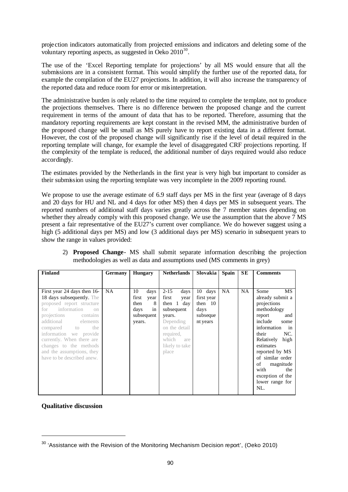projection indicators automatically from projected emissions and indicators and deleting some of the voluntary reporting aspects, as suggested in Oeko  $2010^{30}$ .

The use of the 'Excel Reporting template for projections' by all MS would ensure that all the submissions are in a consistent format. This would simplify the further use of the reported data, for example the compilation of the EU27 projections. In addition, it will also increase the transparency of the reported data and reduce room for error or misinterpretation.

The administrative burden is only related to the time required to complete the template, not to produce the projections themselves. There is no difference between the proposed change and the current requirement in terms of the amount of data that has to be reported. Therefore, assuming that the mandatory reporting requirements are kept constant in the revised MM, the administrative burden of the proposed change will be small as MS purely have to report existing data in a different format. However, the cost of the proposed change will significantly rise if the level of detail required in the reporting template will change, for example the level of disaggregated CRF projections reporting. If the complexity of the template is reduced, the additional number of days required would also reduce accordingly.

The estimates provided by the Netherlands in the first year is very high but important to consider as their submission using the reporting template was very incomplete in the 2009 reporting round.

We propose to use the average estimate of 6.9 staff days per MS in the first year (average of 8 days and 20 days for HU and NL and 4 days for other MS) then 4 days per MS in subsequent years. The reported numbers of additional staff days varies greatly across the 7 member states depending on whether they already comply with this proposed change. We use the assumption that the above 7 MS present a fair representative of the EU27's current over compliance. We do however suggest using a high (5 additional days per MS) and low (3 additional days per MS) scenario in subsequent years to show the range in values provided:

| Finland                        | <b>Germany</b> | <b>Hungary</b> | Netherlands      | Slovakia   | <b>Spain</b> | <b>SE</b> | <b>Comments</b>    |
|--------------------------------|----------------|----------------|------------------|------------|--------------|-----------|--------------------|
|                                |                |                |                  |            |              |           |                    |
|                                |                |                |                  |            |              |           |                    |
| First year 24 days then 16-    | <b>NA</b>      | 10<br>days     | $2 - 15$<br>days | 10 days    | <b>NA</b>    | <b>NA</b> | Some<br>MS         |
| 18 days subsequently. The      |                | first<br>year  | first<br>year    | first year |              |           | already submit a   |
| proposed report structure      |                | then<br>8      | then $1$ day     | then $10$  |              |           | projections        |
| information<br>for<br>$\Omega$ |                | in<br>days     | subsequent       | days       |              |           | methodology        |
| projections contains           |                | subsequent     | years.           | subseque   |              |           | report<br>and      |
| additional elements            |                | years.         | Depending        | nt years   |              |           | include<br>some    |
| compared to<br>the             |                |                | on the detail    |            |              |           | information<br>in  |
| information we provide         |                |                | required,        |            |              |           | their<br>NC.       |
| currently. When there are      |                |                | which<br>are     |            |              |           | Relatively<br>high |
| changes to the methods         |                |                | likely to take   |            |              |           | estimates          |
| and the assumptions, they      |                |                | place            |            |              |           | reported by MS     |
| have to be described anew.     |                |                |                  |            |              |           | of similar order   |
|                                |                |                |                  |            |              |           | of<br>magnitude    |
|                                |                |                |                  |            |              |           | with<br>the        |
|                                |                |                |                  |            |              |           | exception of the   |
|                                |                |                |                  |            |              |           | lower range for    |
|                                |                |                |                  |            |              |           | NL.                |
|                                |                |                |                  |            |              |           |                    |

2) **Proposed Change**- MS shall submit separate information describing the projection methodologies as well as data and assumptions used (MS comments in grey)

**Qualitative discussion**

 $30$  'Assistance with the Revision of the Monitoring Mechanism Decision report', (Oeko 2010)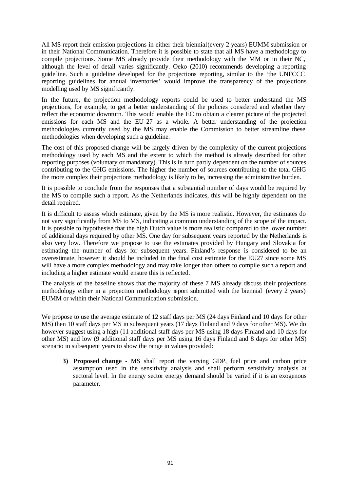All MS report their emission proje ctions in either their biennial (every 2 years) EUMM submission or in their National Communication. Therefore it is possible to state that all MS have a methodology to compile projections. Some MS already provide their methodology with the MM or in their NC, although the level of detail varies significantly. Oeko (2010) recommends developing a reporting guideline. Such a guideline developed for the projections reporting, similar to the 'the UNFCCC reporting guidelines for annual inventories' would improve the transparency of the proje ctions modelling used by MS significantly.

In the future, the projection methodology reports could be used to better understand the MS projections, for example, to get a better understanding of the policies considered and whether they reflect the economic downturn. This would enable the EC to obtain a clearer picture of the projected emissions for each MS and the EU-27 as a whole. A better understanding of the projection methodologies currently used by the MS may enable the Commission to better streamline these methodologies when developing such a guideline.

The cost of this proposed change will be largely driven by the complexity of the current projections methodology used by each MS and the extent to which the method is already described for other reporting purposes (voluntary or mandatory). This is in turn partly dependent on the number of sources contributing to the GHG emissions. The higher the number of sources contributing to the total GHG the more complex their projections methodology is likely to be, increasing the administrative burden.

It is possible to conclude from the responses that a substantial number of days would be required by the MS to compile such a report. As the Netherlands indicates, this will be highly dependent on the detail required.

It is difficult to assess which estimate, given by the MS is more realistic. However, the estimates do not vary significantly from MS to MS, indicating a common understanding of the scope of the impact. It is possible to hypothesise that the high Dutch value is more realistic compared to the lower number of additional days required by other MS. One day for subsequent years reported by the Netherlands is also very low. Therefore we propose to use the estimates provided by Hungary and Slovakia for estimating the number of days for subsequent years. Finland's response is considered to be an overestimate, however it should be included in the final cost estimate for the EU27 since some MS will have a more complex methodology and may take longer than others to compile such a report and including a higher estimate would ensure this is reflected.

The analysis of the baseline shows that the majority of these 7 MS already discuss their projections methodology either in a projection methodology report submitted with the biennial (every 2 years) EUMM or within their National Communication submission.

We propose to use the average estimate of 12 staff days per MS (24 days Finland and 10 days for other MS) then 10 staff days per MS in subsequent years (17 days Finland and 9 days for other MS). We do however suggest using a high (11 additional staff days per MS using 18 days Finland and 10 days for other MS) and low (9 additional staff days per MS using 16 days Finland and 8 days for other MS) scenario in subsequent years to show the range in values provided:

**3) Proposed change -** MS shall report the varying GDP, fuel price and carbon price assumption used in the sensitivity analysis and shall perform sensitivity analysis at sectoral level. In the energy sector energy demand should be varied if it is an exogenous parameter.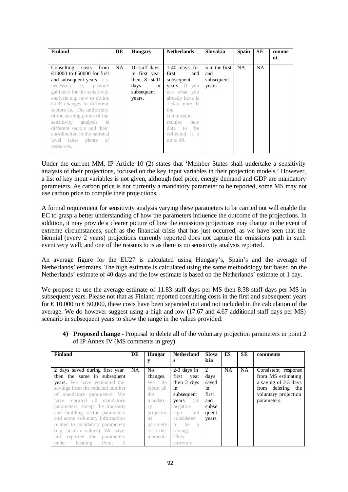| Finland                                                                                                                                                                                                                                                                                                                                                                                                                            | DE  | <b>Hungary</b>                                                                       | <b>Netherlands</b>                                                                                                                                                                                        | <b>Slovakia</b>                              | <b>Spain</b> | <b>SE</b> | comme<br>nt |
|------------------------------------------------------------------------------------------------------------------------------------------------------------------------------------------------------------------------------------------------------------------------------------------------------------------------------------------------------------------------------------------------------------------------------------|-----|--------------------------------------------------------------------------------------|-----------------------------------------------------------------------------------------------------------------------------------------------------------------------------------------------------------|----------------------------------------------|--------------|-----------|-------------|
| Consulting costs<br>from<br>$\bigoplus$ 0000 to $\bigoplus$ 0000 for first<br>and subsequent years. It is<br>necessary to provide<br>guidance for the sensitivity<br>analysis e.g. how to divide<br>GDP changes to different<br>sectors etc. The uniformity<br>of the starting points of the<br>sensitivity analysis in<br>different sectors and their<br>coordination in the national<br>level takes plenty<br>- of<br>resources. | NA. | 10 staff days<br>in first year<br>then 8 staff<br>in<br>days<br>subsequent<br>years. | $1-40$ days for<br>first<br>and 1<br>subsequent<br>years. If you<br>use what you<br>already have is<br>1 day more. If<br>the<br>commission<br>require new<br>data to be<br>collected it s<br>up to $40$ . | 5 in the first<br>and<br>subsequent<br>years | <b>NA</b>    | <b>NA</b> |             |

Under the current MM, IP Article 10 (2) states that 'Member States shall undertake a sensitivity analysis of their projections, focused on the key input variables in their projection models.' However, a list of key input variables is not given, although fuel price, energy demand and GDP are mandatory parameters. As carbon price is not currently a mandatory parameter to be reported, some MS may not use carbon price to compile their proje ctions.

A formal requirement for sensitivity analysis varying these parameters to be carried out will enable the EC to grasp a better understanding of how the parameters influence the outcome of the projections. In addition, it may provide a clearer picture of how the emissions projections may change in the event of extreme circumstances, such as the financial crisis that has just occurred, as we have seen that the biennial (every 2 years) projections currently reported does not capture the emissions path in such event very well, and one of the reasons to is as there is no sensitivity analysis reported.

An average figure for the EU27 is calculated using Hungary's, Spain's and the average of Netherlands' estimates. The high estimate is calculated using the same methodology but based on the Netherlands' estimate of 40 days and the low estimate is based on the Netherlands' estimate of 1 day.

We propose to use the average estimate of 11.83 staff days per MS then 8.38 staff days per MS in subsequent years. Please not that as Finland reported consulting costs in the first and subsequent years for  $\epsilon$  10,000 to  $\epsilon$  50,000, these costs have been separated out and not included in the calculation of the average. We do however suggest using a high and low (17.67 and 4.67 additional staff days per MS) scenario in subsequent years to show the range in the values provided:

**4) Proposed change -** Proposal to delete all of the voluntary projection parameters in point 2 of IP Annex IV (MS comments in grey)

| Finland                             | DE        | Hungar     | <b>Netherland</b> | Slova          | ES        | <b>SE</b> | comments             |
|-------------------------------------|-----------|------------|-------------------|----------------|-----------|-----------|----------------------|
|                                     |           |            | s                 | kia            |           |           |                      |
| 2 days saved during first year      | <b>NA</b> | No         | $2-3$ days in     | $\overline{2}$ | <b>NA</b> | <b>NA</b> | Consistent response  |
| then the same in subsequent         |           | changes.   | first<br>year     | days           |           |           | from MS estimating   |
| <b>years.</b> We have estimated the |           | We do      | then 2 days       | saved          |           |           | a saving of 2-3 days |
| savings from the reduced number     |           | report all | in                | in             |           |           | from deleting the    |
| of mandatory parameters. We         |           | the        | subsequent        | first          |           |           | voluntary projection |
| have reported all mandatory         |           | mandato    | (no)<br>years     | and            |           |           | parameters.          |
| parameters, except the transport    |           | ry         | negative          | subse          |           |           |                      |
| and building sector parameters      |           | projectio  | sign<br>but       | quent          |           |           |                      |
| and some voluntary information      |           | ns         | considered        | years          |           |           |                      |
| related to mandatory parameters     |           | paramete   | to be<br>- a      |                |           |           |                      |
| (e.g. historic values). We have     |           | rs at the  | saving).          |                |           |           |                      |
| not reported the parameters         |           | moment.    | They              |                |           |           |                      |
| Point<br>heading<br>2<br>under      |           |            | currently         |                |           |           |                      |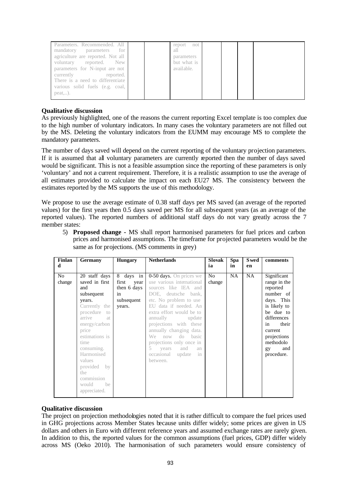| Parameters. Recommended. All<br>for<br>mandatory parameters<br>agriculture are reported. Not all<br>voluntary reported. New<br>parameters for N-input are not<br>currently<br>reported.<br>There is a need to differentiate | report<br>not<br>all<br>parameters<br>but what is<br>available. |  |  |  |
|-----------------------------------------------------------------------------------------------------------------------------------------------------------------------------------------------------------------------------|-----------------------------------------------------------------|--|--|--|
| various solid fuels (e.g. coal,<br>$peak$ ).                                                                                                                                                                                |                                                                 |  |  |  |

As previously highlighted, one of the reasons the current reporting Excel template is too complex due to the high number of voluntary indicators. In many cases the voluntary parameters are not filled out by the MS. Deleting the voluntary indicators from the EUMM may encourage MS to complete the mandatory parameters.

The number of days saved will depend on the current reporting of the voluntary projection parameters. If it is assumed that all voluntary parameters are currently reported then the number of days saved would be significant. This is not a feasible assumption since the reporting of these parameters is only 'voluntary' and not a current requirement. Therefore, it is a realistic assumption to use the average of all estimates provided to calculate the impact on each EU27 MS. The consistency between the estimates reported by the MS supports the use of this methodology.

We propose to use the average estimate of 0.38 staff days per MS saved (an average of the reported values) for the first years then 0.5 days saved per MS for all subsequent years (as an average of the reported values). The reported numbers of additional staff days do not vary greatly across the 7 member states:

5) **Proposed change -** MS shall report harmonised parameters for fuel prices and carbon prices and harmonised assumptions. The timeframe for projected parameters would be the same as for projections. (MS comments in grey)

| Finlan<br>d  | Germany                                                                                                                                                                                                                                                                           | <b>Hungary</b>                                                          | <b>Netherlands</b>                                                                                                                                                                                                                                                                                                                                                             | Slovak<br>ia | Spa<br>in | <b>S</b> wed<br>en | comments                                                                                                                                                                                        |
|--------------|-----------------------------------------------------------------------------------------------------------------------------------------------------------------------------------------------------------------------------------------------------------------------------------|-------------------------------------------------------------------------|--------------------------------------------------------------------------------------------------------------------------------------------------------------------------------------------------------------------------------------------------------------------------------------------------------------------------------------------------------------------------------|--------------|-----------|--------------------|-------------------------------------------------------------------------------------------------------------------------------------------------------------------------------------------------|
| No<br>change | 20 staff days<br>saved in first<br>and<br>subsequent<br>years.<br>Currently the<br>procedure to<br>arrive<br>- at<br>energy/carbon<br>price<br>estimations is<br>time<br>consuming.<br>Harmonised<br>values<br>provided<br>by<br>the<br>commission<br>would<br>be<br>appreciated. | 8 days in<br>first<br>year<br>then 6 days<br>in<br>subsequent<br>years. | 0-50 days. On prices we<br>use various international<br>sources like IEA and<br>DOE, deutsche bank,<br>etc. No problem to use<br>EU data if needed. An<br>extra effort would be to<br>annually<br>update<br>projections with these<br>annually changing data.<br>do basic<br>We<br>now<br>projections only once in<br>5 years<br>and<br>an<br>occasional update in<br>between. | No<br>change | <b>NA</b> | NA                 | Significant<br>range in the<br>reported<br>number of<br>days. This<br>is likely to<br>be due to<br>differences<br>their<br>in<br>current<br>projections<br>methodolo<br>and<br>gy<br>procedure. |

### **Qualitative discussion**

The project on projection methodologies noted that it is rather difficult to compare the fuel prices used in GHG projections across Member States because units differ widely; some prices are given in US dollars and others in Euro with different reference years and assumed exchange rates are rarely given. In addition to this, the reported values for the common assumptions (fuel prices, GDP) differ widely across MS (Oeko 2010). The harmonisation of such parameters would ensure consistency of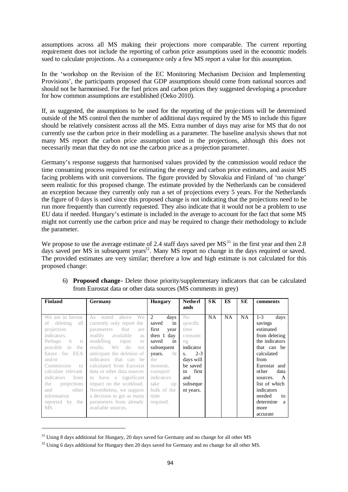assumptions across all MS making their projections more comparable. The current reporting requirement does not include the reporting of carbon price assumptions used in the economic models sued to calculate projections. As a consequence only a few MS report a value for this assumption.

In the 'workshop on the Revision of the EC Monitoring Mechanism Decision and Implementing Provisions', the participants proposed that GDP assumptions should come from national sources and should not be harmonised. For the fuel prices and carbon prices they suggested developing a procedure for how common assumptions are established (Oeko 2010).

If, as suggested, the assumptions to be used for the reporting of the proje ctions will be determined outside of the MS control then the number of additional days required by the MS to include this figure should be relatively consistent across all the MS. Extra number of days may arise for MS that do not currently use the carbon price in their modelling as a parameter. The baseline analysis shows that not many MS report the carbon price assumption used in the projections, although this does not necessarily mean that they do not use the carbon price as a projection parameter.

Germany's response suggests that harmonised values provided by the commission would reduce the time consuming process required for estimating the energy and carbon price estimates, and assist MS facing problems with unit conversions. The figure provided by Slovakia and Finland of 'no change' seem realistic for this proposed change. The estimate provided by the Netherlands can be considered an exception because they currently only run a set of projections every 5 years. For the Netherlands the figure of 0 days is used since this proposed change is not indicating that the projections need to be run more frequently than currently requested. They also indicate that it would not be a problem to use EU data if needed. Hungary's estimate is included in the average to account for the fact that some MS might not currently use the carbon price and may be required to change their methodology to include the parameter.

We propose to use the average estimate of 2.4 staff days saved per  $MS<sup>31</sup>$  in the first year and then 2.8 days saved per MS in subsequent years<sup>32</sup>. Many MS report no change in the days required or saved. The provided estimates are very similar; therefore a low and high estimate is not calculated for this proposed change:

| <b>Finland</b>                  | Germany                               | <b>Hungary</b> | <b>Netherl</b> | SК        | ES        | <b>SE</b> | comments        |
|---------------------------------|---------------------------------------|----------------|----------------|-----------|-----------|-----------|-----------------|
|                                 |                                       |                | ands           |           |           |           |                 |
| We are in favour                | As<br>above<br>We<br>stated           | 2<br>days      | No             | <b>NA</b> | <b>NA</b> | <b>NA</b> | $1 - 3$<br>days |
| deleting<br>all<br>of           | currently only report the             | saved<br>in    | specific       |           |           |           | savings         |
| projection                      | parameters<br>that<br>are             | first<br>year  | time           |           |           |           | estimated       |
| indicators.                     | readily available<br>as               | then 1 day     | consumi        |           |           |           | from deleting   |
| $\frac{1}{15}$<br>Perhaps<br>it | modelling<br>input<br><b>Oľ</b>       | saved<br>in    | ng             |           |           |           | the indicators  |
| possible<br>in<br>the           | results. We<br>d <sub>0</sub><br>not. | subsequent     | indicator      |           |           |           | that can be     |
| future for EEA                  | anticipate the deletion of            | At<br>years.   | $2 - 3$<br>S.  |           |           |           | calculated      |
| and/or                          | indicators<br>that can be             | the            | days will      |           |           |           | from            |
| Commission<br>$\overline{10}$   | calculated from Eurostat              | moment.        | be saved       |           |           |           | Eurostat and    |
| calculate relevant              | data or other data sources            | transport      | first<br>in    |           |           |           | other<br>data   |
| indicators<br>from              | to have a significant                 | indicators     | and            |           |           |           | A<br>sources.   |
| projections<br>the.             | impact on the workload.               | take<br>up     | subseque       |           |           |           | list of which   |
| other<br>and                    | Nevertheless, we support              | bulk of the    | nt years.      |           |           |           | indicators      |
| information                     | a decision to get as many             | time           |                |           |           |           | needed<br>to    |
| reported by the                 | parameters from already               | required.      |                |           |           |           | determine<br>a  |
| MS.                             | available sources.                    |                |                |           |           |           | more            |
|                                 |                                       |                |                |           |           |           | accurate        |

6) **Proposed change-** Delete those priority/supplementary indicators that can be calculated from Eurostat data or other data sources (MS comments in grey)

<sup>&</sup>lt;sup>31</sup> Using 8 days additional for Hungary, 20 days saved for Germany and no change for all other MS

 $32 \text{ Using } 6$  days additional for Hungary then 20 days saved for Germany and no change for all other MS.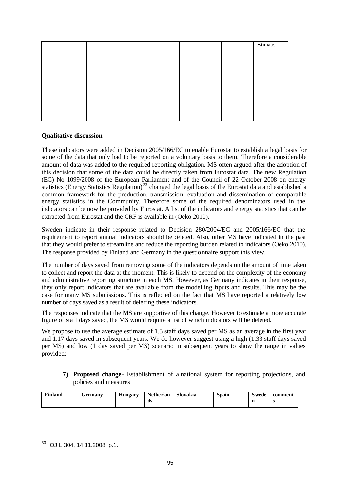|  |  |  | estimate. |
|--|--|--|-----------|
|  |  |  |           |
|  |  |  |           |
|  |  |  |           |
|  |  |  |           |
|  |  |  |           |
|  |  |  |           |
|  |  |  |           |
|  |  |  |           |
|  |  |  |           |
|  |  |  |           |

These indicators were added in Decision 2005/166/EC to enable Eurostat to establish a legal basis for some of the data that only had to be reported on a voluntary basis to them. Therefore a considerable amount of data was added to the required reporting obligation. MS often argued after the adoption of this decision that some of the data could be directly taken from Eurostat data. The new Regulation (EC) No 1099/2008 of the European Parliament and of the Council of 22 October 2008 on energy statistics (Energy Statistics Regulation)<sup>33</sup> changed the legal basis of the Eurostat data and established a common framework for the production, transmission, evaluation and dissemination of comparable energy statistics in the Community. Therefore some of the required denominators used in the indicators can be now be provided by Eurostat. A list of the indicators and energy statistics that can be extracted from Eurostat and the CRF is available in (Oeko 2010).

Sweden indicate in their response related to Decision 280/2004/EC and 2005/166/EC that the requirement to report annual indicators should be deleted. Also, other MS have indicated in the past that they would prefer to streamline and reduce the reporting burden related to indicators (Oeko 2010). The response provided by Finland and Germany in the questionnaire support this view.

The number of days saved from removing some of the indicators depends on the amount of time taken to collect and report the data at the moment. This is likely to depend on the complexity of the economy and administrative reporting structure in each MS. However, as Germany indicates in their response, they only report indicators that are available from the modelling inputs and results. This may be the case for many MS submissions. This is reflected on the fact that MS have reported a relatively low number of days saved as a result of dele ting these indicators.

The responses indicate that the MS are supportive of this change. However to estimate a more accurate figure of staff days saved, the MS would require a list of which indicators will be deleted.

We propose to use the average estimate of 1.5 staff days saved per MS as an average in the first year and 1.17 days saved in subsequent years. We do however suggest using a high (1.33 staff days saved per MS) and low (1 day saved per MS) scenario in subsequent years to show the range in values provided:

**7) Proposed change**- Establishment of a national system for reporting projections, and policies and measures

| Finland | Germany | <b>Hungary</b> | <b>Netherlan</b> | Slovakia | Spain | S wede | comment |
|---------|---------|----------------|------------------|----------|-------|--------|---------|
|         |         |                | ds               |          |       |        | Ð       |

<sup>33</sup> OJ L 304, 14.11.2008, p.1.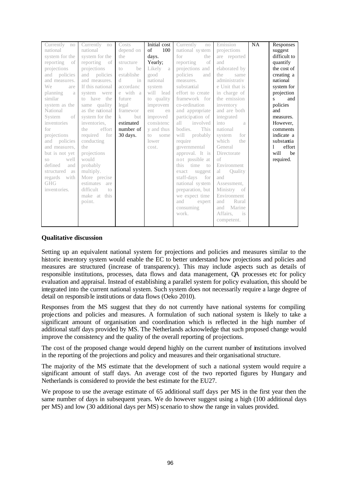| Currently no            | Currently no                 | Costs                 | Initial cost | Currently<br>no   | Emission                  | <b>NA</b> | Responses           |
|-------------------------|------------------------------|-----------------------|--------------|-------------------|---------------------------|-----------|---------------------|
| national                | national                     | depend on             | of<br>100    | national system   | projections               |           | suggest             |
| system for the          | system for the               | the                   | days.        | for<br>the        | are reported              |           | difficult to        |
| reporting of            | reporting of                 | structure             | Yearly:      | of<br>reporting   | and                       |           | quantify            |
| projections             | projections                  | he<br>10 <sup>1</sup> | Likely<br>a  | projections and   | elaborated by             |           | the cost of         |
| and policies            | and policies                 | establishe            | good         | policies<br>and   | the<br>same               |           | creating a          |
| and measures.           | and measures.                | d<br>in               | national     | measures.         | administrativ             |           | national            |
| We<br>are               | If this national             | accordanc             | system       | substantial       | e Unit that is            |           | system for          |
| planning<br>a           | system were                  | e with a              | will lead    | effort to create  | in charge of              |           | projection          |
| similar                 | to have the                  | future                | to quality   | framework for     | the emission              |           | and<br>$\mathbf{s}$ |
| system as the           | same quality                 | legal                 | improvem     | co-ordination     | inventory                 |           | policies            |
| National                | as the national              | framewor              | ent<br>en    | and appropriate   | and are both              |           | and                 |
| of 1<br>System          | system for the               | but<br>$\mathbf{k}$   | improved     | participation of  | integrated                |           | measures.           |
| inventories             | inventories.                 | estimated             | consistenc   | involved<br>all   | into<br>a                 |           | However.            |
| for                     | effort<br>the                | number of             | y and thus   | This<br>bodies.   | national                  |           | comments            |
| projections             | required<br>for              | 30 days.              | to<br>some   | will<br>probably  | for<br>system             |           | indicate a          |
| policies<br>and         | conducting                   |                       | lower        | require           | which<br>the              |           | substantia          |
| and measures.           | the                          |                       | cost.        | governmental      | General                   |           | effort              |
| but is not yet          | projections                  |                       |              | approval. It is   | Directorate               |           | will<br>be          |
| well<br>SO <sub>2</sub> | would                        |                       |              | not possible at   | of                        |           | required.           |
| defined<br>and          | probably                     |                       |              | time to<br>this   | Environment               |           |                     |
| structured as           | multiply.                    |                       |              | exact<br>suggest  | <b>Ouality</b><br>al      |           |                     |
| regards with            | More precise                 |                       |              | staff-days<br>for | and                       |           |                     |
| <b>GHG</b>              | estimates are                |                       |              | national system   | Assessment,               |           |                     |
| inventories.            | difficult<br>10 <sup>1</sup> |                       |              | preparation, but  | Ministry of               |           |                     |
|                         | make at this                 |                       |              | we expect time    | Environment               |           |                     |
|                         | point.                       |                       |              | and<br>expert     | Rural<br>and              |           |                     |
|                         |                              |                       |              | consuming         | Marine<br>and             |           |                     |
|                         |                              |                       |              | work.             | Affairs.<br>$\frac{1}{1}$ |           |                     |
|                         |                              |                       |              |                   | competent.                |           |                     |
|                         |                              |                       |              |                   |                           |           |                     |

Setting up an equivalent national system for projections and policies and measures similar to the historic inventory system would enable the EC to better understand how projections and policies and measures are structured (increase of transparency). This may include aspects such as details of responsible institutions, processes, data flows and data management, QA processes etc for policy evaluation and appraisal. Instead of establishing a parallel system for policy evaluation, this should be integrated into the current national system. Such system does not necessarily require a large degree of detail on responsible institutions or data flows (Oeko 2010).

Responses from the MS suggest that they do not currently have national systems for compiling projections and policies and measures. A formulation of such national system is likely to take a significant amount of organisation and coordination which is reflected in the high number of additional staff days provided by MS. The Netherlands acknowledge that such proposed change would improve the consistency and the quality of the overall reporting of projections.

The cost of the proposed change would depend highly on the current number of institutions involved in the reporting of the projections and policy and measures and their organisational structure.

The majority of the MS estimate that the development of such a national system would require a significant amount of staff days. An average cost of the two reported figures by Hungary and Netherlands is considered to provide the best estimate for the EU27.

We propose to use the average estimate of 65 additional staff days per MS in the first year then the same number of days in subsequent years. We do however suggest using a high (100 additional days per MS) and low (30 additional days per MS) scenario to show the range in values provided.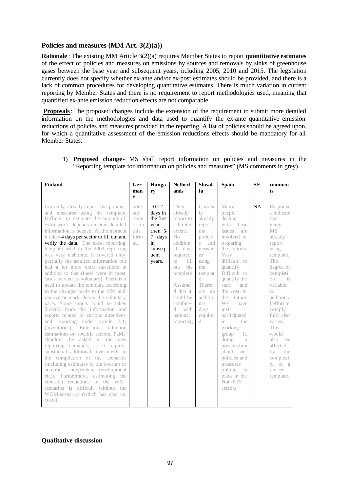### **Policies and measures (MM Art. 3(2)(a))**

**Rationale** : The existing MM Article 3(2)(a) requires Member States to report **quantitative estimates** of the effect of policies and measures on emissions by sources and removals by sinks of greenhouse gases between the base year and subsequent years, including 2005, 2010 and 2015. The legislation currently does not specify whether ex-ante and/or ex-post estimates should be provided, and there is a lack of common procedures for developing quantitative estimates. There is much variation in current reporting by Member States and there is no requirement to report methodologies used, meaning that quantified ex-ante emission reduction effects are not comparable.

**Proposals**: The proposed changes include the extension of the requirement to submit more detailed information on the methodologies and data used to quantify the ex-ante quantitative emission reductions of policies and measures provided in the reporting. A list of policies should be agreed upon, for which a quantitative assessment of the emission reductions effects should be mandatory for all Member States.

| <b>Finland</b>                                                                                                                                                                                                                                                                                                                                                                                                                                                                                                                                                                                                                                                                                                                                                                                                                                                                                                                                                                                                                                                                                                                                                                                                                                                                                         | Ger<br>man<br>y                                       | Hunga<br>ry                                                                                   | <b>Netherl</b><br>ands                                                                                                                                                                                                        | <b>Slovak</b><br>ia                                                                                                                                                                     | <b>Spain</b>                                                                                                                                                                                                                                                                                                                                                                                                                               | <b>SE</b> | commen<br>ts                                                                                                                                                                                                                                                                                                                              |
|--------------------------------------------------------------------------------------------------------------------------------------------------------------------------------------------------------------------------------------------------------------------------------------------------------------------------------------------------------------------------------------------------------------------------------------------------------------------------------------------------------------------------------------------------------------------------------------------------------------------------------------------------------------------------------------------------------------------------------------------------------------------------------------------------------------------------------------------------------------------------------------------------------------------------------------------------------------------------------------------------------------------------------------------------------------------------------------------------------------------------------------------------------------------------------------------------------------------------------------------------------------------------------------------------------|-------------------------------------------------------|-----------------------------------------------------------------------------------------------|-------------------------------------------------------------------------------------------------------------------------------------------------------------------------------------------------------------------------------|-----------------------------------------------------------------------------------------------------------------------------------------------------------------------------------------|--------------------------------------------------------------------------------------------------------------------------------------------------------------------------------------------------------------------------------------------------------------------------------------------------------------------------------------------------------------------------------------------------------------------------------------------|-----------|-------------------------------------------------------------------------------------------------------------------------------------------------------------------------------------------------------------------------------------------------------------------------------------------------------------------------------------------|
| Currently already report the policies<br>and measures using the template.<br>Difficult to estimate the amount of<br>extra work, depends on how detailed<br>information is needed. At the moment<br>it takes 4 days per sector to fill out and<br>verify the data. The excel reporting<br>template used in the 2009 reporting<br>was very elaborate. It covered only<br>partially the required information but<br>had a lot more extra questions in<br>addition to that (these were in most<br>cases marked as voluntary). There is a<br>need to update the template according<br>to the changes made to the MM and<br>remove or mark clearly the voluntary<br>parts. Some inputs could be taken<br>directly from the information and<br>reports related to various directives<br>and reporting under article $3(1)$<br>(inventories). Emission<br>reduction<br>estimations on specific sectoral PaMs<br>shouldn't be asked in the new<br>reporting demands, as it requires<br>substantial additional investments in<br>the compilation of the scenarios<br>(including estimates of the overlap of<br>activities, independent development<br>etc.). Furthermore, estimating the<br>emission reductions in the WM-<br>scenarios is difficult without the<br>WOM-scenarios (which has also its<br>costs). | Alre<br>adv<br>repor<br>$t$ in<br>this<br>form<br>at. | $10-12$<br>days in<br>the first<br>year<br>then 5<br>7 days<br>in<br>subseq<br>uent<br>years. | They<br>already<br>report to<br>a limited<br>extent.<br>No<br>addition<br>al<br>days<br>required<br>fill<br>to<br>the<br>out<br>template<br>Assume<br>d that it<br>could be<br>combine<br>d.<br>with<br>national<br>reporting | Current<br>$\rm{lv}$<br>already<br>report<br>the<br>policie<br>S<br>and<br>measur<br>es<br>using<br>the<br>templat<br>e.<br>Theref<br>ore no<br>additio<br>nal<br>days<br>require<br>d. | Many<br>people<br>dealing<br>with these<br>issues<br>are<br>involved in<br>preparing<br>the reports.<br>Very<br>difficult to<br>quantify.<br>Difficult to<br>quantify the<br>staff<br>and<br>the cost- in<br>future.<br>the<br>We<br>have<br>just<br>participated<br>in<br>the<br>working<br>group<br>II.<br>doing<br>a<br>presentation<br>about<br>OUT<br>policies and<br>measures<br>putting<br>in<br>place in the<br>Non-ETS<br>sectors | NA        | Response<br>s indicate<br>that<br>many<br><b>MS</b><br>already<br>report<br>using<br>template.<br>The<br>degree of<br>completi<br>on<br>is<br>variable<br>SO<br>additiona<br>1 effort to<br>comply<br>fully also<br>varies.<br><b>This</b><br>hluow<br>also<br>be<br>affected<br>by<br>the<br>complexi<br>ty of a<br>revised<br>template. |

1) **Proposed change-** MS shall report information on policies and measures in the "Reporting template for information on policies and measures" (MS comments in grey).

### **Qualitative discussion**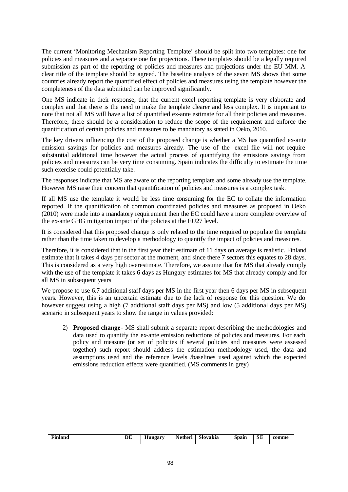The current 'Monitoring Mechanism Reporting Template' should be split into two templates: one for policies and measures and a separate one for projections. These templates should be a legally required submission as part of the reporting of policies and measures and projections under the EU MM. A clear title of the template should be agreed. The baseline analysis of the seven MS shows that some countries already report the quantified effect of policies and measures using the template however the completeness of the data submitted can be improved significantly.

One MS indicate in their response, that the current excel reporting template is very elaborate and complex and that there is the need to make the template clearer and less complex. It is important to note that not all MS will have a list of quantified ex-ante estimate for all their policies and measures. Therefore, there should be a consideration to reduce the scope of the requirement and enforce the quantification of certain policies and measures to be mandatory as stated in Oeko, 2010.

The key drivers influencing the cost of the proposed change is whether a MS has quantified ex-ante emission savings for policies and measures already. The use of the excel file will not require substantial additional time however the actual process of quantifying the emissions savings from policies and measures can be very time consuming. Spain indicates the difficulty to estimate the time such exercise could potentially take.

The responses indicate that MS are aware of the reporting template and some already use the template. However MS raise their concern that quantification of policies and measures is a complex task.

If all MS use the template it would be less time consuming for the EC to collate the information reported. If the quantification of common coordinated policies and measures as proposed in Oeko (2010) were made into a mandatory requirement then the EC could have a more complete overview of the ex-ante GHG mitigation impact of the policies at the EU27 level.

It is considered that this proposed change is only related to the time required to populate the template rather than the time taken to develop a methodology to quantify the impact of policies and measures.

Therefore, it is considered that in the first year their estimate of 11 days on average is realistic. Finland estimate that it takes 4 days per sector at the moment, and since there 7 sectors this equates to 28 days. This is considered as a very high overestimate. Therefore, we assume that for MS that already comply with the use of the template it takes 6 days as Hungary estimates for MS that already comply and for all MS in subsequent years

We propose to use 6.7 additional staff days per MS in the first year then 6 days per MS in subsequent years. However, this is an uncertain estimate due to the lack of response for this question. We do however suggest using a high (7 additional staff days per MS) and low (5 additional days per MS) scenario in subsequent years to show the range in values provided:

2) **Proposed change-** MS shall submit a separate report describing the methodologies and data used to quantify the ex-ante emission reductions of policies and measures. For each policy and measure (or set of polic ies if several policies and measures were assessed together) such report should address the estimation methodology used, the data and assumptions used and the reference levels /baselines used against which the expected emissions reduction effects were quantified. (MS comments in grey)

| $\sim$<br>Finland | DE | $-$<br>Hungary | $\blacksquare$<br>Netherl | C11<br>Slovakıa | -<br>Spain | $\sim$ $-$<br>בונט | comme |
|-------------------|----|----------------|---------------------------|-----------------|------------|--------------------|-------|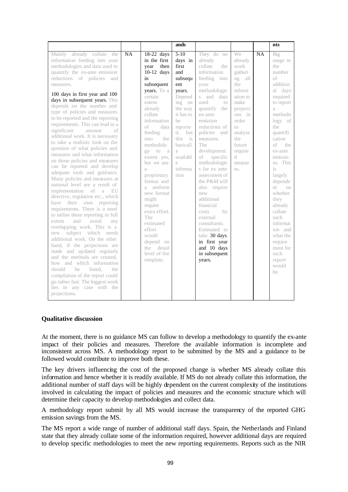|                                                                                                                                                                                                                                                                                                                                                                                                                                                                                                                                                                                                                                                                                                                                                                                                                                                                                                                                                                                                                                                                                                                                                                                                                                                                                                                                |                                                                                                                                                                                                                                                                                                                                                                                                                                                               | ands                                                                                                                                                                                                                                    |                                                                                                                                                                                                                                                                                                                                                                                                                                                                                                                              |                                                                                                                                                                                   |           | nts                                                                                                                                                                                                                                                                                                                                                                                        |
|--------------------------------------------------------------------------------------------------------------------------------------------------------------------------------------------------------------------------------------------------------------------------------------------------------------------------------------------------------------------------------------------------------------------------------------------------------------------------------------------------------------------------------------------------------------------------------------------------------------------------------------------------------------------------------------------------------------------------------------------------------------------------------------------------------------------------------------------------------------------------------------------------------------------------------------------------------------------------------------------------------------------------------------------------------------------------------------------------------------------------------------------------------------------------------------------------------------------------------------------------------------------------------------------------------------------------------|---------------------------------------------------------------------------------------------------------------------------------------------------------------------------------------------------------------------------------------------------------------------------------------------------------------------------------------------------------------------------------------------------------------------------------------------------------------|-----------------------------------------------------------------------------------------------------------------------------------------------------------------------------------------------------------------------------------------|------------------------------------------------------------------------------------------------------------------------------------------------------------------------------------------------------------------------------------------------------------------------------------------------------------------------------------------------------------------------------------------------------------------------------------------------------------------------------------------------------------------------------|-----------------------------------------------------------------------------------------------------------------------------------------------------------------------------------|-----------|--------------------------------------------------------------------------------------------------------------------------------------------------------------------------------------------------------------------------------------------------------------------------------------------------------------------------------------------------------------------------------------------|
| <b>NA</b><br>Mainly already collate the<br>information feeding into your<br>methodologies and data used to<br>quantify the ex-ante emission<br>reductions of policies<br>and<br>measures.<br>100 days in first year and 100<br>days in subsequent years. This<br>depends on the number and<br>type of policies and measures<br>to be reported and the reporting<br>requirements. This can lead to a<br>significant<br>amount<br>of<br>additional work. It is necessary<br>to take a realistic look on the<br>question of what policies and<br>measures and what information<br>on those policies and measures<br>can be reported and develop<br>adequate tools and guidance.<br>Many policies and measures at<br>national level are a result of<br>implementation of a EU<br>directive, regulation etc., which<br>have their own reporting<br>requirements. There is a need<br>to utilise these reporting to full<br>avoid<br>extent<br>and<br>anv<br>overlapping work. This is a<br>new subject which needs<br>additional work. On the other<br>hand, if the projections are<br>made and updated regularly<br>and the methods are created,<br>how and which information<br>should<br>listed.<br>be<br>the<br>compilation of the report could<br>go rather fast. The biggest work<br>lies in any case with the<br>projections. | $18-22$ days<br>in the first<br>vear<br>then<br>$10-12$ days<br>in<br>subsequent<br>years. To a<br>certain<br>extent<br>already<br>collate<br>information<br>of<br>data<br>feeding<br>into<br>the<br>methodolo<br>gy to a<br>extent yes,<br>but we use<br>a<br>proprietary<br>format and<br>uniform<br>a<br>new format<br>might<br>require<br>extra effort.<br>The<br>estimated<br>effort<br>would<br>depend on<br>the<br>detail<br>level of the<br>template. | $5 - 10$<br>days in<br>first<br>and<br>subsequ<br>ent<br>years.<br>Depend<br>ing<br>on<br>the way<br>it has to<br>he<br>reporte<br>d.<br>but<br>this<br>$-$ is<br>basicall<br>$\mathbf V$<br>availabl<br>$\triangle$<br>informa<br>tion | They do no<br>already<br>collate<br>the<br>information<br>feeding into<br>your<br>methodologie<br>s and data<br>used<br>10 <sup>1</sup><br>quantify the<br>ex-ante<br>emission<br>reductions of<br>policies and<br>measures.<br>The<br>development<br>of specific<br>methodologie<br>s for ex ante<br>asses sment of<br>the P&M will<br>also require<br>new<br>additional<br>financial<br>by<br>costs<br>external<br>consultants.<br>Estimated to<br>take 30 days<br>in first year<br>and 10 days<br>in subsequent<br>years. | We<br>already<br>work<br>gatheri<br>ng all<br>the<br>inform<br>ation to<br>make<br>projecti<br>ons in<br>order<br>to<br>analyse<br>the<br>future<br>require<br>d<br>measur<br>es. | <b>NA</b> | Big<br>range in<br>the<br>number<br>of<br>addition<br>al days<br>required<br>to report<br>$\alpha$<br>methodo<br>logy of<br>the<br>quantifi<br>cation<br>of<br>the<br>ex-ante<br>emissio<br>ns. This<br>is<br>largely<br>depende<br>nt.<br>on<br>whether<br>they<br>already<br>collate<br>such<br>informat<br>ion and<br>what the<br>require<br>ment for<br>such<br>report<br>hluow<br>he. |

At the moment, there is no guidance MS can follow to develop a methodology to quantify the ex-ante impact of their policies and measures. Therefore the available information is incomplete and inconsistent across MS. A methodology report to be submitted by the MS and a guidance to be followed would contribute to improve both these.

The key drivers influencing the cost of the proposed change is whether MS already collate this information and hence whether it is readily available. If MS do not already collate this information, the additional number of staff days will be highly dependent on the current complexity of the institutions involved in calculating the impact of policies and measures and the economic structure which will determine their capacity to develop methodologies and collect data.

A methodology report submit by all MS would increase the transparency of the reported GHG emission savings from the MS.

The MS report a wide range of number of additional staff days. Spain, the Netherlands and Finland state that they already collate some of the information required, however additional days are required to develop specific methodologies to meet the new reporting requirements. Reports such as the NIR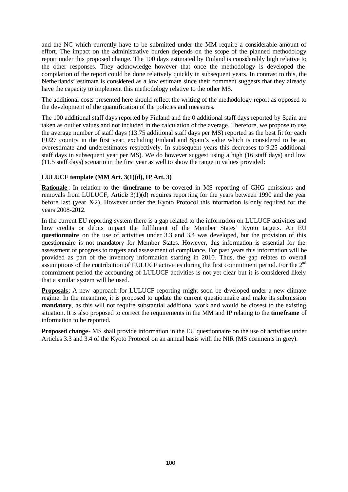and the NC which currently have to be submitted under the MM require a considerable amount of effort. The impact on the administrative burden depends on the scope of the planned methodology report under this proposed change. The 100 days estimated by Finland is considerably high relative to the other responses. They acknowledge however that once the methodology is developed the compilation of the report could be done relatively quickly in subsequent years. In contrast to this, the Netherlands' estimate is considered as a low estimate since their comment suggests that they already have the capacity to implement this methodology relative to the other MS.

The additional costs presented here should reflect the writing of the methodology report as opposed to the development of the quantification of the policies and measures.

The 100 additional staff days reported by Finland and the 0 additional staff days reported by Spain are taken as outlier values and not included in the calculation of the average. Therefore, we propose to use the average number of staff days (13.75 additional staff days per MS) reported as the best fit for each EU27 country in the first year, excluding Finland and Spain's value which is considered to be an overestimate and underestimates respectively. In subsequent years this decreases to 9.25 additional staff days in subsequent year per MS). We do however suggest using a high (16 staff days) and low (11.5 staff days) scenario in the first year as well to show the range in values provided:

#### **LULUCF template (MM Art. 3(1)(d), IP Art. 3)**

**Rationale** : In relation to the **timeframe** to be covered in MS reporting of GHG emissions and removals from LULUCF, Article  $3(1)(d)$  requires reporting for the years between 1990 and the year before last (year X-2). However under the Kyoto Protocol this information is only required for the years 2008-2012.

In the current EU reporting system there is a gap related to the information on LULUCF activities and how credits or debits impact the fulfilment of the Member States' Kyoto targets. An EU **questionnaire** on the use of activities under 3.3 and 3.4 was developed, but the provision of this questionnaire is not mandatory for Member States. However, this information is essential for the assessment of progress to targets and assessment of compliance. For past years this information will be provided as part of the inventory information starting in 2010. Thus, the gap relates to overall assumptions of the contribution of LULUCF activities during the first commitment period. For the  $2<sup>nd</sup>$ commitment period the accounting of LULUCF activities is not yet clear but it is considered likely that a similar system will be used.

**Proposals**: A new approach for LULUCF reporting might soon be developed under a new climate regime. In the meantime, it is proposed to update the current questionnaire and make its submission **mandatory**, as this will not require substantial additional work and would be closest to the existing situation. It is also proposed to correct the requirements in the MM and IP relating to the **timeframe** of information to be reported.

**Proposed change-** MS shall provide information in the EU questionnaire on the use of activities under Articles 3.3 and 3.4 of the Kyoto Protocol on an annual basis with the NIR (MS comments in grey).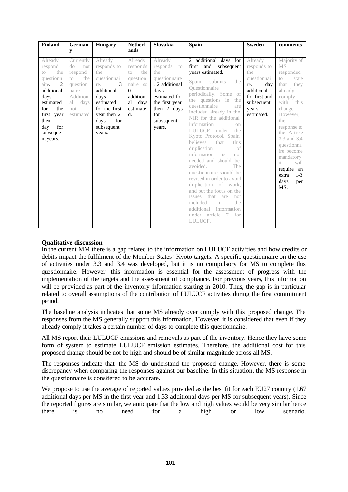| Finland                                                                                                                                                                                    | German<br>y                                                                                                                  | <b>Hungary</b>                                                                                                                                                     | <b>Netherl</b><br>ands                                                                                                             | Slovakia                                                                                                                                                     | <b>Spain</b>                                                                                                                                                                                                                                                                                                                                                                                                                                                                                                                                                                                                                                                                    | <b>Sweden</b>                                                                                                                   | comments                                                                                                                                                                                                                                                                                              |
|--------------------------------------------------------------------------------------------------------------------------------------------------------------------------------------------|------------------------------------------------------------------------------------------------------------------------------|--------------------------------------------------------------------------------------------------------------------------------------------------------------------|------------------------------------------------------------------------------------------------------------------------------------|--------------------------------------------------------------------------------------------------------------------------------------------------------------|---------------------------------------------------------------------------------------------------------------------------------------------------------------------------------------------------------------------------------------------------------------------------------------------------------------------------------------------------------------------------------------------------------------------------------------------------------------------------------------------------------------------------------------------------------------------------------------------------------------------------------------------------------------------------------|---------------------------------------------------------------------------------------------------------------------------------|-------------------------------------------------------------------------------------------------------------------------------------------------------------------------------------------------------------------------------------------------------------------------------------------------------|
| Already<br>respond<br>the<br>to<br>questionn<br>2<br>aire.<br>additional<br>days<br>estimated<br>for<br>the<br>first year<br>$\overline{1}$<br>then<br>for<br>day<br>subseque<br>nt years. | Currently<br>$d\circ$<br>not<br>respond<br>the<br>$10 -$<br>question<br>naire.<br>Addition<br>days<br>al<br>not<br>estimated | Already<br>responds to<br>the<br>questionnai<br>re.<br>3<br>additional<br>days<br>estimated<br>for the first<br>year then 2<br>for<br>days<br>subsequent<br>years. | Already<br>responds<br>the<br>$t_{\rm O}$<br>question<br>naire so<br>$\Omega$<br>addition<br>al<br>days<br>estimate<br>$d_{\cdot}$ | Already<br>responds<br>to<br>the<br>questionnaire<br>. 2 additional<br>days<br>estimated for<br>the first year<br>then 2 days<br>for<br>subsequent<br>years. | 2 additional days for<br>first and subsequent<br>years estimated.<br>Spain submits<br>the<br>Ouestionnaire<br>periodically. Some of<br>the questions in the<br>questionnaire<br>are<br>included already in the<br>NIR for the additional<br>information<br>$_{\text{on}}$<br>LULUCF under the<br>Kyoto Protocol. Spain<br>believes that<br>this<br>of<br>duplication<br>information<br>$-$ is<br>not.<br>needed and should be<br>avoided.<br>The<br>questionnaire should be<br>revised in order to avoid<br>duplication of work,<br>and put the focus on the<br>issues that are<br>not<br>included<br>$\sin$<br>the<br>additional information<br>under article 7 for<br>LULUCF. | Already<br>responds to<br>the<br>questionnai<br>re. $1$ day<br>additional<br>for first and<br>subsequent<br>years<br>estimated. | Majority of<br><b>MS</b><br>responded<br>$\infty$<br>state<br>they<br>that<br>already<br>comply<br>with this<br>change.<br>However,<br>the<br>response to<br>the Article<br>3.3 and 3.4<br>questionna<br>ire become<br>mandatory<br>it.<br>will<br>require an<br>$1-3$<br>extra<br>days<br>per<br>MS. |

In the current MM there is a gap related to the information on LULUCF activ ities and how credits or debits impact the fulfilment of the Member States' Kyoto targets. A specific questionnaire on the use of activities under 3.3 and 3.4 was developed, but it is no compulsory for MS to complete this questionnaire. However, this information is essential for the assessment of progress with the implementation of the targets and the assessment of compliance. For previous years, this information will be provided as part of the inventory information starting in 2010. Thus, the gap is in particular related to overall assumptions of the contribution of LULUCF activities during the first commitment period.

The baseline analysis indicates that some MS already over comply with this proposed change. The responses from the MS generally support this information. However, it is considered that even if they already comply it takes a certain number of days to complete this questionnaire.

All MS report their LULUCF emissions and removals as part of the inventory. Hence they have some form of system to estimate LULUCF emission estimates. Therefore, the additional cost for this proposed change should be not be high and should be of similar magnitude across all MS.

The responses indicate that the MS do understand the proposed change. However, there is some discrepancy when comparing the responses against our baseline. In this situation, the MS response in the questionnaire is considered to be accurate.

We propose to use the average of reported values provided as the best fit for each EU27 country (1.67) additional days per MS in the first year and 1.33 additional days per MS for subsequent years). Since the reported figures are similar, we anticipate that the low and high values would be very similar hence there is no need for a high or low scenario.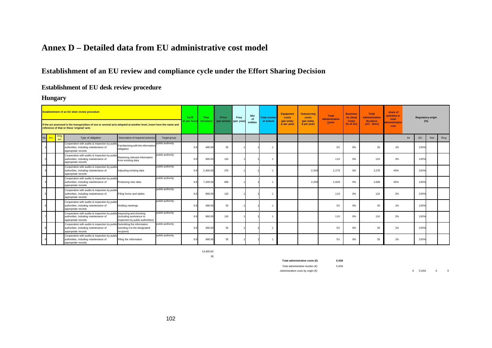# **Annex D – Detailed data from EU administrative cost model**

# **Establishment of an EU review and compliance cycle under the Effort Sharing Decision**

#### **Establishment of EU desk review procedure**

**Hungary**

| Establishment of an EU desk review procedure |                                                                                                                                                                  |      | <b>Tariff</b>                                                                                                                             | <b>Time</b>                                                   | Price            | Freq         | <b>Nbr</b><br>of | <b>Total number</b> | <b>Equipment</b><br>costs | <b>Outsourcing</b><br>costs | <b>Total</b><br><b>Administrative</b> | <b>Business</b><br><b>As Usual</b> | Total<br><b>Administrative</b> | share of<br>activities in<br>total | <b>Regulatory origin</b> |       |       |                  |     |     |
|----------------------------------------------|------------------------------------------------------------------------------------------------------------------------------------------------------------------|------|-------------------------------------------------------------------------------------------------------------------------------------------|---------------------------------------------------------------|------------------|--------------|------------------|---------------------|---------------------------|-----------------------------|---------------------------------------|------------------------------------|--------------------------------|------------------------------------|--------------------------|-------|-------|------------------|-----|-----|
|                                              | If the act assessed is the transposition of one or several acts adopted at another level, insert here the name and<br>reference of that or these 'original' acts |      |                                                                                                                                           | € per hou                                                     | minutes          | (per action) | (per year)       | entities            | of actions                | (per entity<br>& per year)  | (per entity)<br>& per year)           | Costs                              | <b>Costs</b><br>(% of AC)      | <b>Burdens</b><br>$(AC - BAU)$     | dministrative<br>cost    |       | (%)   |                  |     |     |
|                                              | No. Art.                                                                                                                                                         | Art. | Type of obligation                                                                                                                        | Description of required action(s)                             | Target group     |              |                  |                     |                           |                             |                                       |                                    |                                |                                    |                          |       |       | Int<br><b>EU</b> | Nat | Reg |
|                                              |                                                                                                                                                                  |      | Cooperation with audits & inspection by public<br>authorities, including maintenance of<br>appropriate records                            | Familiarising with the information<br>obligation              | public authority |              | 480.0            | 55                  |                           |                             |                                       |                                    |                                | 55                                 | 0%                       | 55    | $1\%$ | 100%             |     |     |
|                                              |                                                                                                                                                                  |      | Cooperation with audits & inspection by public<br>authorities, including maintenance of<br>appropriate records                            | Retrieving relevant information<br>from existing data         | public authority |              | 960.0            | 110                 |                           |                             |                                       |                                    |                                | 110                                | 0%                       | 110   | 2%    | 100%             |     |     |
|                                              |                                                                                                                                                                  |      | Cooperation with audits & inspection by public<br>authorities, including maintenance of<br>appropriate records                            | Adjusting existing data                                       | public authority |              | 2,400.0          | 276                 |                           |                             |                                       |                                    | 2.000                          | 2,276                              | 0%                       | 2,276 | 40%   | 100%             |     |     |
|                                              |                                                                                                                                                                  |      | Cooperation with audits & inspection by public<br>authorities, including maintenance of<br>appropriate records                            | Producing new data                                            | public authority |              | 7,200.00         | 828                 |                           |                             |                                       |                                    | 2.00                           | 2.828                              | 0%                       | 2,828 | 50%   | 100%             |     |     |
|                                              |                                                                                                                                                                  |      | Cooperation with audits & inspection by public<br>authorities, including maintenance of<br>appropriate records                            | Filing forms and tables                                       | public authority | 6.           | 960.0            | 110                 |                           |                             |                                       |                                    |                                | 110                                | 0%                       | 110   | 2%    | 100%             |     |     |
|                                              |                                                                                                                                                                  |      | Cooperation with audits & inspection by public<br>authorities, including maintenance of<br>appropriate records                            | Holding meetings                                              | public authority |              | 480.0            | 55                  |                           |                             |                                       |                                    |                                | 55                                 | 0%                       | 55    | $1\%$ | 100%             |     |     |
|                                              |                                                                                                                                                                  |      | Cooperation with audits & inspection by public Inspecting and checking<br>authorities, including maintenance of<br>appropriate records    | (including assistance to<br>inspection by public authorities) | public authority |              | 960.0            | 110                 |                           |                             | 1                                     |                                    |                                | 110                                | 0%                       | 110   | 2%    | 100%             |     |     |
|                                              |                                                                                                                                                                  |      | Cooperation with audits & inspection by public Submitting the information<br>authorities, including maintenance of<br>appropriate records | (sending it to the designated<br>recipient)                   | public authority |              | 480.0            | 55                  |                           |                             |                                       |                                    |                                | 55                                 | 0%                       | 55    | $1\%$ | 100%             |     |     |
|                                              |                                                                                                                                                                  |      | Cooperation with audits & inspection by public<br>authorities, including maintenance of<br>appropriate records                            | Filing the information                                        | public authority |              | 480.0            | 55                  |                           |                             | 1                                     |                                    |                                | 55                                 | 0%                       | 55    | 1%    | 100%             |     |     |

14,400.00 30

**Total administrative costs (€) 5,656**

*Total administrative burden (€)* 5,656

*Administrative costs by origin (€)* 0 5,656 0 0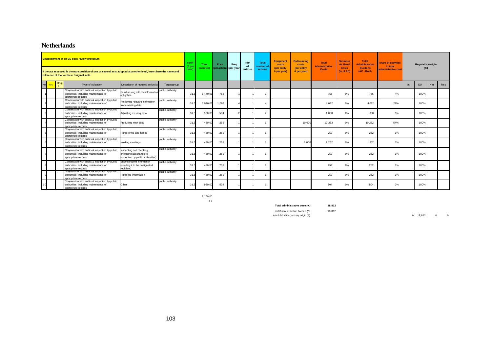### **Netherlands**

|     |      | <b>Establishment of an EU desk review procedure</b>                                                                                                              |                                                                                         |                  | <b>Tariff</b><br>(€per | Time      | Price        | Freq       | <b>Nbr</b><br>of | <b>Total</b><br><b>umber</b> of | Equipment<br>costs         | <b>Outsourcing</b><br>costs | <b>Total</b><br><b>Administrative</b> | <b>Business</b><br><b>As Usual</b> | <b>Total</b><br><b>Administrative</b> | share of activities<br>in total |           | <b>Regulatory origin</b> |     |
|-----|------|------------------------------------------------------------------------------------------------------------------------------------------------------------------|-----------------------------------------------------------------------------------------|------------------|------------------------|-----------|--------------|------------|------------------|---------------------------------|----------------------------|-----------------------------|---------------------------------------|------------------------------------|---------------------------------------|---------------------------------|-----------|--------------------------|-----|
|     |      | If the act assessed is the transposition of one or several acts adopted at another level, insert here the name and<br>reference of that or these 'original' acts |                                                                                         |                  | hour)                  | (minutes) | (per action) | (per year) | entities         | actions                         | (per entity<br>& per year) | (per entity<br>& per year)  | <b>Costs</b>                          | <b>Costs</b><br>(% of AC)          | <b>Burdens</b><br>(AC - BAU)          | administrative cost             |           | (%)                      |     |
| No. | Art. | Type of obligation                                                                                                                                               | Description of required action(s)                                                       | Target group     |                        |           |              |            |                  |                                 |                            |                             |                                       |                                    |                                       |                                 | EU<br>Int | Nat                      | Reg |
|     |      | Cooperation with audits & inspection by public<br>authorities, including maintenance of<br>appropriate records                                                   | Familiarising with the informatio<br>obligation                                         | public authority | 31.                    | 1.440.0   | 756          |            |                  |                                 |                            |                             | 756                                   | 0%                                 | 756                                   | 4%                              |           | 100%                     |     |
|     |      | Cooperation with audits & inspection by public<br>authorities, including maintenance of<br>appropriate records                                                   | Retrieving relevant information<br>from existing data                                   | public authority | 31.5                   | 1,920.0   | 1.008        |            |                  |                                 |                            |                             | 4.032                                 | 0%                                 | 4,032                                 | 21%                             |           | 100%                     |     |
|     |      | Cooperation with audits & inspection by public<br>authorities, including maintenance of<br>appropriate records                                                   | Adjusting existing data                                                                 | public authority | 31.5                   | 960.0     | 504          |            |                  | $\overline{\phantom{a}}$        |                            |                             | 1.008                                 | 0%                                 | 1.008                                 | 5%                              |           | 100%                     |     |
|     |      | Cooperation with audits & inspection by public<br>authorities, including maintenance of<br>appropriate records                                                   | Producing new data                                                                      | public authority | 31.5                   | 480.00    | 252          |            |                  |                                 |                            | 10,000                      | 10.252                                | $0\%$                              | 10.252                                | 54%                             |           | 100%                     |     |
|     |      | Cooperation with audits & inspection by public<br>authorities, including maintenance of<br>appropriate records                                                   | Filing forms and tables                                                                 | public authority | 31.5                   | 480.00    | 252          |            |                  |                                 |                            |                             | 252                                   | 0%                                 | 252                                   | $1\%$                           |           | 100%                     |     |
|     |      | Cooperation with audits & inspection by public<br>authorities, including maintenance of<br>appropriate records                                                   | Holding meetings                                                                        | public authority | 31.5                   | 480.0     | 252          |            |                  |                                 |                            | 1.000                       | 1.252                                 | 0%                                 | 1.252                                 | 7%                              |           | 100%                     |     |
|     |      | Cooperation with audits & inspection by public<br>authorities, including maintenance of<br>appropriate records                                                   | Inspecting and checking<br>including assistance to<br>inspection by public authorities) | public authority | 31.5                   | 480.0     | 252          |            |                  |                                 |                            |                             | 252                                   | 0%                                 | 252                                   | $1\%$                           |           | 100%                     |     |
|     |      | Cooperation with audits & inspection by public<br>authorities, including maintenance of<br>appropriate records                                                   | Submitting the information<br>(sending it to the designated<br>recipient)               | public authority | 31.5                   | 480.00    | 252          |            |                  |                                 |                            |                             | 252                                   | 0%                                 | 252                                   | 1%                              |           | 100%                     |     |
|     |      | Cooperation with audits & inspection by public<br>authorities, including maintenance of<br>appropriate records                                                   | Filing the information                                                                  | public authority | 31.5                   | 480.00    | 252          |            |                  |                                 |                            |                             | 252                                   | 0%                                 | 252                                   | $1\%$                           |           | 100%                     |     |
|     |      | Cooperation with audits & inspection by public<br>authorities, including maintenance of<br>appropriate records                                                   | Other                                                                                   | public authority | 31.5                   | 960.0     | 504          |            |                  |                                 |                            |                             | 504                                   | 0%                                 | 504                                   | 3%                              |           | 100%                     |     |

8,160.00 17

**Total administrative costs (€) 18,812** *Total administrative burden (€)* 18,812

*Administrative costs by origin (€)* 0 18,812 0 0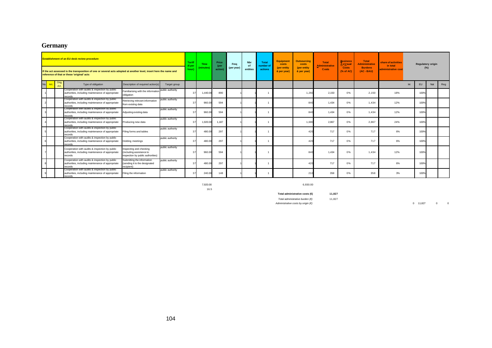# **Germany**

|            |             | <b>Establishment of an EU desk review procedure</b><br>If the act assessed is the transposition of one or several acts adopted at another level, insert here the name and<br>reference of that or these 'original' acts |                                                                                         |                  | <b>Tariff</b><br>(€pe<br>hour) | Time<br>(minutes) | Price<br>(per<br>action) | Freq<br>(per year) | Nbr<br>of<br>entities | <b>Total</b><br>number o<br>actions | <b>Equipment</b><br>costs<br>(per entity<br>& per year) | <b>Outsourcing</b><br>costs<br>(per entity<br>& per year) | Total<br><b>Administrative</b><br>Costs | <b>Business</b><br>AsUsual<br><b>Costs</b><br>(% of AC) | <b>Total</b><br><b>Administrative</b><br><b>Burdens</b><br>$(AC - BAU)$ | share of activities<br>in total<br>administrative cost |     | <b>Regulatory origin</b><br>(%) |     |     |
|------------|-------------|-------------------------------------------------------------------------------------------------------------------------------------------------------------------------------------------------------------------------|-----------------------------------------------------------------------------------------|------------------|--------------------------------|-------------------|--------------------------|--------------------|-----------------------|-------------------------------------|---------------------------------------------------------|-----------------------------------------------------------|-----------------------------------------|---------------------------------------------------------|-------------------------------------------------------------------------|--------------------------------------------------------|-----|---------------------------------|-----|-----|
| No.<br>Art | Orig<br>Art | Type of obligation                                                                                                                                                                                                      | Description of required action(s)                                                       | Target group     |                                |                   |                          |                    |                       |                                     |                                                         |                                                           |                                         |                                                         |                                                                         |                                                        | Int | EU                              | Nat | Reg |
|            |             | Cooperation with audits & inspection by public<br>authorities, including maintenance of appropriate<br>ecords                                                                                                           | Familiarising with the information<br>obligation                                        | public authority | 37                             | 1.440.00          | 890                      |                    |                       |                                     |                                                         | 1.260                                                     | 2.150                                   | 0%                                                      | 2,150                                                                   | 18%                                                    |     | 100%                            |     |     |
|            |             | Cooperation with audits & inspection by public<br>authorities, including maintenance of appropriate<br>records                                                                                                          | Retrieving relevant information<br>from existing data                                   | public authority | 37                             | 960.0             | 594                      |                    |                       |                                     |                                                         | 84                                                        | 1.434                                   | 0%                                                      | 1,434                                                                   | 12%                                                    |     | 100%                            |     |     |
|            |             | Cooperation with audits & inspection by public<br>authorities, including maintenance of appropriate<br>records                                                                                                          | Adjusting existing data                                                                 | public authority | 37                             | 960.0             | 594                      |                    |                       |                                     |                                                         |                                                           | 1.434                                   | 0%                                                      | 1,434                                                                   | 12%                                                    |     | 100%                            |     |     |
|            |             | Cooperation with audits & inspection by public<br>authorities, including maintenance of appropriate<br>ecords                                                                                                           | Producing new data                                                                      | public authority | 37                             | 1,920.00          | 1.187                    |                    |                       |                                     |                                                         | 1.680                                                     | 2.867                                   | 0%                                                      | 2,867                                                                   | 24%                                                    |     | 100%                            |     |     |
|            |             | Cooperation with audits & inspection by public<br>authorities, including maintenance of appropriate<br>records                                                                                                          | Filing forms and tables                                                                 | public authority | 37                             | 480.00            | 297                      |                    |                       |                                     |                                                         |                                                           | 717                                     | 0%                                                      | 717                                                                     | 6%                                                     |     | 100%                            |     |     |
|            |             | Cooperation with audits & inspection by public<br>authorities, including maintenance of appropriate<br>records                                                                                                          | Holding meetings                                                                        | public authority | 37                             | 480.00            | 297                      |                    |                       |                                     |                                                         |                                                           | 717                                     | 0%                                                      | 717                                                                     | 6%                                                     |     | 100%                            |     |     |
|            |             | Cooperation with audits & inspection by public<br>authorities, including maintenance of appropriate<br>records                                                                                                          | Inspecting and checking<br>including assistance to<br>inspection by public authorities) | public authority | 37                             | 960.00            | 594                      |                    |                       |                                     |                                                         |                                                           | 1.434                                   | 0%                                                      | 1.434                                                                   | 12%                                                    |     | 100%                            |     |     |
|            |             | Cooperation with audits & inspection by public<br>authorities, including maintenance of appropriate<br>records                                                                                                          | Submitting the information<br>(sending it to the designated<br>recipient)               | public authority | 37                             | 480.00            | 297                      |                    |                       |                                     |                                                         |                                                           | 717                                     | 0%                                                      | 717                                                                     | 6%                                                     |     | 100%                            |     |     |
|            |             | Cooperation with audits & inspection by public<br>authorities, including maintenance of appropriate<br>records                                                                                                          | Filing the information                                                                  | public authority | 37                             | 240.00            | 148                      |                    |                       |                                     |                                                         |                                                           | 358                                     | 0%                                                      | 358                                                                     | 3%                                                     |     | 100%                            |     |     |

16.5

7,920.00 6,930.00

**Total administrative costs (€) 11,827**

*Total administrative burden (€)* 11,827

*Administrative costs by origin (€)* 0 11,827 0 0

104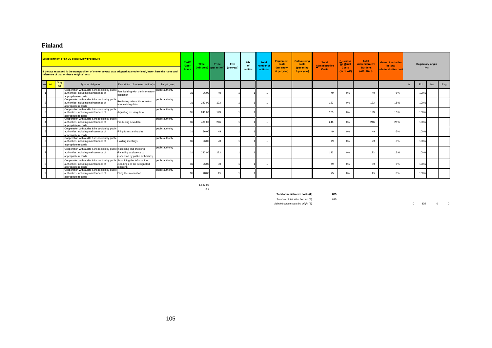### **Finland**

|             |              | <b>Establishment of an EU desk review procedure</b><br>If the act assessed is the transposition of one or several acts adopted at another level, insert here the name and<br>reference of that or these 'original' acts |                                                                               |                  | Tariff<br>(€peı<br>hour) | <b>Time</b><br>minutes) | Price<br><b>K</b> peraction | Frea<br>(per year) | <b>Nbr</b><br><b>nf</b><br>entities | <b>Total</b><br>number o<br>actions | <b>Equipment</b><br>costs<br>(per entity)<br>& per year) | <b>Outsourcing</b><br>costs<br>(per entity<br>& per year) | Total<br><b>Administrative</b><br>Costs | <b>Business</b><br>As Usual<br><b>Costs</b><br>(% of AC) | <b>Total</b><br><b>Administrative</b><br><b>Burdens</b><br>$(AC - BAU)$ | share of activities<br>in total<br>administrative cost |     | <b>Regulatory origin</b><br>(%) |     |     |
|-------------|--------------|-------------------------------------------------------------------------------------------------------------------------------------------------------------------------------------------------------------------------|-------------------------------------------------------------------------------|------------------|--------------------------|-------------------------|-----------------------------|--------------------|-------------------------------------|-------------------------------------|----------------------------------------------------------|-----------------------------------------------------------|-----------------------------------------|----------------------------------------------------------|-------------------------------------------------------------------------|--------------------------------------------------------|-----|---------------------------------|-----|-----|
| No.<br>Art. | Orig<br>Art. | Type of obligation                                                                                                                                                                                                      | Description of required action(s)                                             | Target group     |                          |                         |                             |                    |                                     |                                     |                                                          |                                                           |                                         |                                                          |                                                                         |                                                        | Int | <b>EU</b>                       | Nat | Reg |
|             |              | Cooperation with audits & inspection by public<br>authorities, including maintenance of<br>appropriate records                                                                                                          | Familiarising with the informatio<br>obligation                               | public authority |                          | 96.0                    | 49                          |                    |                                     |                                     |                                                          |                                                           | 49                                      | 0%                                                       | 49                                                                      | 6%                                                     |     | 100%                            |     |     |
|             |              | Cooperation with audits & inspection by public<br>authorities, including maintenance of<br>appropriate records                                                                                                          | Retrieving relevant information<br>from existing data                         | public authority |                          | 240.0                   | 123                         |                    |                                     |                                     |                                                          |                                                           | 123                                     | 0%                                                       | 123                                                                     | 15%                                                    |     | 100%                            |     |     |
|             |              | Cooperation with audits & inspection by public<br>authorities, including maintenance of<br>appropriate records                                                                                                          | Adjusting existing data                                                       | public authority |                          | 240.0                   | 123                         |                    |                                     |                                     |                                                          |                                                           | 123                                     | 0%                                                       | 123                                                                     | 15%                                                    |     | 100%                            |     |     |
|             |              | Cooperation with audits & inspection by public<br>authorities, including maintenance of<br>appropriate records                                                                                                          | Producing new data                                                            | public authority |                          | 480.0                   | 246                         |                    |                                     |                                     |                                                          |                                                           | 246                                     | 0%                                                       | 246                                                                     | 29%                                                    |     | 100%                            |     |     |
|             |              | Cooperation with audits & inspection by public<br>authorities, including maintenance of<br>appropriate records                                                                                                          | Filing forms and tables                                                       | public authority |                          | 96.0                    | 49                          |                    |                                     |                                     |                                                          |                                                           | 49                                      | 0%                                                       | 4 <sup>c</sup>                                                          | 6%                                                     |     | 100%                            |     |     |
|             |              | Cooperation with audits & inspection by public<br>authorities, including maintenance of<br>appropriate records                                                                                                          | Holding meetings                                                              | public authority |                          | 96.0                    | 49                          |                    |                                     |                                     |                                                          |                                                           | $\Delta$ C                              | 0%                                                       | 49                                                                      | 6%                                                     |     | 100%                            |     |     |
|             |              | Cooperation with audits & inspection by public Inspecting and checking<br>authorities, including maintenance of<br>appropriate records                                                                                  | (including assistance to<br>inspection by public authorities)                 | public authority |                          | 240.00                  | 123                         |                    |                                     |                                     |                                                          |                                                           | 123                                     | 0%                                                       | 123                                                                     | 15%                                                    |     | 100%                            |     |     |
|             |              | Cooperation with audits & inspection by publi<br>authorities, including maintenance of<br>appropriate records                                                                                                           | lic Submitting the information<br>(sending it to the designated<br>recipient) | public authority |                          | 96.0                    | 49                          |                    |                                     |                                     |                                                          |                                                           | 49                                      | 0%                                                       | $\Delta$ C                                                              | 6%                                                     |     | 100%                            |     |     |
|             |              | Cooperation with audits & inspection by public<br>authorities, including maintenance of<br>appropriate records                                                                                                          | Filing the information                                                        | public authority |                          | 48.0                    | 25                          |                    |                                     |                                     |                                                          |                                                           | 25                                      | 0%                                                       | 25                                                                      | 3%                                                     |     | 100%                            |     |     |

1,632.00 3.4

**Total administrative costs (€) 835**

*Total administrative burden (€)* 835

*Administrative costs by origin (€)* 0 835 0 0 0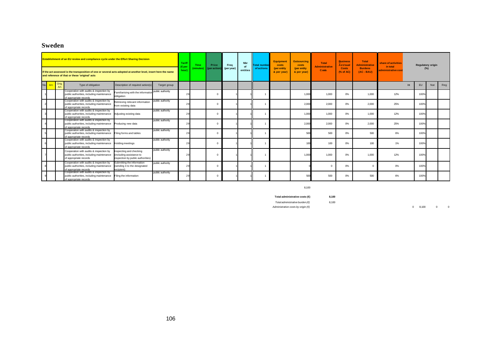### **Sweden**

|     |      | <b>Establishment of an EU review and compliance cycle under the Effort Sharing Decision</b><br>If the act assessed is the transposition of one or several acts adopted at another level, insert here the name<br>and reference of that or these 'original' acts |                                                                                         |                  | <b>Tariff</b><br>Ener<br>hour) | Time<br>(minutes) | Price<br>(per action) | Frea<br>(per year) | <b>Nbr</b><br>$\sim$<br>entities | Total numbe<br>of actions | <b>Equipment</b><br>costs<br>(per entity<br>& per year) | <b>Outsourcing</b><br>costs<br>(per entity<br>& per year) | <b>Total</b><br><b>Administrative</b><br><b>Costs</b> | <b>Business</b><br><b>AsUsual</b><br><b>Costs</b><br>(% of AC) | <b>Total</b><br><b>Administrative</b><br><b>Burdens</b><br>$(AC - BAU)$ | share of activities<br>in total<br>administrative cost |     | <b>Regulatory origin</b><br>(%) |     |     |
|-----|------|-----------------------------------------------------------------------------------------------------------------------------------------------------------------------------------------------------------------------------------------------------------------|-----------------------------------------------------------------------------------------|------------------|--------------------------------|-------------------|-----------------------|--------------------|----------------------------------|---------------------------|---------------------------------------------------------|-----------------------------------------------------------|-------------------------------------------------------|----------------------------------------------------------------|-------------------------------------------------------------------------|--------------------------------------------------------|-----|---------------------------------|-----|-----|
| No. | Art. | Type of obligation                                                                                                                                                                                                                                              | Description of required action(s)                                                       | Target group     |                                |                   |                       |                    |                                  |                           |                                                         |                                                           |                                                       |                                                                |                                                                         |                                                        | Int | EU                              | Nat | Reg |
|     |      | cooperation with audits & inspection by<br>public authorities, including maintenance<br>of appropriate records                                                                                                                                                  | Familiarising with the informatio<br>obligation                                         | public authority | 29                             |                   | $\sqrt{2}$            |                    |                                  |                           |                                                         | 1.00                                                      | 1.000                                                 | $0\%$                                                          | 1.000                                                                   | 12%                                                    |     | 100%                            |     |     |
|     |      | Cooperation with audits & inspection by<br>public authorities, including maintenance<br>of appropriate records                                                                                                                                                  | Retrieving relevant information<br>from existing data                                   | public authority |                                |                   |                       |                    |                                  |                           |                                                         | 2,00                                                      | 2,000                                                 | 0%                                                             | 2,000                                                                   | 25%                                                    |     | 100%                            |     |     |
|     |      | Cooperation with audits & inspection by<br>public authorities, including maintenance<br>of appropriate records                                                                                                                                                  | Adjusting existing data                                                                 | public authority | 29                             |                   | $\sqrt{2}$            |                    |                                  |                           |                                                         | 1,000                                                     | 1,000                                                 | $0\%$                                                          | 1,000                                                                   | 12%                                                    |     | 100%                            |     |     |
|     |      | Cooperation with audits & inspection by<br>public authorities, including maintenance<br>of appropriate records                                                                                                                                                  | Producing new data                                                                      | public authority | 29                             |                   | $\Omega$              |                    |                                  |                           |                                                         | 2,000                                                     | 2.000                                                 | $0\%$                                                          | 2.000                                                                   | 25%                                                    |     | 100%                            |     |     |
|     |      | Cooperation with audits & inspection by<br>public authorities, including maintenance<br>f appropriate records                                                                                                                                                   | Filing forms and tables                                                                 | public authority |                                |                   | $\sqrt{2}$            |                    |                                  |                           |                                                         | 50                                                        | 500                                                   | 0%                                                             | 500                                                                     | 6%                                                     |     | 100%                            |     |     |
|     |      | Cooperation with audits & inspection by<br>public authorities, including maintenance<br>of appropriate records                                                                                                                                                  | Holding meetings                                                                        | public authority | 29                             |                   | $\sqrt{2}$            |                    |                                  |                           |                                                         | 10 <sup>6</sup>                                           | 100                                                   | $0\%$                                                          | 100                                                                     | 1%                                                     |     | 100%                            |     |     |
|     |      | Cooperation with audits & inspection by<br>public authorities, including maintenance<br>of appropriate records                                                                                                                                                  | nspecting and checking<br>(including assistance to<br>inspection by public authorities) | public authority | 29                             |                   | $\sqrt{2}$            |                    |                                  |                           |                                                         | 1,000                                                     | 1.000                                                 | $0\%$                                                          | 1.000                                                                   | 12%                                                    |     | 100%                            |     |     |
|     |      | Cooperation with audits & inspection by<br>public authorities, including maintenance<br>f appropriate records                                                                                                                                                   | Submitting the information<br>(sending it to the designated<br>recipient)               | public authority |                                |                   |                       |                    |                                  |                           |                                                         |                                                           |                                                       | 0%                                                             | $\Omega$                                                                | 0%                                                     |     | 100%                            |     |     |
|     |      | Cooperation with audits & inspection by<br>public authorities, including maintenance<br>of appropriate records                                                                                                                                                  | Filing the information                                                                  | public authority |                                |                   |                       |                    |                                  |                           |                                                         | 500                                                       | 500                                                   | 0%                                                             | 500                                                                     | 6%                                                     |     | 100%                            |     |     |

#### 8,100

**Total administrative costs (€) 8,100**

*Total administrative burden (€)* 8,100

*Administrative costs by origin (€)* 0 8,100 0 0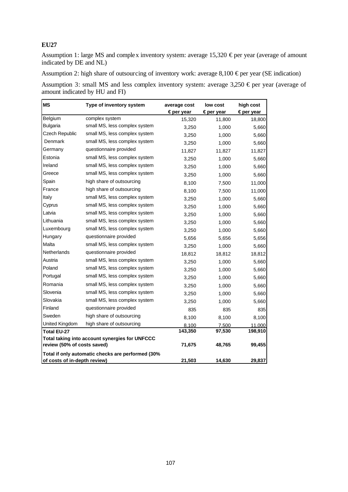Assumption 1: large MS and complex inventory system: average 15,320  $\epsilon$  per year (average of amount indicated by DE and NL)

Assumption 2: high share of outsourcing of inventory work: average  $8,100 \in per$  year (SE indication)

Assumption 3: small MS and less complex inventory system: average 3,250 € per year (average of amount indicated by HU and FI)

| <b>MS</b>                    | Type of inventory system                          | average cost        | low cost  | high cost           |
|------------------------------|---------------------------------------------------|---------------------|-----------|---------------------|
|                              |                                                   | $\epsilon$ per year | €per year | $\epsilon$ per year |
| Belgium                      | complex system                                    | 15,320              | 11,800    | 18,800              |
| <b>Bulgaria</b>              | small MS, less complex system                     | 3,250               | 1,000     | 5,660               |
| Czech Republic               | small MS, less complex system                     | 3,250               | 1,000     | 5,660               |
| Denmark                      | small MS, less complex system                     | 3,250               | 1,000     | 5,660               |
| Germany                      | questionnaire provided                            | 11,827              | 11,827    | 11,827              |
| Estonia                      | small MS, less complex system                     | 3,250               | 1,000     | 5,660               |
| Ireland                      | small MS, less complex system                     | 3,250               | 1,000     | 5,660               |
| Greece                       | small MS, less complex system                     | 3,250               | 1,000     | 5,660               |
| Spain                        | high share of outsourcing                         | 8,100               | 7.500     | 11,000              |
| France                       | high share of outsourcing                         | 8,100               | 7,500     | 11,000              |
| Italy                        | small MS, less complex system                     | 3,250               | 1,000     | 5,660               |
| Cyprus                       | small MS, less complex system                     | 3,250               | 1,000     | 5,660               |
| Latvia                       | small MS, less complex system                     | 3,250               | 1,000     | 5,660               |
| Lithuania                    | small MS, less complex system                     | 3,250               | 1,000     | 5,660               |
| Luxembourg                   | small MS, less complex system                     | 3,250               | 1,000     | 5,660               |
| Hungary                      | questionnaire provided                            | 5,656               | 5,656     | 5,656               |
| Malta                        | small MS, less complex system                     | 3,250               | 1,000     | 5,660               |
| Netherlands                  | questionnaire provided                            | 18,812              | 18,812    | 18,812              |
| Austria                      | small MS, less complex system                     | 3,250               | 1,000     | 5,660               |
| Poland                       | small MS, less complex system                     | 3,250               | 1,000     | 5,660               |
| Portugal                     | small MS, less complex system                     | 3,250               | 1,000     | 5,660               |
| Romania                      | small MS, less complex system                     | 3,250               | 1,000     | 5,660               |
| Slovenia                     | small MS, less complex system                     | 3,250               | 1,000     | 5,660               |
| Slovakia                     | small MS, less complex system                     | 3,250               | 1,000     | 5,660               |
| Finland                      | questionnaire provided                            | 835                 | 835       | 835                 |
| Sweden                       | high share of outsourcing                         | 8,100               | 8,100     | 8,100               |
| United Kingdom               | high share of outsourcing                         | 8,100               | 7,500     | 11,000              |
| <b>Total EU-27</b>           |                                                   | 143,350             | 97,530    | 198,910             |
|                              | Total taking into account synergies for UNFCCC    |                     |           |                     |
| review (50% of costs saved)  |                                                   | 71,675              | 48,765    | 99,455              |
|                              | Total if only automatic checks are performed (30% |                     |           |                     |
| of costs of in-depth review) |                                                   | 21,503              | 14,630    | 29,837              |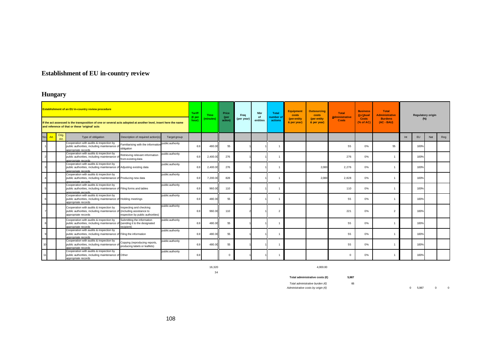# **Establishment of EU in-country review**

# **Hungary**

|     |      | <b>Establishment of an EU in-country review procedure</b><br>If the act assessed is the transposition of one or several acts adopted at another level, insert here the name<br>and reference of that or these 'original' acts |                                                                                    | <b>Tariff</b><br>$(\epsilon$ per<br>hour) | <b>Time</b><br>(minutes) | Price<br>(per<br>action) | Frea<br>(per year) | <b>Nbr</b><br><b>of</b><br>entities | <b>Total</b><br>number of<br>actions | <b>Equipment</b><br>costs<br>(per entity<br>& per year) | <b>Outsourcing</b><br>costs<br>(per entity<br>& per year) | <b>Total</b><br><b>Administrative</b><br><b>Costs</b> | <b>Business</b><br><b>As Usual</b><br><b>Costs</b><br>(% of AC) | <b>Total</b><br><b>Administrative</b><br><b>Burdens</b><br>$(AC - BAU)$ |     | <b>Regulatory origin</b><br>$(\%)$ |     |     |
|-----|------|-------------------------------------------------------------------------------------------------------------------------------------------------------------------------------------------------------------------------------|------------------------------------------------------------------------------------|-------------------------------------------|--------------------------|--------------------------|--------------------|-------------------------------------|--------------------------------------|---------------------------------------------------------|-----------------------------------------------------------|-------------------------------------------------------|-----------------------------------------------------------------|-------------------------------------------------------------------------|-----|------------------------------------|-----|-----|
| No. | Art. | Orig.<br>Type of obligation<br>Art.                                                                                                                                                                                           | Description of required action(s)<br>Target group                                  |                                           |                          |                          |                    |                                     |                                      |                                                         |                                                           |                                                       |                                                                 |                                                                         | Int | EU                                 | Nat | Reg |
|     |      | Cooperation with audits & inspection by<br>public authorities, including maintenance o<br>obligation<br>annronriate records                                                                                                   | public authority<br>Familiarising with the information                             | 6.9                                       | 480.0                    | 55                       |                    |                                     | -1                                   |                                                         |                                                           | 55                                                    | 0%                                                              | 55                                                                      |     | 100%                               |     |     |
|     |      | Cooperation with audits & inspection by<br>public authorities, including maintenance o<br>from existing data<br>annronriate records                                                                                           | public authority<br>Retrieving relevant information                                | 6.9                                       | 2.400.0                  | 276                      |                    |                                     |                                      |                                                         |                                                           | 276                                                   | 0%                                                              |                                                                         |     | 100%                               |     |     |
|     |      | Cooperation with audits & inspection by<br>public authorities, including maintenance of Adjusting existing data<br>annronriate records                                                                                        | public authority                                                                   | 6.9                                       | 2.400.0                  | 276                      |                    |                                     | -1                                   |                                                         | 2,000                                                     | 2,276                                                 | 0%                                                              |                                                                         |     | 100%                               |     |     |
|     |      | Cooperation with audits & inspection by<br>public authorities, including maintenance of Producing new data<br>annronriate records                                                                                             | public authority                                                                   | 6.9                                       | 7,200.0                  | 828                      |                    |                                     |                                      |                                                         | 2,000                                                     | 2,828                                                 | 0%                                                              |                                                                         |     | 100%                               |     |     |
|     |      | Cooperation with audits & inspection by<br>public authorities, including maintenance of Filing forms and tables<br>annropriate records                                                                                        | public authority                                                                   | 6.9                                       | 960.0                    | 110                      |                    |                                     |                                      |                                                         |                                                           | 110                                                   | 0%                                                              |                                                                         |     | 100%                               |     |     |
|     |      | Cooperation with audits & inspection by<br>public authorities, including maintenance of Holding meetings<br>appropriate records                                                                                               | public authority                                                                   | 6.9                                       | 480.0                    | 55                       |                    |                                     |                                      |                                                         |                                                           | 55                                                    | 0%                                                              |                                                                         |     | 100%                               |     |     |
|     |      | Cooperation with audits & inspection by<br>Inspecting and checking<br>public authorities, including maintenance o<br>(including assistance to<br>appropriate records                                                          | public authority<br>inspection by public authorities)                              | 6.9                                       | 960.0                    | 110                      |                    |                                     | $\overline{2}$                       |                                                         |                                                           | 221                                                   | 0%                                                              | $\overline{2}$                                                          |     | 100%                               |     |     |
|     |      | Cooperation with audits & inspection by<br>public authorities, including maintenance o<br>recipient)<br>appropriate records                                                                                                   | Submitting the information<br>public authority<br>(sending it to the designated    | 6.9                                       | 480.0                    | 55                       |                    |                                     | -1                                   |                                                         |                                                           | 55                                                    | 0%                                                              |                                                                         |     | 100%                               |     |     |
|     |      | Cooperation with audits & inspection by<br>public authorities, including maintenance of Filing the information<br>appropriate records                                                                                         | public authority                                                                   | 6.9                                       | 480.00                   | 55                       |                    |                                     | $\overline{1}$                       |                                                         |                                                           | 55                                                    | 0%                                                              |                                                                         |     | 100%                               |     |     |
|     |      | Cooperation with audits & inspection by<br>public authorities, including maintenance o<br>appropriate records                                                                                                                 | public authority<br>Copying (reproducing reports,<br>producing labels or leaflets) | 6.9                                       | 480.00                   | 55                       |                    |                                     | -1                                   |                                                         |                                                           | 55                                                    | 0%                                                              |                                                                         |     | 100%                               |     |     |
|     |      | Cooperation with audits & inspection by<br>public authorities, including maintenance of Other<br>appropriate records                                                                                                          | public authority                                                                   | 6.9                                       |                          | $\Omega$                 |                    |                                     |                                      |                                                         |                                                           | $\Omega$                                              | 0%                                                              |                                                                         |     | 100%                               |     |     |

34

16,320 4,000.00

**Total administrative costs (€) 5,987**

*Total administrative burden (€)* 66

*Administrative costs by origin (€)* 0 5,987 0 0 0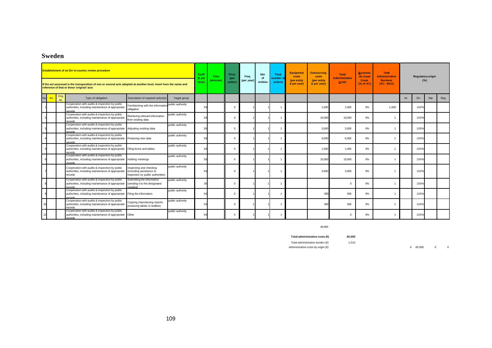# **Sweden**

|    |              | <b>Establishment of an EU in-country review procedure</b>                                                                                                        |                                                                                          |                  | <b>Tariff</b><br>$(E_{per}$<br>hour) | <b>Time</b><br>(minutes) | Price<br>(per<br>action) | Frea<br>(per year) | <b>Nbr</b><br>of<br>entities | <b>Total</b><br>number o<br>actions | <b>Equipment</b><br>costs<br>(per entity | <b>Outsourcing</b><br><b>costs</b><br>(per entity | <b>Total</b><br><b>Administrative</b><br><b>Costs</b> | <b>Business</b><br><b>As Usual</b><br><b>Costs</b><br>$(%$ $(%$ $)$ $($ % of AC) | <b>Total</b><br><b>Administrative</b><br><b>Burdens</b><br>$(AC - BAU)$ |     | <b>Regulatory origin</b><br>(%) |     |     |
|----|--------------|------------------------------------------------------------------------------------------------------------------------------------------------------------------|------------------------------------------------------------------------------------------|------------------|--------------------------------------|--------------------------|--------------------------|--------------------|------------------------------|-------------------------------------|------------------------------------------|---------------------------------------------------|-------------------------------------------------------|----------------------------------------------------------------------------------|-------------------------------------------------------------------------|-----|---------------------------------|-----|-----|
|    |              | If the act assessed is the transposition of one or several acts adopted at another level, insert here the name and<br>reference of that or these 'original' acts |                                                                                          |                  |                                      |                          |                          |                    |                              |                                     | & per year)                              | & per year)                                       |                                                       |                                                                                  |                                                                         |     |                                 |     |     |
| No | Orig<br>Art. | Type of obligation                                                                                                                                               | Description of required action(s)                                                        | Target group     |                                      |                          |                          |                    |                              |                                     |                                          |                                                   |                                                       |                                                                                  |                                                                         | Int | EU                              | Nat | Reg |
|    |              | Cooperation with audits & inspection by public<br>authorities, including maintenance of appropriate<br>ecords                                                    | Familiarising with the information<br>obligation                                         | public authority | 36                                   |                          | $\overline{0}$           |                    |                              |                                     |                                          | 1,000                                             | 1.000                                                 | 0%                                                                               | 1.000                                                                   |     | 100%                            |     |     |
|    |              | Cooperation with audits & inspection by public<br>authorities, including maintenance of appropriate<br>records                                                   | Retrieving relevant information<br>from existing data                                    | public authority | 36                                   |                          | $\Omega$                 |                    |                              |                                     |                                          | 10,000                                            | 10,000                                                | 0%                                                                               |                                                                         |     | 100%                            |     |     |
|    |              | Cooperation with audits & inspection by public<br>authorities, including maintenance of appropriate<br>ecords                                                    | Adjusting existing data                                                                  | public authority | 36                                   |                          | $\Omega$                 |                    |                              |                                     |                                          | 3,000                                             | 3,000                                                 | 0%                                                                               |                                                                         |     | 100%                            |     |     |
|    |              | Cooperation with audits & inspection by public<br>authorities, including maintenance of appropriate<br>records                                                   | Producing new data                                                                       | public authority | 36                                   |                          | $\Omega$                 |                    |                              |                                     |                                          | 6,000                                             | 6,000                                                 | 0%                                                                               |                                                                         |     | 100%                            |     |     |
|    |              | Cooperation with audits & inspection by public<br>authorities, including maintenance of appropriate<br>ecords                                                    | Filing forms and tables                                                                  | public authority | 36                                   |                          | $\Omega$                 |                    |                              |                                     |                                          | 1,000                                             | 1,000                                                 | 0%                                                                               |                                                                         |     | 100%                            |     |     |
|    |              | Cooperation with audits & inspection by public<br>authorities, including maintenance of appropriate<br>ecords.                                                   | <b>Holding meetings</b>                                                                  | public authority | 36                                   |                          | $\Omega$                 |                    |                              |                                     |                                          | 15,000                                            | 15,000                                                | 0%                                                                               |                                                                         |     | 100%                            |     |     |
|    |              | Cooperation with audits & inspection by public<br>authorities, including maintenance of appropriate<br>records                                                   | Inspecting and checking<br>(including assistance to<br>inspection by public authorities) | public authority |                                      |                          | $\Omega$                 |                    |                              |                                     |                                          | 3,000                                             | 3,000                                                 | 0%                                                                               |                                                                         |     | 100%                            |     |     |
|    |              | Cooperation with audits & inspection by public<br>authorities, including maintenance of appropriate<br>records                                                   | Submitting the information<br>(sending it to the designated<br>recipient)                | public authority | 36                                   |                          | $^{\circ}$               |                    |                              |                                     |                                          |                                                   | $\Omega$                                              | 0%                                                                               |                                                                         |     | 100%                            |     |     |
|    |              | Cooperation with audits & inspection by public<br>authorities, including maintenance of appropriate<br>records                                                   | Filing the information                                                                   | public authority | 36                                   |                          | $^{\circ}$               |                    |                              |                                     |                                          | 500                                               | 500                                                   | 0%                                                                               |                                                                         |     | 100%                            |     |     |
|    |              | Cooperation with audits & inspection by public<br>authorities, including maintenance of appropriate<br>records                                                   | Copying (reproducing reports,<br>producing labels or leaflets)                           | public authority | 36                                   |                          | $^{\circ}$               |                    |                              |                                     |                                          | 500                                               | 500                                                   | 0%                                                                               |                                                                         |     | 100%                            |     |     |
|    |              | Cooperation with audits & inspection by public<br>authorities, including maintenance of appropriate<br>records                                                   | Other                                                                                    | public authority |                                      |                          | $\Omega$                 |                    |                              |                                     |                                          |                                                   | $\Omega$                                              | 0%                                                                               |                                                                         |     | 100%                            |     |     |

40,000

#### **Total administrative costs (€) 40,000**

*Total administrative burden (€)* 1,010

*Administrative costs by origin (€)* 0 40,000 0 0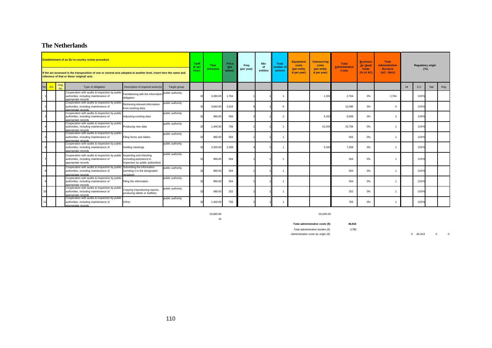# **The Netherlands**

|           |               | <b>Establishment of an EU in-country review procedure</b><br>If the act assessed is the transposition of one or several acts adopted at another level, insert here the name and<br>reference of that or these 'original' acts |                                                                                          |                  | <b>Tariff</b><br>$(\in$ per<br>hour) | <b>Time</b><br>(minutes) | Price<br>(per<br>action) | Frea<br>(per year) | <b>Nbr</b><br>of<br>entities | <b>Total</b><br>number of<br>actions | <b>Equipment</b><br>costs<br>(per entity<br>& per year) | <b>Outsourcing</b><br>costs<br>(per entity<br>& per year) | <b>Total</b><br><b>Administrative</b><br><b>Costs</b> | <b>Business</b><br><b>As Usual</b><br><b>Costs</b><br>(% of AC) | <b>Total</b><br><b>Administrative</b><br><b>Burdens</b><br>$(AC - BAU)$ |     | <b>Regulatory origin</b><br>(%) |     |     |
|-----------|---------------|-------------------------------------------------------------------------------------------------------------------------------------------------------------------------------------------------------------------------------|------------------------------------------------------------------------------------------|------------------|--------------------------------------|--------------------------|--------------------------|--------------------|------------------------------|--------------------------------------|---------------------------------------------------------|-----------------------------------------------------------|-------------------------------------------------------|-----------------------------------------------------------------|-------------------------------------------------------------------------|-----|---------------------------------|-----|-----|
| <b>No</b> | Orig.<br>Art. | Type of obligation                                                                                                                                                                                                            | Description of required action(s)                                                        | Target group     |                                      |                          |                          |                    |                              |                                      |                                                         |                                                           |                                                       |                                                                 |                                                                         | Int | EU                              | Nat | Reg |
|           |               | Cooperation with audits & inspection by public<br>authorities, including maintenance of<br>appropriate records                                                                                                                | Familiarising with the information<br>obligation                                         | public authority |                                      | 3,360.00                 | 1,764                    |                    |                              | -1                                   |                                                         | 1,000                                                     | 2,764                                                 | 0%                                                              | 2,764                                                                   |     | 100%                            |     |     |
|           |               | Cooperation with audits & inspection by public<br>authorities, including maintenance of<br>appropriate records                                                                                                                | Retrieving relevant information<br>from existing data                                    | public authority |                                      | 3,840.00                 | 2,016                    |                    |                              | 6                                    |                                                         |                                                           | 12,096                                                | 0%                                                              | 6                                                                       |     | 100%                            |     |     |
|           |               | Cooperation with audits & inspection by public<br>authorities, including maintenance of<br>appropriate records                                                                                                                | Adjusting existing data                                                                  | public authority |                                      | 960.00                   | 504                      |                    |                              | $\mathfrak{p}$                       |                                                         | 5.00                                                      | 6,008                                                 | 0%                                                              |                                                                         |     | 100%                            |     |     |
|           |               | Cooperation with audits & inspection by public<br>authorities, including maintenance of<br>appropriate records                                                                                                                | Producing new data                                                                       | public authority | 20                                   | 1,440.00                 | 756                      |                    |                              |                                      |                                                         | 15,000                                                    | 15,756                                                | 0%                                                              |                                                                         |     | 100%                            |     |     |
|           |               | Cooperation with audits & inspection by public<br>authorities, including maintenance of<br>innropriate records.                                                                                                               | Filing forms and tables                                                                  | public authority | $\alpha$                             | 960.00                   | 504                      |                    |                              |                                      |                                                         |                                                           | 504                                                   | 0%                                                              |                                                                         |     | 100%                            |     |     |
|           |               | Cooperation with audits & inspection by public<br>authorities, including maintenance of<br>appropriate records                                                                                                                | Holding meetings                                                                         | public authority |                                      | 4,320.00                 | 2,268                    |                    |                              |                                      |                                                         | 5,000                                                     | 7.268                                                 | 0%                                                              |                                                                         |     | 100%                            |     |     |
|           |               | Cooperation with audits & inspection by public<br>authorities, including maintenance of<br>appropriate records                                                                                                                | Inspecting and checking<br>(including assistance to<br>inspection by public authorities) | public authority |                                      | 960.00                   | 504                      |                    |                              |                                      |                                                         |                                                           | 504                                                   | 0%                                                              |                                                                         |     | 100%                            |     |     |
|           |               | Cooperation with audits & inspection by public Submitting the information<br>authorities, including maintenance of<br>inpropriate records                                                                                     | (sending it to the designated<br>recipient)                                              | public authority |                                      | 960.00                   | 504                      |                    |                              | $\overline{1}$                       |                                                         |                                                           | 504                                                   | 0%                                                              |                                                                         |     | 100%                            |     |     |
|           |               | Cooperation with audits & inspection by public<br>authorities, including maintenance of<br>appropriate records                                                                                                                | Filing the information                                                                   | public authority |                                      | 960.00                   | 504                      |                    |                              | -1                                   |                                                         |                                                           | 504                                                   | 0%                                                              |                                                                         |     | 100%                            |     |     |
|           |               | Cooperation with audits & inspection by public<br>authorities, including maintenance of<br>appropriate records                                                                                                                | Copying (reproducing reports,<br>producing labels or leaflets)                           | public authority |                                      | 480.00                   | 252                      |                    |                              |                                      |                                                         |                                                           | 252                                                   | 0%                                                              |                                                                         |     | 100%                            |     |     |
|           |               | Cooperation with audits & inspection by public<br>authorities, including maintenance of<br>appropriate records.                                                                                                               | Other                                                                                    | public authority |                                      | 1,440.00                 | 756                      |                    |                              |                                      |                                                         |                                                           | 756                                                   | 0%                                                              |                                                                         |     | 100%                            |     |     |

41

19,680.00 26,000.00

**Total administrative costs (€) 46,916**

*Total administrative burden (€)* 2,780

*Administrative costs by origin (€)* 0 46,916 0 0 0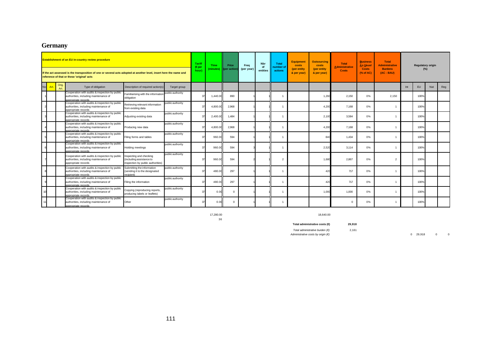# **Germany**

|    |               | <b>Establishment of an EU in-country review procedure</b><br>If the act assessed is the transposition of one or several acts adopted at another level, insert here the name and<br>reference of that or these 'original' acts |                                                                                          |                  | <b>Tariff</b><br>(€per<br>hour) | <b>Time</b><br>(minutes) | Price<br>(per action) | Frea<br>(per year) | Nbr<br>of<br>entities | <b>Total</b><br><b>umber</b> o<br>actions | <b>Equipment</b><br>costs<br>(per entity<br>& per year) | <b>Outsourcing</b><br>costs<br>(per entity<br>& per year) | <b>Total</b><br><b>Administrative</b><br><b>Costs</b> | <b>Business</b><br><b>As Usual</b><br><b>Costs</b><br>(% of AC) | <b>Total</b><br><b>Administrative</b><br><b>Burdens</b><br>(AC - BAU) |     | <b>Regulatory origin</b> |     |     |
|----|---------------|-------------------------------------------------------------------------------------------------------------------------------------------------------------------------------------------------------------------------------|------------------------------------------------------------------------------------------|------------------|---------------------------------|--------------------------|-----------------------|--------------------|-----------------------|-------------------------------------------|---------------------------------------------------------|-----------------------------------------------------------|-------------------------------------------------------|-----------------------------------------------------------------|-----------------------------------------------------------------------|-----|--------------------------|-----|-----|
| No | Orig.<br>Art. | Type of obligation                                                                                                                                                                                                            | Description of required action(s)                                                        | Target group     |                                 |                          |                       |                    |                       |                                           |                                                         |                                                           |                                                       |                                                                 |                                                                       | Int | <b>EU</b>                | Nat | Reg |
|    |               | Cooperation with audits & inspection by public<br>authorities, including maintenance of<br>ppropriate records                                                                                                                 | Familiarising with the information<br>obligation                                         | public authority | 37                              | 1,440.00                 | 890                   |                    |                       |                                           |                                                         | 1,260                                                     | 2,150                                                 | 0%                                                              | 2,150                                                                 |     | 100%                     |     |     |
|    |               | Cooperation with audits & inspection by public<br>authorities, including maintenance of<br>appropriate records                                                                                                                | Retrieving relevant information<br>from existing data                                    | public authority |                                 | 4,800.00                 | 2,968                 |                    |                       |                                           |                                                         | 4,200                                                     | 7,168                                                 | 0%                                                              |                                                                       |     | 100%                     |     |     |
|    |               | Cooperation with audits & inspection by public<br>authorities, including maintenance of<br>appropriate records                                                                                                                | Adjusting existing data                                                                  | public authority | 37                              | 2,400.00                 | 1,484                 |                    |                       |                                           |                                                         | 2,100                                                     | 3,584                                                 | 0%                                                              |                                                                       |     | 100%                     |     |     |
|    |               | Cooperation with audits & inspection by public<br>authorities, including maintenance of<br>poropriate records                                                                                                                 | Producing new data                                                                       | public authority | 37                              | 4.800.00                 | 2.968                 |                    |                       |                                           |                                                         | 4.200                                                     | 7,168                                                 | 0%                                                              |                                                                       |     | 100%                     |     |     |
|    |               | Cooperation with audits & inspection by public<br>authorities, including maintenance of<br>appropriate records                                                                                                                | Filing forms and tables                                                                  | public authority | 37                              | 960.00                   | 594                   |                    |                       |                                           |                                                         | 840                                                       | 1,434                                                 | 0%                                                              |                                                                       |     | 100%                     |     |     |
|    |               | Cooperation with audits & inspection by public<br>authorities, including maintenance of<br>appropriate records.                                                                                                               | Holding meetings                                                                         | public authority | 37                              | 960.00                   | 594                   |                    |                       |                                           |                                                         | 2,520                                                     | 3,114                                                 | 0%                                                              |                                                                       |     | 100%                     |     |     |
|    |               | Cooperation with audits & inspection by public<br>authorities, including maintenance of<br>appropriate records                                                                                                                | Inspecting and checking<br>(including assistance to<br>inspection by public authorities) | public authority | 37                              | 960.00                   | 594                   |                    |                       | $\mathfrak{p}$                            |                                                         | 1.680                                                     | 2,867                                                 | 0%                                                              | $\mathfrak{p}$                                                        |     | 100%                     |     |     |
|    |               | Cooperation with audits & inspection by public<br>authorities, including maintenance of<br>appropriate records                                                                                                                | Submitting the information<br>(sending it to the designated<br>recipient)                | public authority | 37                              | 480.00                   | 297                   |                    |                       |                                           |                                                         | 420                                                       | 717                                                   | 0%                                                              |                                                                       |     | 100%                     |     |     |
|    |               | Cooperation with audits & inspection by public<br>authorities, including maintenance of<br>appropriate records                                                                                                                | Filing the information                                                                   | public authority | 37                              | 480.00                   | 297                   |                    |                       |                                           |                                                         | 420                                                       | 717                                                   | 0%                                                              |                                                                       |     | 100%                     |     |     |
|    |               | Cooperation with audits & inspection by public<br>authorities, including maintenance of<br>opropriate records                                                                                                                 | Copying (reproducing reports,<br>producing labels or leaflets)                           | public authority | 37                              | 0.00                     | $\Omega$              |                    |                       |                                           |                                                         | 1,000                                                     | 1,000                                                 | 0%                                                              |                                                                       |     | 100%                     |     |     |
|    |               | Cooperation with audits & inspection by public<br>authorities, including maintenance of<br>appropriate records.                                                                                                               | Other                                                                                    | public authority |                                 | 0.00                     | $\Omega$              |                    |                       |                                           |                                                         |                                                           | $\Omega$                                              | 0%                                                              |                                                                       |     | 100%                     |     |     |

36

17,280.00 18,640.00

**Total administrative costs (€) 29,918**

*Total administrative burden (€)* 2,161<br>*Administrative costs by origin (€)* 

*Administrative costs by origin (€)* 0 29,918 0 0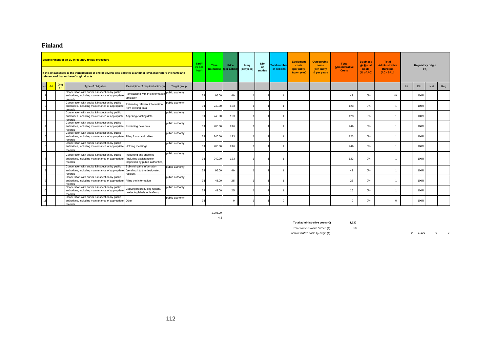### **Finland**

|    |      |               | <b>Establishment of an EU in-country review procedure</b><br>If the act assessed is the transposition of one or several acts adopted at another level, insert here the name and<br>reference of that or these 'original' acts |                                                                                          |                  | Tarif<br>(€pe<br>hour) | <b>Time</b><br>minutes) | Price<br>(per action) | Frea<br>(per year) | <b>Nbr</b><br>of<br>entities | <b>Total number</b><br>of actions | <b>Equipment</b><br>costs<br>(per entity<br>& per year) | <b>Outsourcing</b><br>costs<br>(per entity<br>& per year) | <b>Total</b><br><b>Administrative</b><br><b>Costs</b> | <b>Business</b><br><b>As Usual</b><br><b>Costs</b><br>(% of AC) | <b>Total</b><br><b>Administrative</b><br><b>Burdens</b><br>$(AC - BAU)$ |     | <b>Regulatory origin</b><br>(%) |     |     |
|----|------|---------------|-------------------------------------------------------------------------------------------------------------------------------------------------------------------------------------------------------------------------------|------------------------------------------------------------------------------------------|------------------|------------------------|-------------------------|-----------------------|--------------------|------------------------------|-----------------------------------|---------------------------------------------------------|-----------------------------------------------------------|-------------------------------------------------------|-----------------------------------------------------------------|-------------------------------------------------------------------------|-----|---------------------------------|-----|-----|
| No | Art. | Orig.<br>Art. | Type of obligation                                                                                                                                                                                                            | Description of required action(s)                                                        | Target group     |                        |                         |                       |                    |                              |                                   |                                                         |                                                           |                                                       |                                                                 |                                                                         | Int | EU.                             | Nat | Reg |
|    |      |               | Cooperation with audits & inspection by public<br>authorities, including maintenance of appropriate<br>acorde                                                                                                                 | Familiarising with the information<br>obligation                                         | public authority | 31                     | 96.00                   | 49                    |                    |                              | -1                                |                                                         |                                                           | 49                                                    | 0%                                                              | 49                                                                      |     | 100%                            |     |     |
|    |      |               | Cooperation with audits & inspection by public<br>authorities, including maintenance of appropriate<br><b>Pronds</b>                                                                                                          | Retrieving relevant information<br>from existing data                                    | public authority | 31                     | 240.00                  | 123                   |                    |                              |                                   |                                                         |                                                           | 123                                                   | 0%                                                              |                                                                         |     | 100%                            |     |     |
|    |      |               | Cooperation with audits & inspection by public<br>authorities, including maintenance of appropriate Adjusting existing data<br>ecords                                                                                         |                                                                                          | public authority | 31                     | 240.00                  | 123                   |                    |                              |                                   |                                                         |                                                           | 123                                                   | 0%                                                              |                                                                         |     | 100%                            |     |     |
|    |      |               | Cooperation with audits & inspection by public<br>authorities, including maintenance of appropriate<br>ecords                                                                                                                 | Producing new data                                                                       | public authority | 31                     | 480.00                  | 246                   |                    |                              |                                   |                                                         |                                                           | 246                                                   | 0%                                                              |                                                                         |     | 100%                            |     |     |
|    |      |               | Cooperation with audits & inspection by public<br>authorities, including maintenance of appropriate Filing forms and tables<br>ecords                                                                                         |                                                                                          | public authority | 31                     | 240.00                  | 123                   |                    |                              |                                   |                                                         |                                                           | 123                                                   | 0%                                                              |                                                                         |     | 100%                            |     |     |
|    |      |               | Cooperation with audits & inspection by public<br>authorities, including maintenance of appropriate Holding meetings<br><b>Pronds</b>                                                                                         |                                                                                          | public authority | 31                     | 480.00                  | 246                   |                    |                              |                                   |                                                         |                                                           | 246                                                   | 0%                                                              |                                                                         |     | 100%                            |     |     |
|    |      |               | Cooperation with audits & inspection by public<br>authorities, including maintenance of appropriate<br>records                                                                                                                | Inspecting and checking<br>(including assistance to<br>inspection by public authorities) | public authority | 31                     | 240.00                  | 123                   |                    |                              |                                   |                                                         |                                                           | 123                                                   | 0%                                                              |                                                                         |     | 100%                            |     |     |
|    |      |               | Cooperation with audits & inspection by public<br>authorities, including maintenance of appropriate (sending it to the designated<br>ecords                                                                                   | Submitting the information<br>ecinient)                                                  | public authority | 31                     | 96.00                   | 49                    |                    |                              |                                   |                                                         |                                                           | 49                                                    | 0%                                                              |                                                                         |     | 100%                            |     |     |
|    |      |               | Cooperation with audits & inspection by public<br>authorities, including maintenance of appropriate Filing the information<br>ecords.                                                                                         |                                                                                          | public authority | 31                     | 48.00                   | 25                    |                    |                              |                                   |                                                         |                                                           | 25                                                    | 0%                                                              |                                                                         |     | 100%                            |     |     |
|    |      |               | Cooperation with audits & inspection by public<br>authorities, including maintenance of appropriate<br>ecords                                                                                                                 | Copying (reproducing reports,<br>producing labels or leaflets)                           | public authority | 31                     | 48.00                   | 25                    |                    |                              |                                   |                                                         |                                                           | 25                                                    | 0%                                                              |                                                                         |     | 100%                            |     |     |
|    |      |               | Cooperation with audits & inspection by public<br>authorities, including maintenance of appropriate Other<br>records                                                                                                          |                                                                                          | public authority | 31                     |                         | $\Omega$              |                    |                              | -C                                |                                                         |                                                           |                                                       | 0%                                                              |                                                                         |     | 100%                            |     |     |

2,208.00 4.6

**Total administrative costs (€) 1,130**

*Total administrative burden (€)* 58

*Administrative costs by origin (€)* 0 1,130 0 0 0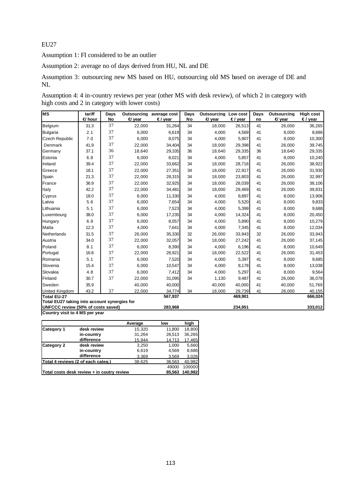Assumption 1: FI considered to be an outlier

Assumption 2: average no of days derived from HU, NL and DE

Assumption 3: outsourcing new MS based on HU, outsourcing old MS based on average of DE and NL

Assumption 4: 4 in-country reviews per year (other MS with desk review), of which 2 in category with high costs and 2 in category with lower costs)

| <b>MS</b>                                                            | tariff<br><b>∉</b> hour | Days<br>No | $\triangleleft$ year | Outsourcing average cost<br>$€$ / year | Days<br>No | Outsourcing<br>$\epsilon$ year | Low cost<br>$€$ / year | Days<br>no | <b>Outsourcing</b><br>$\epsilon$ year | <b>High cost</b><br>€/ year |
|----------------------------------------------------------------------|-------------------------|------------|----------------------|----------------------------------------|------------|--------------------------------|------------------------|------------|---------------------------------------|-----------------------------|
| Belgium                                                              | 31.3                    | 37         | 22,000               | 31,264                                 | 34         | 18,000                         | 26,513                 | 41         | 26,000                                | 36,265                      |
| <b>Bulgaria</b>                                                      | 2.1                     | 37         | 6,000                | 6.619                                  | 34         | 4,000                          | 4,569                  | 41         | 8,000                                 | 8,686                       |
| Czech Republic                                                       | 7.0                     | 37         | 6,000                | 8,075                                  | 34         | 4,000                          | 5,907                  | 41         | 8,000                                 | 10,300                      |
| Denmark                                                              | 41.9                    | 37         | 22,000               | 34,404                                 | 34         | 18,000                         | 29,398                 | 41         | 26,000                                | 39,745                      |
| Germany                                                              | 37.1                    | 36         | 18,640               | 29,335                                 | 36         | 18,640                         | 29,335                 | 36         | 18,640                                | 29,335                      |
| Estonia                                                              | 6.8                     | 37         | 6,000                | 8,021                                  | 34         | 4.000                          | 5,857                  | 41         | 8,000                                 | 10,240                      |
| Ireland                                                              | 39.4                    | 37         | 22,000               | 33,662                                 | 34         | 18,000                         | 28,716                 | 41         | 26,000                                | 38,922                      |
| Greece                                                               | 18.1                    | 37         | 22,000               | 27,351                                 | 34         | 18,000                         | 22,917                 | 41         | 26,000                                | 31,930                      |
| Spain                                                                | 21.3                    | 37         | 22,000               | 28,315                                 | 34         | 18,000                         | 23,803                 | 41         | 26,000                                | 32,997                      |
| France                                                               | 36.9                    | 37         | 22,000               | 32,925                                 | 34         | 18,000                         | 28,039                 | 41         | 26,000                                | 38,106                      |
| Italy                                                                | 42.2                    | 37         | 22,000               | 34,481                                 | 34         | 18,000                         | 29,469                 | 41         | 26,000                                | 39,831                      |
| Cyprus                                                               | 18.0                    | 37         | 6,000                | 11,330                                 | 34         | 4,000                          | 8,897                  | 41         | 8,000                                 | 13,906                      |
| Latvia                                                               | 5.6                     | 37         | 6,000                | 7,654                                  | 34         | 4,000                          | 5,520                  | 41         | 8,000                                 | 9,833                       |
| Lithuania                                                            | 5.1                     | 37         | 6,000                | 7,523                                  | 34         | 4,000                          | 5,399                  | 41         | 8,000                                 | 9,688                       |
| Luxembourg                                                           | 38.0                    | 37         | 6,000                | 17,235                                 | 34         | 4,000                          | 14,324                 | 41         | 8,000                                 | 20,450                      |
| Hungary                                                              | 6.9                     | 37         | 6,000                | 8,057                                  | 34         | 4,000                          | 5,890                  | 41         | 8,000                                 | 10,279                      |
| Malta                                                                | 12.3                    | 37         | 4,000                | 7,641                                  | 34         | 4,000                          | 7,345                  | 41         | 8,000                                 | 12,034                      |
| Netherlands                                                          | 31.5                    | 37         | 26,000               | 35,330                                 | 32         | 26,000                         | 33,943                 | 32         | 26,000                                | 33,943                      |
| Austria                                                              | 34.0                    | 37         | 22,000               | 32,057                                 | 34         | 18,000                         | 27,242                 | 41         | 26,000                                | 37,145                      |
| Poland                                                               | 8.1                     | 37         | 6,000                | 8,390                                  | 34         | 4,000                          | 6,196                  | 41         | 8,000                                 | 10,649                      |
| Portugal                                                             | 16.6                    | 37         | 22,000               | 26,921                                 | 34         | 18,000                         | 22,522                 | 41         | 26,000                                | 31,453                      |
| Romania                                                              | 5.1                     | 37         | 6,000                | 7,520                                  | 34         | 4,000                          | 5,397                  | 41         | 8,000                                 | 9,685                       |
| Slovenia                                                             | 15.4                    | 37         | 6,000                | 10,547                                 | 34         | 4,000                          | 8,178                  | 41         | 8,000                                 | 13,038                      |
| Slovakia                                                             | 4.8                     | 37         | 6,000                | 7,412                                  | 34         | 4,000                          | 5,297                  | 41         | 8,000                                 | 9,564                       |
| Finland                                                              | 30.7                    | 37         | 22,000               | 31,095                                 | 34         | 1,130                          | 9,487                  | 41         | 26,000                                | 36,078                      |
| Sweden                                                               | 35.9                    |            | 40,000               | 40,000                                 |            | 40,000                         | 40,000                 | 41         | 40,000                                | 51,769                      |
| <b>United Kingdom</b>                                                | 43.2                    | 37         | 22,000               | 34,774                                 | 34         | 18,000                         | 29,739                 | 41         | 26,000                                | 40,155                      |
| Total EU-27                                                          |                         |            |                      | 567,937                                |            |                                | 469,901                |            |                                       | 666,024                     |
| Total EU27 taking into account synergies for                         |                         |            |                      |                                        |            |                                |                        |            |                                       |                             |
| UNFCCC review (50% of costs saved)<br>Country visit to 4 MS per year |                         |            |                      | 283,968                                |            |                                | 234,951                |            |                                       | 333,012                     |

|                   |                                            | Average | low    | high    |
|-------------------|--------------------------------------------|---------|--------|---------|
| <b>Category 1</b> | desk review                                | 15.320  | 11,800 | 18.800  |
|                   | in-country                                 | 31,264  | 26,513 | 36.265  |
|                   | difference                                 | 15.944  | 14,713 | 17,465  |
| <b>Category 2</b> | desk review                                | 3,250   | 1.000  | 5,660   |
|                   | in-country                                 | 6,619   | 4,569  | 8,686   |
|                   | difference                                 | 3,369   | 3.569  | 3,026   |
|                   | Total 4 reviews (2 of each categ.)         | 38,625  | 36,563 | 40.982  |
|                   |                                            |         | 49000  | 100000  |
|                   | Total costs desk review + in coutry review |         | 85,563 | 140,982 |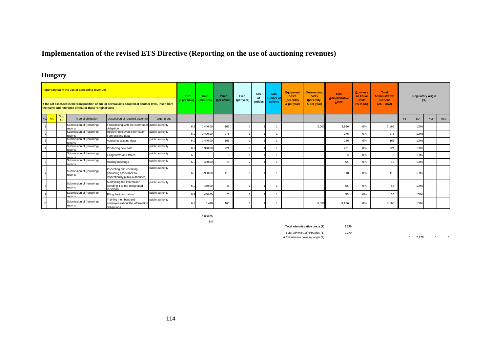# **Implementation of the revised ETS Directive (Reporting on the use of auctioning revenues)**

# **Hungary**

|            |               | <b>Report annually the use of auctioning revenues</b>   |                                                                                                       |                  | <b>Tariff</b><br>$(\epsilon$ per hour | Time<br>(minutes) | Price<br>(per action) | Frea<br>(per year) | Nbr<br>Ωf | Total<br>number of | <b>Equipment</b><br>costs<br>(per entity | <b>Outsourcing</b><br>costs<br>(per entity | <b>Total</b><br><b>Administrative</b> | <b>Business</b><br>As Usual<br><b>Costs</b> | <b>Total</b><br><b>Administrative</b><br><b>Burdens</b> |     |           | <b>Regulatory origin</b> |     |
|------------|---------------|---------------------------------------------------------|-------------------------------------------------------------------------------------------------------|------------------|---------------------------------------|-------------------|-----------------------|--------------------|-----------|--------------------|------------------------------------------|--------------------------------------------|---------------------------------------|---------------------------------------------|---------------------------------------------------------|-----|-----------|--------------------------|-----|
|            |               | the name and reference of that or these 'original' acts | If the act assessed is the transposition of one or several acts adopted at another level, insert here |                  |                                       |                   |                       |                    | entities  | actions            | & per year)                              | & per year)                                | Costs                                 | (% of AC)                                   | $(AC - BAU)$                                            |     |           | $(\%)$                   |     |
| No.<br>Art | Orig.<br>Art. | Type of obligation                                      | Description of required action(s)                                                                     | Target group     |                                       |                   |                       |                    |           |                    |                                          |                                            |                                       |                                             |                                                         | Int | <b>EU</b> | Nat                      | Reg |
|            |               | Submission of (recurring)<br>reports                    | Familiarising with the information public authority<br>obligation                                     |                  | 6.                                    | 1,440.00          | 166                   |                    |           |                    |                                          | 3.000                                      | 3,166                                 | 0%                                          | 3,166                                                   |     | 100%      |                          |     |
|            |               | Submission of (recurring)<br>reports                    | Retrieving relevant information<br>from existing data                                                 | public authority | 6.                                    | 2,400.00          | 276                   |                    |           |                    |                                          |                                            | 276                                   | 0%                                          | 276                                                     |     | 100%      |                          |     |
|            |               | Submission of (recurring)<br>reports                    | Adjusting existing data                                                                               | public authority | 6.                                    | 1.440.00          | 166                   |                    |           |                    |                                          |                                            | 166                                   | 0%                                          | 166                                                     |     | 100%      |                          |     |
|            |               | Submission of (recurring)<br>reports                    | Producing new data                                                                                    | public authority | 6.                                    | 1.920.00          | 221                   |                    |           |                    |                                          |                                            | 221                                   | 0%                                          | 221                                                     |     | 100%      |                          |     |
|            |               | Submission of (recurring)<br>renorts                    | Filing forms and tables                                                                               | public authority | 6.                                    |                   |                       |                    |           |                    |                                          |                                            | $\Omega$                              | 0%                                          | $\Omega$                                                |     | 100%      |                          |     |
|            |               | Submission of (recurring)<br>reports                    | Holding meetings                                                                                      | public authority | 6.                                    | 480.00            | 55                    |                    |           |                    |                                          |                                            | 55                                    | 0%                                          | 55                                                      |     | 100%      |                          |     |
|            |               | Submission of (recurring)<br>reports                    | Inspecting and checking<br>(including assistance to<br>inspection by public authorities)              | public authority | $\kappa$                              | 960.00            | 110                   |                    |           |                    |                                          |                                            | 110                                   | 0%                                          | 110                                                     |     | 100%      |                          |     |
|            |               | Submission of (recurring)<br>reports                    | Submitting the information<br>(sending it to the designated<br>recipient)                             | public authority | 6.                                    | 480.00            | 55                    |                    |           |                    |                                          |                                            | 55                                    | 0%                                          | 55                                                      |     | 100%      |                          |     |
|            |               | Submission of (recurring)<br>reports                    | Filing the information                                                                                | public authority | 6                                     | 480.00            | 55                    |                    |           |                    |                                          |                                            | 55                                    | 0%                                          | 55                                                      |     | 100%      |                          |     |
|            |               | Submission of (recurring)<br>reports                    | Training members and<br>employees about the information<br>obligations                                | public authority | 6.9                                   | 1.440             | 166                   |                    |           |                    |                                          | 3.000                                      | 3,166                                 | 0%                                          | 3,166                                                   |     | 100%      |                          |     |

3,840.00 8.0

**Total administrative costs (€) 7,270**

*Total administrative burden (€)* 7,270 *Administrative costs by origin (€)* 0 7,270 0 0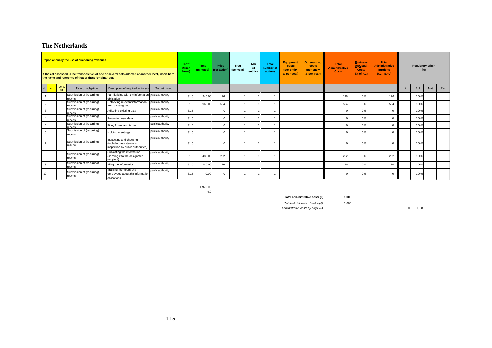### **The Netherlands**

|     |     |              | <b>Report annually the use of auctioning revenues</b><br>the name and reference of that or these 'original' acts | If the act assessed is the transposition of one or several acts adopted at another level, insert here |                  | <b>Tariff</b><br>(€per<br>hour) | <b>Time</b><br>(minutes) | Price<br>(per action) (per year) | Frea | Nbr<br>0f<br>entities | <b>Total</b><br>number of<br>actions | <b>Equipment</b><br>costs<br>(per entity<br>& per year) | <b>Outsourcing</b><br>costs<br>(per entity<br>& per year) | <b>Total</b><br><b>Administrative</b><br><b>Costs</b> | <b>Business</b><br>As Usual<br><b>Costs</b><br>(% of AC) | <b>Total</b><br><b>Administrative</b><br><b>Burdens</b><br>$(AC - BAU)$ |     | <b>Regulatory origin</b><br>$(\%)$ |     |     |
|-----|-----|--------------|------------------------------------------------------------------------------------------------------------------|-------------------------------------------------------------------------------------------------------|------------------|---------------------------------|--------------------------|----------------------------------|------|-----------------------|--------------------------------------|---------------------------------------------------------|-----------------------------------------------------------|-------------------------------------------------------|----------------------------------------------------------|-------------------------------------------------------------------------|-----|------------------------------------|-----|-----|
| No. | Art | Orig.<br>Art | Type of obligation                                                                                               | Description of required action(s)                                                                     | Target group     |                                 |                          |                                  |      |                       |                                      |                                                         |                                                           |                                                       |                                                          |                                                                         | Int | <b>EU</b>                          | Nat | Reg |
|     |     |              | Submission of (recurring)<br>reports                                                                             | Familiarising with the information public authority<br>obligation                                     |                  | 31.5                            | 240.00                   | 126                              |      |                       |                                      |                                                         |                                                           | 126                                                   | 0%                                                       | 126                                                                     |     | 100%                               |     |     |
|     |     |              | Submission of (recurring)<br>reports                                                                             | Retrieving relevant information<br>from existing data                                                 | public authority | 31.5                            | 960.00                   | 504                              |      |                       |                                      |                                                         |                                                           | 504                                                   | 0%                                                       | 504                                                                     |     | 100%                               |     |     |
|     |     |              | Submission of (recurring)<br>reports                                                                             | Adjusting existing data                                                                               | public authority | 31.5                            |                          | $\Omega$                         |      |                       |                                      |                                                         |                                                           |                                                       | $0\%$                                                    | $\Omega$                                                                |     | 100%                               |     |     |
|     |     |              | Submission of (recurring)<br>reports                                                                             | Producing new data                                                                                    | public authority | 31.5                            |                          | $\Omega$                         |      |                       |                                      |                                                         |                                                           |                                                       | 0%                                                       | $\Omega$                                                                |     | 100%                               |     |     |
|     |     |              | Submission of (recurring)<br>reports                                                                             | Filing forms and tables                                                                               | public authority | 31.5                            |                          |                                  |      |                       |                                      |                                                         |                                                           |                                                       | 0%                                                       | $\Omega$                                                                |     | 100%                               |     |     |
|     |     |              | Submission of (recurring)<br>reports                                                                             | Holding meetings                                                                                      | public authority | 31.5                            |                          |                                  |      |                       |                                      |                                                         |                                                           |                                                       | 0%                                                       | $\Omega$                                                                |     | 100%                               |     |     |
|     |     |              | Submission of (recurring)<br>reports                                                                             | Inspecting and checking<br>(including assistance to<br>inspection by public authorities)              | public authority | 31.5                            |                          |                                  |      |                       |                                      |                                                         |                                                           |                                                       | 0%                                                       | 0                                                                       |     | 100%                               |     |     |
|     |     |              | Submission of (recurring)<br>reports                                                                             | Submitting the information<br>(sending it to the designated<br>recipient)                             | public authority | 31.                             | 480.00                   | 252                              |      |                       |                                      |                                                         |                                                           | 252                                                   | 0%                                                       | 252                                                                     |     | 100%                               |     |     |
| 9   |     |              | Submission of (recurring)<br>reports                                                                             | Filing the information                                                                                | public authority | 31.5                            | 240.00                   | 126                              |      |                       |                                      |                                                         |                                                           | 126                                                   | $0\%$                                                    | 126                                                                     |     | 100%                               |     |     |
| 10  |     |              | Submission of (recurring)<br>reports                                                                             | Training members and<br>employees about the information<br>obligations                                | public authority | 31.                             | 0.00                     |                                  |      |                       |                                      |                                                         |                                                           |                                                       | 0%                                                       |                                                                         |     | 100%                               |     |     |

1,920.00 4.0

**Total administrative costs (€) 1,008**

*Total administrative burden (€)* 1,008

 $\Delta$ *Administrative costs by origin (€)* 0 1,008 0 0 0

115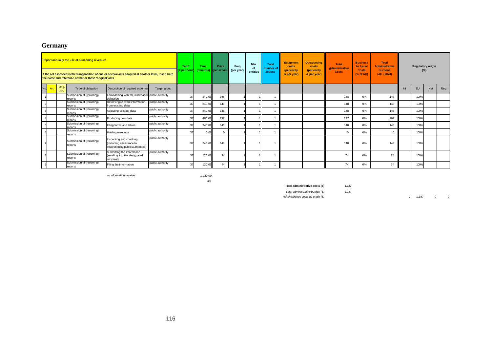# **Germany**

|     |      | <b>Report annually the use of auctioning revenues</b><br>If the act assessed is the transposition of one or several acts adopted at another level, insert here<br>the name and reference of that or these 'original' acts |                                      |                                                                                          |                  |    | <b>Time</b><br>(€per hour)<br>(minutes) | Price<br>(per action | Freq<br>(per year) | <b>Nbr</b><br>of | <b>Total</b><br>number of | <b>Equipment</b><br>costs<br>(per entity | <b>Outsourcing</b><br>costs<br>(per entity | <b>Total</b><br><b>Administrative</b> | <b>Business</b><br>As Usual<br><b>Costs</b> | <b>Total</b><br><b>Administrative</b><br><b>Burdens</b> |     |           | <b>Regulatory origin</b><br>$(\%)$ |     |
|-----|------|---------------------------------------------------------------------------------------------------------------------------------------------------------------------------------------------------------------------------|--------------------------------------|------------------------------------------------------------------------------------------|------------------|----|-----------------------------------------|----------------------|--------------------|------------------|---------------------------|------------------------------------------|--------------------------------------------|---------------------------------------|---------------------------------------------|---------------------------------------------------------|-----|-----------|------------------------------------|-----|
|     |      |                                                                                                                                                                                                                           |                                      |                                                                                          |                  |    |                                         |                      |                    | entities         | actions                   | & per year)                              | & per year)                                | <b>Costs</b>                          | $(%$ $(%$ $\mathbf{A}\mathbf{C})$           | (AC - BAU)                                              |     |           |                                    |     |
| No. | Art. | Orig.<br>Art.                                                                                                                                                                                                             | Type of obligation                   | Description of required action(s)                                                        | Target group     |    |                                         |                      |                    |                  |                           |                                          |                                            |                                       |                                             |                                                         | Int | <b>EU</b> | Nat                                | Reg |
|     |      |                                                                                                                                                                                                                           | Submission of (recurring)<br>reports | Familiarising with the information public authority<br>obligation                        |                  | 37 | 240.00                                  | 148                  |                    |                  |                           |                                          |                                            | 148                                   | $0\%$                                       | 148                                                     |     | 100%      |                                    |     |
|     |      |                                                                                                                                                                                                                           | Submission of (recurring)<br>reports | Retrieving relevant information<br>from existing data                                    | public authority | 37 | 240.0                                   | 148                  |                    |                  |                           |                                          |                                            | 148                                   | $0\%$                                       | 148                                                     |     | 100%      |                                    |     |
|     |      |                                                                                                                                                                                                                           | Submission of (recurring)<br>reports | Adjusting existing data                                                                  | public authority | 37 | 240.00                                  | 148                  |                    |                  |                           |                                          |                                            | 148                                   | $0\%$                                       | 148                                                     |     | 100%      |                                    |     |
|     |      |                                                                                                                                                                                                                           | Submission of (recurring)<br>reports | Producing new data                                                                       | public authority | 37 | 480.0                                   | 297                  |                    |                  |                           |                                          |                                            | 297                                   | $0\%$                                       | 297                                                     |     | 100%      |                                    |     |
|     |      |                                                                                                                                                                                                                           | Submission of (recurring)<br>reports | Filing forms and tables                                                                  | public authority |    | 240.0                                   | 148                  |                    |                  |                           |                                          |                                            | 148                                   | 0%                                          | 148                                                     |     | 100%      |                                    |     |
|     |      |                                                                                                                                                                                                                           | Submission of (recurring)<br>reports | Holding meetings                                                                         | public authority | 37 | 0.00                                    | $\Omega$             |                    |                  |                           |                                          |                                            | $\Omega$                              | 0%                                          | $\Omega$                                                |     | 100%      |                                    |     |
|     |      |                                                                                                                                                                                                                           | Submission of (recurring)<br>reports | Inspecting and checking<br>(including assistance to<br>inspection by public authorities) | public authority | 37 | 240.0                                   | 148                  |                    |                  |                           |                                          |                                            | 148                                   | 0%                                          | 148                                                     |     | 100%      |                                    |     |
|     |      |                                                                                                                                                                                                                           | Submission of (recurring)<br>reports | Submitting the information<br>(sending it to the designated<br>recipient)                | public authority |    | 120.0                                   | 74                   |                    |                  |                           |                                          |                                            | 74                                    | 0%                                          | 74                                                      |     | 100%      |                                    |     |
|     |      |                                                                                                                                                                                                                           | Submission of (recurring)<br>reports | Filing the information                                                                   | public authority | 37 | 120.00                                  | 74                   |                    |                  |                           |                                          |                                            | 74                                    | 0%                                          | 74                                                      |     | 100%      |                                    |     |

no information received 1,920.00

4.0

**Total administrative costs (€) 1,187**

*Total administrative burden (€)* 1,187

*Administrative costs by origin (€)* **1,187** 0 0 0 1,187 0 0 0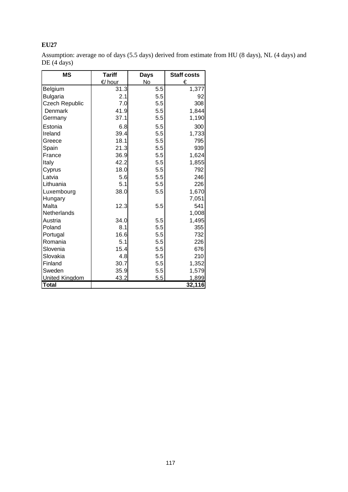Assumption: average no of days (5.5 days) derived from estimate from HU (8 days), NL (4 days) and DE (4 days)

| ΜS                    | <b>Tariff</b>    | <b>Days</b> | <b>Staff costs</b> |
|-----------------------|------------------|-------------|--------------------|
|                       | $\epsilon$ /hour | No          | €                  |
| Belgium               | 31.3             | 5.5         | 1,377              |
| <b>Bulgaria</b>       | 2.1              | 5.5         | 92                 |
| <b>Czech Republic</b> | 7.0              | 5.5         | 308                |
| Denmark               | 41.9             | 5.5         | 1,844              |
| Germany               | 37.1             | 5.5         | 1,190              |
| Estonia               | 6.8              | 5.5         | 300                |
| Ireland               | 39.4             | 5.5         | 1,733              |
| Greece                | 18.1             | 5.5         | 795                |
| Spain                 | 21.3             | 5.5         | 939                |
| France                | 36.9             | 5.5         | 1,624              |
| Italy                 | 42.2             | 5.5         | 1,855              |
| Cyprus                | 18.0             | 5.5         | 792                |
| Latvia                | 5.6              | 5.5         | 246                |
| Lithuania             | 5.1              | 5.5         | 226                |
| Luxembourg            | 38.0             | 5.5         | 1,670              |
| Hungary               |                  |             | 7,051              |
| Malta                 | 12.3             | 5.5         | 541                |
| Netherlands           |                  |             | 1,008              |
| Austria               | 34.0             | 5.5         | 1,495              |
| Poland                | 8.1              | 5.5         | 355                |
| Portugal              | 16.6             | 5.5         | 732                |
| Romania               | 5.1              | 5.5         | 226                |
| Slovenia              | 15.4             | 5.5         | 676                |
| Slovakia              | 4.8              | 5.5         | 210                |
| Finland               | 30.7             | 5.5         | 1,352              |
| Sweden                | 35.9             | 5.5         | 1,579              |
| <b>United Kingdom</b> | 43.2             | 5.5         | 1,899              |
| <b>Total</b>          |                  |             | 32,116             |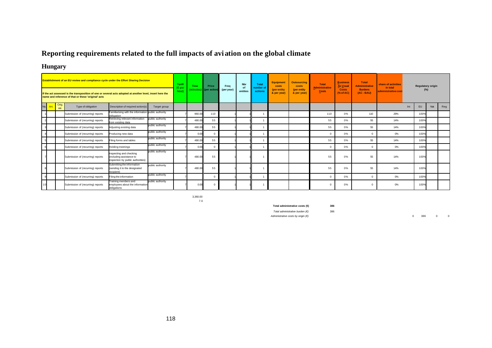# **Reporting requirements related to the full impacts of avi ation on the global climate**

# **Hungary**

|             |               | <b>Establishment of an EU review and compliance cycle under the Effort Sharing Decision</b>                                                                      |                                                                                          |                  | Tariff<br>(Epe) | <b>Time</b> | Price                 | Freq       | <b>Nbr</b><br><b>of</b> | <b>Total</b><br>number of | <b>Equipment</b><br>costs  | <b>Outsourcing</b><br>costs | <b>Total</b><br>Administrative | <b>Business</b><br>As Usual | <b>Total</b><br><b>Administrative</b> | share of activities<br>in total |     | <b>Regulatory origin</b> |     |     |
|-------------|---------------|------------------------------------------------------------------------------------------------------------------------------------------------------------------|------------------------------------------------------------------------------------------|------------------|-----------------|-------------|-----------------------|------------|-------------------------|---------------------------|----------------------------|-----------------------------|--------------------------------|-----------------------------|---------------------------------------|---------------------------------|-----|--------------------------|-----|-----|
|             |               | If the act assessed is the transposition of one or several acts adopted at another level, insert here the<br>name and reference of that or these 'original' acts |                                                                                          |                  | hour)           | (minutes)   | <b>Il</b> (per action | (per year) | entities                | actions                   | (per entity<br>& per year) | (per entity<br>& per year)  | Costs                          | <b>Costs</b><br>(% of AC)   | <b>Burdens</b><br>$(AC - BAU)$        | administrative cost             |     | (%)                      |     |     |
| No.<br>Art. | Orig.<br>Art. | Type of obligation                                                                                                                                               | Description of required action(s)                                                        | Target group     |                 |             |                       |            |                         |                           |                            |                             |                                |                             |                                       |                                 | Int | EU                       | Nat | Reg |
|             |               | Submission of (recurring) reports                                                                                                                                | Familiarising with the information public authority<br>obligation                        |                  |                 | 960.0       | 110                   |            |                         |                           |                            |                             | 110                            | 0%                          | 110                                   | 29%                             |     | 100%                     |     |     |
|             |               | Submission of (recurring) reports                                                                                                                                | Retrieving relevant information<br>rom existing data                                     | public authority |                 | 480.0       | 55                    |            |                         |                           |                            |                             | 55                             | 0%                          | 55                                    | 14%                             |     | 100%                     |     |     |
|             |               | Submission of (recurring) reports                                                                                                                                | Adjusting existing data                                                                  | public authority |                 | 480.00      | 55                    |            |                         |                           |                            |                             | 55                             | 0%                          | 55                                    | 14%                             |     | 100%                     |     |     |
|             |               | Submission of (recurring) reports                                                                                                                                | Producing new data                                                                       | public authority |                 | 0.00        | $\Omega$              |            |                         |                           |                            |                             | $\Omega$                       | 0%                          | $\Omega$                              | 0%                              |     | 100%                     |     |     |
|             |               | Submission of (recurring) reports                                                                                                                                | Filing forms and tables                                                                  | public authority |                 | 480.0       | 55                    |            |                         |                           |                            |                             | 55                             | 0%                          | 55                                    | 14%                             |     | 100%                     |     |     |
|             |               | Submission of (recurring) reports                                                                                                                                | Holding meetings                                                                         | public authority |                 | 0.00        | $\Omega$              |            |                         |                           |                            |                             | $\Omega$                       | 0%                          | $\Omega$                              | 0%                              |     | 100%                     |     |     |
|             |               | Submission of (recurring) reports                                                                                                                                | Inspecting and checking<br>(including assistance to<br>inspection by public authorities) | public authority |                 | 480.0       | 55                    |            |                         |                           |                            |                             | 55                             | 0%                          | 55                                    | 14%                             |     | 100%                     |     |     |
|             |               | Submission of (recurring) reports                                                                                                                                | Submitting the information<br>(sending it to the designated<br>recipient)                | public authority |                 | 480.00      | 55                    |            |                         |                           |                            |                             | 55                             | 0%                          | 55                                    | 14%                             |     | 100%                     |     |     |
|             |               | Submission of (recurring) reports                                                                                                                                | Filing the information                                                                   | public authority |                 |             | - 0                   |            |                         |                           |                            |                             | $\Omega$                       | 0%                          | $\Omega$                              | 0%                              |     | 100%                     |     |     |
|             |               | Submission of (recurring) reports                                                                                                                                | raining members and<br>emplovees about the information<br>obligations                    | public authority |                 | 0.0         | $\mathsf{C}$          |            |                         |                           |                            |                             |                                | 0%                          |                                       | 0%                              |     | 100%                     |     |     |

3,360.00 7.0

**Total administrative costs (€) 386**

*Total administrative burden (€)* 386

*Administrative costs by origin (€)* 0 386 0 0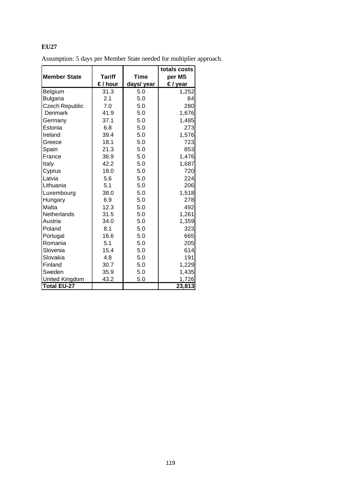|                       |               |            | totals costs |
|-----------------------|---------------|------------|--------------|
| <b>Member State</b>   | <b>Tariff</b> | Time       | per MS       |
|                       | €/ hour       | days/ year | €/ year      |
| Belgium               | 31.3          | 5.0        | 1,252        |
| <b>Bulgaria</b>       | 2.1           | 5.0        | 84           |
| <b>Czech Republic</b> | 7.0           | 5.0        | 280          |
| <b>Denmark</b>        | 41.9          | 5.0        | 1,676        |
| Germany               | 37.1          | 5.0        | 1,485        |
| Estonia               | 6.8           | 5.0        | 273          |
| Ireland               | 39.4          | 5.0        | 1,576        |
| Greece                | 18.1          | 5.0        | 723          |
| Spain                 | 21.3          | 5.0        | 853          |
| France                | 36.9          | 5.0        | 1,476        |
| Italy                 | 42.2          | 5.0        | 1,687        |
| Cyprus                | 18.0          | 5.0        | 720          |
| Latvia                | 5.6           | 5.0        | 224          |
| Lithuania             | 5.1           | 5.0        | 206          |
| Luxembourg            | 38.0          | 5.0        | 1,518        |
| Hungary               | 6.9           | 5.0        | 278          |
| Malta                 | 12.3          | 5.0        | 492          |
| <b>Netherlands</b>    | 31.5          | 5.0        | 1,261        |
| Austria               | 34.0          | 5.0        | 1,359        |
| Poland                | 8.1           | 5.0        | 323          |
| Portugal              | 16.6          | 5.0        | 665          |
| Romania               | 5.1           | 5.0        | 205          |
| Slovenia              | 15.4          | 5.0        | 614          |
| Slovakia              | 4.8           | 5.0        | 191          |
| Finland               | 30.7          | 5.0        | 1,229        |
| Sweden                | 35.9          | 5.0        | 1,435        |
| <b>United Kingdom</b> | 43.2          | 5.0        | 1,726        |
| Total EU-27           |               |            | 23,813       |

Assumption: 5 days per Member State needed for multiplier approach.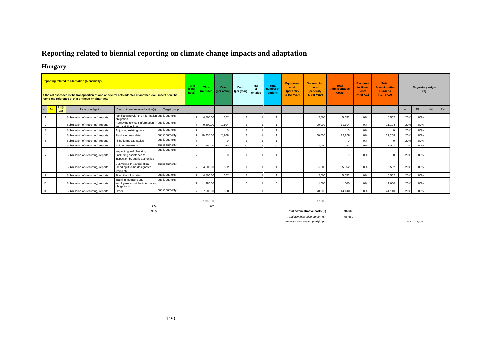# **Reporting related to biennial reporting on climate change impacts and adaptation**

### **Hungary**

|            |                     | <b>Reporting related to adaptation (biennnially)</b><br>If the act assessed is the transposition of one or several acts adopted at another level, insert here the<br>name and reference of that or these 'original' acts |                                                                                          |                  | <b>Tariff</b><br>(€per<br>hour | Time<br>(minutes) | Price<br>$\sqrt{\phantom{a}}$ (per action) | Freq<br>(per year) | <b>Nbr</b><br>of<br>entities | <b>Total</b><br>number of<br>actions | <b>Equipment</b><br>costs<br>(per entity<br>& per year) | <b>Outsourcing</b><br>costs<br>(per entity<br>& per year) | <b>Total</b><br><b>Administrative</b><br>Costs | <b>Business</b><br><b>As Usual</b><br><b>Costs</b><br>(% of AC) | <b>Total</b><br><b>Administrative</b><br><b>Burdens</b><br>$(AC-BAU)$ |     | <b>Regulatory origin</b><br>$(\%)$ |     |     |
|------------|---------------------|--------------------------------------------------------------------------------------------------------------------------------------------------------------------------------------------------------------------------|------------------------------------------------------------------------------------------|------------------|--------------------------------|-------------------|--------------------------------------------|--------------------|------------------------------|--------------------------------------|---------------------------------------------------------|-----------------------------------------------------------|------------------------------------------------|-----------------------------------------------------------------|-----------------------------------------------------------------------|-----|------------------------------------|-----|-----|
| <b>Art</b> | Orig.<br><b>Art</b> | Type of obligation                                                                                                                                                                                                       | Description of required action(s)                                                        | Target group     |                                |                   |                                            |                    |                              |                                      |                                                         |                                                           |                                                |                                                                 |                                                                       | Int | EU                                 | Nat | Reg |
|            |                     | Submission of (recurring) reports                                                                                                                                                                                        | Familiarising with the information public authority<br>obligation                        |                  |                                | 4,800.00          | 552                                        |                    |                              |                                      |                                                         | 5,000                                                     | 5,552                                          | $0\%$                                                           | 5,552                                                                 | 20% | 80%                                |     |     |
|            |                     | Submission of (recurring) reports                                                                                                                                                                                        | Retrieving relevant information<br>from existing data                                    | public authority |                                | 9,600.0           | 1.104                                      |                    |                              |                                      |                                                         | 10,000                                                    | 11.104                                         | 0%                                                              | 11,104                                                                | 20% | 80%                                |     |     |
|            |                     | Submission of (recurring) reports                                                                                                                                                                                        | Adjusting existing data                                                                  | public authority |                                |                   | $\Omega$                                   |                    |                              |                                      |                                                         |                                                           | $\mathbf{0}$                                   | 0%                                                              | $\mathbf{0}$                                                          | 20% | 80%                                |     |     |
|            |                     | Submission of (recurring) reports                                                                                                                                                                                        | Producing new data                                                                       | public authority |                                | 19,200.00         | 2.208                                      |                    |                              |                                      |                                                         | 20,000                                                    | 22.208                                         | $0\%$                                                           | 22.208                                                                | 20% | 80%                                |     |     |
|            |                     | Submission of (recurring) reports                                                                                                                                                                                        | Filing forms and tables                                                                  | public authority |                                |                   | $\Omega$                                   |                    |                              |                                      |                                                         |                                                           | $\mathbf 0$                                    | 0%                                                              | $\Omega$                                                              | 20% | 80%                                |     |     |
|            |                     | Submission of (recurring) reports                                                                                                                                                                                        | <b>Holding meetings</b>                                                                  | public authority |                                | 480.0             | 55                                         |                    |                              | 10 <sup>1</sup>                      |                                                         | 1,000                                                     | 1.552                                          | 0%                                                              | 1.552                                                                 | 20% | 80%                                |     |     |
|            |                     | Submission of (recurring) reports                                                                                                                                                                                        | Inspecting and checking<br>(including assistance to<br>inspection by public authorities) | public authority |                                |                   |                                            |                    |                              |                                      |                                                         |                                                           | $\Omega$                                       | 0%                                                              | $^{\circ}$                                                            | 20% | 80%                                |     |     |
|            |                     | Submission of (recurring) reports                                                                                                                                                                                        | Submitting the information<br>(sending it to the designated<br>recinient)                | public authority |                                | 4,800.0           | 552                                        |                    |                              |                                      |                                                         | 5,000                                                     | 5,552                                          | 0%                                                              | 5,552                                                                 | 20% | 80%                                |     |     |
|            |                     | Submission of (recurring) reports                                                                                                                                                                                        | Filing the information                                                                   | public authority |                                | 4.800.0           | 552                                        |                    |                              |                                      |                                                         | 5,000                                                     | 5.552                                          | 0%                                                              | 5,552                                                                 | 20% | 80%                                |     |     |
|            |                     | Submission of (recurring) reports                                                                                                                                                                                        | Training members and<br>employees about the information<br>obligations                   | public authority |                                | 480.00            |                                            |                    |                              |                                      |                                                         | 1,000                                                     | 1.000                                          | 0%                                                              | 1,000                                                                 | 20% | 80%                                |     |     |
| 11         |                     | Submission of (recurring) reports                                                                                                                                                                                        | Other                                                                                    | public authority |                                | 7.200.00          | 828                                        |                    |                              |                                      |                                                         | 40,000                                                    | 44.140                                         | $0\%$                                                           | 44.140                                                                | 20% | 80%                                |     |     |

191 107

51,360.00 87,000

95.5 **Total administrative costs (€) 96,660** *Total administrative burden (€)* 96,660 *Administrative costs by origin (€)* 19,332 77,328 0 0 0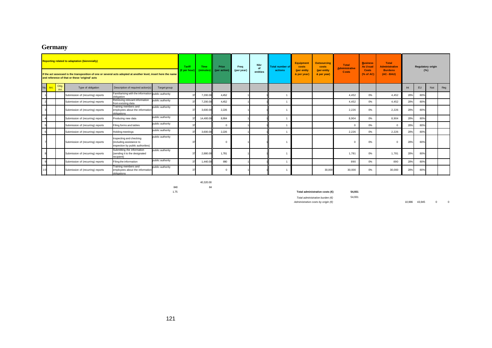# **Germany**

|             |               | <b>Reporting related to adaptation (biennnially)</b><br>If the act assessed is the transposition of one or several acts adopted at another level, insert here the name<br>and reference of that or these 'original' acts |                                                                                          |                  | Tariff<br>(€ per hour | Time<br>(minutes) | Price<br>loer action | Freq<br>(per year) | <b>Nbr</b><br>entities | <b>Total number of</b><br>actions | Equipment<br>costs<br>(per entity<br>& per year) | <b>Outsourcing</b><br>costs<br>(per entity<br>& per year) | <b>Total</b><br><b>Administrative</b><br><b>Costs</b> | <b>Business</b><br><b>As Usual</b><br><b>Costs</b><br>(% of AC) | <b>Total</b><br><b>Administrative</b><br><b>Burdens</b><br>$(AC - BAU)$ |     | <b>Regulatory origin</b><br>(%) |     |     |
|-------------|---------------|--------------------------------------------------------------------------------------------------------------------------------------------------------------------------------------------------------------------------|------------------------------------------------------------------------------------------|------------------|-----------------------|-------------------|----------------------|--------------------|------------------------|-----------------------------------|--------------------------------------------------|-----------------------------------------------------------|-------------------------------------------------------|-----------------------------------------------------------------|-------------------------------------------------------------------------|-----|---------------------------------|-----|-----|
| No.<br>Art. | Orig.<br>Art. | Type of obligation                                                                                                                                                                                                       | Description of required action(s)                                                        | Target group     |                       |                   |                      |                    |                        |                                   |                                                  |                                                           |                                                       |                                                                 |                                                                         | Int | EU                              | Nat | Reg |
|             |               | Submission of (recurring) reports                                                                                                                                                                                        | Familiarising with the information public authority<br>obligation                        |                  |                       | 7,200.00          | 4,452                |                    |                        |                                   |                                                  |                                                           | 4,452                                                 | 0%                                                              | 4,452                                                                   | 20% | 80%                             |     |     |
|             |               | Submission of (recurring) reports                                                                                                                                                                                        | Retrieving relevant information<br>from existing data                                    | public authority |                       | 7,200.00          | 4,452                |                    |                        |                                   |                                                  |                                                           | 4,452                                                 | 0%                                                              | 4,452                                                                   | 20% | 80%                             |     |     |
|             |               | Submission of (recurring) reports                                                                                                                                                                                        | Training members and<br>employees about the information<br>obligations                   | public authority |                       | 3,600.00          | 2.226                |                    |                        |                                   |                                                  |                                                           | 2,226                                                 | 0%                                                              | 2,226                                                                   | 20% | 80%                             |     |     |
|             |               | Submission of (recurring) reports                                                                                                                                                                                        | Producing new data                                                                       | public authority |                       | 14,400.00         | 8,904                |                    |                        |                                   |                                                  |                                                           | 8,904                                                 | 0%                                                              | 8,904                                                                   | 20% | 80%                             |     |     |
|             |               | Submission of (recurring) reports                                                                                                                                                                                        | Filing forms and tables                                                                  | public authority |                       |                   | $\Omega$             |                    |                        |                                   |                                                  |                                                           | $\Omega$                                              | 0%                                                              | $\Omega$                                                                | 20% | 80%                             |     |     |
|             |               | Submission of (recurring) reports                                                                                                                                                                                        | <b>Holding meetings</b>                                                                  | public authority |                       | 3,600.00          | 2.226                |                    |                        |                                   |                                                  |                                                           | 2.226                                                 | 0%                                                              | 2,226                                                                   | 20% | 80%                             |     |     |
|             |               | Submission of (recurring) reports                                                                                                                                                                                        | Inspecting and checking<br>(including assistance to<br>inspection by public authorities) | public authority |                       |                   |                      |                    |                        |                                   |                                                  |                                                           | $\Omega$                                              | 0%                                                              |                                                                         | 20% | 80%                             |     |     |
|             |               | Submission of (recurring) reports                                                                                                                                                                                        | Submitting the information<br>(sending it to the designated<br>recipient)                | public authority |                       | 2,880.00          | 1,781                |                    |                        |                                   |                                                  |                                                           | 1,781                                                 | 0%                                                              | 1,781                                                                   | 20% | 80%                             |     |     |
|             |               | public authority<br>Filing the information<br>Submission of (recurring) reports                                                                                                                                          |                                                                                          |                  | 1,440.00              | 890               |                      |                    |                        |                                   |                                                  | 890                                                       | 0%                                                    | 890                                                             | 20%                                                                     | 80% |                                 |     |     |
|             |               | Submission of (recurring) reports                                                                                                                                                                                        | Training members and<br>employees about the information<br>obligations                   | public authority |                       |                   |                      |                    |                        |                                   |                                                  | 30,000                                                    | 30,000                                                | 0%                                                              | 30,000                                                                  | 20% | 80%                             |     |     |

40,320.00 840 84

#### 1.75 **Total administrative costs (€) 54,931**

*Total administrative burden (€)* 54,931

*Administrative costs by origin (€)* 10,986 43,945 0 0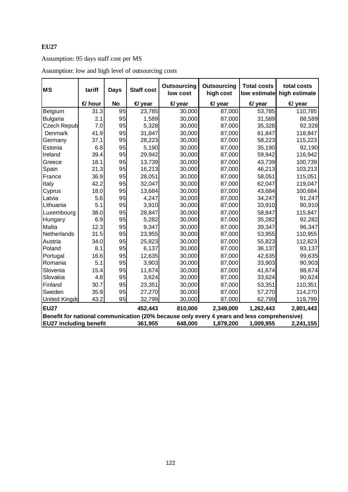# Assumption: 95 days staff cost per MS

| <b>MS</b>                     | tariff        | <b>Days</b> | <b>Staff cost</b> | Outsourcing<br>low cost | Outsourcing<br>high cost                                                                   | <b>Total costs</b> | total costs<br>low estimate high estimate |
|-------------------------------|---------------|-------------|-------------------|-------------------------|--------------------------------------------------------------------------------------------|--------------------|-------------------------------------------|
|                               | <b>€</b> hour | <b>No</b>   | $\bigoplus$ year  | $\bigoplus$ year        | $\bigoplus$ year                                                                           | $\bigoplus$ year   | $\triangleleft$ year                      |
| Belgium                       | 31.3          | 95          | 23,785            | 30,000                  | 87,000                                                                                     | 53,785             | 110,785                                   |
| Bulgaria                      | 2.1           | 95          | 1,589             | 30,000                  | 87,000                                                                                     | 31,589             | 88,589                                    |
| <b>Czech Repub</b>            | 7.0           | 95          | 5,328             | 30,000                  | 87,000                                                                                     | 35,328             | 92,328                                    |
| Denmark                       | 41.9          | 95          | 31,847            | 30,000                  | 87,000                                                                                     | 61,847             | 118,847                                   |
| Germany                       | 37.1          | 95          | 28,223            | 30,000                  | 87,000                                                                                     | 58,223             | 115,223                                   |
| Estonia                       | 6.8           | 95          | 5,190             | 30,000                  | 87,000                                                                                     | 35,190             | 92,190                                    |
| Ireland                       | 39.4          | 95          | 29,942            | 30,000                  | 87,000                                                                                     | 59,942             | 116,942                                   |
| Greece                        | 18.1          | 95          | 13,739            | 30,000                  | 87,000                                                                                     | 43,739             | 100,739                                   |
| Spain                         | 21.3          | 95          | 16,213            | 30,000                  | 87,000                                                                                     | 46,213             | 103,213                                   |
| France                        | 36.9          | 95          | 28,051            | 30,000                  | 87,000                                                                                     | 58,051             | 115,051                                   |
| Italy                         | 42.2          | 95          | 32,047            | 30,000                  | 87,000                                                                                     | 62,047             | 119,047                                   |
| Cyprus                        | 18.0          | 95          | 13,684            | 30,000                  | 87,000                                                                                     | 43,684             | 100,684                                   |
| Latvia                        | 5.6           | 95          | 4,247             | 30,000                  | 87,000                                                                                     | 34,247             | 91,247                                    |
| Lithuania                     | 5.1           | 95          | 3,910             | 30,000                  | 87,000                                                                                     | 33,910             | 90,910                                    |
| Luxembourg                    | 38.0          | 95          | 28,847            | 30,000                  | 87,000                                                                                     | 58,847             | 115,847                                   |
| Hungary                       | 6.9           | 95          | 5,282             | 30,000                  | 87,000                                                                                     | 35,282             | 92,282                                    |
| Malta                         | 12.3          | 95          | 9,347             | 30,000                  | 87,000                                                                                     | 39,347             | 96,347                                    |
| Netherlands                   | 31.5          | 95          | 23,955            | 30,000                  | 87,000                                                                                     | 53,955             | 110,955                                   |
| Austria                       | 34.0          | 95          | 25,823            | 30,000                  | 87,000                                                                                     | 55,823             | 112,823                                   |
| Poland                        | 8.1           | 95          | 6,137             | 30,000                  | 87,000                                                                                     | 36,137             | 93,137                                    |
| Portugal                      | 16.6          | 95          | 12,635            | 30,000                  | 87,000                                                                                     | 42,635             | 99,635                                    |
| Romania                       | 5.1           | 95          | 3,903             | 30,000                  | 87,000                                                                                     | 33,903             | 90,903                                    |
| Slovenia                      | 15.4          | 95          | 11,674            | 30,000                  | 87,000                                                                                     | 41,674             | 98,674                                    |
| Slovakia                      | 4.8           | 95          | 3,624             | 30,000                  | 87,000                                                                                     | 33,624             | 90,624                                    |
| Finland                       | 30.7          | 95          | 23,351            | 30,000                  | 87,000                                                                                     | 53,351             | 110,351                                   |
| Sweden                        | 35.9          | 95          | 27,270            | 30,000                  | 87,000                                                                                     | 57,270             | 114,270                                   |
| <b>United Kingdo</b>          | 43.2          | 95          | 32,799            | 30,000                  | 87,000                                                                                     | 62,799             | 119,799                                   |
| EU27                          |               |             | 452,443           | 810,000                 | 2,349,000                                                                                  | 1,262,443          | 2,801,443                                 |
|                               |               |             |                   |                         | Benefit for national communication (20% because only every 4 years and less comprehensive) |                    |                                           |
| <b>EU27 including benefit</b> |               |             | 361,955           | 648,000                 | 1,879,200                                                                                  | 1,009,955          | 2,241,155                                 |

Assumption: low and high level of outsourcing costs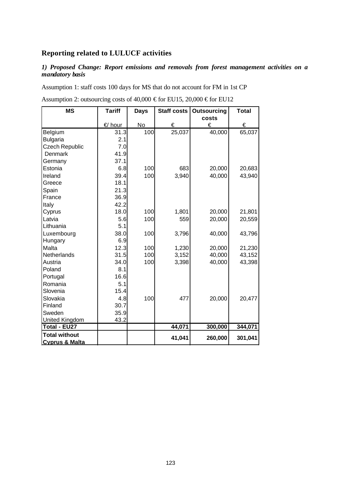# **Reporting related to LULUCF activities**

# *1) Proposed Change: Report emissions and removals from forest management activities on a mandatory basis*

Assumption 1: staff costs 100 days for MS that do not account for FM in 1st CP

| <b>MS</b>                 | <b>Tariff</b> | <b>Days</b> | Staff costs | <b>Outsourcing</b> | <b>Total</b> |
|---------------------------|---------------|-------------|-------------|--------------------|--------------|
|                           |               |             |             | costs              |              |
|                           | € hour        | No          | €           | €                  | €            |
| Belgium                   | 31.3          | 100         | 25,037      | 40,000             | 65,037       |
| <b>Bulgaria</b>           | 2.1           |             |             |                    |              |
| <b>Czech Republic</b>     | 7.0           |             |             |                    |              |
| Denmark                   | 41.9          |             |             |                    |              |
| Germany                   | 37.1          |             |             |                    |              |
| Estonia                   | 6.8           | 100         | 683         | 20,000             | 20,683       |
| Ireland                   | 39.4          | 100         | 3,940       | 40,000             | 43,940       |
| Greece                    | 18.1          |             |             |                    |              |
| Spain                     | 21.3          |             |             |                    |              |
| France                    | 36.9          |             |             |                    |              |
| Italy                     | 42.2          |             |             |                    |              |
| Cyprus                    | 18.0          | 100         | 1,801       | 20,000             | 21,801       |
| Latvia                    | 5.6           | 100         | 559         | 20,000             | 20,559       |
| Lithuania                 | 5.1           |             |             |                    |              |
| Luxembourg                | 38.0          | 100         | 3,796       | 40,000             | 43,796       |
| Hungary                   | 6.9           |             |             |                    |              |
| Malta                     | 12.3          | 100         | 1,230       | 20,000             | 21,230       |
| Netherlands               | 31.5          | 100         | 3,152       | 40,000             | 43,152       |
| Austria                   | 34.0          | 100         | 3,398       | 40,000             | 43,398       |
| Poland                    | 8.1           |             |             |                    |              |
| Portugal                  | 16.6          |             |             |                    |              |
| Romania                   | 5.1           |             |             |                    |              |
| Slovenia                  | 15.4          |             |             |                    |              |
| Slovakia                  | 4.8           | 100         | 477         | 20,000             | 20,477       |
| Finland                   | 30.7          |             |             |                    |              |
| Sweden                    | 35.9          |             |             |                    |              |
| <b>United Kingdom</b>     | 43.2          |             |             |                    |              |
| Total - EU27              |               |             | 44,071      | 300,000            | 344,071      |
| <b>Total without</b>      |               |             | 41,041      | 260,000            | 301,041      |
| <b>Cyprus &amp; Malta</b> |               |             |             |                    |              |

Assumption 2: outsourcing costs of 40,000  $\epsilon$  for EU15, 20,000  $\epsilon$  for EU12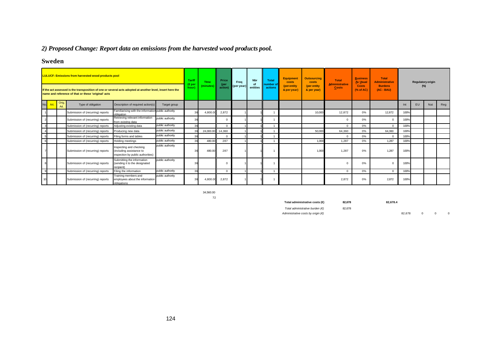# *2) Proposed Change: Report data on emissions from the harvested wood products pool.*

# **Sweden**

|                 |              | <b>LULUCF: Emissions from harvested wood products pool</b><br>If the act assessed is the transposition of one or several acts adopted at another level, insert here the<br>name and reference of that or these 'original' acts |                                                                                          |                  | Tariff<br>(€pei<br>hour) | Time<br>(minutes) | Price<br>(per<br>action) | Freq<br>(per year) | <b>Nbr</b><br>of<br>entities | <b>Total</b><br>number of<br>actions | <b>Equipment</b><br>costs<br>(per entity<br>& per year) | <b>Outsourcing</b><br>costs<br>(per entity<br>& per year) | <b>Total</b><br><b>Administrative</b><br>Costs | <b>Business</b><br>As Usual<br><b>Costs</b><br>(% of AC) | <b>Total</b><br><b>Administrative</b><br><b>Burdens</b><br>(AC - BAU) |      | <b>Regulatory origin</b><br>$(\%)$ |     |     |
|-----------------|--------------|--------------------------------------------------------------------------------------------------------------------------------------------------------------------------------------------------------------------------------|------------------------------------------------------------------------------------------|------------------|--------------------------|-------------------|--------------------------|--------------------|------------------------------|--------------------------------------|---------------------------------------------------------|-----------------------------------------------------------|------------------------------------------------|----------------------------------------------------------|-----------------------------------------------------------------------|------|------------------------------------|-----|-----|
| No.             | Orig.<br>Art | Type of obligation                                                                                                                                                                                                             | Description of required action(s)                                                        | Target group     |                          |                   |                          |                    |                              |                                      |                                                         |                                                           |                                                |                                                          |                                                                       | Int  | <b>EU</b>                          | Nat | Reg |
|                 |              | Submission of (recurring) reports                                                                                                                                                                                              | Familiarising with the information public authority<br>obligation                        |                  | 36                       | 4,800.00          | 2,872                    |                    |                              |                                      |                                                         | 10,000                                                    | 12,872                                         | 0%                                                       | 12,872                                                                | 100% |                                    |     |     |
|                 |              | Submission of (recurring) reports                                                                                                                                                                                              | Retrieving relevant information<br>from existing data                                    | public authority | 36                       |                   | $\Omega$                 |                    |                              |                                      |                                                         |                                                           |                                                | 0%                                                       | $\Omega$                                                              | 100% |                                    |     |     |
|                 |              | Submission of (recurring) reports                                                                                                                                                                                              | Adjusting existing data                                                                  | public authority | 36                       |                   | $\Omega$                 |                    |                              |                                      |                                                         |                                                           | $\Omega$                                       | 0%                                                       | $\overline{0}$                                                        | 100% |                                    |     |     |
|                 |              | Submission of (recurring) reports                                                                                                                                                                                              | Producing new data                                                                       | public authority | 36                       | 24,000.00 14,360  |                          |                    |                              |                                      |                                                         | 50,000                                                    | 64,360                                         | 0%                                                       | 64,360                                                                | 100% |                                    |     |     |
|                 |              | Submission of (recurring) reports                                                                                                                                                                                              | Filing forms and tables                                                                  | public authority | 36                       |                   | $\Omega$                 |                    |                              |                                      |                                                         |                                                           | $\Omega$                                       | 0%                                                       | $\overline{0}$                                                        | 100% |                                    |     |     |
| $6\overline{6}$ |              | Submission of (recurring) reports                                                                                                                                                                                              | Holding meetings                                                                         | public authority | 36                       | 480.00            | 287                      |                    |                              |                                      |                                                         | 1.000                                                     | 1.287                                          | 0%                                                       | 1.287                                                                 | 100% |                                    |     |     |
|                 |              | Submission of (recurring) reports                                                                                                                                                                                              | Inspecting and checking<br>(including assistance to<br>inspection by public authorities) | public authority | 36                       | 480.00            | 287                      |                    |                              |                                      |                                                         | 1.000                                                     | 1.287                                          | 0%                                                       | 1.287                                                                 | 100% |                                    |     |     |
|                 |              | Submission of (recurring) reports                                                                                                                                                                                              | Submitting the information<br>(sending it to the designated<br>recipient)                | public authority |                          |                   | $\Omega$                 |                    |                              |                                      |                                                         |                                                           |                                                | 0%                                                       | $\Omega$                                                              | 100% |                                    |     |     |
|                 |              | Submission of (recurring) reports                                                                                                                                                                                              | Filing the information                                                                   | public authority | 36                       |                   | $\Omega$                 |                    |                              |                                      |                                                         |                                                           |                                                | 0%                                                       | $\mathbf 0$                                                           | 100% |                                    |     |     |
|                 |              | Submission of (recurring) reports                                                                                                                                                                                              | Training members and<br>employees about the information<br>obligations                   | public authority |                          | 4,800.00          | 2,872                    |                    |                              |                                      |                                                         |                                                           | 2,872                                          | 0%                                                       | 2,872                                                                 | 100% |                                    |     |     |

34,560.00 72

**Total administrative costs (€) 82,678 82,678.4**

*Administrative costs by origin (€)* 82,678 0 0 0

*Total administrative burden (€)* 82,678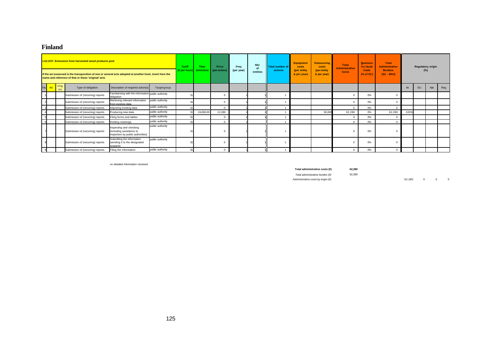### **Finland**

|     |     |               | <b>LULUCF: Emissions from harvested wood products pool</b><br>If the act assessed is the transposition of one or several acts adopted at another level, insert here the<br>name and reference of that or these 'original' acts |                                                                                          |                  | Tariff<br>(€per hou | Time<br>(minutes) | Price<br>(per action | Freq<br>(per year) | <b>Nbr</b><br>of<br>entities | Total number of<br>actions | <b>Equipment</b><br>costs<br>(per entity)<br>& per year) | <b>Outsourcing</b><br>costs<br>(per entity<br>& per year) | <b>Total</b><br><b>Administrative</b><br><b>Costs</b> | <b>Business</b><br><b>As Usual</b><br><b>Costs</b><br>$(%$ (% of AC) | <b>Total</b><br><b>Administrative</b><br><b>Burdens</b><br>$(AC - BAU)$ |      |    | <b>Regulatory origin</b><br>$(\%)$ |     |
|-----|-----|---------------|--------------------------------------------------------------------------------------------------------------------------------------------------------------------------------------------------------------------------------|------------------------------------------------------------------------------------------|------------------|---------------------|-------------------|----------------------|--------------------|------------------------------|----------------------------|----------------------------------------------------------|-----------------------------------------------------------|-------------------------------------------------------|----------------------------------------------------------------------|-------------------------------------------------------------------------|------|----|------------------------------------|-----|
| No. | Art | Orig.<br>Art. | Type of obligation                                                                                                                                                                                                             | Description of required action(s)                                                        | Target group     |                     |                   |                      |                    |                              |                            |                                                          |                                                           |                                                       |                                                                      |                                                                         | Int  | EU | Nat                                | Reg |
|     |     |               | Submission of (recurring) reports                                                                                                                                                                                              | Familiarising with the information public authority<br>obligation                        |                  |                     |                   |                      |                    |                              |                            |                                                          |                                                           |                                                       | 0%                                                                   |                                                                         |      |    |                                    |     |
|     |     |               | Submission of (recurring) reports                                                                                                                                                                                              | Retrieving relevant information<br>from existing data                                    | public authority |                     |                   |                      |                    |                              |                            |                                                          |                                                           |                                                       | 0%                                                                   |                                                                         |      |    |                                    |     |
|     |     |               | Submission of (recurring) reports                                                                                                                                                                                              | Adjusting existing data                                                                  | public authority |                     |                   |                      |                    |                              |                            |                                                          |                                                           |                                                       | 0%                                                                   |                                                                         |      |    |                                    |     |
|     |     |               | Submission of (recurring) reports                                                                                                                                                                                              | Producing new data                                                                       | public authority |                     | 24,000.00         | 12,280               |                    |                              |                            |                                                          | 50,000                                                    | 62,280                                                | 0%                                                                   | 62,280                                                                  | 100% |    |                                    |     |
|     |     |               | Submission of (recurring) reports                                                                                                                                                                                              | Filing forms and tables                                                                  | public authority |                     |                   |                      |                    |                              |                            |                                                          |                                                           | $\Omega$                                              | 0%                                                                   |                                                                         |      |    |                                    |     |
|     |     |               | Submission of (recurring) reports                                                                                                                                                                                              | Holding meetings                                                                         | public authority |                     |                   |                      |                    |                              |                            |                                                          |                                                           | $\Omega$                                              | 0%                                                                   |                                                                         |      |    |                                    |     |
|     |     |               | Submission of (recurring) reports                                                                                                                                                                                              | Inspecting and checking<br>(including assistance to<br>inspection by public authorities) | public authority |                     |                   |                      |                    |                              |                            |                                                          |                                                           |                                                       | 0%                                                                   |                                                                         |      |    |                                    |     |
|     |     |               | Submission of (recurring) reports                                                                                                                                                                                              | Submitting the information<br>(sending it to the designated<br>recipient)                | public authority |                     |                   |                      |                    |                              |                            |                                                          |                                                           |                                                       | 0%                                                                   |                                                                         |      |    |                                    |     |
|     |     |               | Submission of (recurring) reports                                                                                                                                                                                              | Filing the information                                                                   | public authority |                     |                   |                      |                    |                              |                            |                                                          |                                                           |                                                       | 0%                                                                   |                                                                         |      |    |                                    |     |

no detailed information received

**Total administrative costs (€) 62,280** *Total administrative burden (€)* 62,280 *Administrative costs by origin (€)* 62,280 0 0 0 0 0 0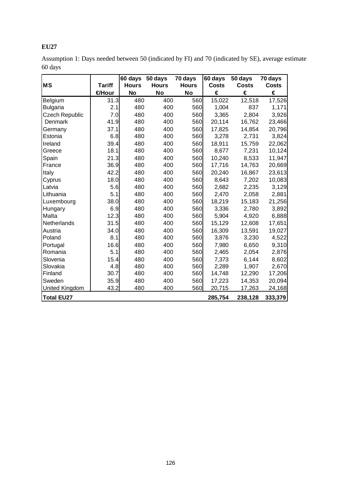| Assumption 1: Days needed between 50 (indicated by FI) and 70 (indicated by SE), average estimate |  |
|---------------------------------------------------------------------------------------------------|--|
| 60 days                                                                                           |  |

|                   |               | 60 days      | 50 days      | 70 days      | 60 days      | 50 days      | 70 days      |
|-------------------|---------------|--------------|--------------|--------------|--------------|--------------|--------------|
| <b>MS</b>         | <b>Tariff</b> | <b>Hours</b> | <b>Hours</b> | <b>Hours</b> | <b>Costs</b> | <b>Costs</b> | <b>Costs</b> |
|                   | €Hour         | <b>No</b>    | <b>No</b>    | No           | €            | €            | €            |
| Belgium           | 31.3          | 480          | 400          | 560          | 15,022       | 12,518       | 17,526       |
| <b>Bulgaria</b>   | 2.1           | 480          | 400          | 560          | 1,004        | 837          | 1,171        |
| Czech Republic    | 7.0           | 480          | 400          | 560          | 3,365        | 2,804        | 3,926        |
| Denmark           | 41.9          | 480          | 400          | 560          | 20,114       | 16,762       | 23,466       |
| Germany           | 37.1          | 480          | 400          | 560          | 17,825       | 14,854       | 20,796       |
| Estonia           | 6.8           | 480          | 400          | 560          | 3,278        | 2,731        | 3,824        |
| Ireland           | 39.4          | 480          | 400          | 560          | 18,911       | 15,759       | 22,062       |
| Greece            | 18.1          | 480          | 400          | 560          | 8,677        | 7,231        | 10,124       |
| Spain             | 21.3          | 480          | 400          | 560          | 10,240       | 8,533        | 11,947       |
| France            | 36.9          | 480          | 400          | 560          | 17,716       | 14,763       | 20,669       |
| Italy             | 42.2          | 480          | 400          | 560          | 20,240       | 16,867       | 23,613       |
| Cyprus            | 18.0          | 480          | 400          | 560          | 8,643        | 7,202        | 10,083       |
| Latvia            | 5.6           | 480          | 400          | 560          | 2,682        | 2,235        | 3,129        |
| Lithuania         | 5.1           | 480          | 400          | 560          | 2,470        | 2,058        | 2,881        |
| Luxembourg        | 38.0          | 480          | 400          | 560          | 18,219       | 15,183       | 21,256       |
| Hungary           | 6.9           | 480          | 400          | 560          | 3,336        | 2,780        | 3,892        |
| Malta             | 12.3          | 480          | 400          | 560          | 5,904        | 4,920        | 6,888        |
| Netherlands       | 31.5          | 480          | 400          | 560          | 15,129       | 12,608       | 17,651       |
| Austria           | 34.0          | 480          | 400          | 560          | 16,309       | 13,591       | 19,027       |
| Poland            | 8.1           | 480          | 400          | 560          | 3,876        | 3,230        | 4,522        |
| Portugal          | 16.6          | 480          | 400          | 560          | 7,980        | 6,650        | 9,310        |
| Romania           | 5.1           | 480          | 400          | 560          | 2,465        | 2,054        | 2,876        |
| Slovenia          | 15.4          | 480          | 400          | 560          | 7,373        | 6,144        | 8,602        |
| Slovakia          | 4.8           | 480          | 400          | 560          | 2,289        | 1,907        | 2,670        |
| Finland           | 30.7          | 480          | 400          | 560          | 14,748       | 12,290       | 17,206       |
| Sweden            | 35.9          | 480          | 400          | 560          | 17,223       | 14,353       | 20,094       |
| United Kingdom    | 43.2          | 480          | 400          | 560          | 20,715       | 17,263       | 24,168       |
| <b>Total EU27</b> |               |              |              |              | 285,754      | 238,128      | 333,379      |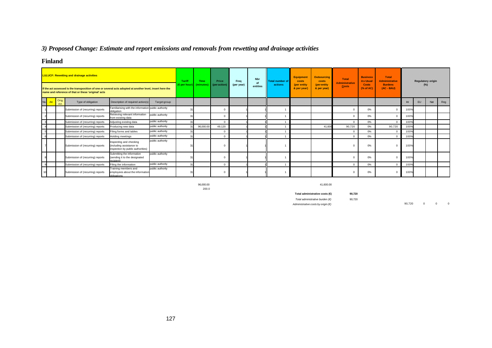# *3) Proposed Change: Estimate and report emissions and removals from rewetting and drainage activities*

# **Finland**

|     |                     | <b>LULUCF: Rewetting and drainage activities</b><br>If the act assessed is the transposition of one or several acts adopted at another level, insert here the<br>name and reference of that or these 'original' acts |                                                                                          |                  | Tariff<br>$(\epsilon$ per hour) | Time<br>(minutes) | Price<br>(per action) | Freq<br>(per year) | <b>Nbr</b><br>of<br>entities | Total number of<br>actions | <b>Equipment</b><br>costs<br>(per entity<br>& per year) | <b>Outsourcing</b><br>costs<br>(per entity)<br>& per year) | <b>Total</b><br><b>Administrative</b><br><b>Costs</b> | <b>Business</b><br><b>As Usual</b><br><b>Costs</b><br>$(%$ (% of AC) | <b>Total</b><br><b>Administrative</b><br><b>Burdens</b><br>$(AC - BAU)$ |      |           | <b>Regulatory origin</b><br>$(\%)$ |     |
|-----|---------------------|----------------------------------------------------------------------------------------------------------------------------------------------------------------------------------------------------------------------|------------------------------------------------------------------------------------------|------------------|---------------------------------|-------------------|-----------------------|--------------------|------------------------------|----------------------------|---------------------------------------------------------|------------------------------------------------------------|-------------------------------------------------------|----------------------------------------------------------------------|-------------------------------------------------------------------------|------|-----------|------------------------------------|-----|
| No. | Orig.<br>Art<br>Art | Type of obligation                                                                                                                                                                                                   | Description of required action(s)                                                        | Target group     |                                 |                   |                       |                    |                              |                            |                                                         |                                                            |                                                       |                                                                      |                                                                         | Int  | <b>EU</b> | Nat                                | Reg |
|     |                     | Submission of (recurring) reports                                                                                                                                                                                    | Familiarising with the information public authority<br>obligation                        |                  |                                 |                   |                       |                    |                              |                            |                                                         |                                                            |                                                       | 0%                                                                   |                                                                         | 100% |           |                                    |     |
|     |                     | Submission of (recurring) reports                                                                                                                                                                                    | Retrieving relevant information<br>from existing data                                    | public authority |                                 |                   | $\Omega$              |                    |                              |                            |                                                         |                                                            | $\Omega$                                              | 0%                                                                   | $\Omega$                                                                | 100% |           |                                    |     |
|     |                     | Submission of (recurring) reports                                                                                                                                                                                    | Adjusting existing data                                                                  | public authority | 31                              |                   | $\Omega$              |                    |                              |                            |                                                         |                                                            | $\Omega$                                              | 0%                                                                   | $\Omega$                                                                | 100% |           |                                    |     |
|     |                     | Submission of (recurring) reports                                                                                                                                                                                    | Producing new data                                                                       | public authority |                                 | 96,000.00         | 49,120                |                    |                              |                            |                                                         | 41,600                                                     | 90,720                                                | 0%                                                                   | 90,720                                                                  | 100% |           |                                    |     |
|     |                     | Submission of (recurring) reports                                                                                                                                                                                    | Filing forms and tables                                                                  | public authority |                                 |                   |                       |                    |                              |                            |                                                         |                                                            | $\Omega$                                              | 0%                                                                   |                                                                         | 100% |           |                                    |     |
|     |                     | Submission of (recurring) reports                                                                                                                                                                                    | Holding meetings                                                                         | public authority | 24                              |                   | $\Omega$              |                    |                              |                            |                                                         |                                                            | $\Omega$                                              | 0%                                                                   | $\Omega$                                                                | 100% |           |                                    |     |
|     |                     | Submission of (recurring) reports                                                                                                                                                                                    | Inspecting and checking<br>(including assistance to<br>inspection by public authorities) | public authority |                                 |                   |                       |                    |                              |                            |                                                         |                                                            |                                                       | 0%                                                                   | $\Omega$                                                                | 100% |           |                                    |     |
|     |                     | Submission of (recurring) reports                                                                                                                                                                                    | Submitting the information<br>(sending it to the designated<br>recinient                 | public authority |                                 |                   |                       |                    |                              |                            |                                                         |                                                            |                                                       | 0%                                                                   |                                                                         | 100% |           |                                    |     |
|     |                     | Submission of (recurring) reports                                                                                                                                                                                    | Filing the information                                                                   | public authority | 21                              |                   | $\Omega$              |                    |                              |                            |                                                         |                                                            | $\Omega$                                              | 0%                                                                   | $\Omega$                                                                | 100% |           |                                    |     |
|     |                     | Submission of (recurring) reports                                                                                                                                                                                    | Training members and<br>employees about the information<br>nhlinations                   | public authority |                                 |                   |                       |                    |                              |                            |                                                         |                                                            |                                                       | 0%                                                                   | $\Omega$                                                                | 100% |           |                                    |     |

200.0

96,000.00 41,600.00

**Total administrative costs (€) 90,720**

*Total administrative burden (€)* 90,720

*Administrative costs by origin (€)* 90,720 0 0 0 0 0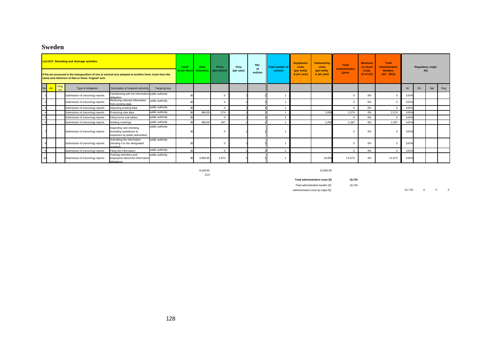# **Sweden**

|     |               | <b>LULUCF: Rewetting and drainage activities</b><br>If the act assessed is the transposition of one or several acts adopted at another level, insert here the<br>name and reference of that or these 'original' acts |                                                                                          |                  | Tariff<br>(€per hou | <b>Time</b><br>(minutes) | Price<br>(per action) | Freq<br>(per year) | <b>Nbr</b><br>of<br>entities | <b>Total number of</b><br>actions | <b>Equipment</b><br>costs<br>(per entity<br>& per year | <b>Outsourcing</b><br>costs<br>(per entity<br>& per year) | Total<br><b>Administrative</b><br><b>Costs</b> | <b>Business</b><br><b>As Usual</b><br>Costs<br>$(%$ (% of AC) | <b>Total</b><br><b>Administrative</b><br><b>Burdens</b><br>$(AC - BAU)$ |      | <b>Regulatory origin</b><br>(%) |     |     |
|-----|---------------|----------------------------------------------------------------------------------------------------------------------------------------------------------------------------------------------------------------------|------------------------------------------------------------------------------------------|------------------|---------------------|--------------------------|-----------------------|--------------------|------------------------------|-----------------------------------|--------------------------------------------------------|-----------------------------------------------------------|------------------------------------------------|---------------------------------------------------------------|-------------------------------------------------------------------------|------|---------------------------------|-----|-----|
| No. | Orig.<br>Art. | Type of obligation                                                                                                                                                                                                   | Description of required action(s)                                                        | Target group     |                     |                          |                       |                    |                              |                                   |                                                        |                                                           |                                                |                                                               |                                                                         | Int  | <b>EU</b>                       | Nat | Reg |
|     |               | Submission of (recurring) reports                                                                                                                                                                                    | Familiarising with the information public authority<br>obligation                        |                  |                     |                          |                       |                    |                              |                                   |                                                        |                                                           | $\Omega$                                       | 0%                                                            |                                                                         | 100% |                                 |     |     |
|     |               | Submission of (recurring) reports                                                                                                                                                                                    | Retrieving relevant information<br>from existing data                                    | public authority |                     |                          |                       |                    |                              |                                   |                                                        |                                                           | $\Omega$                                       | 0%                                                            |                                                                         | 100% |                                 |     |     |
|     |               | Submission of (recurring) reports                                                                                                                                                                                    | Adjusting existing data                                                                  | public authority | 36                  |                          | $\Omega$              |                    |                              |                                   |                                                        |                                                           | $\Omega$                                       | 0%                                                            | $\Omega$                                                                | 100% |                                 |     |     |
|     |               | Submission of (recurring) reports                                                                                                                                                                                    | Producing new data                                                                       | public authority | 36                  | 960.00                   | 574                   |                    |                              |                                   |                                                        | 2,000                                                     | 2.574                                          | 0%                                                            | 2,574                                                                   | 100% |                                 |     |     |
|     |               | Submission of (recurring) reports                                                                                                                                                                                    | Filing forms and tables                                                                  | public authority |                     |                          |                       |                    |                              |                                   |                                                        |                                                           | $\Omega$                                       | 0%                                                            |                                                                         | 100% |                                 |     |     |
|     |               | Submission of (recurring) reports                                                                                                                                                                                    | Holding meetings                                                                         | public authority |                     | 480.00                   | 287                   |                    |                              |                                   |                                                        | 1.000                                                     | 1.287                                          | 0%                                                            | 1.287                                                                   | 100% |                                 |     |     |
|     |               | Submission of (recurring) reports                                                                                                                                                                                    | Inspecting and checking<br>(including assistance to<br>inspection by public authorities) | public authority |                     |                          |                       |                    |                              |                                   |                                                        |                                                           | $\Omega$                                       | 0%                                                            |                                                                         | 100% |                                 |     |     |
|     |               | Submission of (recurring) reports                                                                                                                                                                                    | Submitting the information<br>(sending it to the designated<br>(treinient                | public authority |                     |                          |                       |                    |                              |                                   |                                                        |                                                           |                                                | 0%                                                            |                                                                         | 100% |                                 |     |     |
|     |               | Submission of (recurring) reports                                                                                                                                                                                    | Filing the information                                                                   | public authority | 36                  |                          | $\Omega$              |                    |                              |                                   |                                                        |                                                           | $\Omega$                                       | 0%                                                            |                                                                         | 100% |                                 |     |     |
|     |               | Submission of (recurring) reports                                                                                                                                                                                    | Training members and<br>employees about the information<br>phligations.                  | public authority |                     | 4,800.00                 | 2,872                 |                    |                              |                                   |                                                        | 10,000                                                    | 12,872                                         | 0%                                                            | 12,872                                                                  | 100% |                                 |     |     |

13.0

6,240.00 13,000.00

**Total administrative costs (€) 16,734** *Total administrative burden (€)* 16,734

*Administrative costs by origin (€)* 16,734 0 0 0 0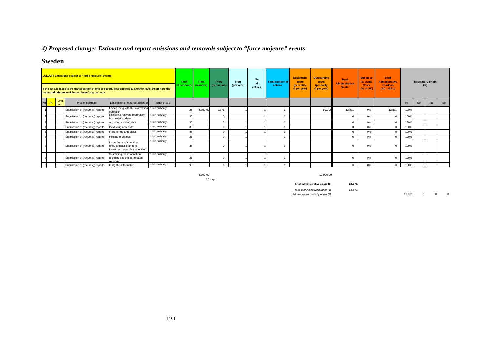# *4) Proposed change: Estimate and report emissions and removals subject to "force majeure" events*

# **Sweden**

|     |              | <b>LULUCF: Emissions subject to "force majeure" events</b><br>If the act assessed is the transposition of one or several acts adopted at another level, insert here the<br>name and reference of that or these 'original' acts |                                                                                          |                  | <b>Tariff</b><br>(€per hou | <b>Time</b><br><i>(minutes</i> | Price<br>(per action) | Freq<br>(per year) | <b>Nbr</b><br>of<br>entities | Total number of<br>actions | Equipment<br>costs<br>(per entity<br>& per year) | <b>Outsourcing</b><br>costs<br>(per entity)<br>& per year) | Total<br><b>Administrative</b><br><b>Costs</b> | <b>Business</b><br><b>As Usual</b><br><b>Costs</b><br>(% of AC) | <b>Total</b><br><b>Administrative</b><br><b>Burdens</b><br>$(AC - BAU)$ |      |           | <b>Regulatory origin</b><br>$(\%)$ |     |
|-----|--------------|--------------------------------------------------------------------------------------------------------------------------------------------------------------------------------------------------------------------------------|------------------------------------------------------------------------------------------|------------------|----------------------------|--------------------------------|-----------------------|--------------------|------------------------------|----------------------------|--------------------------------------------------|------------------------------------------------------------|------------------------------------------------|-----------------------------------------------------------------|-------------------------------------------------------------------------|------|-----------|------------------------------------|-----|
| No. | Orig.<br>Art | Type of obligation                                                                                                                                                                                                             | Description of required action(s)                                                        | Target group     |                            |                                |                       |                    |                              |                            |                                                  |                                                            |                                                |                                                                 |                                                                         | Int  | <b>EU</b> | Nat                                | Reg |
|     |              | Submission of (recurring) reports                                                                                                                                                                                              | Familiarising with the information public authority<br>obligation                        |                  |                            | 4,800.00                       | 2,871                 |                    |                              |                            |                                                  | 10,00                                                      | 12,871                                         | 0%                                                              | 12,871                                                                  | 100% |           |                                    |     |
|     |              | Submission of (recurring) reports                                                                                                                                                                                              | Retrieving relevant information<br>from existing data                                    | public authority | 36                         |                                |                       |                    |                              |                            |                                                  |                                                            |                                                | 0%                                                              |                                                                         | 100% |           |                                    |     |
|     |              | Submission of (recurring) reports                                                                                                                                                                                              | Adjusting existing data                                                                  | public authority | 36 <sub>1</sub>            |                                |                       |                    |                              |                            |                                                  |                                                            |                                                | 0%                                                              |                                                                         | 100% |           |                                    |     |
|     |              | Submission of (recurring) reports                                                                                                                                                                                              | Producing new data                                                                       | public authority | 36                         |                                |                       |                    |                              |                            |                                                  |                                                            |                                                | 0%                                                              |                                                                         | 100% |           |                                    |     |
|     |              | Submission of (recurring) reports                                                                                                                                                                                              | Filing forms and tables                                                                  | public authority | 36                         |                                | $\Omega$              |                    |                              |                            |                                                  |                                                            |                                                | 0%                                                              |                                                                         | 100% |           |                                    |     |
|     |              | Submission of (recurring) reports                                                                                                                                                                                              | Holding meetings                                                                         | public authority | 36                         |                                |                       |                    |                              |                            |                                                  |                                                            |                                                | 0%                                                              |                                                                         | 100% |           |                                    |     |
|     |              | Submission of (recurring) reports                                                                                                                                                                                              | Inspecting and checking<br>(including assistance to<br>inspection by public authorities) | public authority |                            |                                |                       |                    |                              |                            |                                                  |                                                            |                                                | 0%                                                              |                                                                         | 100% |           |                                    |     |
|     |              | Submission of (recurring) reports                                                                                                                                                                                              | Submitting the information<br>(sending it to the designated<br>recinient)                | public authority |                            |                                |                       |                    |                              |                            |                                                  |                                                            |                                                | 0%                                                              |                                                                         | 100% |           |                                    |     |
|     |              | Submission of (recurring) reports                                                                                                                                                                                              | Filing the information                                                                   | public authority | 36                         |                                |                       |                    |                              |                            |                                                  |                                                            | $\Omega$                                       | 0%                                                              |                                                                         | 100% |           |                                    |     |

10 days

4,800.00 10,000.00

**Total administrative costs (€) 12,871** *Total administrative burden (€)* 12,871 *Administrative costs by origin (€)* 12,871 0 0 0 0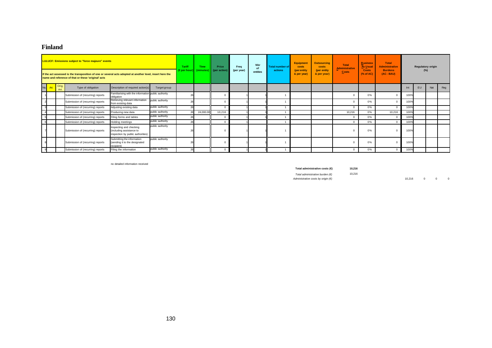### **Finland**

|          |               | <b>LULUCF: Emissions subject to "force majeure" events</b><br>If the act assessed is the transposition of one or several acts adopted at another level, insert here the<br>name and reference of that or these 'original' acts |                                                                                          |                  | <b>Tariff</b><br>(€per hour)∥ | <b>Time</b><br>(minutes) | Price<br>(per action | Freq<br>(per year) | <b>Nbr</b><br>of<br>entities | Total number of<br>actions | <b>Equipment</b><br>costs<br>(per entity)<br>& per year) | <b>Outsourcing</b><br>costs<br>(per entity<br>& per year) | <b>Total</b><br><b>Administrative</b><br><b>Costs</b> | <b>Business</b><br>÷<br><b>As Usual</b><br>. .<br><b>Costs</b><br>% of AC | <b>Total</b><br><b>Administrative</b><br><b>Burdens</b><br>$(AC - BAU)$ |      | <b>Regulatory origin</b> | (%) |     |
|----------|---------------|--------------------------------------------------------------------------------------------------------------------------------------------------------------------------------------------------------------------------------|------------------------------------------------------------------------------------------|------------------|-------------------------------|--------------------------|----------------------|--------------------|------------------------------|----------------------------|----------------------------------------------------------|-----------------------------------------------------------|-------------------------------------------------------|---------------------------------------------------------------------------|-------------------------------------------------------------------------|------|--------------------------|-----|-----|
| No. Art. | Orig.<br>Art. | Type of obligation                                                                                                                                                                                                             | Description of required action(s)                                                        | Target group     |                               |                          |                      |                    |                              |                            |                                                          |                                                           |                                                       |                                                                           |                                                                         | Int  | EU                       | Nat | Reg |
|          |               | Submission of (recurring) reports                                                                                                                                                                                              | Familiarising with the information public authority<br>obligation                        |                  |                               |                          |                      |                    |                              |                            |                                                          |                                                           |                                                       | 0%                                                                        |                                                                         | 100% |                          |     |     |
|          |               | Submission of (recurring) reports                                                                                                                                                                                              | Retrieving relevant information<br>from existing data                                    | public authority |                               |                          |                      |                    |                              |                            |                                                          |                                                           |                                                       | 0%                                                                        |                                                                         | 100% |                          |     |     |
|          |               | Submission of (recurring) reports                                                                                                                                                                                              | Adjusting existing data                                                                  | public authority | $\mathcal{P}$                 |                          | $\Omega$             |                    |                              |                            |                                                          |                                                           | $\Omega$                                              | 0%                                                                        |                                                                         | 100% |                          |     |     |
|          |               | Submission of (recurring) reports                                                                                                                                                                                              | Producing new data                                                                       | public authority | 26                            | 24,000.00                | 10,216               |                    |                              |                            |                                                          |                                                           | 10.216                                                | 0%                                                                        | 10,216                                                                  | 100% |                          |     |     |
|          |               | Submission of (recurring) reports                                                                                                                                                                                              | Filing forms and tables                                                                  | public authority |                               |                          | $\Omega$             |                    |                              |                            |                                                          |                                                           | $\Omega$                                              | 0%                                                                        |                                                                         | 100% |                          |     |     |
|          |               | Submission of (recurring) reports                                                                                                                                                                                              | Holding meetings                                                                         | public authority | 26                            |                          | $\Omega$             |                    |                              |                            |                                                          |                                                           |                                                       | 0%                                                                        |                                                                         | 100% |                          |     |     |
|          |               | Submission of (recurring) reports                                                                                                                                                                                              | Inspecting and checking<br>(including assistance to<br>inspection by public authorities) | public authority |                               |                          | $\Omega$             |                    |                              |                            |                                                          |                                                           |                                                       | 0%                                                                        |                                                                         | 100% |                          |     |     |
|          |               | Submission of (recurring) reports                                                                                                                                                                                              | Submitting the information<br>(sending it to the designated<br>recipient)                | public authority |                               |                          | $\Omega$             |                    |                              |                            |                                                          |                                                           |                                                       | 0%                                                                        |                                                                         | 100% |                          |     |     |
|          |               | Submission of (recurring) reports                                                                                                                                                                                              | Filing the information                                                                   | public authority | 26                            |                          | $\Omega$             |                    |                              |                            |                                                          |                                                           | $\Omega$                                              | 0%                                                                        | $\Omega$                                                                | 100% |                          |     |     |

no detailed information received

**Total administrative costs (€) 10,216**

*Total administrative burden (€)* 10,216

*Administrative costs by origin (€)* 10,216 0 0 0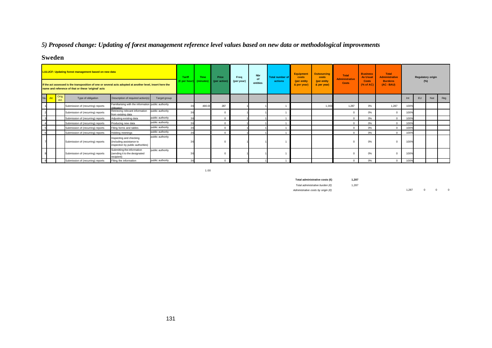# *5) Proposed change: Updating of forest management reference level values based on new data or methodological improvements*

# **Sweden**

|     |               | <b>LULUCF: Updating forest management based on new data</b><br>If the act assessed is the transposition of one or several acts adopted at another level, insert here the |                                                                                          |                  | Tariff<br>$(\epsilon$ per hour] | <b>Time</b><br>(minutes) | Price<br>(per action | Freq<br>(per year) | Nbr<br>of<br>entities | <b>Total number of</b><br>actions | <b>Equipment</b><br>costs<br>(per entity<br>& per year) | <b>Outsourcing</b><br>costs<br>(per entity<br>& per year) | <b>Total</b><br><b>Administrative</b><br>Costs | <b>Business</b><br><b>As Usual</b><br>Costs<br>$(%$ (% of AC) | Total<br><b>Administrative</b><br><b>Burdens</b><br>$(AC - BAU)$ |      | $(\%)$ | <b>Regulatory origin</b> |     |
|-----|---------------|--------------------------------------------------------------------------------------------------------------------------------------------------------------------------|------------------------------------------------------------------------------------------|------------------|---------------------------------|--------------------------|----------------------|--------------------|-----------------------|-----------------------------------|---------------------------------------------------------|-----------------------------------------------------------|------------------------------------------------|---------------------------------------------------------------|------------------------------------------------------------------|------|--------|--------------------------|-----|
|     |               | name and reference of that or these 'original' acts                                                                                                                      |                                                                                          |                  |                                 |                          |                      |                    |                       |                                   |                                                         |                                                           |                                                |                                                               |                                                                  |      |        |                          |     |
| No. | Orig.<br>Art. | Type of obligation                                                                                                                                                       | Description of required action(s)                                                        | Target group     |                                 |                          |                      |                    |                       |                                   |                                                         |                                                           |                                                |                                                               |                                                                  | In   | EU     | Nat                      | Reg |
|     |               | Submission of (recurring) reports                                                                                                                                        | Familiarising with the information public authority<br>obligation                        |                  |                                 | 480.0                    | 287                  |                    |                       |                                   |                                                         | 1.00                                                      | 1.287                                          | 0%                                                            | 1,287                                                            | 100% |        |                          |     |
|     |               | Submission of (recurring) reports                                                                                                                                        | Retrieving relevant information<br>from existing data                                    | public authority |                                 |                          |                      |                    |                       |                                   |                                                         |                                                           |                                                | 0%                                                            |                                                                  | 100% |        |                          |     |
|     |               | Submission of (recurring) reports                                                                                                                                        | Adjusting existing data                                                                  | public authority | 36                              |                          |                      |                    |                       |                                   |                                                         |                                                           | $\Omega$                                       | 0%                                                            | $\Omega$                                                         | 100% |        |                          |     |
|     |               | Submission of (recurring) reports                                                                                                                                        | Producing new data                                                                       | public authority | $\mathbf{R}$                    |                          |                      |                    |                       |                                   |                                                         |                                                           |                                                | 0%                                                            | $\Omega$                                                         | 1009 |        |                          |     |
|     |               | Submission of (recurring) reports                                                                                                                                        | Filing forms and tables                                                                  | public authority | 31                              |                          |                      |                    |                       |                                   |                                                         |                                                           |                                                | 0%                                                            | $\Omega$                                                         | 100% |        |                          |     |
|     |               | Submission of (recurring) reports                                                                                                                                        | Holding meetings                                                                         | public authority | 3(                              |                          |                      |                    |                       |                                   |                                                         |                                                           | $\Omega$                                       | 0%                                                            | $\Omega$                                                         | 100% |        |                          |     |
|     |               | Submission of (recurring) reports                                                                                                                                        | Inspecting and checking<br>(including assistance to<br>inspection by public authorities) | public authority |                                 |                          |                      |                    |                       |                                   |                                                         |                                                           |                                                | 0%                                                            | $\Omega$                                                         | 100% |        |                          |     |
|     |               | Submission of (recurring) reports                                                                                                                                        | Submitting the information<br>(sending it to the designated<br>recipient)                | public authority |                                 |                          |                      |                    |                       |                                   |                                                         |                                                           |                                                | 0%                                                            | $\Omega$                                                         | 100% |        |                          |     |
|     |               | Submission of (recurring) reports                                                                                                                                        | Filing the information                                                                   | public authority | 34                              |                          |                      |                    |                       |                                   |                                                         |                                                           |                                                | 0%                                                            | $\Omega$                                                         | 100% |        |                          |     |

1.00

**Total administrative costs (€) 1,287**

*Total administrative burden (€)* 1,287

*Administrative costs by origin (€)* 1,287 0 0 0 0 0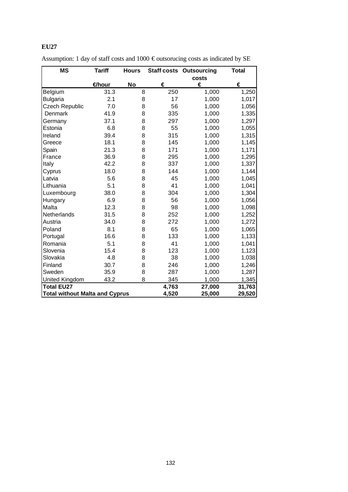| <b>MS</b>                             | <b>Tariff</b> | <b>Hours</b> |       | <b>Staff costs Outsourcing</b> | <b>Total</b> |
|---------------------------------------|---------------|--------------|-------|--------------------------------|--------------|
|                                       |               |              |       | costs                          |              |
|                                       | €hour         | <b>No</b>    | €     | €                              | €            |
| Belgium                               | 31.3          | 8            | 250   | 1,000                          | 1,250        |
| <b>Bulgaria</b>                       | 2.1           | 8            | 17    | 1,000                          | 1,017        |
| <b>Czech Republic</b>                 | 7.0           | 8            | 56    | 1,000                          | 1,056        |
| Denmark                               | 41.9          | 8            | 335   | 1,000                          | 1,335        |
| Germany                               | 37.1          | 8            | 297   | 1,000                          | 1,297        |
| Estonia                               | 6.8           | 8            | 55    | 1,000                          | 1,055        |
| Ireland                               | 39.4          | 8            | 315   | 1,000                          | 1,315        |
| Greece                                | 18.1          | 8            | 145   | 1,000                          | 1,145        |
| Spain                                 | 21.3          | 8            | 171   | 1,000                          | 1,171        |
| France                                | 36.9          | 8            | 295   | 1,000                          | 1,295        |
| Italy                                 | 42.2          | 8            | 337   | 1,000                          | 1,337        |
| Cyprus                                | 18.0          | 8            | 144   | 1,000                          | 1,144        |
| Latvia                                | 5.6           | 8            | 45    | 1,000                          | 1,045        |
| Lithuania                             | 5.1           | 8            | 41    | 1,000                          | 1,041        |
| Luxembourg                            | 38.0          | 8            | 304   | 1,000                          | 1,304        |
| Hungary                               | 6.9           | 8            | 56    | 1,000                          | 1,056        |
| Malta                                 | 12.3          | 8            | 98    | 1,000                          | 1,098        |
| Netherlands                           | 31.5          | 8            | 252   | 1,000                          | 1,252        |
| Austria                               | 34.0          | 8            | 272   | 1,000                          | 1,272        |
| Poland                                | 8.1           | 8            | 65    | 1,000                          | 1,065        |
| Portugal                              | 16.6          | 8            | 133   | 1,000                          | 1,133        |
| Romania                               | 5.1           | 8            | 41    | 1,000                          | 1,041        |
| Slovenia                              | 15.4          | 8            | 123   | 1,000                          | 1,123        |
| Slovakia                              | 4.8           | 8            | 38    | 1,000                          | 1,038        |
| Finland                               | 30.7          | 8            | 246   | 1,000                          | 1,246        |
| Sweden                                | 35.9          | 8            | 287   | 1,000                          | 1,287        |
| <b>United Kingdom</b>                 | 43.2          | 8            | 345   | 1,000                          | 1,345        |
| <b>Total EU27</b>                     |               |              | 4,763 | 27,000                         | 31,763       |
| <b>Total without Malta and Cyprus</b> |               |              | 4,520 | 25,000                         | 29,520       |

| Assumption: 1 day of staff costs and 1000 $\epsilon$ outsorucing costs as indicated by SE |  |  |
|-------------------------------------------------------------------------------------------|--|--|
|-------------------------------------------------------------------------------------------|--|--|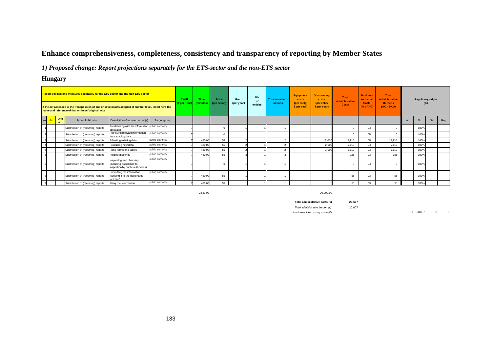# **Enhance comprehensiveness, completeness, consistency and transparency of reporting by Member States**

*1) Proposed change: Report projections separately for the ETS-sector and the non-ETS sector*

# **Hungary**

|     |                                                                                       | Report policies and measures separatley for the ETS-sector and the Non-ETS-sector                                                                                |                                                                                          |                  | Tariff<br>(€per hour | Time<br><i>(minutes)</i> | Price<br>(per action) | Freq<br>(per year) | <b>Nbr</b><br>of<br>entities | <b>Total number of</b><br>actions | <b>Equipment</b><br>costs<br>(per entity | <b>Outsourcing</b><br>costs<br>(per entity | Total<br><b>Administrative</b><br><b>Costs</b> | <b>Business</b><br><b>As Usual</b><br><b>Costs</b> | <b>Total</b><br><b>Administrative</b><br><b>Burdens</b> |     | <b>Regulatory origin</b><br>$(\%)$ |     |     |
|-----|---------------------------------------------------------------------------------------|------------------------------------------------------------------------------------------------------------------------------------------------------------------|------------------------------------------------------------------------------------------|------------------|----------------------|--------------------------|-----------------------|--------------------|------------------------------|-----------------------------------|------------------------------------------|--------------------------------------------|------------------------------------------------|----------------------------------------------------|---------------------------------------------------------|-----|------------------------------------|-----|-----|
|     |                                                                                       | If the act assessed is the transposition of one or several acts adopted at another level, insert here the<br>name and reference of that or these 'original' acts |                                                                                          |                  |                      |                          |                       |                    |                              |                                   | & per year)                              | & per year)                                |                                                | (% of AC)                                          | $(AC - BAU)$                                            |     |                                    |     |     |
| No. | Orig.<br>Type of obligation<br>Art<br>Submission of (recurring) reports<br>obligation |                                                                                                                                                                  | Description of required action(s)                                                        | Target group     |                      |                          |                       |                    |                              |                                   |                                          |                                            |                                                |                                                    |                                                         | Int | EU                                 | Nat | Reg |
|     |                                                                                       |                                                                                                                                                                  | Familiarising with the information public authority                                      |                  |                      |                          |                       |                    |                              |                                   |                                          |                                            |                                                | 0%                                                 |                                                         |     | 100%                               |     |     |
|     |                                                                                       | Submission of (recurring) reports                                                                                                                                | Retrieving relevant information<br>from existing data                                    | public authority |                      |                          |                       |                    |                              |                                   |                                          |                                            |                                                | 0%                                                 |                                                         |     | 100%                               |     |     |
|     |                                                                                       | Submission of (recurring) reports                                                                                                                                | Adjusting existing data                                                                  | public authority |                      | 480.00                   | 55                    |                    |                              |                                   |                                          | 17,000                                     | 17,110                                         | 0%                                                 | 17,110                                                  |     | 100%                               |     |     |
|     |                                                                                       | Submission of (recurring) reports                                                                                                                                | Producing new data                                                                       | public authority |                      | 480.00                   | 55                    |                    |                              |                                   |                                          | 2,000                                      | 2,110                                          | 0%                                                 | 2,110                                                   |     | 100%                               |     |     |
|     |                                                                                       | Submission of (recurring) reports                                                                                                                                | Filing forms and tables                                                                  | public authority |                      | 480.00                   | 55                    |                    |                              |                                   |                                          | 1.00                                       | 1,110                                          | 0%                                                 | 1,110                                                   |     | 100%                               |     |     |
|     |                                                                                       | Submission of (recurring) reports                                                                                                                                | Holding meetings                                                                         | public authority |                      | 480.00                   | 55                    |                    |                              |                                   |                                          |                                            | 166                                            | 0%                                                 | 166                                                     |     | 100%                               |     |     |
|     |                                                                                       | Submission of (recurring) reports                                                                                                                                | Inspecting and checking<br>(including assistance to<br>inspection by public authorities) | public authority |                      |                          |                       |                    |                              |                                   |                                          |                                            |                                                | 0%                                                 |                                                         |     | 100%                               |     |     |
|     |                                                                                       | Submission of (recurring) reports                                                                                                                                | Submitting the information<br>(sending it to the designated<br>recinient)                | public authority |                      | 480.0                    | 55                    |                    |                              |                                   |                                          |                                            | 55                                             | 0%                                                 | 55                                                      |     | 100%                               |     |     |
|     |                                                                                       | Submission of (recurring) reports                                                                                                                                | Filing the information                                                                   | public authority |                      | 480.00                   | 55                    |                    |                              |                                   |                                          |                                            | 55                                             | 0%                                                 | 55                                                      |     | 100%                               |     |     |

6

2,880.00 20,000.00

**Total administrative costs (€) 20,607** *Total administrative burden (€)* 20,607

*Administrative costs by origin (€)* 0 20,607 0 0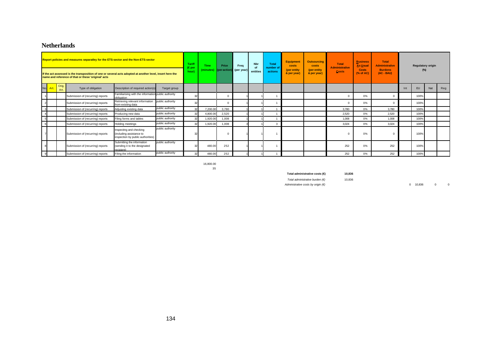### **Netherlands**

|                |          |                     | Report policies and measures separatley for the ETS-sector and the Non-ETS-sector<br>If the act assessed is the transposition of one or several acts adopted at another level, insert here the<br>name and reference of that or these 'original' acts |                                                                                          |                  | Tariff<br>(€ per<br>hour) | Time<br>minutes) | Price<br>(per action) | Freq<br>(per year) | <b>Nbr</b><br>of<br>entities | <b>Total</b><br>number of<br>actions | <b>Equipment</b><br>costs<br>(per entity<br>& per year) | <b>Outsourcing</b><br>costs<br>(per entity<br>& per year) | <b>Total</b><br><b>Administrative</b><br><b>Costs</b> | <b>Business</b><br><b>As Usual</b><br><b>Costs</b><br>$(%$ $(*)$ of AC) | Total<br><b>Administrative</b><br><b>Burdens</b><br>$(AC - BAU)$ |     | <b>Regulatory origin</b><br>$(\%)$ |     |     |
|----------------|----------|---------------------|-------------------------------------------------------------------------------------------------------------------------------------------------------------------------------------------------------------------------------------------------------|------------------------------------------------------------------------------------------|------------------|---------------------------|------------------|-----------------------|--------------------|------------------------------|--------------------------------------|---------------------------------------------------------|-----------------------------------------------------------|-------------------------------------------------------|-------------------------------------------------------------------------|------------------------------------------------------------------|-----|------------------------------------|-----|-----|
|                | No. Art. | Orig.<br><b>Art</b> | Type of obligation                                                                                                                                                                                                                                    | Description of required action(s)                                                        | Target group     |                           |                  |                       |                    |                              |                                      |                                                         |                                                           |                                                       |                                                                         |                                                                  | Int | <b>EU</b>                          | Nat | Reg |
|                |          |                     | Submission of (recurring) reports                                                                                                                                                                                                                     | Familiarising with the information public authority<br>obligation                        |                  | 32                        |                  | $^{\circ}$            |                    |                              |                                      |                                                         |                                                           | $\Omega$                                              | 0%                                                                      | $\Omega$                                                         |     | 100%                               |     |     |
| $\overline{2}$ |          |                     | Submission of (recurring) reports                                                                                                                                                                                                                     | Retrieving relevant information public authority<br>from existing data                   |                  | 32                        |                  | 0                     |                    |                              |                                      |                                                         |                                                           |                                                       | $0\%$                                                                   | $\Omega$                                                         |     | 100%                               |     |     |
| $\overline{3}$ |          |                     | Submission of (recurring) reports                                                                                                                                                                                                                     | Adjusting existing data                                                                  | public authority | 32                        | 7,200.00         | 3,780                 |                    |                              |                                      |                                                         |                                                           | 3.780                                                 | 0%                                                                      | 3.780                                                            |     | 100%                               |     |     |
|                |          |                     | Submission of (recurring) reports                                                                                                                                                                                                                     | Producing new data                                                                       | public authority | 32                        | 4,800.00         | 2,520                 |                    |                              |                                      |                                                         |                                                           | 2,520                                                 | 0%                                                                      | 2,520                                                            |     | 100%                               |     |     |
| 5              |          |                     | Submission of (recurring) reports                                                                                                                                                                                                                     | Filing forms and tables                                                                  | public authority | 32                        | 1,920.00         | 1,008                 |                    |                              |                                      |                                                         |                                                           | 1.008                                                 | 0%                                                                      | 1.008                                                            |     | 100%                               |     |     |
| 6              |          |                     | Submission of (recurring) reports                                                                                                                                                                                                                     | Holding meetings                                                                         | public authority | 32                        | 1,920.00         | 1,008                 |                    |                              | Э                                    |                                                         |                                                           | 3.024                                                 | 0%                                                                      | 3.024                                                            |     | 100%                               |     |     |
|                |          |                     | Submission of (recurring) reports                                                                                                                                                                                                                     | Inspecting and checking<br>(including assistance to<br>inspection by public authorities) | public authority |                           |                  |                       |                    |                              |                                      |                                                         |                                                           |                                                       | 0%                                                                      | $\Omega$                                                         |     | 100%                               |     |     |
|                |          |                     | Submission of (recurring) reports                                                                                                                                                                                                                     | Submitting the information<br>(sending it to the designated<br>recipient)                | public authority | $\mathcal{D}$             | 480.00           | 252                   |                    |                              |                                      |                                                         |                                                           | 252                                                   | 0%                                                                      | 252                                                              |     | 100%                               |     |     |
| 9              |          |                     | Submission of (recurring) reports                                                                                                                                                                                                                     | Filing the information                                                                   | public authority | 32                        | 480.00           | 252                   |                    |                              |                                      |                                                         |                                                           | 252                                                   | 0%                                                                      | 252                                                              |     | 100%                               |     |     |

16,800.00 35

**Total administrative costs (€) 10,836**

*Total administrative burden (€)* 10,836

*Administrative costs by origin (€)* 0 10,836 0 0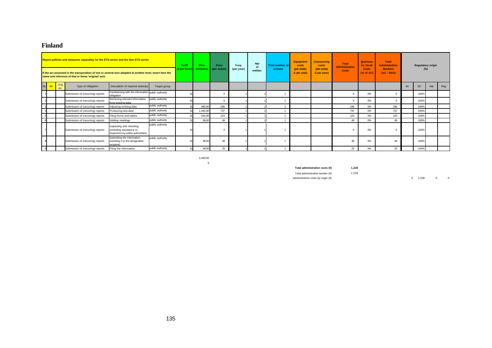### **Finland**

|                |               | Report policies and measures separatley for the ETS-sector and the Non-ETS-sector<br>If the act assessed is the transposition of one or several acts adopted at another level, insert here the<br>name and reference of that or these 'original' acts |                                                                                          |                  | <b>Tariff</b><br>(€per hour) | <b>Time</b><br>minutes | Price<br>(per action) | Freq<br>(per year) | Nbr<br>of<br>entities | <b>Total number of</b><br>actions | <b>Equipment</b><br>costs<br>(per entity<br>& per year) | <b>Outsourcing</b><br>costs<br>(per entity<br>& per year) | Total<br><b>Administrative</b><br>Costs | <b>Business</b><br><b>As Usual</b><br><b>Costs</b><br>(% of AC) | <b>Total</b><br><b>Administrative</b><br><b>Burdens</b><br>$(AC - BAU)$ | <b>Regulatory origin</b><br>$(\%)$ |     |     |
|----------------|---------------|-------------------------------------------------------------------------------------------------------------------------------------------------------------------------------------------------------------------------------------------------------|------------------------------------------------------------------------------------------|------------------|------------------------------|------------------------|-----------------------|--------------------|-----------------------|-----------------------------------|---------------------------------------------------------|-----------------------------------------------------------|-----------------------------------------|-----------------------------------------------------------------|-------------------------------------------------------------------------|------------------------------------|-----|-----|
| No.<br>Art.    | Orig.<br>Art. | Type of obligation                                                                                                                                                                                                                                    | Description of required action(s)                                                        | Target group     |                              |                        |                       |                    |                       |                                   |                                                         |                                                           |                                         |                                                                 |                                                                         | EU                                 | Nat | Reg |
|                |               | Submission of (recurring) reports                                                                                                                                                                                                                     | Familiarising with the information public authority<br>obligation                        |                  |                              |                        |                       |                    |                       |                                   |                                                         |                                                           | $\Omega$                                | 0%                                                              |                                                                         | 100%                               |     |     |
|                |               | Submission of (recurring) reports                                                                                                                                                                                                                     | Retrieving relevant information<br>from existing data                                    | public authority |                              |                        | $\Omega$              |                    |                       |                                   |                                                         |                                                           | $\Omega$                                | 0%                                                              |                                                                         | 100%                               |     |     |
| $\overline{3}$ |               | Submission of (recurring) reports                                                                                                                                                                                                                     | Adjusting existing data                                                                  | public authority |                              | 480.00                 | 246                   |                    |                       |                                   |                                                         |                                                           | 246                                     | 0%                                                              | 246                                                                     | 100%                               |     |     |
|                |               | Submission of (recurring) reports                                                                                                                                                                                                                     | Producing new data                                                                       | public authority |                              | 1,440.00               | 737                   |                    |                       |                                   |                                                         |                                                           | 737                                     | 0%                                                              | 737                                                                     | 100%                               |     |     |
|                |               |                                                                                                                                                                                                                                                       | Filing forms and tables                                                                  | public authority |                              | 240.00                 | 123                   |                    |                       |                                   |                                                         |                                                           | 123                                     | 0%                                                              | 123                                                                     | 100%                               |     |     |
|                |               |                                                                                                                                                                                                                                                       | <b>Holding meetings</b>                                                                  | public authority |                              | 96.00                  | 49                    |                    |                       |                                   |                                                         |                                                           | 49                                      | 0%                                                              | 49                                                                      | 100%                               |     |     |
|                |               | Submission of (recurring) reports                                                                                                                                                                                                                     | Inspecting and checking<br>(including assistance to<br>inspection by public authorities) | public authority |                              |                        |                       |                    |                       |                                   |                                                         |                                                           |                                         | 0%                                                              |                                                                         | 100%                               |     |     |
|                |               |                                                                                                                                                                                                                                                       | Submitting the information<br>(sending it to the designated<br>recipient)                | public authority |                              | 96.00                  | 49                    |                    |                       |                                   |                                                         |                                                           | 49                                      | 0%                                                              | 49                                                                      | 100%                               |     |     |
|                |               | Submission of (recurring) reports<br>Submission of (recurring) reports<br>Submission of (recurring) reports<br>Submission of (recurring) reports<br>Filing the information                                                                            |                                                                                          | public authority |                              | 48.00                  | 25                    |                    |                       |                                   |                                                         |                                                           | 25                                      | 0%                                                              | 25                                                                      | 100%                               |     |     |

2,400.00 5

**Total administrative costs (€) 1,228**

*Total administrative burden (€)* 1,228

*Administrative costs by origin (€)* 0 1,228 0 0 0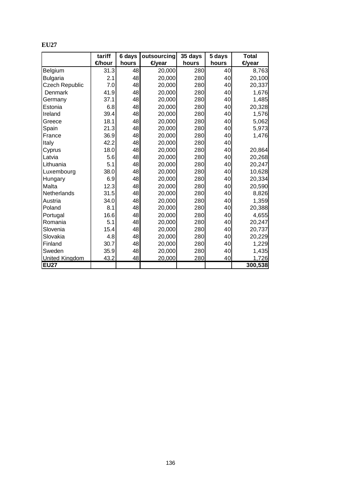|                       | tariff | 6 days | outsourcing | 35 days | 5 days | Total             |
|-----------------------|--------|--------|-------------|---------|--------|-------------------|
|                       | €hour  | hours  | €year       | hours   | hours  | <del></del> eyear |
| Belgium               | 31.3   | 48     | 20,000      | 280     | 40     | 8,763             |
| <b>Bulgaria</b>       | 2.1    | 48     | 20,000      | 280     | 40     | 20,100            |
| <b>Czech Republic</b> | 7.0    | 48     | 20,000      | 280     | 40     | 20,337            |
| Denmark               | 41.9   | 48     | 20,000      | 280     | 40     | 1,676             |
| Germany               | 37.1   | 48     | 20,000      | 280     | 40     | 1,485             |
| Estonia               | 6.8    | 48     | 20,000      | 280     | 40     | 20,328            |
| Ireland               | 39.4   | 48     | 20,000      | 280     | 40     | 1,576             |
| Greece                | 18.1   | 48     | 20,000      | 280     | 40     | 5,062             |
| Spain                 | 21.3   | 48     | 20,000      | 280     | 40     | 5,973             |
| France                | 36.9   | 48     | 20,000      | 280     | 40     | 1,476             |
| Italy                 | 42.2   | 48     | 20,000      | 280     | 40     |                   |
| Cyprus                | 18.0   | 48     | 20,000      | 280     | 40     | 20,864            |
| Latvia                | 5.6    | 48     | 20,000      | 280     | 40     | 20,268            |
| Lithuania             | 5.1    | 48     | 20,000      | 280     | 40     | 20,247            |
| Luxembourg            | 38.0   | 48     | 20,000      | 280     | 40     | 10,628            |
| Hungary               | 6.9    | 48     | 20,000      | 280     | 40     | 20,334            |
| Malta                 | 12.3   | 48     | 20,000      | 280     | 40     | 20,590            |
| Netherlands           | 31.5   | 48     | 20,000      | 280     | 40     | 8,826             |
| Austria               | 34.0   | 48     | 20,000      | 280     | 40     | 1,359             |
| Poland                | 8.1    | 48     | 20,000      | 280     | 40     | 20,388            |
| Portugal              | 16.6   | 48     | 20,000      | 280     | 40     | 4,655             |
| Romania               | 5.1    | 48     | 20,000      | 280     | 40     | 20,247            |
| Slovenia              | 15.4   | 48     | 20,000      | 280     | 40     | 20,737            |
| Slovakia              | 4.8    | 48     | 20,000      | 280     | 40     | 20,229            |
| Finland               | 30.7   | 48     | 20,000      | 280     | 40     | 1,229             |
| Sweden                | 35.9   | 48     | 20,000      | 280     | 40     | 1,435             |
| <b>United Kingdom</b> | 43.2   | 48     | 20,000      | 280     | 40     | 1,726             |
| <b>EU27</b>           |        |        |             |         |        | 300, 538          |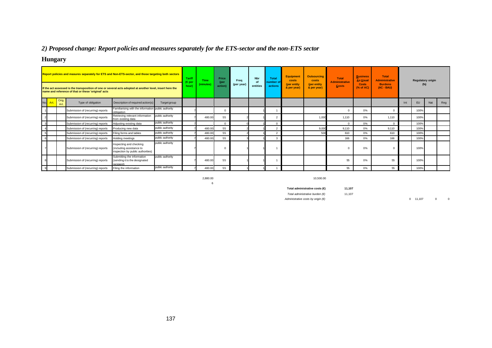# *2) Proposed change: Report policies and measures separately for the ETS-sector and the non-ETS sector*

# **Hungary**

| Report policies and masures separately for ETS and Non-ETS-sector, and those targeting both sectors<br>If the act assessed is the transposition of one or several acts adopted at another level, insert here the<br>name and reference of that or these 'original' acts |      |               | Tariff<br>(€ per<br>hour)         | Time<br>(minutes)                                                                        | Price<br>(per<br>action) | Freq<br>(per year) | <b>Nbr</b><br>of<br>entities | Total<br>number o<br>actions | <b>Equipment</b><br>costs<br>(per entity<br>& per year) | <b>Outsourcing</b><br>costs<br>(per entity<br>& per year) | <b>Total</b><br><b>Administrative</b><br>Costs | <b>Business</b><br><b>As Usual</b><br>Costs<br>$(%$ (% of AC) | <b>Total</b><br><b>Administrative</b><br><b>Burdens</b><br>$(AC - BAU)$ |          | <b>Regulatory origin</b><br>$(\%)$ |       |     |           |     |     |
|-------------------------------------------------------------------------------------------------------------------------------------------------------------------------------------------------------------------------------------------------------------------------|------|---------------|-----------------------------------|------------------------------------------------------------------------------------------|--------------------------|--------------------|------------------------------|------------------------------|---------------------------------------------------------|-----------------------------------------------------------|------------------------------------------------|---------------------------------------------------------------|-------------------------------------------------------------------------|----------|------------------------------------|-------|-----|-----------|-----|-----|
| No.                                                                                                                                                                                                                                                                     | Art. | Orig.<br>Art. | Type of obligation                | Description of required action(s)                                                        | Target group             |                    |                              |                              |                                                         |                                                           |                                                |                                                               |                                                                         |          |                                    |       | Int | <b>EU</b> | Nat | Reg |
|                                                                                                                                                                                                                                                                         |      |               | Submission of (recurring) reports | Familiarising with the information public authority<br>obligation                        |                          |                    |                              |                              |                                                         |                                                           |                                                |                                                               |                                                                         |          | 0%                                 |       |     | 100%      |     |     |
|                                                                                                                                                                                                                                                                         |      |               | Submission of (recurring) reports | Retrieving relevant information<br>from existing data                                    | public authority         |                    | 480.00                       | 55                           |                                                         |                                                           |                                                |                                                               | 1.00                                                                    | 1.110    | 0%                                 | 1.110 |     | 100%      |     |     |
|                                                                                                                                                                                                                                                                         |      |               | Submission of (recurring) reports | Adjusting existing data                                                                  | public authority         |                    |                              | $\Omega$                     |                                                         |                                                           |                                                |                                                               |                                                                         | $\Omega$ | 0%                                 |       |     | 100%      |     |     |
|                                                                                                                                                                                                                                                                         |      |               | Submission of (recurring) reports | Producing new data                                                                       | public authority         |                    | 480.00                       | 55                           |                                                         |                                                           | $\mathcal{D}$                                  |                                                               | 9,00                                                                    | 9,110    | 0%                                 | 9,110 |     | 100%      |     |     |
|                                                                                                                                                                                                                                                                         |      |               | Submission of (recurring) reports | Filing forms and tables                                                                  | public authority         |                    | 480.00                       | 55                           |                                                         |                                                           | $\mathcal{P}$                                  |                                                               | 500                                                                     | 610      | 0%                                 | 610   |     | 100%      |     |     |
|                                                                                                                                                                                                                                                                         |      |               | Submission of (recurring) reports | Holding meetings                                                                         | public authority         |                    | 480.00                       | 55                           |                                                         |                                                           | 3                                              |                                                               |                                                                         | 166      | 0%                                 | 166   |     | 100%      |     |     |
|                                                                                                                                                                                                                                                                         |      |               | Submission of (recurring) reports | Inspecting and checking<br>(including assistance to<br>inspection by public authorities) | public authority         |                    |                              | $\Omega$                     |                                                         |                                                           |                                                |                                                               |                                                                         |          | 0%                                 |       |     | 100%      |     |     |
|                                                                                                                                                                                                                                                                         |      |               | Submission of (recurring) reports | Submitting the information<br>sending it to the designated<br>recipient)                 | public authority         |                    | 480.00                       | 55                           |                                                         |                                                           |                                                |                                                               |                                                                         | 55       | 0%                                 | 55    |     | 100%      |     |     |
| 9                                                                                                                                                                                                                                                                       |      |               | Submission of (recurring) reports | Filing the information                                                                   | public authority         |                    | 480.00                       | 55                           |                                                         |                                                           |                                                |                                                               |                                                                         | 55       | 0%                                 | 55    |     | 100%      |     |     |

6

2,880.00 10,500.00

**Total administrative costs (€) 11,107**

*Total administrative burden (€)* 11,107

*Administrative costs by origin (€)* 0 11,107 0 0 0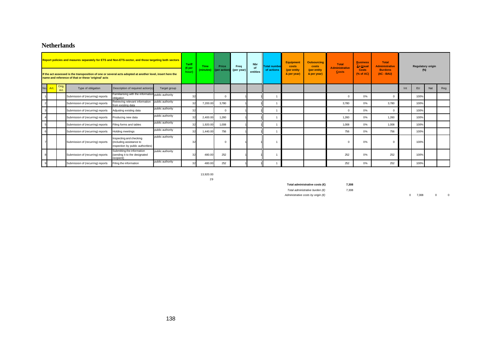# **Netherlands**

| Report policies and masures separately for ETS and Non-ETS-sector, and those targeting both sectors<br>If the act assessed is the transposition of one or several acts adopted at another level, insert here the<br>name and reference of that or these 'original' acts |            |              |                                   |                                                                                          | Tariff<br>(€per<br>hour) | <b>Time</b><br>(minutes) | Price<br>(per action) | Freq<br>(per year) | <b>Nbr</b><br>of<br>entities | <b>Total number</b><br>of actions | Equipment<br>costs<br>(per entity<br>& per year) | <b>Outsourcing</b><br>costs<br>(per entity<br>& per year) | <b>Total</b><br><b>Administrative</b><br><b>Costs</b> | <b>Business</b><br><b>As Usual</b><br><b>Costs</b><br>$(%$ $(*)$ of AC) | <b>Total</b><br><b>Administrative</b><br><b>Burdens</b><br>$(AC - BAU)$ |       |     | <b>Regulatory origin</b><br>$(\%)$ |     |     |
|-------------------------------------------------------------------------------------------------------------------------------------------------------------------------------------------------------------------------------------------------------------------------|------------|--------------|-----------------------------------|------------------------------------------------------------------------------------------|--------------------------|--------------------------|-----------------------|--------------------|------------------------------|-----------------------------------|--------------------------------------------------|-----------------------------------------------------------|-------------------------------------------------------|-------------------------------------------------------------------------|-------------------------------------------------------------------------|-------|-----|------------------------------------|-----|-----|
| No.                                                                                                                                                                                                                                                                     | <b>Art</b> | Orig.<br>Art | Type of obligation                | Description of required action(s)                                                        | Target group             |                          |                       |                    |                              |                                   |                                                  |                                                           |                                                       |                                                                         |                                                                         |       | Int | EU                                 | Nat | Reg |
|                                                                                                                                                                                                                                                                         |            |              | Submission of (recurring) reports | Familiarising with the information public authority<br>obligation                        |                          | 32                       |                       | $\Omega$           |                              |                                   |                                                  |                                                           |                                                       | $\Omega$                                                                | 0%                                                                      |       |     | 100%                               |     |     |
|                                                                                                                                                                                                                                                                         |            |              | Submission of (recurring) reports | Retrieving relevant information<br>from existing data                                    | public authority         |                          | 7,200.00              | 3,780              |                              |                                   |                                                  |                                                           |                                                       | 3,780                                                                   | 0%                                                                      | 3,780 |     | 100%                               |     |     |
|                                                                                                                                                                                                                                                                         |            |              | Submission of (recurring) reports | Adjusting existing data                                                                  | public authority         | 32                       |                       | $\Omega$           |                              |                                   |                                                  |                                                           |                                                       | $\Omega$                                                                | 0%                                                                      |       |     | 100%                               |     |     |
|                                                                                                                                                                                                                                                                         |            |              | Submission of (recurring) reports | Producing new data                                                                       | public authority         |                          | 2,400.00              | 1,260              |                              |                                   |                                                  |                                                           |                                                       | 1,260                                                                   | 0%                                                                      | 1,260 |     | 100%                               |     |     |
|                                                                                                                                                                                                                                                                         |            |              | Submission of (recurring) reports | Filing forms and tables                                                                  | public authority         |                          | 1,920.00              | 1,008              |                              |                                   |                                                  |                                                           |                                                       | 1,008                                                                   | 0%                                                                      | 1,008 |     | 100%                               |     |     |
|                                                                                                                                                                                                                                                                         |            |              | Submission of (recurring) reports | <b>Holding meetings</b>                                                                  | public authority         |                          | 1,440.00              | 756                |                              |                                   |                                                  |                                                           |                                                       | 756                                                                     | 0%                                                                      | 756   |     | 100%                               |     |     |
|                                                                                                                                                                                                                                                                         |            |              | Submission of (recurring) reports | Inspecting and checking<br>(including assistance to<br>inspection by public authorities) | public authority         |                          |                       |                    |                              |                                   |                                                  |                                                           |                                                       |                                                                         | 0%                                                                      |       |     | 100%                               |     |     |
|                                                                                                                                                                                                                                                                         |            |              | Submission of (recurring) reports | Submitting the information<br>(sending it to the designated<br>recipient)                | public authority         |                          | 480.00                | 252                |                              |                                   |                                                  |                                                           |                                                       | 252                                                                     | 0%                                                                      | 252   |     | 100%                               |     |     |
|                                                                                                                                                                                                                                                                         |            |              | Submission of (recurring) reports | Filing the information                                                                   | public authority         |                          | 480.00                | 252                |                              |                                   |                                                  |                                                           |                                                       | 252                                                                     | 0%                                                                      | 252   |     | 100%                               |     |     |

13,920.00 29

| Total administrative costs (€)              | 7.308 |
|---------------------------------------------|-------|
| Total administrative burden $(E)$           | 7.308 |
| Administrative costs by origin $(\epsilon)$ |       |

*Administrative costs by origin (€)* 0 7,308 0 0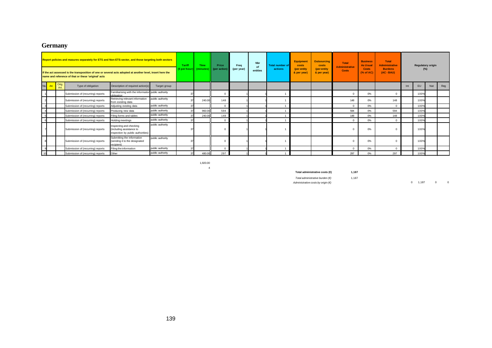## **Germany**

| Report policies and masures separately for ETS and Non-ETS-sector, and those targeting both sectors<br>If the act assessed is the transposition of one or several acts adopted at another level, insert here the<br>name and reference of that or these 'original' acts |  |  |                                   | Tariff<br>$\epsilon$ per hour)                                                           | Time<br>(minutes) | Price<br>(per action | Freq<br>(per year) | <b>Nbr</b><br>of<br>entities | <b>Total number of</b><br>actions | <b>Equipment</b><br>costs<br>(per entity<br>& per year) | <b>Outsourcing</b><br>costs<br>(per entity<br>& per year) | <b>Total</b><br><b>Administrative</b><br><b>Costs</b> | <b>Business</b><br><b>As Usual</b><br><b>Costs</b><br>$(%$ $(%$ $)$ $\wedge$ of AC) | <b>Total</b><br><b>Administrative</b><br><b>Burdens</b><br>(AC - BAU) |    | <b>Regulatory origin</b><br>$(\%)$ |     |      |  |  |
|-------------------------------------------------------------------------------------------------------------------------------------------------------------------------------------------------------------------------------------------------------------------------|--|--|-----------------------------------|------------------------------------------------------------------------------------------|-------------------|----------------------|--------------------|------------------------------|-----------------------------------|---------------------------------------------------------|-----------------------------------------------------------|-------------------------------------------------------|-------------------------------------------------------------------------------------|-----------------------------------------------------------------------|----|------------------------------------|-----|------|--|--|
| No.<br>Orig.<br>Type of obligation<br>Description of required action(s)<br>Target group<br>Art.                                                                                                                                                                         |  |  |                                   |                                                                                          |                   |                      |                    |                              |                                   |                                                         |                                                           |                                                       |                                                                                     | Int                                                                   | EU | Nat                                | Reg |      |  |  |
|                                                                                                                                                                                                                                                                         |  |  | Submission of (recurring) reports | Familiarising with the information public authority<br>obligation                        |                   |                      |                    |                              |                                   |                                                         |                                                           |                                                       |                                                                                     |                                                                       | 0% |                                    |     | 100% |  |  |
|                                                                                                                                                                                                                                                                         |  |  | Submission of (recurring) reports | Retrieving relevant information<br>from existing data                                    | public authority  |                      | 240.00             | 148                          |                                   |                                                         |                                                           |                                                       |                                                                                     | 148                                                                   | 0% | 148                                |     | 100% |  |  |
|                                                                                                                                                                                                                                                                         |  |  | Submission of (recurring) reports | Adjusting existing data                                                                  | public authority  |                      |                    |                              |                                   |                                                         |                                                           |                                                       |                                                                                     | $\Omega$                                                              | 0% |                                    |     | 100% |  |  |
|                                                                                                                                                                                                                                                                         |  |  | Submission of (recurring) reports | Producing new data                                                                       | public authority  |                      | 960.00             | 594                          |                                   |                                                         |                                                           |                                                       |                                                                                     | 594                                                                   | 0% | 594                                |     | 100% |  |  |
|                                                                                                                                                                                                                                                                         |  |  | Submission of (recurring) reports | Filing forms and tables                                                                  | public authority  |                      | 240.00             | 148                          |                                   |                                                         |                                                           |                                                       |                                                                                     | 148                                                                   | 0% | 148                                |     | 100% |  |  |
|                                                                                                                                                                                                                                                                         |  |  | Submission of (recurring) reports | Holding meetings                                                                         | public authority  | 37                   |                    |                              |                                   |                                                         |                                                           |                                                       |                                                                                     | $\Omega$                                                              | 0% |                                    |     | 100% |  |  |
|                                                                                                                                                                                                                                                                         |  |  | Submission of (recurring) reports | Inspecting and checking<br>(including assistance to<br>inspection by public authorities) | public authority  |                      |                    |                              |                                   |                                                         |                                                           |                                                       |                                                                                     |                                                                       | 0% |                                    |     | 100% |  |  |
|                                                                                                                                                                                                                                                                         |  |  | Submission of (recurring) reports | Submitting the information<br>(sending it to the designated<br>recipient)                | public authority  |                      |                    |                              |                                   |                                                         |                                                           |                                                       |                                                                                     |                                                                       | 0% |                                    |     | 100% |  |  |
|                                                                                                                                                                                                                                                                         |  |  | Submission of (recurring) reports | Filing the information                                                                   | public authority  |                      |                    |                              |                                   |                                                         |                                                           |                                                       |                                                                                     | $\Omega$                                                              | 0% |                                    |     | 100% |  |  |
| 10                                                                                                                                                                                                                                                                      |  |  | Submission of (recurring) reports | Other                                                                                    | public authority  |                      | 480.00             | 297                          |                                   |                                                         |                                                           |                                                       |                                                                                     | 297                                                                   | 0% | 297                                |     | 100% |  |  |

1,920.00 4

**Total administrative costs (€) 1,187**

*Total administrative burden (€)* 1,187

*Administrative costs by origin (€)* 0 1,187 0 0 0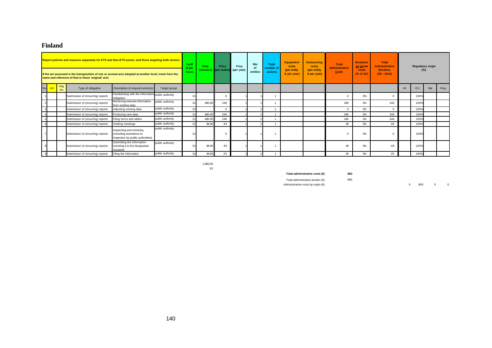## **Finland**

| Report policies and masures separately for ETS and Non-ETS-sector, and those targeting both sectors<br>If the act assessed is the transposition of one or several acts adopted at another level, insert here the<br>name and reference of that or these 'original' acts |      |               |                                   |                                                                                          | <b>Tariff</b><br>(€per<br>hour) | Time | Price<br>(minutes) (per action) | Frea<br>(per year) | <b>Nbr</b><br>of<br>entities | <b>Total</b><br>number of<br>actions | <b>Equipment</b><br>costs<br>(per entity<br>& per year) | <b>Outsourcing</b><br>costs<br>(per entity<br>& per year) | <b>Total</b><br>Administrative<br><b>Costs</b> | <b>Business</b><br><b>As Usual</b><br><b>Costs</b><br>(% of AC) | <b>Total</b><br><b>Administrative</b><br><b>Burdens</b><br>$(AC - BAU)$ |     | $(\%)$ | <b>Regulatory origin</b> |     |     |
|-------------------------------------------------------------------------------------------------------------------------------------------------------------------------------------------------------------------------------------------------------------------------|------|---------------|-----------------------------------|------------------------------------------------------------------------------------------|---------------------------------|------|---------------------------------|--------------------|------------------------------|--------------------------------------|---------------------------------------------------------|-----------------------------------------------------------|------------------------------------------------|-----------------------------------------------------------------|-------------------------------------------------------------------------|-----|--------|--------------------------|-----|-----|
| No.                                                                                                                                                                                                                                                                     | Art. | Orig.<br>Art. | Type of obligation                | Description of required action(s)                                                        | Target group                    |      |                                 |                    |                              |                                      |                                                         |                                                           |                                                |                                                                 |                                                                         |     | Int    | <b>EU</b>                | Nat | Reg |
|                                                                                                                                                                                                                                                                         |      |               | Submission of (recurring) reports | Familiarising with the information public authority<br>obligation                        |                                 |      |                                 |                    |                              |                                      |                                                         |                                                           |                                                | $\Omega$                                                        | 0%                                                                      |     |        | 100%                     |     |     |
|                                                                                                                                                                                                                                                                         |      |               | Submission of (recurring) reports | Retrieving relevant information<br>from existing data                                    | public authority                |      | 480.00                          | 246                |                              |                                      |                                                         |                                                           |                                                | 246                                                             | 0%                                                                      | 246 |        | 100%                     |     |     |
| 3                                                                                                                                                                                                                                                                       |      |               | Submission of (recurring) reports | Adjusting existing data                                                                  | public authority                |      |                                 |                    |                              |                                      |                                                         |                                                           |                                                | $\overline{0}$                                                  | 0%                                                                      |     |        | 100%                     |     |     |
|                                                                                                                                                                                                                                                                         |      |               | Submission of (recurring) reports | Producing new data                                                                       | public authority                |      | 480.00                          | 246                |                              |                                      |                                                         |                                                           |                                                | 246                                                             | 0%                                                                      | 246 |        | 100%                     |     |     |
| 5                                                                                                                                                                                                                                                                       |      |               | Submission of (recurring) reports | Filing forms and tables                                                                  | public authority                |      | 480.00                          | 246                |                              |                                      |                                                         |                                                           |                                                | 246                                                             | 0%                                                                      | 246 |        | 100%                     |     |     |
| 6                                                                                                                                                                                                                                                                       |      |               | Submission of (recurring) reports | Holding meetings                                                                         | public authority                |      | 96.00                           | 49                 |                              |                                      |                                                         |                                                           |                                                | 49                                                              | 0%                                                                      | 49  |        | 100%                     |     |     |
|                                                                                                                                                                                                                                                                         |      |               | Submission of (recurring) reports | Inspecting and checking<br>(including assistance to<br>inspection by public authorities) | public authority                |      |                                 |                    |                              |                                      |                                                         |                                                           |                                                | $\Omega$                                                        | 0%                                                                      |     |        | 100%                     |     |     |
|                                                                                                                                                                                                                                                                         |      |               | Submission of (recurring) reports | Submitting the information<br>(sending it to the designated<br>recipient)                | public authority                |      | 96.00                           | 49                 |                              |                                      |                                                         |                                                           |                                                | 49                                                              | 0%                                                                      | 49  |        | 100%                     |     |     |
|                                                                                                                                                                                                                                                                         |      |               | Submission of (recurring) reports | Filing the information                                                                   | public authority                |      | 48.00                           | 25                 |                              |                                      |                                                         |                                                           |                                                | 25                                                              | 0%                                                                      | 25  |        | 100%                     |     |     |

1,680.00 3.5

**Total administrative costs (€) 860**

*Total administrative burden (€)* 860<br>*Administrative costs by origin (€)* 

*Administrative costs by origin (€)* 0 860 0 0